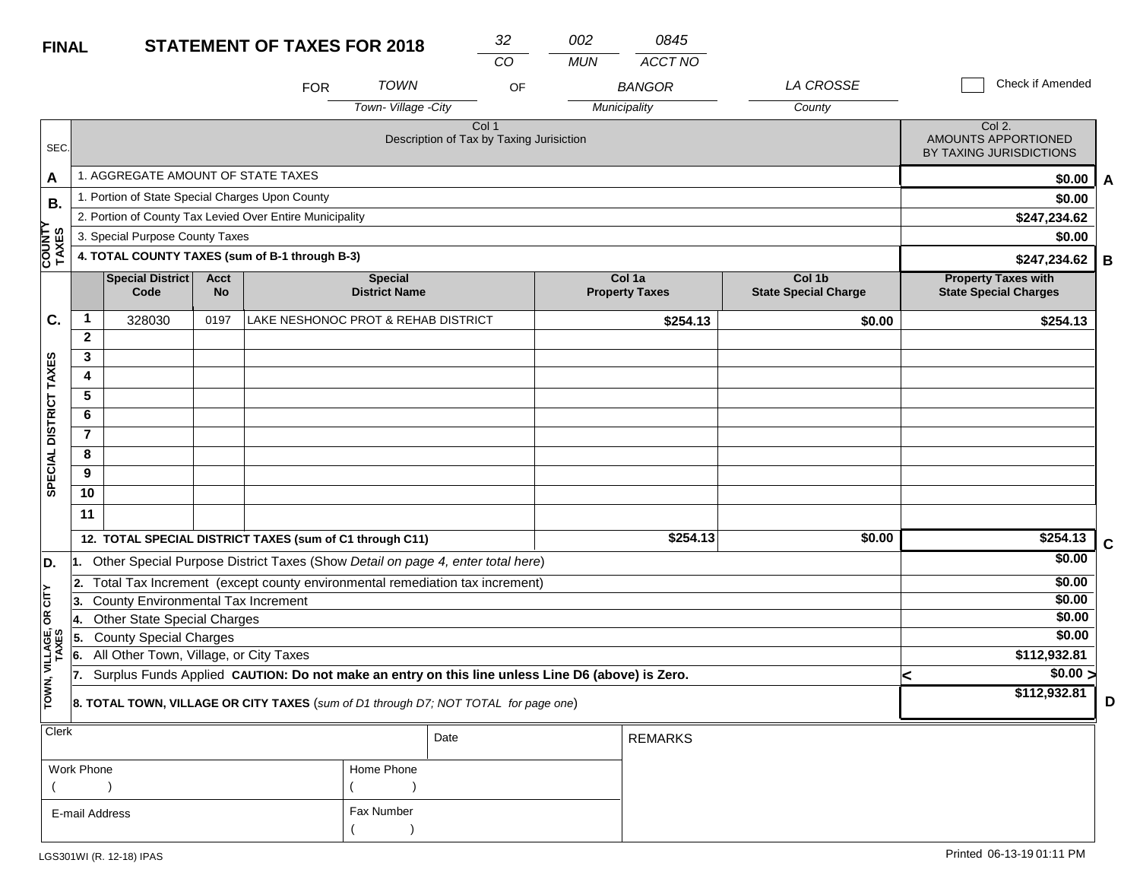| <b>FINAL</b>            |                 |                                                 |                          | <b>STATEMENT OF TAXES FOR 2018</b>                                                               |                                        | 32                                                | 002        | 0845                            |                                       |                                                            |             |
|-------------------------|-----------------|-------------------------------------------------|--------------------------|--------------------------------------------------------------------------------------------------|----------------------------------------|---------------------------------------------------|------------|---------------------------------|---------------------------------------|------------------------------------------------------------|-------------|
|                         |                 |                                                 |                          |                                                                                                  |                                        | CO                                                | <b>MUN</b> | ACCT NO                         |                                       |                                                            |             |
|                         |                 |                                                 |                          | <b>FOR</b>                                                                                       | <b>TOWN</b>                            | OF                                                |            | <b>BANGOR</b>                   | <b>LA CROSSE</b>                      | Check if Amended                                           |             |
|                         |                 |                                                 |                          |                                                                                                  | Town-Village -City                     |                                                   |            | Municipality                    | County                                |                                                            |             |
| SEC.                    |                 |                                                 |                          |                                                                                                  |                                        | Col 1<br>Description of Tax by Taxing Jurisiction |            |                                 |                                       | Col 2.<br>AMOUNTS APPORTIONED<br>BY TAXING JURISDICTIONS   |             |
| A                       |                 | 1. AGGREGATE AMOUNT OF STATE TAXES              |                          |                                                                                                  |                                        |                                                   |            |                                 |                                       | \$0.00                                                     | A           |
| Β.                      |                 | 1. Portion of State Special Charges Upon County |                          |                                                                                                  |                                        |                                                   |            |                                 |                                       | \$0.00                                                     |             |
|                         |                 |                                                 |                          | 2. Portion of County Tax Levied Over Entire Municipality                                         |                                        |                                                   |            |                                 |                                       | \$247,234.62                                               |             |
|                         |                 | 3. Special Purpose County Taxes                 |                          |                                                                                                  |                                        |                                                   |            |                                 |                                       | \$0.00                                                     |             |
| <b>COUNTY</b><br>TAXES  |                 |                                                 |                          | 4. TOTAL COUNTY TAXES (sum of B-1 through B-3)                                                   |                                        |                                                   |            |                                 |                                       | \$247,234.62                                               | B           |
|                         |                 | <b>Special District</b><br>Code                 | <b>Acct</b><br><b>No</b> |                                                                                                  | <b>Special</b><br><b>District Name</b> |                                                   |            | Col 1a<br><b>Property Taxes</b> | Col 1b<br><b>State Special Charge</b> | <b>Property Taxes with</b><br><b>State Special Charges</b> |             |
| C.                      | $\mathbf{1}$    | 328030                                          | 0197                     |                                                                                                  | LAKE NESHONOC PROT & REHAB DISTRICT    |                                                   |            | \$254.13                        | \$0.00                                | \$254.13                                                   |             |
|                         | $\overline{2}$  |                                                 |                          |                                                                                                  |                                        |                                                   |            |                                 |                                       |                                                            |             |
|                         | 3               |                                                 |                          |                                                                                                  |                                        |                                                   |            |                                 |                                       |                                                            |             |
| SPECIAL DISTRICT TAXES  | 4               |                                                 |                          |                                                                                                  |                                        |                                                   |            |                                 |                                       |                                                            |             |
|                         | $\overline{5}$  |                                                 |                          |                                                                                                  |                                        |                                                   |            |                                 |                                       |                                                            |             |
|                         | 6               |                                                 |                          |                                                                                                  |                                        |                                                   |            |                                 |                                       |                                                            |             |
|                         | $\overline{7}$  |                                                 |                          |                                                                                                  |                                        |                                                   |            |                                 |                                       |                                                            |             |
|                         | 8               |                                                 |                          |                                                                                                  |                                        |                                                   |            |                                 |                                       |                                                            |             |
|                         | 9               |                                                 |                          |                                                                                                  |                                        |                                                   |            |                                 |                                       |                                                            |             |
|                         | $\overline{10}$ |                                                 |                          |                                                                                                  |                                        |                                                   |            |                                 |                                       |                                                            |             |
|                         | 11              |                                                 |                          |                                                                                                  |                                        |                                                   |            |                                 |                                       |                                                            |             |
|                         |                 |                                                 |                          | 12. TOTAL SPECIAL DISTRICT TAXES (sum of C1 through C11)                                         |                                        |                                                   |            | \$254.13                        | \$0.00                                | \$254.13                                                   | $\mathbf c$ |
| D.                      |                 |                                                 |                          | Other Special Purpose District Taxes (Show Detail on page 4, enter total here)                   |                                        |                                                   |            |                                 |                                       | \$0.00                                                     |             |
|                         | 2.              |                                                 |                          | Total Tax Increment (except county environmental remediation tax increment)                      |                                        |                                                   |            |                                 |                                       | \$0.00                                                     |             |
| OR CITY                 | 3.              | County Environmental Tax Increment              |                          |                                                                                                  |                                        |                                                   |            |                                 |                                       | \$0.00                                                     |             |
|                         |                 | <b>Other State Special Charges</b>              |                          |                                                                                                  |                                        |                                                   |            |                                 |                                       | \$0.00                                                     |             |
|                         | 5.              | <b>County Special Charges</b>                   |                          |                                                                                                  |                                        |                                                   |            |                                 |                                       | \$0.00                                                     |             |
|                         | 6.              | All Other Town, Village, or City Taxes          |                          |                                                                                                  |                                        |                                                   |            |                                 |                                       | \$112,932.81                                               |             |
|                         | 17.             |                                                 |                          | Surplus Funds Applied CAUTION: Do not make an entry on this line unless Line D6 (above) is Zero. |                                        |                                                   |            |                                 |                                       | $\sqrt{$0.00}$<br>⋖                                        |             |
| TOWN, VILLAGE,<br>TAXES |                 |                                                 |                          | 8. TOTAL TOWN, VILLAGE OR CITY TAXES (sum of D1 through D7; NOT TOTAL for page one)              |                                        |                                                   |            |                                 |                                       | \$112,932.81                                               | D           |
| Clerk                   |                 |                                                 |                          |                                                                                                  |                                        | Date                                              |            | <b>REMARKS</b>                  |                                       |                                                            |             |

| $\overline{C}$ |            | Date | <b>REMARKS</b> |
|----------------|------------|------|----------------|
| Work Phone     | Home Phone |      |                |
|                |            |      |                |
| E-mail Address | Fax Number |      |                |
|                |            |      |                |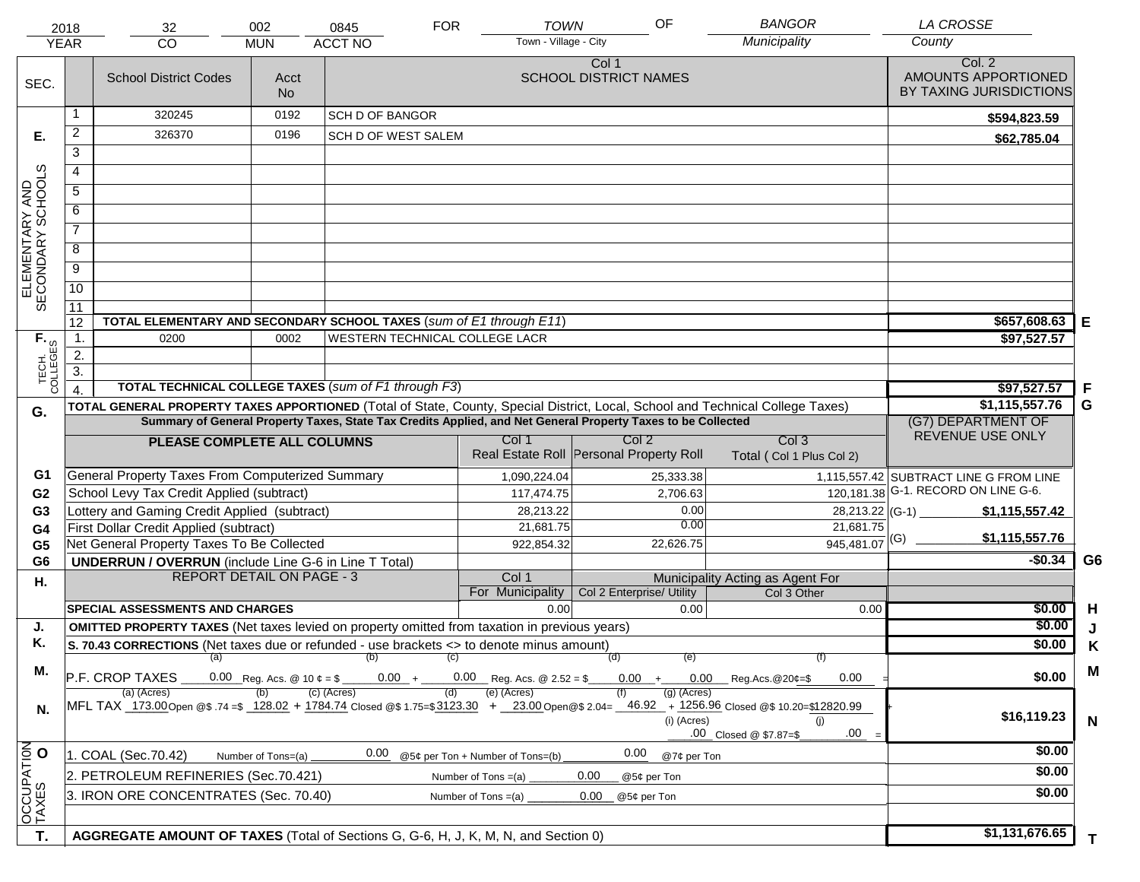|                                     | 2018<br><b>YEAR</b> | 32<br><b>CO</b>                                                                                                                | 002<br><b>MUN</b>                        | 0845<br><b>ACCT NO</b>                | <b>FOR</b> | <b>TOWN</b><br>Town - Village - City | OF                                                                                                           | <b>BANGOR</b><br>Municipality                                                                                                                | <b>LA CROSSE</b><br>County             |                |
|-------------------------------------|---------------------|--------------------------------------------------------------------------------------------------------------------------------|------------------------------------------|---------------------------------------|------------|--------------------------------------|--------------------------------------------------------------------------------------------------------------|----------------------------------------------------------------------------------------------------------------------------------------------|----------------------------------------|----------------|
|                                     |                     |                                                                                                                                |                                          |                                       |            |                                      | Col 1                                                                                                        |                                                                                                                                              | Col. 2                                 |                |
| SEC.                                |                     | <b>School District Codes</b>                                                                                                   | Acct                                     |                                       |            |                                      | <b>SCHOOL DISTRICT NAMES</b>                                                                                 |                                                                                                                                              | AMOUNTS APPORTIONED                    |                |
|                                     |                     |                                                                                                                                | <b>No</b>                                |                                       |            |                                      |                                                                                                              |                                                                                                                                              | BY TAXING JURISDICTIONS                |                |
|                                     |                     | 320245                                                                                                                         | 0192                                     | <b>SCH D OF BANGOR</b>                |            |                                      |                                                                                                              |                                                                                                                                              | \$594,823.59                           |                |
| Е.                                  | $\overline{a}$      | 326370                                                                                                                         | 0196                                     | SCH D OF WEST SALEM                   |            |                                      |                                                                                                              |                                                                                                                                              | \$62,785.04                            |                |
|                                     | 3                   |                                                                                                                                |                                          |                                       |            |                                      |                                                                                                              |                                                                                                                                              |                                        |                |
|                                     | $\overline{4}$      |                                                                                                                                |                                          |                                       |            |                                      |                                                                                                              |                                                                                                                                              |                                        |                |
|                                     | 5                   |                                                                                                                                |                                          |                                       |            |                                      |                                                                                                              |                                                                                                                                              |                                        |                |
|                                     | 6                   |                                                                                                                                |                                          |                                       |            |                                      |                                                                                                              |                                                                                                                                              |                                        |                |
| ELEMENTARY AND<br>SECONDARY SCHOOLS | $\overline{7}$      |                                                                                                                                |                                          |                                       |            |                                      |                                                                                                              |                                                                                                                                              |                                        |                |
|                                     | 8                   |                                                                                                                                |                                          |                                       |            |                                      |                                                                                                              |                                                                                                                                              |                                        |                |
|                                     | $\overline{9}$      |                                                                                                                                |                                          |                                       |            |                                      |                                                                                                              |                                                                                                                                              |                                        |                |
|                                     | $\overline{10}$     |                                                                                                                                |                                          |                                       |            |                                      |                                                                                                              |                                                                                                                                              |                                        |                |
|                                     | 11                  |                                                                                                                                |                                          |                                       |            |                                      |                                                                                                              |                                                                                                                                              |                                        |                |
|                                     | 12                  | TOTAL ELEMENTARY AND SECONDARY SCHOOL TAXES (sum of E1 through E11)                                                            |                                          |                                       |            |                                      |                                                                                                              |                                                                                                                                              | \$657,608.63                           | Е              |
| TECH. T                             | $\mathbf{1}$ .      | 0200                                                                                                                           | 0002                                     | <b>WESTERN TECHNICAL COLLEGE LACR</b> |            |                                      |                                                                                                              |                                                                                                                                              | \$97,527.57                            |                |
|                                     | 2.                  |                                                                                                                                |                                          |                                       |            |                                      |                                                                                                              |                                                                                                                                              |                                        |                |
|                                     | $\overline{3}$ .    |                                                                                                                                |                                          |                                       |            |                                      |                                                                                                              |                                                                                                                                              |                                        |                |
|                                     |                     | <b>TOTAL TECHNICAL COLLEGE TAXES (sum of F1 through F3)</b>                                                                    |                                          |                                       |            |                                      |                                                                                                              |                                                                                                                                              | \$97,527.57                            | -F<br>G        |
| G.                                  |                     | TOTAL GENERAL PROPERTY TAXES APPORTIONED (Total of State, County, Special District, Local, School and Technical College Taxes) |                                          |                                       |            |                                      | Summary of General Property Taxes, State Tax Credits Applied, and Net General Property Taxes to be Collected |                                                                                                                                              | \$1,115,557.76<br>(G7) DEPARTMENT OF   |                |
|                                     |                     |                                                                                                                                |                                          |                                       |            | Col 1                                | Col <sub>2</sub>                                                                                             | Col <sub>3</sub>                                                                                                                             | REVENUE USE ONLY                       |                |
|                                     |                     | PLEASE COMPLETE ALL COLUMNS                                                                                                    |                                          |                                       |            |                                      | Real Estate Roll Personal Property Roll                                                                      | Total (Col 1 Plus Col 2)                                                                                                                     |                                        |                |
| G1                                  |                     | General Property Taxes From Computerized Summary                                                                               |                                          |                                       |            | 1,090,224.04                         | 25,333.38                                                                                                    |                                                                                                                                              | 1,115,557.42 SUBTRACT LINE G FROM LINE |                |
| G <sub>2</sub>                      |                     | School Levy Tax Credit Applied (subtract)                                                                                      |                                          |                                       |            | 117,474.75                           | 2,706.63                                                                                                     |                                                                                                                                              | 120, 181.38 G-1. RECORD ON LINE G-6.   |                |
| G <sub>3</sub>                      |                     | Lottery and Gaming Credit Applied (subtract)                                                                                   |                                          |                                       |            | 28,213.22                            | 0.00                                                                                                         |                                                                                                                                              | \$1,115,557.42                         |                |
| G4                                  |                     | First Dollar Credit Applied (subtract)                                                                                         |                                          |                                       |            | 21,681.75                            | 0.00                                                                                                         | 21,681.75                                                                                                                                    |                                        |                |
| G <sub>5</sub>                      |                     | Net General Property Taxes To Be Collected                                                                                     |                                          |                                       |            | 922,854.32                           | 22,626.75                                                                                                    | $945,481.07$ <sup>(G)</sup>                                                                                                                  | \$1,115,557.76                         |                |
| G <sub>6</sub>                      |                     | <b>UNDERRUN / OVERRUN</b> (include Line G-6 in Line T Total)                                                                   |                                          |                                       |            |                                      |                                                                                                              |                                                                                                                                              | $-$0.34$                               | G <sub>6</sub> |
| Η.                                  |                     | <b>REPORT DETAIL ON PAGE - 3</b>                                                                                               |                                          |                                       |            | Col 1<br>For Municipality            | Col 2 Enterprise/ Utility                                                                                    | Municipality Acting as Agent For<br>Col 3 Other                                                                                              |                                        |                |
|                                     |                     | <b>SPECIAL ASSESSMENTS AND CHARGES</b>                                                                                         |                                          |                                       |            | 0.00                                 | 0.00                                                                                                         | 0.00                                                                                                                                         | \$0.00                                 | H              |
| J.                                  |                     | <b>OMITTED PROPERTY TAXES</b> (Net taxes levied on property omitted from taxation in previous years)                           |                                          |                                       |            |                                      |                                                                                                              |                                                                                                                                              | \$0.00                                 |                |
| Κ.                                  |                     | S. 70.43 CORRECTIONS (Net taxes due or refunded - use brackets <> to denote minus amount)                                      |                                          |                                       |            |                                      |                                                                                                              |                                                                                                                                              | \$0.00                                 | Κ              |
|                                     |                     | (a) (b) (c)                                                                                                                    |                                          |                                       |            |                                      | (d)<br>(e)                                                                                                   | (f)                                                                                                                                          |                                        |                |
| М.                                  |                     | P.F. CROP TAXES                                                                                                                | 0.00 Reg. Acs. @ 10 $\phi = \frac{1}{2}$ |                                       |            | $0.00 + 0.00$ Reg. Acs. @ 2.52 = \$  | $0.00 +$                                                                                                     | 0.00<br>0.00<br>$\mu$ Reg. Acs. @ 20¢=\$                                                                                                     | \$0.00                                 | M              |
|                                     |                     | (a) (Acres)                                                                                                                    |                                          | (c) (Acres)                           | (d)        | (e) (Acres)                          | $(g)$ (Acres)                                                                                                | MFL TAX 173.00 Open @\$ 74 =\$ 128.02 + 1784.74 Closed @\$ 1.75=\$3123.30 + 23.00 Open @\$ 2.04= 46.92 + 1256.96 Closed @\$ 10.20=\$12820.99 |                                        |                |
| N.                                  |                     |                                                                                                                                |                                          |                                       |            |                                      | (i) (Acres)                                                                                                  | (i)                                                                                                                                          | \$16,119.23                            | $\mathbf N$    |
|                                     |                     |                                                                                                                                |                                          |                                       |            |                                      |                                                                                                              | .00<br>.00 Closed @ \$7.87=\$                                                                                                                |                                        |                |
|                                     |                     | 1. COAL (Sec.70.42)                                                                                                            | Number of Tons=(a)                       | 0.00                                  |            | @5¢ per Ton + Number of Tons=(b)     | 0.00<br>@7¢ per Ton                                                                                          |                                                                                                                                              | \$0.00                                 |                |
|                                     |                     | 2. PETROLEUM REFINERIES (Sec.70.421)                                                                                           |                                          |                                       |            | Number of Tons =(a)                  | 0.00<br>@5¢ per Ton                                                                                          |                                                                                                                                              | \$0.00                                 |                |
| OCCUPATION                          |                     | 3. IRON ORE CONCENTRATES (Sec. 70.40)                                                                                          | \$0.00                                   |                                       |            |                                      |                                                                                                              |                                                                                                                                              |                                        |                |
|                                     |                     |                                                                                                                                |                                          |                                       |            |                                      | @5¢ per Ton                                                                                                  |                                                                                                                                              |                                        |                |
| T.                                  |                     | AGGREGATE AMOUNT OF TAXES (Total of Sections G, G-6, H, J, K, M, N, and Section 0)                                             |                                          |                                       |            |                                      |                                                                                                              |                                                                                                                                              | \$1,131,676.65                         | T.             |
|                                     |                     |                                                                                                                                |                                          |                                       |            |                                      |                                                                                                              |                                                                                                                                              |                                        |                |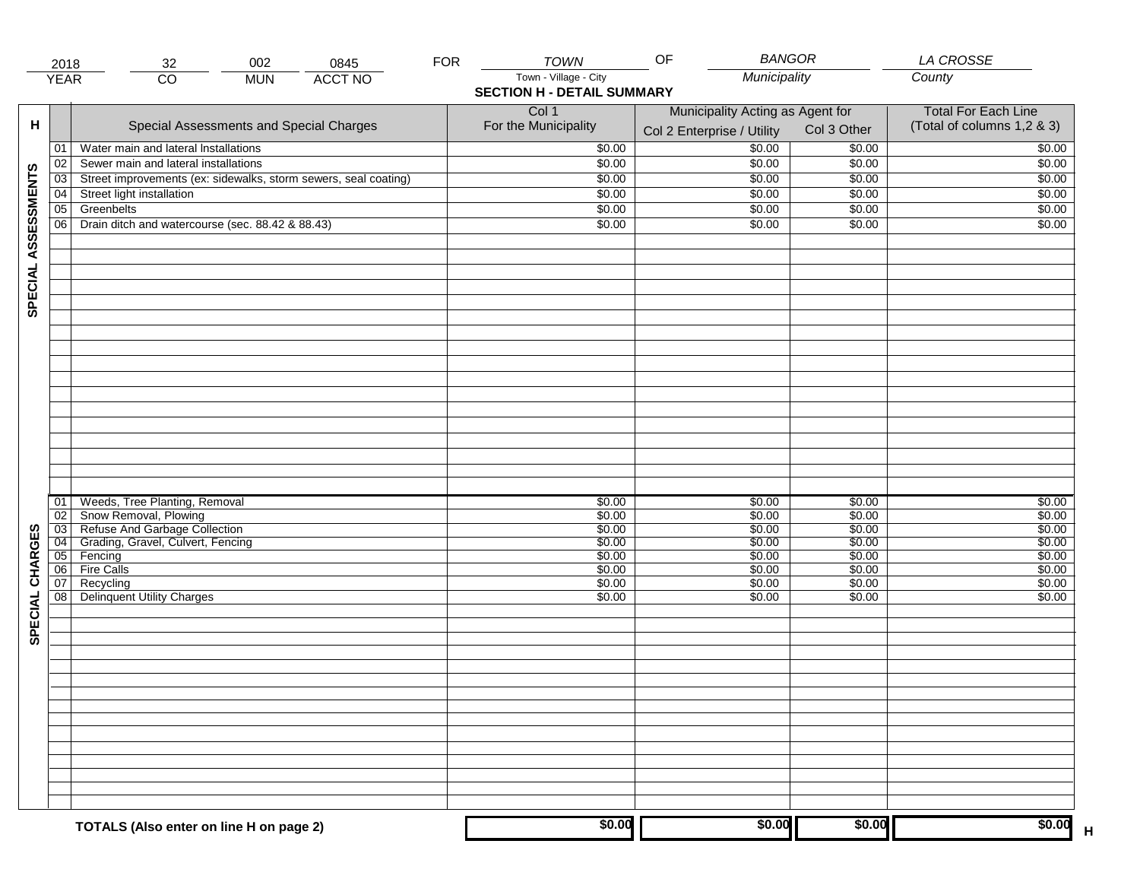|                     | 2018            | 002<br>0845<br>32                                               | <b>FOR</b> | TOWN                              | <b>BANGOR</b><br>OF              |             | LA CROSSE                         |
|---------------------|-----------------|-----------------------------------------------------------------|------------|-----------------------------------|----------------------------------|-------------|-----------------------------------|
|                     | <b>YEAR</b>     | <b>ACCT NO</b><br>$\overline{CO}$<br><b>MUN</b>                 |            | Town - Village - City             | Municipality                     |             | County                            |
|                     |                 |                                                                 |            | <b>SECTION H - DETAIL SUMMARY</b> |                                  |             |                                   |
|                     |                 |                                                                 |            | Col 1                             | Municipality Acting as Agent for |             | <b>Total For Each Line</b>        |
| н                   |                 | Special Assessments and Special Charges                         |            | For the Municipality              | Col 2 Enterprise / Utility       | Col 3 Other | (Total of columns 1,2 & 3)        |
|                     | 01              | Water main and lateral Installations                            |            | \$0.00                            | 50.00                            | \$0.00      | \$0.00                            |
|                     | 02              | Sewer main and lateral installations                            |            | \$0.00                            | \$0.00                           | \$0.00      | \$0.00                            |
|                     | $\overline{03}$ | Street improvements (ex: sidewalks, storm sewers, seal coating) |            | \$0.00                            | \$0.00                           | \$0.00      | \$0.00                            |
|                     | 04              | Street light installation                                       |            | \$0.00                            | \$0.00                           | \$0.00      | \$0.00                            |
|                     | $\overline{05}$ | Greenbelts                                                      |            | \$0.00                            | \$0.00                           |             | \$0.00                            |
|                     |                 |                                                                 |            |                                   |                                  | \$0.00      |                                   |
|                     | 06              | Drain ditch and watercourse (sec. 88.42 & 88.43)                |            | \$0.00                            | \$0.00                           | \$0.00      | \$0.00                            |
| SPECIAL ASSESSMENTS |                 |                                                                 |            |                                   |                                  |             |                                   |
|                     |                 |                                                                 |            |                                   |                                  |             |                                   |
|                     |                 |                                                                 |            |                                   |                                  |             |                                   |
|                     |                 |                                                                 |            |                                   |                                  |             |                                   |
|                     |                 |                                                                 |            |                                   |                                  |             |                                   |
|                     |                 |                                                                 |            |                                   |                                  |             |                                   |
|                     |                 |                                                                 |            |                                   |                                  |             |                                   |
|                     |                 |                                                                 |            |                                   |                                  |             |                                   |
|                     |                 |                                                                 |            |                                   |                                  |             |                                   |
|                     |                 |                                                                 |            |                                   |                                  |             |                                   |
|                     | 01              | Weeds, Tree Planting, Removal                                   |            | \$0.00                            | \$0.00                           | \$0.00      | \$0.00                            |
|                     | 02              | Snow Removal, Plowing                                           |            | \$0.00                            | \$0.00                           | \$0.00      | \$0.00                            |
|                     | 03              | Refuse And Garbage Collection                                   |            | \$0.00                            | \$0.00                           | \$0.00      | \$0.00                            |
|                     | $\overline{04}$ | Grading, Gravel, Culvert, Fencing                               |            | \$0.00                            | \$0.00                           | \$0.00      | \$0.00                            |
|                     | 05              | Fencing                                                         |            | \$0.00                            | \$0.00                           | \$0.00      | \$0.00                            |
|                     | 06              | <b>Fire Calls</b>                                               |            | \$0.00                            | \$0.00                           | \$0.00      | \$0.00                            |
|                     | 07              | Recycling                                                       |            | \$0.00                            | \$0.00                           | \$0.00      | \$0.00                            |
|                     | 08              | Delinquent Utility Charges                                      |            | \$0.00                            | \$0.00                           | \$0.00      | \$0.00                            |
| SPECIAL CHARGES     |                 |                                                                 |            |                                   |                                  |             |                                   |
|                     |                 |                                                                 |            |                                   |                                  |             |                                   |
|                     |                 |                                                                 |            |                                   |                                  |             |                                   |
|                     |                 |                                                                 |            |                                   |                                  |             |                                   |
|                     |                 |                                                                 |            |                                   |                                  |             |                                   |
|                     |                 |                                                                 |            |                                   |                                  |             |                                   |
|                     |                 |                                                                 |            |                                   |                                  |             |                                   |
|                     |                 |                                                                 |            |                                   |                                  |             |                                   |
|                     |                 |                                                                 |            |                                   |                                  |             |                                   |
|                     |                 | TOTALS (Also enter on line H on page 2)                         |            | \$0.00                            | \$0.00                           | \$0.00      | \$0.00<br>$\overline{\mathsf{H}}$ |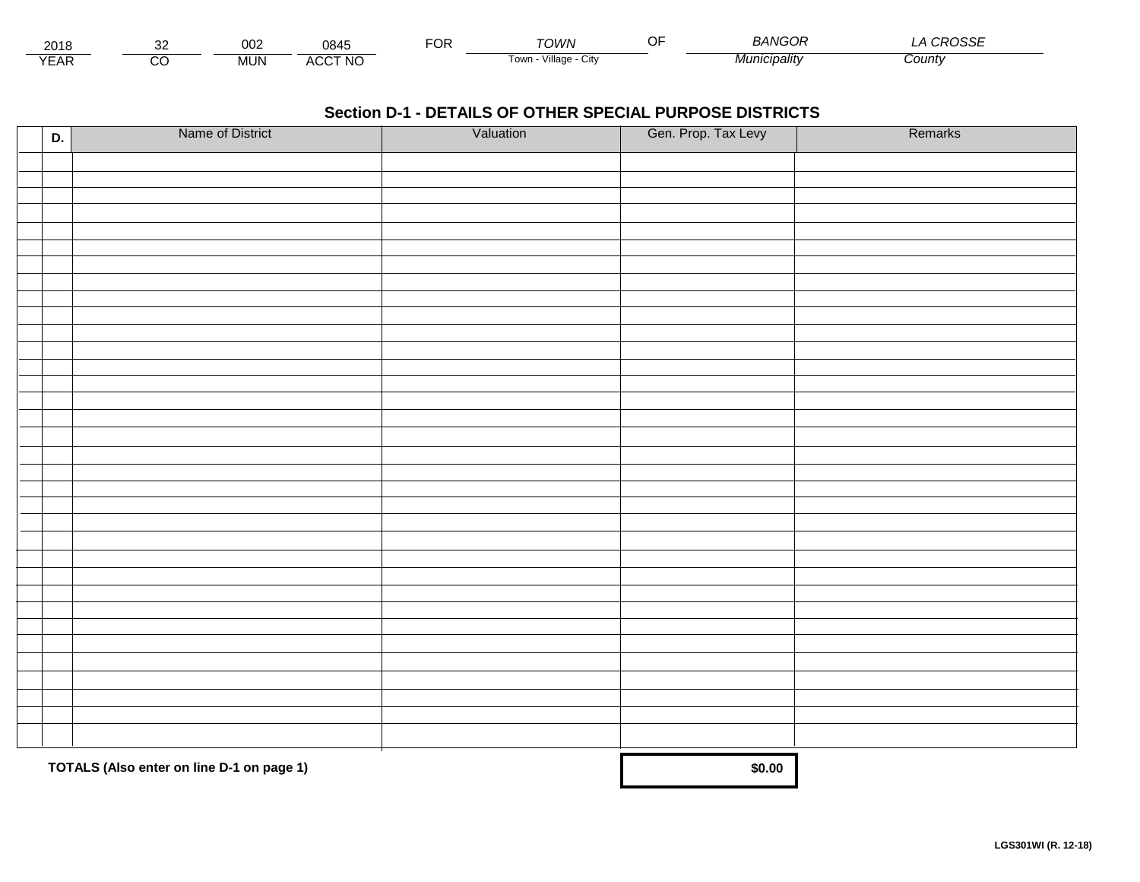| 2018            |        | ∩∩∩<br><b>UUZ</b> | 0845           | $\neg$ nn<br>Ur | <b>ת/וור</b>            | ∼− | $\cdots$<br>NGOF<br>. д г | $\sim$ $\sim$ $\sim$ $\sim$ $\sim$<br>∟טטי |  |
|-----------------|--------|-------------------|----------------|-----------------|-------------------------|----|---------------------------|--------------------------------------------|--|
| $\sqrt{2}$<br>⊢ | ~<br>U | <b>MUN</b>        | <b>ACCT NO</b> |                 | villade<br>i own<br>∪lW |    | Minmin<br>cıpalıtv        | County                                     |  |

| D. | Name of District                          | Valuation | Gen. Prop. Tax Levy | Remarks |
|----|-------------------------------------------|-----------|---------------------|---------|
|    |                                           |           |                     |         |
|    |                                           |           |                     |         |
|    |                                           |           |                     |         |
|    |                                           |           |                     |         |
|    |                                           |           |                     |         |
|    |                                           |           |                     |         |
|    |                                           |           |                     |         |
|    |                                           |           |                     |         |
|    |                                           |           |                     |         |
|    |                                           |           |                     |         |
|    |                                           |           |                     |         |
|    |                                           |           |                     |         |
|    |                                           |           |                     |         |
|    |                                           |           |                     |         |
|    |                                           |           |                     |         |
|    |                                           |           |                     |         |
|    |                                           |           |                     |         |
|    |                                           |           |                     |         |
|    |                                           |           |                     |         |
|    |                                           |           |                     |         |
|    |                                           |           |                     |         |
|    |                                           |           |                     |         |
|    |                                           |           |                     |         |
|    |                                           |           |                     |         |
|    |                                           |           |                     |         |
|    |                                           |           |                     |         |
|    |                                           |           |                     |         |
|    |                                           |           |                     |         |
|    |                                           |           |                     |         |
|    |                                           |           |                     |         |
|    |                                           |           |                     |         |
|    |                                           |           |                     |         |
|    |                                           |           |                     |         |
|    | TOTALS (Also enter on line D-1 on page 1) |           | \$0.00              |         |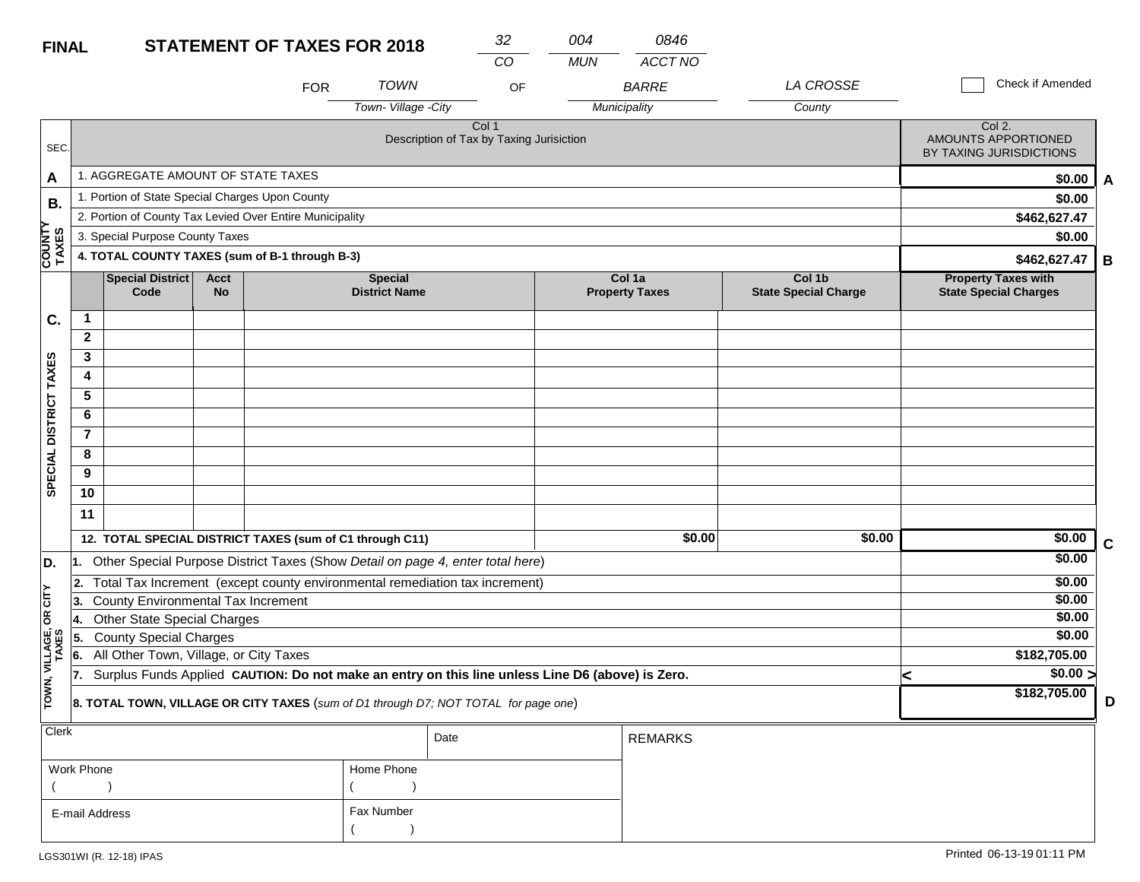| <b>FINAL</b>            |                |                                                 |                   | <b>STATEMENT OF TAXES FOR 2018</b>                                                               |                                        | 32                                                | 004        | 0846                            |                                       |   |                                                            |             |
|-------------------------|----------------|-------------------------------------------------|-------------------|--------------------------------------------------------------------------------------------------|----------------------------------------|---------------------------------------------------|------------|---------------------------------|---------------------------------------|---|------------------------------------------------------------|-------------|
|                         |                |                                                 |                   |                                                                                                  |                                        | CO                                                | <b>MUN</b> | <b>ACCT NO</b>                  |                                       |   |                                                            |             |
|                         |                |                                                 |                   | <b>FOR</b>                                                                                       | <b>TOWN</b>                            | OF                                                |            | <b>BARRE</b>                    | LA CROSSE                             |   | Check if Amended                                           |             |
|                         |                |                                                 |                   |                                                                                                  | Town-Village -City                     |                                                   |            | Municipality                    | County                                |   |                                                            |             |
| SEC.                    |                |                                                 |                   |                                                                                                  |                                        | Col 1<br>Description of Tax by Taxing Jurisiction |            |                                 |                                       |   | Col 2.<br>AMOUNTS APPORTIONED<br>BY TAXING JURISDICTIONS   |             |
| A                       |                | 1. AGGREGATE AMOUNT OF STATE TAXES              |                   |                                                                                                  |                                        |                                                   |            |                                 |                                       |   | \$0.00                                                     | A           |
| В.                      |                | 1. Portion of State Special Charges Upon County |                   |                                                                                                  |                                        |                                                   |            |                                 |                                       |   | \$0.00                                                     |             |
|                         |                |                                                 |                   | 2. Portion of County Tax Levied Over Entire Municipality                                         |                                        |                                                   |            |                                 |                                       |   | \$462,627.47                                               |             |
|                         |                | 3. Special Purpose County Taxes                 |                   |                                                                                                  |                                        |                                                   |            |                                 |                                       |   | \$0.00                                                     |             |
| <b>COUNTY</b><br>TAXES  |                |                                                 |                   | 4. TOTAL COUNTY TAXES (sum of B-1 through B-3)                                                   |                                        |                                                   |            |                                 |                                       |   | \$462,627.47                                               | В           |
|                         |                | <b>Special District</b><br>Code                 | Acct<br><b>No</b> |                                                                                                  | <b>Special</b><br><b>District Name</b> |                                                   |            | Col 1a<br><b>Property Taxes</b> | Col 1b<br><b>State Special Charge</b> |   | <b>Property Taxes with</b><br><b>State Special Charges</b> |             |
| C.                      | $\mathbf 1$    |                                                 |                   |                                                                                                  |                                        |                                                   |            |                                 |                                       |   |                                                            |             |
|                         | $\mathbf{2}$   |                                                 |                   |                                                                                                  |                                        |                                                   |            |                                 |                                       |   |                                                            |             |
|                         | 3              |                                                 |                   |                                                                                                  |                                        |                                                   |            |                                 |                                       |   |                                                            |             |
|                         | 4              |                                                 |                   |                                                                                                  |                                        |                                                   |            |                                 |                                       |   |                                                            |             |
|                         | 5              |                                                 |                   |                                                                                                  |                                        |                                                   |            |                                 |                                       |   |                                                            |             |
|                         | 6              |                                                 |                   |                                                                                                  |                                        |                                                   |            |                                 |                                       |   |                                                            |             |
|                         | $\overline{7}$ |                                                 |                   |                                                                                                  |                                        |                                                   |            |                                 |                                       |   |                                                            |             |
|                         | 8              |                                                 |                   |                                                                                                  |                                        |                                                   |            |                                 |                                       |   |                                                            |             |
| SPECIAL DISTRICT TAXES  | 9              |                                                 |                   |                                                                                                  |                                        |                                                   |            |                                 |                                       |   |                                                            |             |
|                         | 10             |                                                 |                   |                                                                                                  |                                        |                                                   |            |                                 |                                       |   |                                                            |             |
|                         | 11             |                                                 |                   |                                                                                                  |                                        |                                                   |            |                                 |                                       |   |                                                            |             |
|                         |                |                                                 |                   | 12. TOTAL SPECIAL DISTRICT TAXES (sum of C1 through C11)                                         |                                        |                                                   |            | \$0.00                          | \$0.00                                |   | \$0.00                                                     | $\mathbf c$ |
| D.                      | 11.            |                                                 |                   | Other Special Purpose District Taxes (Show Detail on page 4, enter total here)                   |                                        |                                                   |            |                                 |                                       |   | \$0.00                                                     |             |
|                         | 2.             |                                                 |                   | Total Tax Increment (except county environmental remediation tax increment)                      |                                        |                                                   |            |                                 |                                       |   | \$0.00                                                     |             |
| OR CITY                 | 3.             | <b>County Environmental Tax Increment</b>       |                   |                                                                                                  |                                        |                                                   |            |                                 |                                       |   | \$0.00                                                     |             |
|                         | 14.            | <b>Other State Special Charges</b>              |                   |                                                                                                  |                                        |                                                   |            |                                 |                                       |   | \$0.00                                                     |             |
|                         | 5.             | <b>County Special Charges</b>                   |                   |                                                                                                  |                                        |                                                   |            |                                 |                                       |   | \$0.00                                                     |             |
|                         | 6.             | All Other Town, Village, or City Taxes          |                   |                                                                                                  |                                        |                                                   |            |                                 |                                       |   | \$182,705.00                                               |             |
| TOWN, VILLAGE,<br>TAXES | 17.            |                                                 |                   | Surplus Funds Applied CAUTION: Do not make an entry on this line unless Line D6 (above) is Zero. |                                        |                                                   |            |                                 |                                       | < | $\sqrt{$0.00}$<br>\$182,705.00                             |             |
|                         |                |                                                 |                   | 8. TOTAL TOWN, VILLAGE OR CITY TAXES (sum of D1 through D7; NOT TOTAL for page one)              |                                        |                                                   |            |                                 |                                       |   |                                                            | D           |
| Clerk                   |                |                                                 |                   |                                                                                                  |                                        | Date                                              |            | <b>REMARKS</b>                  |                                       |   |                                                            |             |

| Work Phone     | Home Phone |
|----------------|------------|
|                |            |
| E-mail Address | Fax Number |
|                |            |

**D**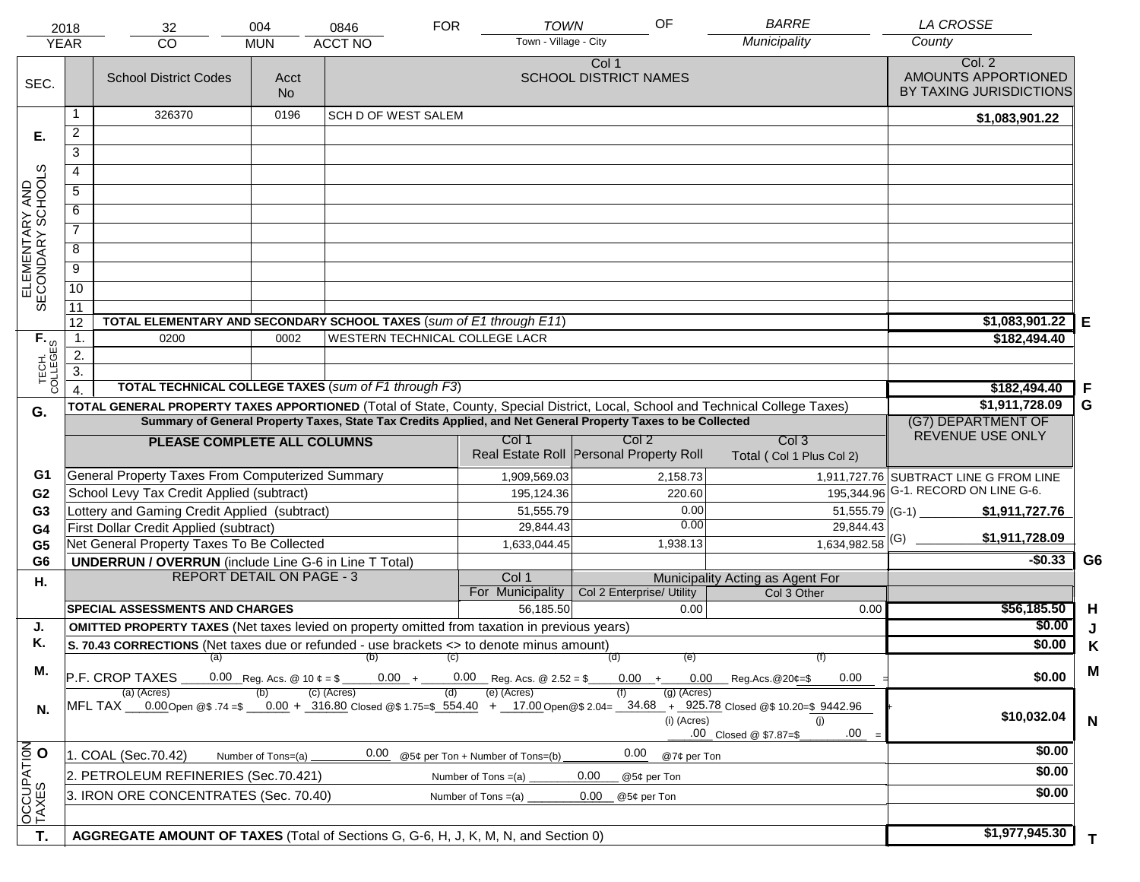|                                     | 2018                                                                                  | 32                                                                                                   | 004                | 0846                           | <b>FOR</b> | <b>TOWN</b>                         | OF                                                                                                           | <b>BARRE</b>                                                                                                                                                                   | <b>LA CROSSE</b>                                         |                |
|-------------------------------------|---------------------------------------------------------------------------------------|------------------------------------------------------------------------------------------------------|--------------------|--------------------------------|------------|-------------------------------------|--------------------------------------------------------------------------------------------------------------|--------------------------------------------------------------------------------------------------------------------------------------------------------------------------------|----------------------------------------------------------|----------------|
|                                     | <b>YEAR</b>                                                                           | <b>CO</b>                                                                                            | <b>MUN</b>         | <b>ACCT NO</b>                 |            | Town - Village - City               |                                                                                                              | Municipality                                                                                                                                                                   | County                                                   |                |
| SEC.                                |                                                                                       | <b>School District Codes</b>                                                                         | Acct<br><b>No</b>  |                                |            |                                     | Col 1<br><b>SCHOOL DISTRICT NAMES</b>                                                                        |                                                                                                                                                                                | Col. 2<br>AMOUNTS APPORTIONED<br>BY TAXING JURISDICTIONS |                |
|                                     | 1                                                                                     | 326370                                                                                               | 0196               | <b>SCH D OF WEST SALEM</b>     |            |                                     |                                                                                                              |                                                                                                                                                                                | \$1,083,901.22                                           |                |
| Е.                                  | $\overline{a}$                                                                        |                                                                                                      |                    |                                |            |                                     |                                                                                                              |                                                                                                                                                                                |                                                          |                |
|                                     | 3                                                                                     |                                                                                                      |                    |                                |            |                                     |                                                                                                              |                                                                                                                                                                                |                                                          |                |
|                                     | 4                                                                                     |                                                                                                      |                    |                                |            |                                     |                                                                                                              |                                                                                                                                                                                |                                                          |                |
|                                     | 5                                                                                     |                                                                                                      |                    |                                |            |                                     |                                                                                                              |                                                                                                                                                                                |                                                          |                |
|                                     | 6                                                                                     |                                                                                                      |                    |                                |            |                                     |                                                                                                              |                                                                                                                                                                                |                                                          |                |
| ELEMENTARY AND<br>SECONDARY SCHOOLS | $\overline{7}$                                                                        |                                                                                                      |                    |                                |            |                                     |                                                                                                              |                                                                                                                                                                                |                                                          |                |
|                                     |                                                                                       |                                                                                                      |                    |                                |            |                                     |                                                                                                              |                                                                                                                                                                                |                                                          |                |
|                                     | 8                                                                                     |                                                                                                      |                    |                                |            |                                     |                                                                                                              |                                                                                                                                                                                |                                                          |                |
|                                     | $\overline{9}$                                                                        |                                                                                                      |                    |                                |            |                                     |                                                                                                              |                                                                                                                                                                                |                                                          |                |
|                                     | $\overline{10}$                                                                       |                                                                                                      |                    |                                |            |                                     |                                                                                                              |                                                                                                                                                                                |                                                          |                |
|                                     | 11<br>12                                                                              | TOTAL ELEMENTARY AND SECONDARY SCHOOL TAXES (sum of E1 through E11)                                  |                    |                                |            |                                     |                                                                                                              |                                                                                                                                                                                | \$1,083,901.22                                           |                |
|                                     | $\mathbf{1}$ .                                                                        | 0200                                                                                                 | 0002               | WESTERN TECHNICAL COLLEGE LACR |            |                                     |                                                                                                              |                                                                                                                                                                                | \$182,494.40                                             | Е              |
|                                     | 2.                                                                                    |                                                                                                      |                    |                                |            |                                     |                                                                                                              |                                                                                                                                                                                |                                                          |                |
|                                     | $\overline{3}$ .                                                                      |                                                                                                      |                    |                                |            |                                     |                                                                                                              |                                                                                                                                                                                |                                                          |                |
| TECH. T                             |                                                                                       | <b>TOTAL TECHNICAL COLLEGE TAXES (sum of F1 through F3)</b>                                          |                    |                                |            |                                     |                                                                                                              |                                                                                                                                                                                | \$182,494.40                                             | F              |
| G.                                  |                                                                                       |                                                                                                      |                    |                                |            |                                     |                                                                                                              | TOTAL GENERAL PROPERTY TAXES APPORTIONED (Total of State, County, Special District, Local, School and Technical College Taxes)                                                 | \$1,911,728.09                                           | G              |
|                                     |                                                                                       |                                                                                                      |                    |                                |            |                                     | Summary of General Property Taxes, State Tax Credits Applied, and Net General Property Taxes to be Collected |                                                                                                                                                                                | (G7) DEPARTMENT OF                                       |                |
|                                     |                                                                                       | PLEASE COMPLETE ALL COLUMNS                                                                          |                    |                                |            | Col 1                               | Col <sub>2</sub>                                                                                             | Col <sub>3</sub>                                                                                                                                                               | REVENUE USE ONLY                                         |                |
|                                     |                                                                                       |                                                                                                      |                    |                                |            |                                     | Real Estate Roll Personal Property Roll                                                                      | Total (Col 1 Plus Col 2)                                                                                                                                                       |                                                          |                |
| G1                                  |                                                                                       | General Property Taxes From Computerized Summary                                                     |                    |                                |            | 1,909,569.03                        | 2,158.73                                                                                                     |                                                                                                                                                                                | 1,911,727.76 SUBTRACT LINE G FROM LINE                   |                |
| G <sub>2</sub>                      |                                                                                       | School Levy Tax Credit Applied (subtract)                                                            |                    |                                |            | 195,124.36                          | 220.60                                                                                                       |                                                                                                                                                                                | 195,344.96 G-1. RECORD ON LINE G-6.                      |                |
| G <sub>3</sub>                      |                                                                                       | Lottery and Gaming Credit Applied (subtract)                                                         |                    |                                |            | 51,555.79                           |                                                                                                              | 0.00<br>0.00                                                                                                                                                                   | $51,555.79$ (G-1)<br>\$1,911,727.76                      |                |
| G4                                  |                                                                                       | First Dollar Credit Applied (subtract)<br>Net General Property Taxes To Be Collected                 |                    |                                |            | 29,844.43<br>1,633,044.45           | 1,938.13                                                                                                     | 29,844.43<br>$1,634,982.58$ <sup>(G)</sup>                                                                                                                                     | \$1,911,728.09                                           |                |
| G <sub>5</sub><br>G <sub>6</sub>    |                                                                                       | <b>UNDERRUN / OVERRUN</b> (include Line G-6 in Line T Total)                                         |                    |                                |            |                                     |                                                                                                              |                                                                                                                                                                                | $-$0.33$                                                 | G <sub>6</sub> |
| Η.                                  |                                                                                       | <b>REPORT DETAIL ON PAGE - 3</b>                                                                     |                    |                                |            | Col 1                               |                                                                                                              | Municipality Acting as Agent For                                                                                                                                               |                                                          |                |
|                                     |                                                                                       |                                                                                                      |                    |                                |            | For Municipality                    | Col 2 Enterprise/ Utility                                                                                    | Col 3 Other                                                                                                                                                                    |                                                          |                |
|                                     |                                                                                       | <b>SPECIAL ASSESSMENTS AND CHARGES</b>                                                               |                    |                                |            | 56,185.50                           |                                                                                                              | 0.00<br>0.00                                                                                                                                                                   | \$56,185.50                                              | H              |
| J.                                  |                                                                                       | <b>OMITTED PROPERTY TAXES</b> (Net taxes levied on property omitted from taxation in previous years) |                    |                                |            |                                     |                                                                                                              |                                                                                                                                                                                | \$0.00                                                   | J              |
| Κ.                                  |                                                                                       | S. 70.43 CORRECTIONS (Net taxes due or refunded - use brackets <> to denote minus amount)            |                    |                                |            |                                     |                                                                                                              |                                                                                                                                                                                | \$0.00                                                   | Κ              |
| М.                                  |                                                                                       | $(a)$ (b)<br>P.F. CROP TAXES                                                                         |                    |                                | (C)        | $0.00 + 0.00$ Reg. Acs. @ 2.52 = \$ | (d)<br>$0.00 +$                                                                                              | (f)<br>(e)<br>$0.00$ Reg.Acs. @20¢=\$<br>0.00                                                                                                                                  | \$0.00                                                   | M              |
| N.                                  |                                                                                       | (a) (Acres)                                                                                          |                    | (c) (Acres)                    | (d)        | (e) (Acres)                         | $(g)$ (Acres)<br>(i) (Acres)                                                                                 | MFL TAX 0.00 Open @\$ 74 =\$ 0.00 + 316.80 Closed @\$ 1.75=\$ 554.40 + 17.00 Open @\$ 2.04= 34.68 + 925.78 Closed @\$ 10.20=\$ 9442.96<br>(i)<br>.00<br>.00 Closed @ \$7.87=\$ | \$10,032.04                                              | $\mathbf N$    |
|                                     |                                                                                       | 1. COAL (Sec.70.42)                                                                                  | Number of Tons=(a) | 0.00                           |            | @5¢ per Ton + Number of Tons=(b)    | 0.00                                                                                                         | @7¢ per Ton                                                                                                                                                                    | \$0.00                                                   |                |
| OCCUPATION                          |                                                                                       | 2. PETROLEUM REFINERIES (Sec.70.421)                                                                 |                    |                                |            | Number of Tons $=(a)$               | 0.00<br>@5¢ per Ton                                                                                          |                                                                                                                                                                                | \$0.00                                                   |                |
|                                     | 3. IRON ORE CONCENTRATES (Sec. 70.40)<br>Number of Tons $=(a)$<br>0.00<br>@5¢ per Ton |                                                                                                      |                    |                                |            |                                     |                                                                                                              | \$0.00                                                                                                                                                                         |                                                          |                |
|                                     |                                                                                       |                                                                                                      |                    |                                |            |                                     |                                                                                                              |                                                                                                                                                                                |                                                          |                |
|                                     |                                                                                       |                                                                                                      |                    |                                |            |                                     |                                                                                                              |                                                                                                                                                                                | \$1,977,945.30                                           |                |
| T.                                  |                                                                                       | AGGREGATE AMOUNT OF TAXES (Total of Sections G, G-6, H, J, K, M, N, and Section 0)                   |                    |                                |            |                                     |                                                                                                              |                                                                                                                                                                                |                                                          | T.             |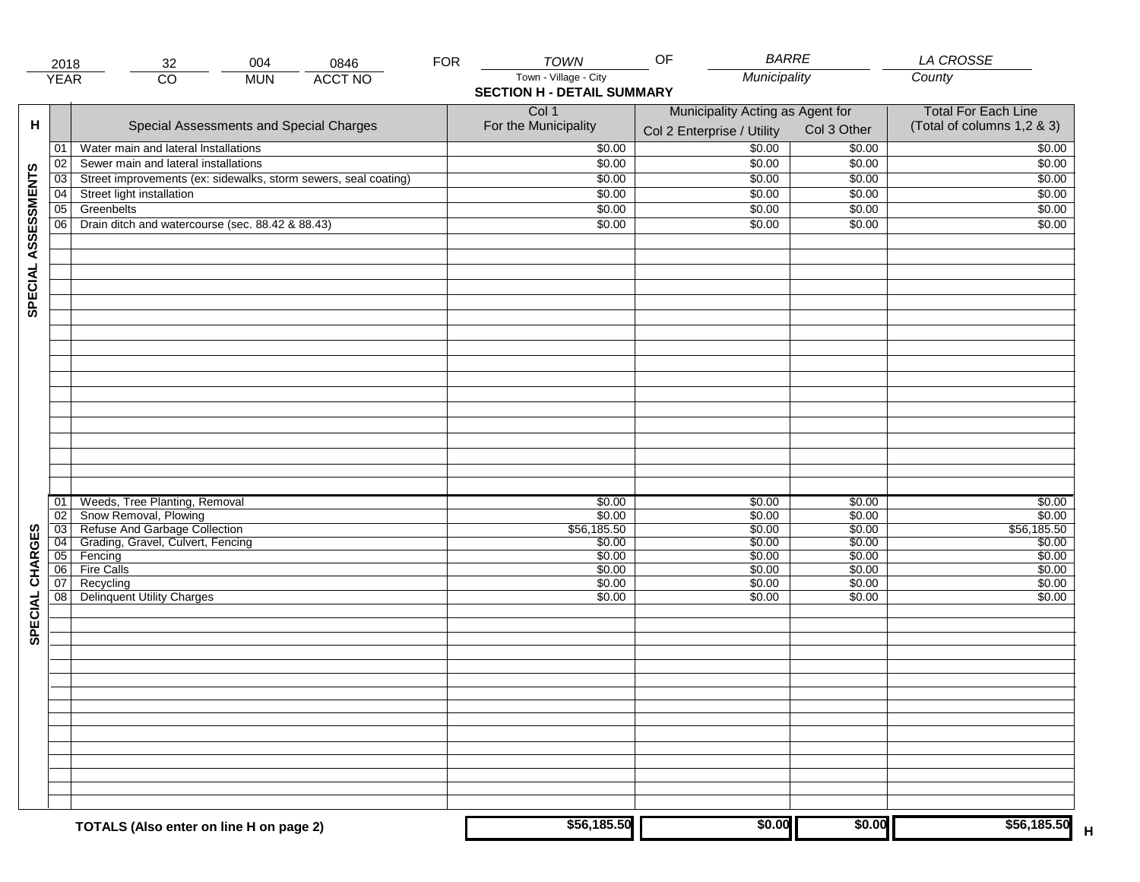|                     | 2018            | 004<br>0846<br>32                                                  | <b>FOR</b> | <b>TOWN</b>                       | <b>BARRE</b><br>OF               |                  | <b>LA CROSSE</b>           |
|---------------------|-----------------|--------------------------------------------------------------------|------------|-----------------------------------|----------------------------------|------------------|----------------------------|
|                     | <b>YEAR</b>     | <b>ACCT NO</b><br>$\overline{CO}$<br><b>MUN</b>                    |            | Town - Village - City             | Municipality                     |                  | County                     |
|                     |                 |                                                                    |            | <b>SECTION H - DETAIL SUMMARY</b> |                                  |                  |                            |
|                     |                 |                                                                    |            | Col 1                             | Municipality Acting as Agent for |                  | <b>Total For Each Line</b> |
| н                   |                 | Special Assessments and Special Charges                            |            | For the Municipality              |                                  | Col 3 Other      | (Total of columns 1,2 & 3) |
|                     |                 |                                                                    |            |                                   | Col 2 Enterprise / Utility       |                  |                            |
|                     | 01              | Water main and lateral Installations                               |            | \$0.00                            | \$0.00                           | \$0.00           | \$0.00                     |
|                     | 02              | Sewer main and lateral installations                               |            | \$0.00                            | \$0.00                           | \$0.00           | \$0.00                     |
| SPECIAL ASSESSMENTS | 03              | Street improvements (ex: sidewalks, storm sewers, seal coating)    |            | \$0.00                            | \$0.00                           | \$0.00           | \$0.00                     |
|                     | 04              | Street light installation                                          |            | \$0.00                            | \$0.00                           | \$0.00           | \$0.00                     |
|                     | $\overline{05}$ | Greenbelts                                                         |            | \$0.00                            | \$0.00                           | \$0.00           | \$0.00                     |
|                     | 06              | Drain ditch and watercourse (sec. 88.42 & 88.43)                   |            | \$0.00                            | \$0.00                           | \$0.00           | \$0.00                     |
|                     |                 |                                                                    |            |                                   |                                  |                  |                            |
|                     |                 |                                                                    |            |                                   |                                  |                  |                            |
|                     |                 |                                                                    |            |                                   |                                  |                  |                            |
|                     |                 |                                                                    |            |                                   |                                  |                  |                            |
|                     |                 |                                                                    |            |                                   |                                  |                  |                            |
|                     |                 |                                                                    |            |                                   |                                  |                  |                            |
|                     |                 |                                                                    |            |                                   |                                  |                  |                            |
|                     |                 |                                                                    |            |                                   |                                  |                  |                            |
|                     |                 |                                                                    |            |                                   |                                  |                  |                            |
|                     |                 |                                                                    |            |                                   |                                  |                  |                            |
|                     |                 |                                                                    |            |                                   |                                  |                  |                            |
|                     |                 |                                                                    |            |                                   |                                  |                  |                            |
|                     |                 |                                                                    |            |                                   |                                  |                  |                            |
|                     |                 |                                                                    |            |                                   |                                  |                  |                            |
|                     |                 |                                                                    |            |                                   |                                  |                  |                            |
|                     |                 |                                                                    |            |                                   |                                  |                  |                            |
|                     |                 |                                                                    |            |                                   |                                  |                  |                            |
|                     |                 |                                                                    |            |                                   |                                  |                  |                            |
|                     | 01              | Weeds, Tree Planting, Removal                                      |            | \$0.00                            | \$0.00                           | \$0.00           | \$0.00                     |
|                     | $\overline{02}$ | Snow Removal, Plowing                                              |            | \$0.00                            | \$0.00                           | \$0.00           | \$0.00                     |
|                     | $\overline{03}$ | Refuse And Garbage Collection<br>Grading, Gravel, Culvert, Fencing |            | \$56,185.50                       | \$0.00                           | \$0.00           | \$56,185.50                |
|                     | 04<br>05        | Fencing                                                            |            | \$0.00<br>\$0.00                  | \$0.00<br>\$0.00                 | \$0.00<br>\$0.00 | \$0.00<br>\$0.00           |
|                     | 06              | <b>Fire Calls</b>                                                  |            | \$0.00                            | \$0.00                           | \$0.00           | \$0.00                     |
|                     | 07              | Recycling                                                          |            | \$0.00                            | \$0.00                           | \$0.00           | \$0.00                     |
|                     | 08              | <b>Delinquent Utility Charges</b>                                  |            | \$0.00                            | \$0.00                           | \$0.00           | \$0.00                     |
|                     |                 |                                                                    |            |                                   |                                  |                  |                            |
| SPECIAL CHARGES     |                 |                                                                    |            |                                   |                                  |                  |                            |
|                     |                 |                                                                    |            |                                   |                                  |                  |                            |
|                     |                 |                                                                    |            |                                   |                                  |                  |                            |
|                     |                 |                                                                    |            |                                   |                                  |                  |                            |
|                     |                 |                                                                    |            |                                   |                                  |                  |                            |
|                     |                 |                                                                    |            |                                   |                                  |                  |                            |
|                     |                 |                                                                    |            |                                   |                                  |                  |                            |
|                     |                 |                                                                    |            |                                   |                                  |                  |                            |
|                     |                 |                                                                    |            |                                   |                                  |                  |                            |
|                     |                 |                                                                    |            |                                   |                                  |                  |                            |
|                     |                 |                                                                    |            |                                   |                                  |                  |                            |
|                     |                 |                                                                    |            |                                   |                                  |                  |                            |
|                     |                 |                                                                    |            |                                   |                                  |                  |                            |
|                     |                 |                                                                    |            |                                   |                                  |                  |                            |
|                     |                 | TOTALS (Also enter on line H on page 2)                            |            | \$56,185.50                       | \$0.00                           | \$0.00           | \$56,185.50<br>$\mathsf H$ |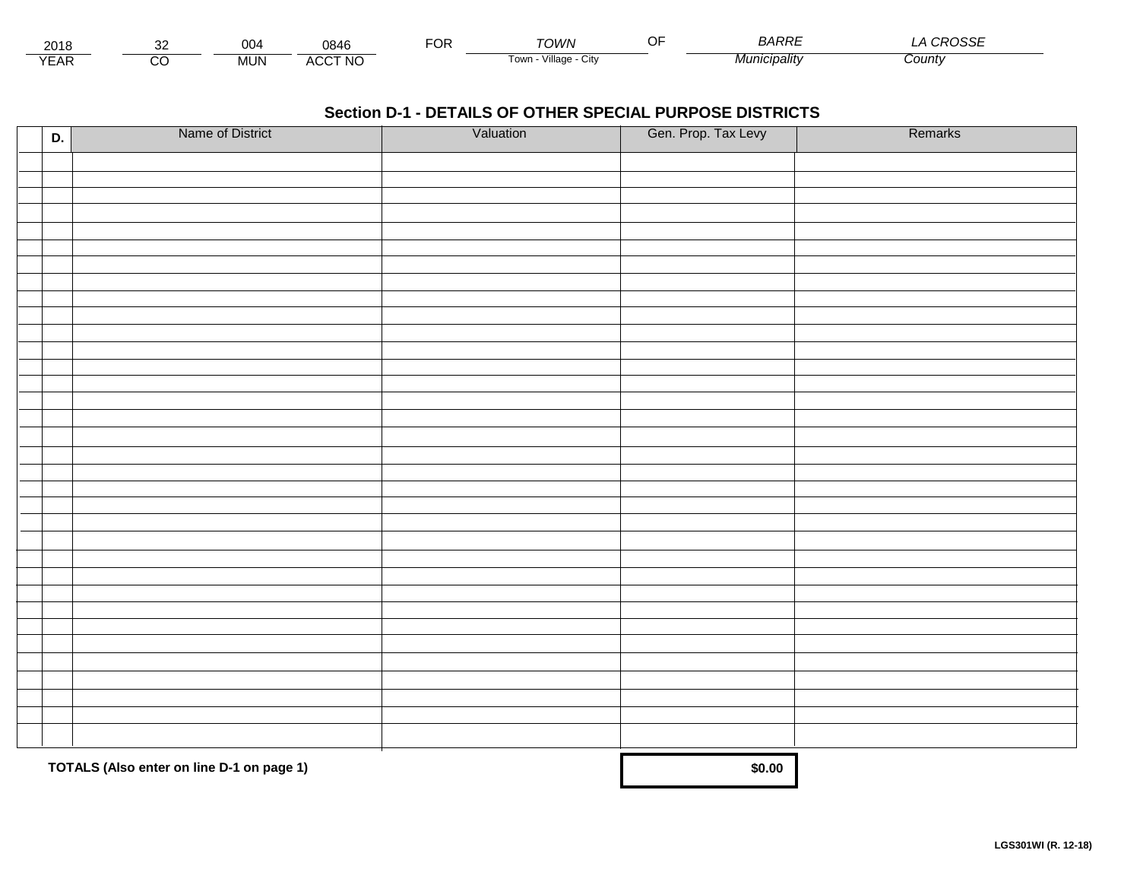| 2016 |        | 00۷        | 0846    | $\neg$<br>UΓ | <b>TOM/N</b>              | ~- | RARRE<br><b>DANNL</b> | $\sim$<br>voor |
|------|--------|------------|---------|--------------|---------------------------|----|-----------------------|----------------|
| ⊢    | ~<br>U | <b>MUN</b> | ACCT NC |              | ∟Cit∨<br>Village<br>l own |    | unıcıpalıtv<br>iviui  | County         |

| D. | Name of District                          | Valuation | Gen. Prop. Tax Levy | Remarks |
|----|-------------------------------------------|-----------|---------------------|---------|
|    |                                           |           |                     |         |
|    |                                           |           |                     |         |
|    |                                           |           |                     |         |
|    |                                           |           |                     |         |
|    |                                           |           |                     |         |
|    |                                           |           |                     |         |
|    |                                           |           |                     |         |
|    |                                           |           |                     |         |
|    |                                           |           |                     |         |
|    |                                           |           |                     |         |
|    |                                           |           |                     |         |
|    |                                           |           |                     |         |
|    |                                           |           |                     |         |
|    |                                           |           |                     |         |
|    |                                           |           |                     |         |
|    |                                           |           |                     |         |
|    |                                           |           |                     |         |
|    |                                           |           |                     |         |
|    |                                           |           |                     |         |
|    |                                           |           |                     |         |
|    |                                           |           |                     |         |
|    |                                           |           |                     |         |
|    |                                           |           |                     |         |
|    |                                           |           |                     |         |
|    |                                           |           |                     |         |
|    |                                           |           |                     |         |
|    |                                           |           |                     |         |
|    |                                           |           |                     |         |
|    |                                           |           |                     |         |
|    |                                           |           |                     |         |
|    |                                           |           |                     |         |
|    |                                           |           |                     |         |
|    |                                           |           |                     |         |
|    | TOTALS (Also enter on line D-1 on page 1) |           | \$0.00              |         |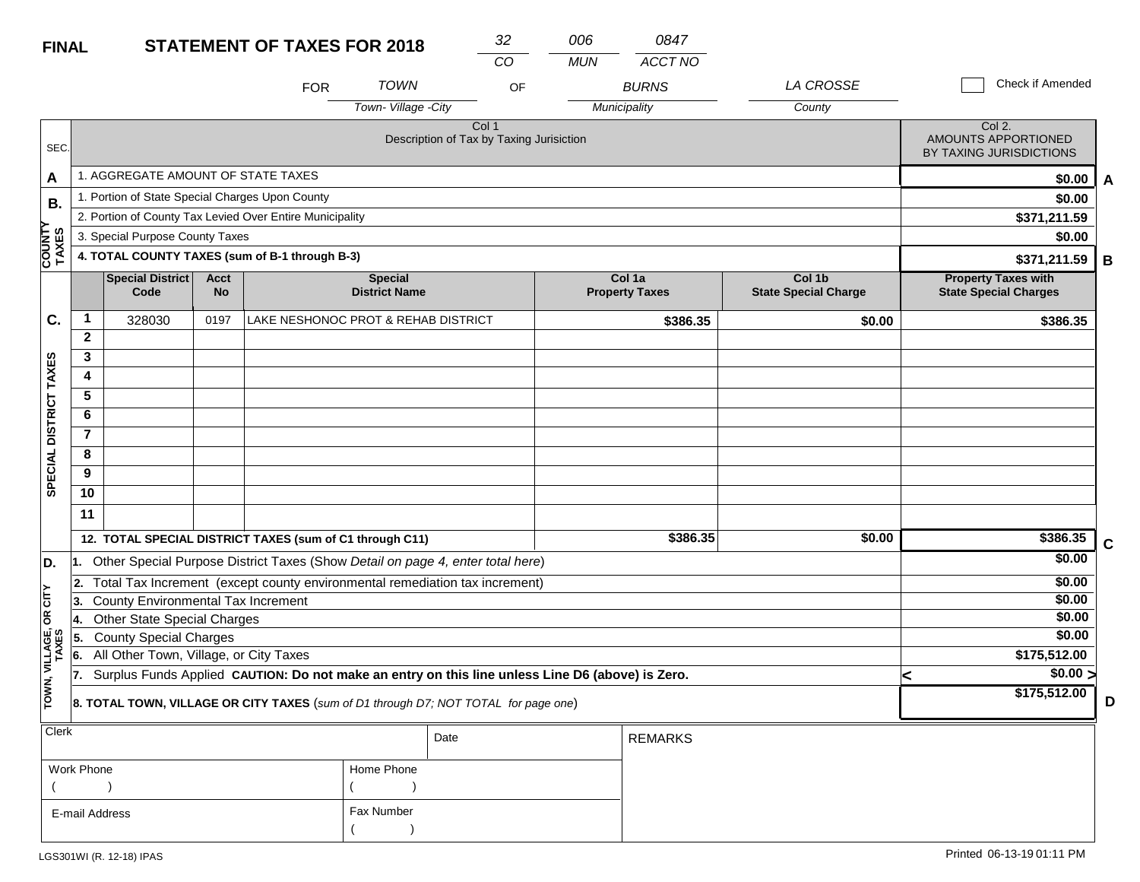| <b>FINAL</b>            |                |                                                 |                          | <b>STATEMENT OF TAXES FOR 2018</b>                                                               |                                        | 32                                                           | 006        | 0847                            |                                       |                                                            |   |
|-------------------------|----------------|-------------------------------------------------|--------------------------|--------------------------------------------------------------------------------------------------|----------------------------------------|--------------------------------------------------------------|------------|---------------------------------|---------------------------------------|------------------------------------------------------------|---|
|                         |                |                                                 |                          |                                                                                                  |                                        | CO                                                           | <b>MUN</b> | <b>ACCT NO</b>                  |                                       |                                                            |   |
|                         |                |                                                 |                          | <b>FOR</b>                                                                                       | <b>TOWN</b>                            | OF                                                           |            | <b>BURNS</b>                    | LA CROSSE                             | Check if Amended                                           |   |
|                         |                |                                                 |                          |                                                                                                  | Town-Village -City                     |                                                              |            | Municipality                    | County                                |                                                            |   |
| SEC.                    |                |                                                 |                          |                                                                                                  |                                        | Col <sub>1</sub><br>Description of Tax by Taxing Jurisiction |            |                                 |                                       | Col 2.<br>AMOUNTS APPORTIONED<br>BY TAXING JURISDICTIONS   |   |
| A                       |                | 1. AGGREGATE AMOUNT OF STATE TAXES              |                          |                                                                                                  |                                        |                                                              |            |                                 |                                       | \$0.00                                                     | A |
| В.                      |                | 1. Portion of State Special Charges Upon County |                          | \$0.00                                                                                           |                                        |                                                              |            |                                 |                                       |                                                            |   |
|                         |                |                                                 |                          | 2. Portion of County Tax Levied Over Entire Municipality                                         |                                        |                                                              |            |                                 |                                       | \$371,211.59                                               |   |
|                         |                | 3. Special Purpose County Taxes                 |                          | \$0.00                                                                                           |                                        |                                                              |            |                                 |                                       |                                                            |   |
| <b>COUNTY</b><br>TAXES  |                |                                                 |                          | 4. TOTAL COUNTY TAXES (sum of B-1 through B-3)                                                   |                                        |                                                              |            |                                 |                                       | \$371,211.59                                               | B |
|                         |                | Special District<br>Code                        | <b>Acct</b><br><b>No</b> |                                                                                                  | <b>Special</b><br><b>District Name</b> |                                                              |            | Col 1a<br><b>Property Taxes</b> | Col 1b<br><b>State Special Charge</b> | <b>Property Taxes with</b><br><b>State Special Charges</b> |   |
| C.                      | 1              | 328030                                          | 0197                     | LAKE NESHONOC PROT & REHAB DISTRICT                                                              |                                        |                                                              |            | \$386.35                        | \$0.00                                | \$386.35                                                   |   |
|                         | $\mathbf{2}$   |                                                 |                          |                                                                                                  |                                        |                                                              |            |                                 |                                       |                                                            |   |
|                         | 3              |                                                 |                          |                                                                                                  |                                        |                                                              |            |                                 |                                       |                                                            |   |
|                         | 4              |                                                 |                          |                                                                                                  |                                        |                                                              |            |                                 |                                       |                                                            |   |
|                         | $\overline{5}$ |                                                 |                          |                                                                                                  |                                        |                                                              |            |                                 |                                       |                                                            |   |
|                         | 6              |                                                 |                          |                                                                                                  |                                        |                                                              |            |                                 |                                       |                                                            |   |
|                         | $\overline{7}$ |                                                 |                          |                                                                                                  |                                        |                                                              |            |                                 |                                       |                                                            |   |
|                         | 8              |                                                 |                          |                                                                                                  |                                        |                                                              |            |                                 |                                       |                                                            |   |
| SPECIAL DISTRICT TAXES  | 9              |                                                 |                          |                                                                                                  |                                        |                                                              |            |                                 |                                       |                                                            |   |
|                         | 10             |                                                 |                          |                                                                                                  |                                        |                                                              |            |                                 |                                       |                                                            |   |
|                         | 11             |                                                 |                          |                                                                                                  |                                        |                                                              |            |                                 |                                       |                                                            |   |
|                         |                |                                                 |                          | 12. TOTAL SPECIAL DISTRICT TAXES (sum of C1 through C11)                                         |                                        |                                                              |            | \$386.35                        | \$0.00                                | \$386.35                                                   | C |
| D.                      | 11.            |                                                 |                          | Other Special Purpose District Taxes (Show Detail on page 4, enter total here)                   |                                        |                                                              |            |                                 |                                       | \$0.00                                                     |   |
|                         | 12.            |                                                 |                          | Total Tax Increment (except county environmental remediation tax increment)                      |                                        |                                                              |            |                                 |                                       | \$0.00                                                     |   |
| čIL                     | 13.            | County Environmental Tax Increment              |                          |                                                                                                  |                                        |                                                              |            |                                 |                                       | \$0.00                                                     |   |
| δŔ                      | 14.            | <b>Other State Special Charges</b>              |                          |                                                                                                  |                                        |                                                              |            |                                 |                                       | \$0.00                                                     |   |
|                         | 5.             | <b>County Special Charges</b>                   |                          |                                                                                                  |                                        |                                                              |            |                                 |                                       | \$0.00                                                     |   |
|                         | 6.             | All Other Town, Village, or City Taxes          |                          |                                                                                                  |                                        |                                                              |            |                                 |                                       | \$175,512.00                                               |   |
| TOWN, VILLAGE,<br>TAXES | 17.            |                                                 |                          | Surplus Funds Applied CAUTION: Do not make an entry on this line unless Line D6 (above) is Zero. |                                        |                                                              |            |                                 |                                       | $\sqrt{$0.00}$<br>≺<br>\$175,512.00                        |   |
|                         |                |                                                 |                          | 8. TOTAL TOWN, VILLAGE OR CITY TAXES (sum of D1 through D7; NOT TOTAL for page one)              |                                        |                                                              |            |                                 |                                       |                                                            | D |
| Clerk                   |                |                                                 |                          |                                                                                                  |                                        | Date                                                         |            | <b>REMARKS</b>                  |                                       |                                                            |   |

| Work Phone     | Home Phone |
|----------------|------------|
|                |            |
| E-mail Address | Fax Number |
|                |            |

**D**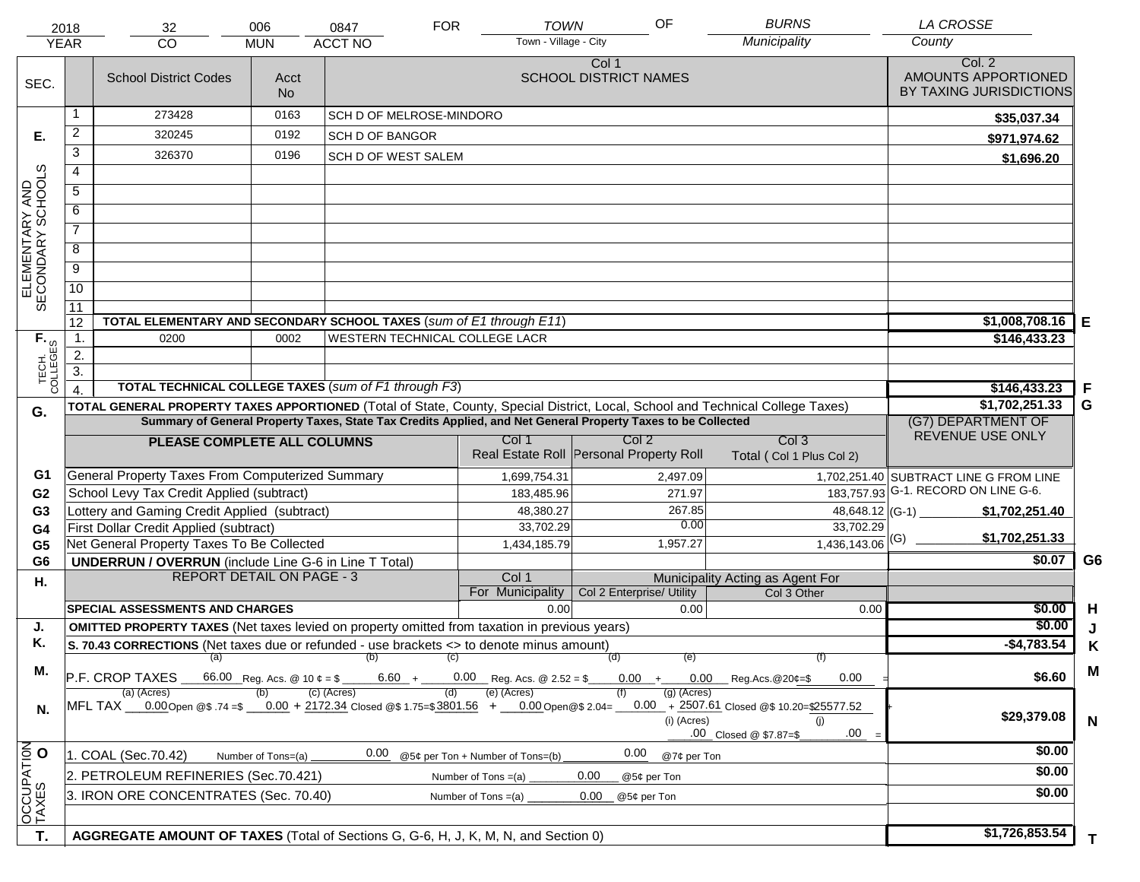|                                     | 2018                                                                                  | 32                                                                                                                             | 006                | 0847                       | <b>FOR</b> | <b>TOWN</b>                         | OF                                                                                                           | <b>BURNS</b>                                                                         | <b>LA CROSSE</b>                                         |                |
|-------------------------------------|---------------------------------------------------------------------------------------|--------------------------------------------------------------------------------------------------------------------------------|--------------------|----------------------------|------------|-------------------------------------|--------------------------------------------------------------------------------------------------------------|--------------------------------------------------------------------------------------|----------------------------------------------------------|----------------|
|                                     | <b>YEAR</b>                                                                           | CO<br><b>MUN</b>                                                                                                               | Municipality       | County                     |            |                                     |                                                                                                              |                                                                                      |                                                          |                |
| SEC.                                |                                                                                       | <b>School District Codes</b>                                                                                                   | Acct<br><b>No</b>  |                            |            |                                     | Col 1<br><b>SCHOOL DISTRICT NAMES</b>                                                                        |                                                                                      | Col. 2<br>AMOUNTS APPORTIONED<br>BY TAXING JURISDICTIONS |                |
|                                     | 1                                                                                     | 273428                                                                                                                         | 0163               | SCH D OF MELROSE-MINDORO   |            |                                     |                                                                                                              |                                                                                      | \$35,037.34                                              |                |
| Е.                                  | $\overline{2}$                                                                        | 320245                                                                                                                         | 0192               | <b>SCH D OF BANGOR</b>     |            |                                     |                                                                                                              |                                                                                      | \$971,974.62                                             |                |
|                                     | 3                                                                                     | 326370                                                                                                                         | 0196               | <b>SCH D OF WEST SALEM</b> |            |                                     |                                                                                                              |                                                                                      | \$1,696.20                                               |                |
|                                     | $\overline{4}$                                                                        |                                                                                                                                |                    |                            |            |                                     |                                                                                                              |                                                                                      |                                                          |                |
|                                     | $\overline{5}$                                                                        |                                                                                                                                |                    |                            |            |                                     |                                                                                                              |                                                                                      |                                                          |                |
|                                     | 6                                                                                     |                                                                                                                                |                    |                            |            |                                     |                                                                                                              |                                                                                      |                                                          |                |
| ELEMENTARY AND<br>SECONDARY SCHOOLS | $\overline{7}$                                                                        |                                                                                                                                |                    |                            |            |                                     |                                                                                                              |                                                                                      |                                                          |                |
|                                     | 8                                                                                     |                                                                                                                                |                    |                            |            |                                     |                                                                                                              |                                                                                      |                                                          |                |
|                                     | $\overline{9}$                                                                        |                                                                                                                                |                    |                            |            |                                     |                                                                                                              |                                                                                      |                                                          |                |
|                                     | $\overline{10}$                                                                       |                                                                                                                                |                    |                            |            |                                     |                                                                                                              |                                                                                      |                                                          |                |
|                                     | $\overline{11}$                                                                       |                                                                                                                                |                    |                            |            |                                     |                                                                                                              |                                                                                      |                                                          |                |
|                                     | 12                                                                                    | TOTAL ELEMENTARY AND SECONDARY SCHOOL TAXES (sum of E1 through E11)                                                            |                    |                            |            |                                     |                                                                                                              |                                                                                      | \$1,008,708.16                                           | E              |
|                                     | $\mathbf{1}$ .                                                                        | 0200                                                                                                                           | 0002               |                            |            | WESTERN TECHNICAL COLLEGE LACR      |                                                                                                              |                                                                                      | \$146,433.23                                             |                |
|                                     | 2.<br>$\overline{3}$ .                                                                |                                                                                                                                |                    |                            |            |                                     |                                                                                                              |                                                                                      |                                                          |                |
| TECH. T                             |                                                                                       | TOTAL TECHNICAL COLLEGE TAXES (sum of F1 through F3)                                                                           |                    |                            |            |                                     |                                                                                                              |                                                                                      | \$146,433.23                                             | .F             |
|                                     |                                                                                       | TOTAL GENERAL PROPERTY TAXES APPORTIONED (Total of State, County, Special District, Local, School and Technical College Taxes) |                    | \$1,702,251.33             | G          |                                     |                                                                                                              |                                                                                      |                                                          |                |
| G.                                  |                                                                                       |                                                                                                                                |                    |                            |            |                                     | Summary of General Property Taxes, State Tax Credits Applied, and Net General Property Taxes to be Collected |                                                                                      | (G7) DEPARTMENT OF                                       |                |
|                                     |                                                                                       | PLEASE COMPLETE ALL COLUMNS                                                                                                    |                    |                            |            | Col 1                               | Col <sub>2</sub>                                                                                             | Col <sub>3</sub>                                                                     | REVENUE USE ONLY                                         |                |
|                                     |                                                                                       |                                                                                                                                |                    |                            |            |                                     | Real Estate Roll Personal Property Roll                                                                      | Total (Col 1 Plus Col 2)                                                             |                                                          |                |
| G1                                  |                                                                                       | General Property Taxes From Computerized Summary                                                                               |                    |                            |            | 1,699,754.31                        | 2,497.09                                                                                                     |                                                                                      | 1,702,251.40 SUBTRACT LINE G FROM LINE                   |                |
| G <sub>2</sub>                      |                                                                                       | School Levy Tax Credit Applied (subtract)                                                                                      |                    |                            |            | 183,485.96                          | 271.97                                                                                                       |                                                                                      | 183,757.93 G-1. RECORD ON LINE G-6.                      |                |
| G <sub>3</sub>                      |                                                                                       | Lottery and Gaming Credit Applied (subtract)                                                                                   |                    |                            |            | 48,380.27                           | 267.85                                                                                                       |                                                                                      | \$1,702,251.40                                           |                |
| G4                                  |                                                                                       | First Dollar Credit Applied (subtract)                                                                                         |                    |                            |            | 33,702.29                           | 0.00                                                                                                         | 33,702.29                                                                            | \$1,702,251.33                                           |                |
| G <sub>5</sub>                      |                                                                                       | Net General Property Taxes To Be Collected                                                                                     |                    |                            |            | 1,434,185.79                        | 1,957.27                                                                                                     | $1,436,143.06$ <sup>(G)</sup>                                                        | \$0.07                                                   | G <sub>6</sub> |
| G <sub>6</sub>                      |                                                                                       | <b>UNDERRUN / OVERRUN</b> (include Line G-6 in Line T Total)<br><b>REPORT DETAIL ON PAGE - 3</b>                               |                    |                            |            | Col 1                               |                                                                                                              | Municipality Acting as Agent For                                                     |                                                          |                |
| Η.                                  |                                                                                       |                                                                                                                                |                    |                            |            | For Municipality                    | Col 2 Enterprise/ Utility                                                                                    | Col 3 Other                                                                          |                                                          |                |
|                                     |                                                                                       | <b>SPECIAL ASSESSMENTS AND CHARGES</b>                                                                                         |                    |                            |            | 0.00                                | 0.00                                                                                                         | 0.00                                                                                 | \$0.00                                                   | H              |
| J.                                  |                                                                                       | <b>OMITTED PROPERTY TAXES</b> (Net taxes levied on property omitted from taxation in previous years)                           |                    |                            |            |                                     |                                                                                                              |                                                                                      | \$0.00                                                   | J              |
| Κ.                                  |                                                                                       | S. 70.43 CORRECTIONS (Net taxes due or refunded - use brackets <> to denote minus amount)                                      |                    |                            |            |                                     |                                                                                                              |                                                                                      | $-$4,783.54$                                             | Κ              |
| М.                                  |                                                                                       | P.F. CROP TAXES                                                                                                                |                    | $(a)$ (b) (c)              |            | $6.60 + 0.00$ Reg. Acs. @ 2.52 = \$ | (d)<br>(e)                                                                                                   | (f)<br>$0.00 + 0.00$ Reg.Acs. @ 20¢=\$<br>0.00                                       | \$6.60                                                   | M              |
| N.                                  |                                                                                       | (a) (Acres)<br>MFL TAX ___0.00 Open @\$ .74 =\$ ___0.00 + 2172.34 Closed @\$ 1.75=\$3801.56 + ___0.00 Open @\$ 2.04= __        |                    | (c) (Acres)                | (d)        | (e) (Acres)                         | $(g)$ (Acres)<br>(i) (Acres)                                                                                 | $0.00 + 2507.61$ Closed @\$ 10.20=\$25577.52<br>(i)<br>.00<br>.00 Closed @ \$7.87=\$ | \$29,379.08                                              | $\mathsf{N}$   |
| OCCUPATION                          |                                                                                       | 1. COAL (Sec.70.42)                                                                                                            | Number of Tons=(a) | 0.00                       |            | @5¢ per Ton + Number of Tons=(b)    | 0.00<br>@7¢ per Ton                                                                                          |                                                                                      | \$0.00                                                   |                |
|                                     |                                                                                       | 2. PETROLEUM REFINERIES (Sec.70.421)                                                                                           |                    |                            |            | Number of Tons $=(a)$               | 0.00<br>@5¢ per Ton                                                                                          |                                                                                      | \$0.00                                                   |                |
|                                     | 3. IRON ORE CONCENTRATES (Sec. 70.40)<br>0.00<br>Number of Tons $=(a)$<br>@5¢ per Ton |                                                                                                                                |                    |                            |            |                                     |                                                                                                              |                                                                                      | \$0.00                                                   |                |
|                                     |                                                                                       |                                                                                                                                |                    |                            |            |                                     |                                                                                                              |                                                                                      |                                                          |                |
|                                     |                                                                                       |                                                                                                                                |                    |                            |            |                                     |                                                                                                              |                                                                                      | \$1,726,853.54                                           |                |
| T.                                  |                                                                                       | AGGREGATE AMOUNT OF TAXES (Total of Sections G, G-6, H, J, K, M, N, and Section 0)                                             |                    |                            |            |                                     |                                                                                                              |                                                                                      |                                                          | T.             |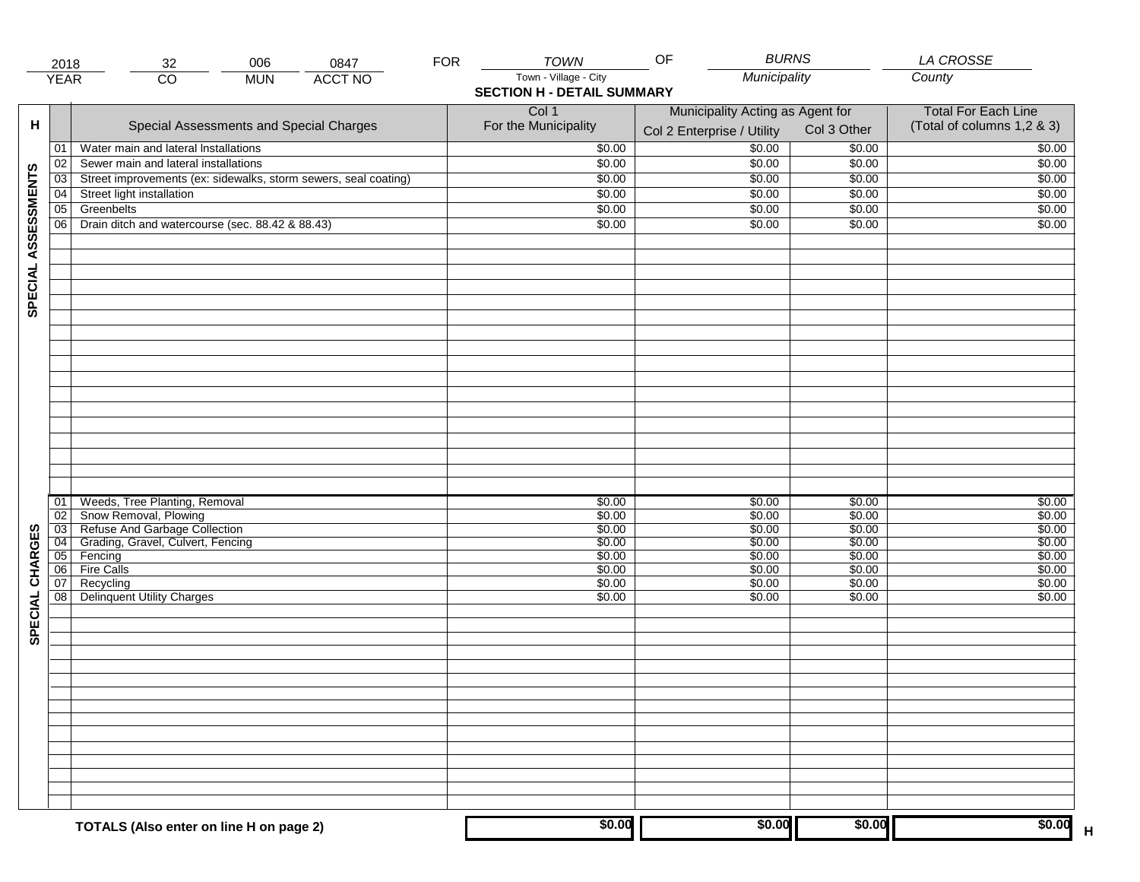|                     | 2018                               | 006<br>0847<br>32                                               | <b>FOR</b> | <b>TOWN</b>                       | <b>BURNS</b><br>OF               |                  | <b>LA CROSSE</b>           |
|---------------------|------------------------------------|-----------------------------------------------------------------|------------|-----------------------------------|----------------------------------|------------------|----------------------------|
|                     | <b>YEAR</b>                        | <b>ACCT NO</b><br>$\overline{CO}$<br><b>MUN</b>                 |            | Town - Village - City             | Municipality                     |                  | County                     |
|                     |                                    |                                                                 |            | <b>SECTION H - DETAIL SUMMARY</b> |                                  |                  |                            |
|                     |                                    |                                                                 |            | Col 1                             | Municipality Acting as Agent for |                  | <b>Total For Each Line</b> |
| н                   |                                    | Special Assessments and Special Charges                         |            | For the Municipality              |                                  | Col 3 Other      | (Total of columns 1,2 & 3) |
|                     |                                    |                                                                 |            |                                   | Col 2 Enterprise / Utility       |                  |                            |
|                     | 01                                 | Water main and lateral Installations                            |            | \$0.00                            | \$0.00                           | \$0.00           | \$0.00                     |
|                     | 02                                 | Sewer main and lateral installations                            |            | \$0.00                            | \$0.00                           | \$0.00           | \$0.00                     |
| SPECIAL ASSESSMENTS | 03                                 | Street improvements (ex: sidewalks, storm sewers, seal coating) |            | \$0.00                            | \$0.00                           | \$0.00           | \$0.00                     |
|                     | 04                                 | Street light installation                                       |            | \$0.00                            | \$0.00                           | \$0.00           | \$0.00                     |
|                     | $\overline{05}$                    | Greenbelts                                                      |            | \$0.00                            | \$0.00                           | \$0.00           | \$0.00                     |
|                     | 06                                 | Drain ditch and watercourse (sec. 88.42 & 88.43)                |            | \$0.00                            | \$0.00                           | \$0.00           | \$0.00                     |
|                     |                                    |                                                                 |            |                                   |                                  |                  |                            |
|                     |                                    |                                                                 |            |                                   |                                  |                  |                            |
|                     |                                    |                                                                 |            |                                   |                                  |                  |                            |
|                     |                                    |                                                                 |            |                                   |                                  |                  |                            |
|                     |                                    |                                                                 |            |                                   |                                  |                  |                            |
|                     |                                    |                                                                 |            |                                   |                                  |                  |                            |
|                     |                                    |                                                                 |            |                                   |                                  |                  |                            |
|                     |                                    |                                                                 |            |                                   |                                  |                  |                            |
|                     |                                    |                                                                 |            |                                   |                                  |                  |                            |
|                     |                                    |                                                                 |            |                                   |                                  |                  |                            |
|                     |                                    |                                                                 |            |                                   |                                  |                  |                            |
|                     |                                    |                                                                 |            |                                   |                                  |                  |                            |
|                     |                                    |                                                                 |            |                                   |                                  |                  |                            |
|                     |                                    |                                                                 |            |                                   |                                  |                  |                            |
|                     |                                    |                                                                 |            |                                   |                                  |                  |                            |
|                     |                                    |                                                                 |            |                                   |                                  |                  |                            |
|                     |                                    |                                                                 |            |                                   |                                  |                  |                            |
|                     |                                    |                                                                 |            |                                   |                                  |                  |                            |
|                     | 01                                 | Weeds, Tree Planting, Removal<br>Snow Removal, Plowing          |            | \$0.00<br>\$0.00                  | \$0.00<br>\$0.00                 | \$0.00<br>\$0.00 | \$0.00<br>\$0.00           |
|                     | $\overline{02}$<br>$\overline{03}$ | Refuse And Garbage Collection                                   |            | \$0.00                            | \$0.00                           | \$0.00           | \$0.00                     |
| SPECIAL CHARGES     | $\overline{04}$                    | Grading, Gravel, Culvert, Fencing                               |            | \$0.00                            | \$0.00                           | \$0.00           | \$0.00                     |
|                     | 05                                 | Fencing                                                         |            | \$0.00                            | \$0.00                           | \$0.00           | \$0.00                     |
|                     | 06                                 | <b>Fire Calls</b>                                               |            | \$0.00                            | \$0.00                           | \$0.00           | \$0.00                     |
|                     | 07                                 | Recycling                                                       |            | \$0.00                            | \$0.00                           | \$0.00           | \$0.00                     |
|                     | 08                                 | <b>Delinquent Utility Charges</b>                               |            | \$0.00                            | \$0.00                           | \$0.00           | \$0.00                     |
|                     |                                    |                                                                 |            |                                   |                                  |                  |                            |
|                     |                                    |                                                                 |            |                                   |                                  |                  |                            |
|                     |                                    |                                                                 |            |                                   |                                  |                  |                            |
|                     |                                    |                                                                 |            |                                   |                                  |                  |                            |
|                     |                                    |                                                                 |            |                                   |                                  |                  |                            |
|                     |                                    |                                                                 |            |                                   |                                  |                  |                            |
|                     |                                    |                                                                 |            |                                   |                                  |                  |                            |
|                     |                                    |                                                                 |            |                                   |                                  |                  |                            |
|                     |                                    |                                                                 |            |                                   |                                  |                  |                            |
|                     |                                    |                                                                 |            |                                   |                                  |                  |                            |
|                     |                                    |                                                                 |            |                                   |                                  |                  |                            |
|                     |                                    |                                                                 |            |                                   |                                  |                  |                            |
|                     |                                    |                                                                 |            |                                   |                                  |                  |                            |
|                     |                                    |                                                                 |            |                                   |                                  |                  |                            |
|                     |                                    |                                                                 |            |                                   |                                  |                  |                            |
|                     |                                    | TOTALS (Also enter on line H on page 2)                         |            | \$0.00                            | \$0.00                           | \$0.00           | \$0.00<br>$\mathsf{H}$     |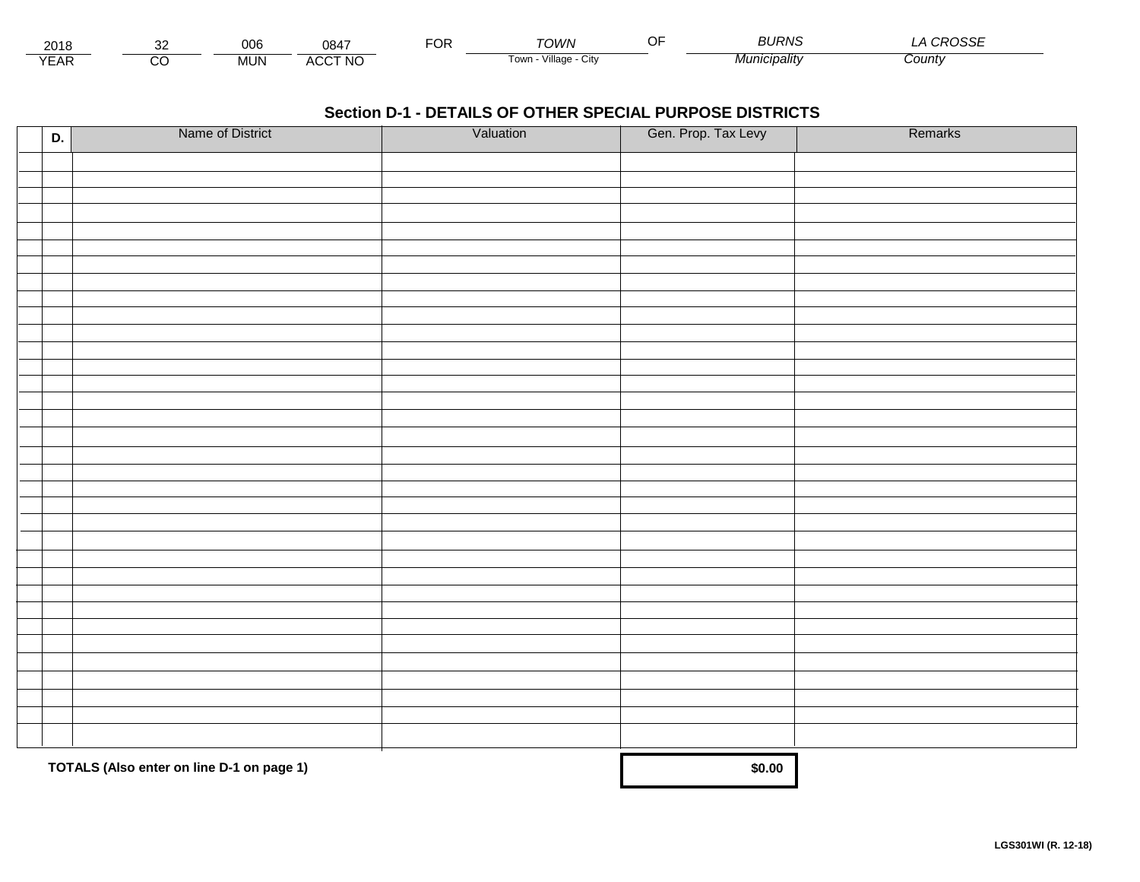| 2018            |        | ∩∩≏<br>uud | 0847           | $\neg$<br>Ur | ั∩เ <i>∧/</i> ∧         | ∼− | BURNS                 | $\sim$ $\sim$ $\sim$ $\sim$ $\sim$<br>∟טכי |  |
|-----------------|--------|------------|----------------|--------------|-------------------------|----|-----------------------|--------------------------------------------|--|
| $\sqrt{2}$<br>⊢ | ~<br>U | <b>MUN</b> | <b>ACCT NO</b> |              | villade<br>i own<br>∪lW |    | $M$ unici<br>cıpalıtv | County                                     |  |

| D. | Name of District                          | Valuation | Gen. Prop. Tax Levy | Remarks |
|----|-------------------------------------------|-----------|---------------------|---------|
|    |                                           |           |                     |         |
|    |                                           |           |                     |         |
|    |                                           |           |                     |         |
|    |                                           |           |                     |         |
|    |                                           |           |                     |         |
|    |                                           |           |                     |         |
|    |                                           |           |                     |         |
|    |                                           |           |                     |         |
|    |                                           |           |                     |         |
|    |                                           |           |                     |         |
|    |                                           |           |                     |         |
|    |                                           |           |                     |         |
|    |                                           |           |                     |         |
|    |                                           |           |                     |         |
|    |                                           |           |                     |         |
|    |                                           |           |                     |         |
|    |                                           |           |                     |         |
|    |                                           |           |                     |         |
|    |                                           |           |                     |         |
|    |                                           |           |                     |         |
|    |                                           |           |                     |         |
|    |                                           |           |                     |         |
|    |                                           |           |                     |         |
|    |                                           |           |                     |         |
|    |                                           |           |                     |         |
|    |                                           |           |                     |         |
|    |                                           |           |                     |         |
|    |                                           |           |                     |         |
|    |                                           |           |                     |         |
|    |                                           |           |                     |         |
|    |                                           |           |                     |         |
|    |                                           |           |                     |         |
|    |                                           |           |                     |         |
|    | TOTALS (Also enter on line D-1 on page 1) |           | \$0.00              |         |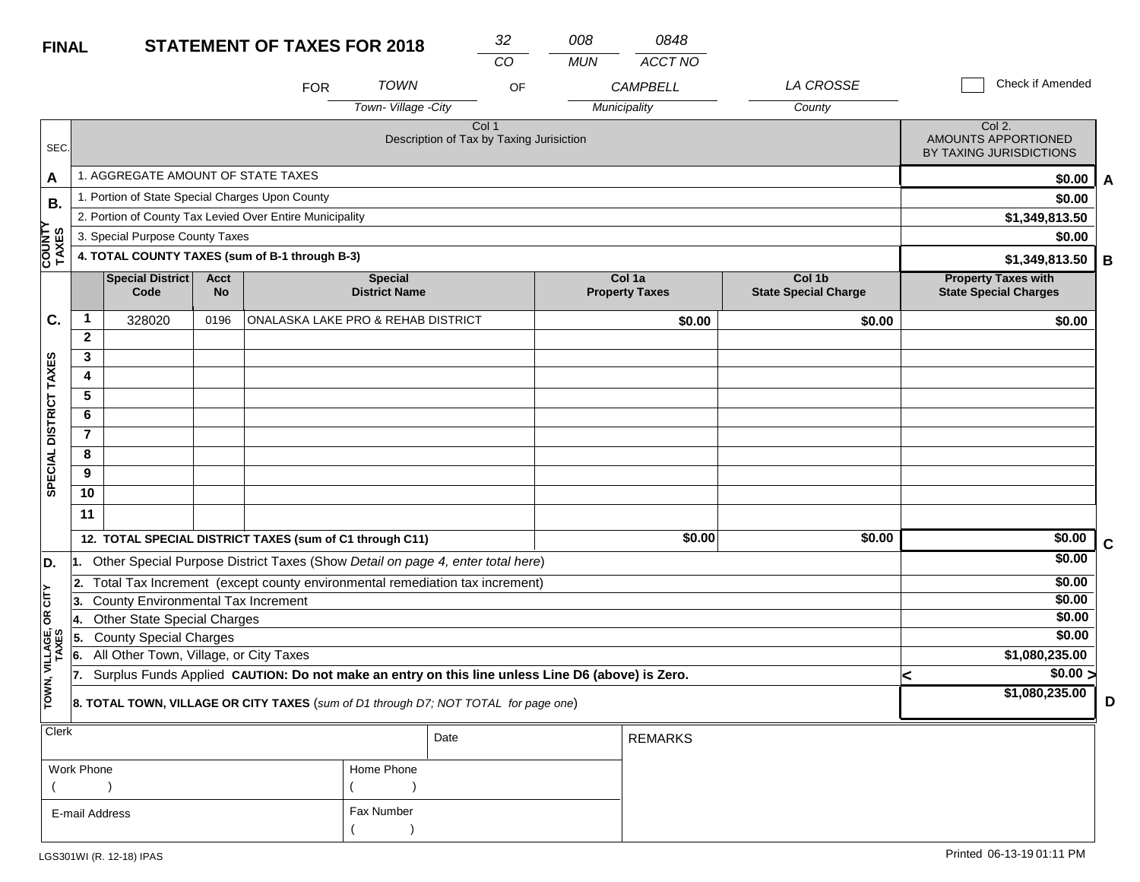| <b>FINAL</b>            |                         |                                                 |                          | <b>STATEMENT OF TAXES FOR 2018</b>                                                               |                                        | 32                                                | 008        | 0848                              |                                       |                                                            |                  |             |
|-------------------------|-------------------------|-------------------------------------------------|--------------------------|--------------------------------------------------------------------------------------------------|----------------------------------------|---------------------------------------------------|------------|-----------------------------------|---------------------------------------|------------------------------------------------------------|------------------|-------------|
|                         |                         |                                                 |                          | <b>FOR</b>                                                                                       | <b>TOWN</b>                            | CO<br>OF                                          | <b>MUN</b> | <b>ACCT NO</b><br><b>CAMPBELL</b> | LA CROSSE                             |                                                            | Check if Amended |             |
|                         |                         |                                                 |                          |                                                                                                  | Town-Village -City                     |                                                   |            | Municipality                      | County                                |                                                            |                  |             |
| SEC.                    |                         |                                                 |                          |                                                                                                  |                                        | Col 1<br>Description of Tax by Taxing Jurisiction |            |                                   |                                       | Col 2.<br>AMOUNTS APPORTIONED<br>BY TAXING JURISDICTIONS   |                  |             |
| A                       |                         | 1. AGGREGATE AMOUNT OF STATE TAXES              |                          |                                                                                                  |                                        |                                                   |            |                                   |                                       |                                                            | \$0.00           | A           |
| В.                      |                         | 1. Portion of State Special Charges Upon County |                          |                                                                                                  |                                        |                                                   |            |                                   |                                       |                                                            | \$0.00           |             |
|                         |                         |                                                 |                          | 2. Portion of County Tax Levied Over Entire Municipality                                         |                                        |                                                   |            |                                   |                                       |                                                            | \$1,349,813.50   |             |
|                         |                         | 3. Special Purpose County Taxes                 |                          |                                                                                                  |                                        |                                                   |            |                                   |                                       |                                                            | \$0.00           |             |
| COUNTY<br>TAXES         |                         |                                                 |                          | 4. TOTAL COUNTY TAXES (sum of B-1 through B-3)                                                   |                                        |                                                   |            |                                   |                                       |                                                            | \$1,349,813.50   | В           |
|                         |                         | Special District<br>Code                        | <b>Acct</b><br><b>No</b> |                                                                                                  | <b>Special</b><br><b>District Name</b> |                                                   |            | Col 1a<br><b>Property Taxes</b>   | Col 1b<br><b>State Special Charge</b> | <b>Property Taxes with</b><br><b>State Special Charges</b> |                  |             |
| C.                      | $\mathbf{1}$            | 328020                                          | 0196                     | ONALASKA LAKE PRO & REHAB DISTRICT                                                               |                                        |                                                   |            | \$0.00                            | \$0.00                                |                                                            | \$0.00           |             |
|                         | $\mathbf{2}$            |                                                 |                          |                                                                                                  |                                        |                                                   |            |                                   |                                       |                                                            |                  |             |
|                         | 3                       |                                                 |                          |                                                                                                  |                                        |                                                   |            |                                   |                                       |                                                            |                  |             |
| SPECIAL DISTRICT TAXES  | 4                       |                                                 |                          |                                                                                                  |                                        |                                                   |            |                                   |                                       |                                                            |                  |             |
|                         | 5                       |                                                 |                          |                                                                                                  |                                        |                                                   |            |                                   |                                       |                                                            |                  |             |
|                         | 6                       |                                                 |                          |                                                                                                  |                                        |                                                   |            |                                   |                                       |                                                            |                  |             |
|                         | $\overline{\mathbf{r}}$ |                                                 |                          |                                                                                                  |                                        |                                                   |            |                                   |                                       |                                                            |                  |             |
|                         | 8                       |                                                 |                          |                                                                                                  |                                        |                                                   |            |                                   |                                       |                                                            |                  |             |
|                         | 9                       |                                                 |                          |                                                                                                  |                                        |                                                   |            |                                   |                                       |                                                            |                  |             |
|                         | 10                      |                                                 |                          |                                                                                                  |                                        |                                                   |            |                                   |                                       |                                                            |                  |             |
|                         | 11                      |                                                 |                          |                                                                                                  |                                        |                                                   |            |                                   |                                       |                                                            |                  |             |
|                         |                         |                                                 |                          | 12. TOTAL SPECIAL DISTRICT TAXES (sum of C1 through C11)                                         |                                        |                                                   |            | \$0.00                            | \$0.00                                |                                                            | \$0.00           | $\mathbf c$ |
| D.                      |                         |                                                 |                          | 1. Other Special Purpose District Taxes (Show Detail on page 4, enter total here)                |                                        |                                                   |            |                                   |                                       |                                                            | \$0.00           |             |
|                         | 2.                      |                                                 |                          | Total Tax Increment (except county environmental remediation tax increment)                      |                                        |                                                   |            |                                   |                                       |                                                            | \$0.00           |             |
| OR CITY                 | 3.                      | County Environmental Tax Increment              |                          |                                                                                                  |                                        |                                                   |            |                                   |                                       |                                                            | \$0.00           |             |
|                         | 14.                     | <b>Other State Special Charges</b>              |                          |                                                                                                  |                                        |                                                   |            |                                   |                                       |                                                            | \$0.00           |             |
|                         | 5.                      | <b>County Special Charges</b>                   |                          |                                                                                                  |                                        |                                                   |            |                                   |                                       |                                                            | \$0.00           |             |
|                         | 6.                      | All Other Town, Village, or City Taxes          |                          |                                                                                                  |                                        |                                                   |            |                                   |                                       |                                                            | \$1,080,235.00   |             |
| TOWN, VILLAGE,<br>TAXES | 17.                     |                                                 |                          | Surplus Funds Applied CAUTION: Do not make an entry on this line unless Line D6 (above) is Zero. |                                        |                                                   |            |                                   |                                       | <                                                          | $\sqrt{$0.00}$   |             |
|                         |                         |                                                 |                          | 8. TOTAL TOWN, VILLAGE OR CITY TAXES (sum of D1 through D7; NOT TOTAL for page one)              |                                        |                                                   |            |                                   |                                       |                                                            | \$1,080,235.00   | D           |
| <b>Clerk</b>            |                         |                                                 |                          |                                                                                                  |                                        | Date                                              |            | <b>REMARKS</b>                    |                                       |                                                            |                  |             |

| $\sim$         |            | Date | REMARKS |
|----------------|------------|------|---------|
| Work Phone     | Home Phone |      |         |
|                |            |      |         |
| E-mail Address | Fax Number |      |         |
|                |            |      |         |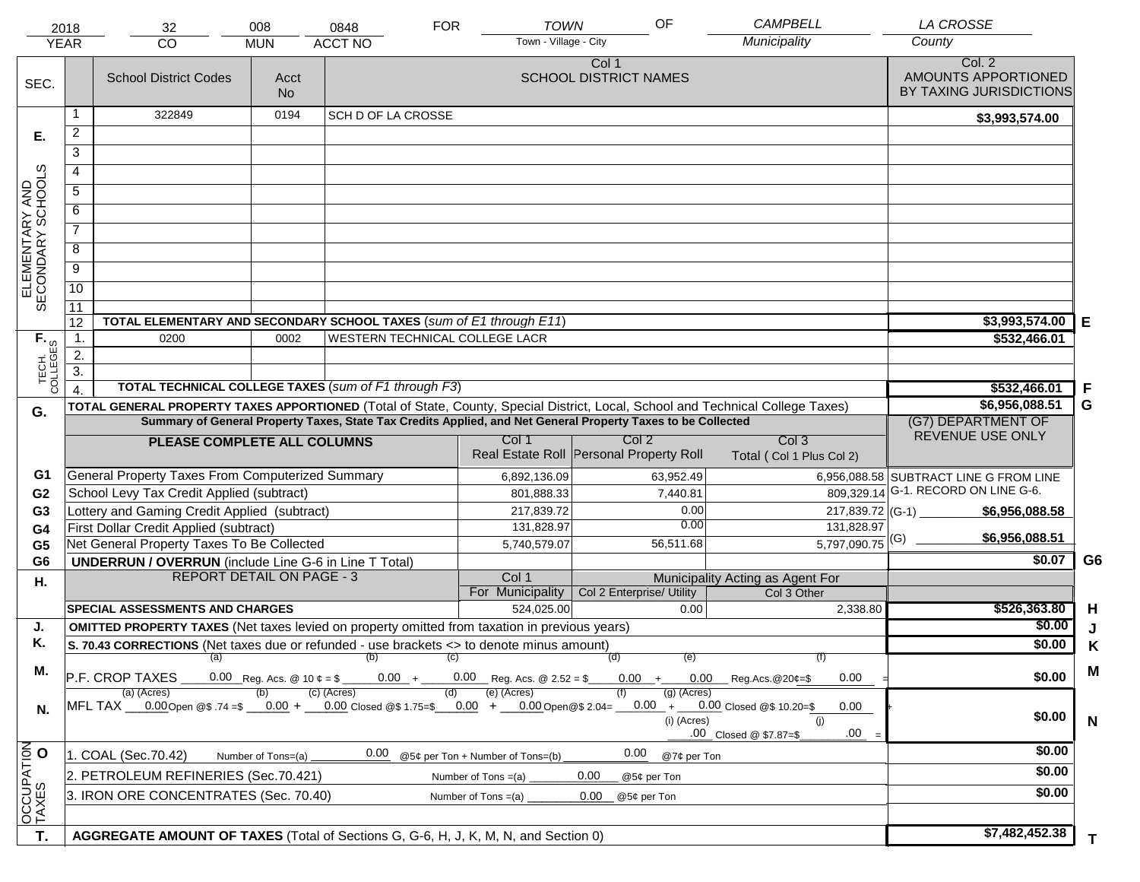|                                     | 2018             | 32                                                                                                                             | 008                | 0848                      | <b>FOR</b> | <b>TOWN</b>                                                                                                  | OF                                    |               | <b>CAMPBELL</b>                             | <b>LA CROSSE</b>                                         |                |
|-------------------------------------|------------------|--------------------------------------------------------------------------------------------------------------------------------|--------------------|---------------------------|------------|--------------------------------------------------------------------------------------------------------------|---------------------------------------|---------------|---------------------------------------------|----------------------------------------------------------|----------------|
|                                     | <b>YEAR</b>      | <b>CO</b>                                                                                                                      | <b>MUN</b>         | <b>ACCT NO</b>            |            | Town - Village - City                                                                                        |                                       |               | Municipality                                | County                                                   |                |
| SEC.                                |                  | <b>School District Codes</b>                                                                                                   | Acct<br><b>No</b>  |                           |            |                                                                                                              | Col 1<br><b>SCHOOL DISTRICT NAMES</b> |               |                                             | Col. 2<br>AMOUNTS APPORTIONED<br>BY TAXING JURISDICTIONS |                |
|                                     |                  | 322849                                                                                                                         | 0194               | <b>SCH D OF LA CROSSE</b> |            |                                                                                                              |                                       |               |                                             | \$3,993,574.00                                           |                |
| Е.                                  | $\overline{a}$   |                                                                                                                                |                    |                           |            |                                                                                                              |                                       |               |                                             |                                                          |                |
|                                     | 3                |                                                                                                                                |                    |                           |            |                                                                                                              |                                       |               |                                             |                                                          |                |
|                                     | 4                |                                                                                                                                |                    |                           |            |                                                                                                              |                                       |               |                                             |                                                          |                |
|                                     | 5                |                                                                                                                                |                    |                           |            |                                                                                                              |                                       |               |                                             |                                                          |                |
|                                     | 6                |                                                                                                                                |                    |                           |            |                                                                                                              |                                       |               |                                             |                                                          |                |
| ELEMENTARY AND<br>SECONDARY SCHOOLS | $\overline{7}$   |                                                                                                                                |                    |                           |            |                                                                                                              |                                       |               |                                             |                                                          |                |
|                                     |                  |                                                                                                                                |                    |                           |            |                                                                                                              |                                       |               |                                             |                                                          |                |
|                                     | 8                |                                                                                                                                |                    |                           |            |                                                                                                              |                                       |               |                                             |                                                          |                |
|                                     | $\overline{9}$   |                                                                                                                                |                    |                           |            |                                                                                                              |                                       |               |                                             |                                                          |                |
|                                     | $\overline{10}$  |                                                                                                                                |                    |                           |            |                                                                                                              |                                       |               |                                             |                                                          |                |
|                                     | 11<br>12         | TOTAL ELEMENTARY AND SECONDARY SCHOOL TAXES (sum of E1 through E11)                                                            |                    |                           |            |                                                                                                              |                                       |               |                                             | \$3,993,574.00                                           |                |
|                                     | $\mathbf{1}$ .   | 0200                                                                                                                           | 0002               |                           |            | WESTERN TECHNICAL COLLEGE LACR                                                                               |                                       |               |                                             | \$532,466.01                                             | Е              |
|                                     | 2.               |                                                                                                                                |                    |                           |            |                                                                                                              |                                       |               |                                             |                                                          |                |
|                                     | $\overline{3}$ . |                                                                                                                                |                    |                           |            |                                                                                                              |                                       |               |                                             |                                                          |                |
| TECH. T                             |                  | <b>TOTAL TECHNICAL COLLEGE TAXES (sum of F1 through F3)</b>                                                                    |                    |                           |            |                                                                                                              |                                       |               |                                             | \$532,466.01                                             | F              |
| G.                                  |                  | TOTAL GENERAL PROPERTY TAXES APPORTIONED (Total of State, County, Special District, Local, School and Technical College Taxes) |                    |                           |            |                                                                                                              |                                       |               |                                             | \$6,956,088.51                                           | G              |
|                                     |                  |                                                                                                                                |                    |                           |            | Summary of General Property Taxes, State Tax Credits Applied, and Net General Property Taxes to be Collected |                                       |               |                                             | (G7) DEPARTMENT OF                                       |                |
|                                     |                  | PLEASE COMPLETE ALL COLUMNS                                                                                                    |                    |                           |            | Col 1                                                                                                        | Col <sub>2</sub>                      |               | Col <sub>3</sub>                            | REVENUE USE ONLY                                         |                |
|                                     |                  |                                                                                                                                |                    |                           |            | Real Estate Roll Personal Property Roll                                                                      |                                       |               | Total (Col 1 Plus Col 2)                    |                                                          |                |
| G1                                  |                  | General Property Taxes From Computerized Summary                                                                               |                    |                           |            | 6,892,136.09                                                                                                 |                                       | 63,952.49     |                                             | 6,956,088.58 SUBTRACT LINE G FROM LINE                   |                |
| G <sub>2</sub>                      |                  | School Levy Tax Credit Applied (subtract)                                                                                      |                    |                           |            | 801,888.33                                                                                                   |                                       | 7,440.81      | 809,329.14                                  | G-1. RECORD ON LINE G-6.                                 |                |
| G <sub>3</sub>                      |                  | Lottery and Gaming Credit Applied (subtract)                                                                                   |                    |                           |            | 217,839.72                                                                                                   |                                       | 0.00<br>0.00  | 217,839.72 (G-1)                            | \$6,956,088.58                                           |                |
| G4                                  |                  | First Dollar Credit Applied (subtract)<br>Net General Property Taxes To Be Collected                                           |                    |                           |            | 131,828.97                                                                                                   |                                       | 56,511.68     | 131,828.97<br>$5,797,090.75$ <sup>(G)</sup> | \$6,956,088.51                                           |                |
| G <sub>5</sub><br>G <sub>6</sub>    |                  | <b>UNDERRUN / OVERRUN</b> (include Line G-6 in Line T Total)                                                                   |                    |                           |            | 5,740,579.07                                                                                                 |                                       |               |                                             | \$0.07                                                   | G <sub>6</sub> |
| Η.                                  |                  | <b>REPORT DETAIL ON PAGE - 3</b>                                                                                               |                    |                           |            | Col 1                                                                                                        |                                       |               | Municipality Acting as Agent For            |                                                          |                |
|                                     |                  |                                                                                                                                |                    |                           |            | For Municipality                                                                                             | Col 2 Enterprise/ Utility             |               | Col 3 Other                                 |                                                          |                |
|                                     |                  | <b>SPECIAL ASSESSMENTS AND CHARGES</b>                                                                                         |                    |                           |            | 524,025.00                                                                                                   |                                       | 0.00          | 2,338.80                                    | \$526,363.80                                             | H              |
| J.                                  |                  | <b>OMITTED PROPERTY TAXES</b> (Net taxes levied on property omitted from taxation in previous years)                           |                    |                           |            |                                                                                                              |                                       |               |                                             | \$0.00                                                   | J              |
| Κ.                                  |                  | S. 70.43 CORRECTIONS (Net taxes due or refunded - use brackets <> to denote minus amount)                                      |                    |                           |            |                                                                                                              |                                       |               |                                             | \$0.00                                                   | Κ              |
| М.                                  |                  | $(a)$ (b)<br>P.F. CROP TAXES                                                                                                   |                    |                           | (C)        | $0.00 + 0.00$ Reg. Acs. @ 2.52 = \$                                                                          | (d)                                   | (e)           | (f)                                         | \$0.00                                                   | M              |
|                                     |                  | (a) (Acres)                                                                                                                    |                    | (c) (Acres)               | (d)        | (e) (Acres)                                                                                                  |                                       | $(g)$ (Acres) | $0.00 + 0.00$ Reg.Acs. @20¢=\$<br>0.00      |                                                          |                |
| N.                                  |                  | MFL TAX ___0.00 Open @\$ .74 =\$ ___0.00 + ___0.00 Closed @\$ 1.75=\$ __0.00 + ___0.00 Open @\$ 2.04= __                       |                    |                           |            |                                                                                                              |                                       |               | $0.00 + 0.00$ Closed @\$ 10.20=\$<br>0.00   | \$0.00                                                   |                |
|                                     |                  |                                                                                                                                |                    |                           |            |                                                                                                              |                                       | (i) (Acres)   | (i)<br>.00<br>.00 Closed @ \$7.87=\$        |                                                          | $\mathsf{N}$   |
| OCCUPATION                          |                  | 1. COAL (Sec.70.42)                                                                                                            | Number of Tons=(a) | 0.00                      |            | @5¢ per Ton + Number of Tons=(b)                                                                             | 0.00                                  | @7¢ per Ton   |                                             | \$0.00                                                   |                |
|                                     |                  | 2. PETROLEUM REFINERIES (Sec.70.421)                                                                                           |                    |                           |            | Number of Tons $=(a)$                                                                                        | 0.00<br>@5¢ per Ton                   |               |                                             | \$0.00                                                   |                |
|                                     |                  | 3. IRON ORE CONCENTRATES (Sec. 70.40)                                                                                          |                    |                           |            | Number of Tons $=(a)$                                                                                        | 0.00<br>@5¢ per Ton                   |               |                                             | \$0.00                                                   |                |
|                                     |                  |                                                                                                                                |                    |                           |            |                                                                                                              |                                       |               |                                             |                                                          |                |
| T.                                  |                  |                                                                                                                                |                    |                           |            |                                                                                                              |                                       |               |                                             | \$7,482,452.38                                           |                |
|                                     |                  | AGGREGATE AMOUNT OF TAXES (Total of Sections G, G-6, H, J, K, M, N, and Section 0)                                             |                    |                           |            |                                                                                                              |                                       |               |                                             |                                                          | $\mathbf{T}$   |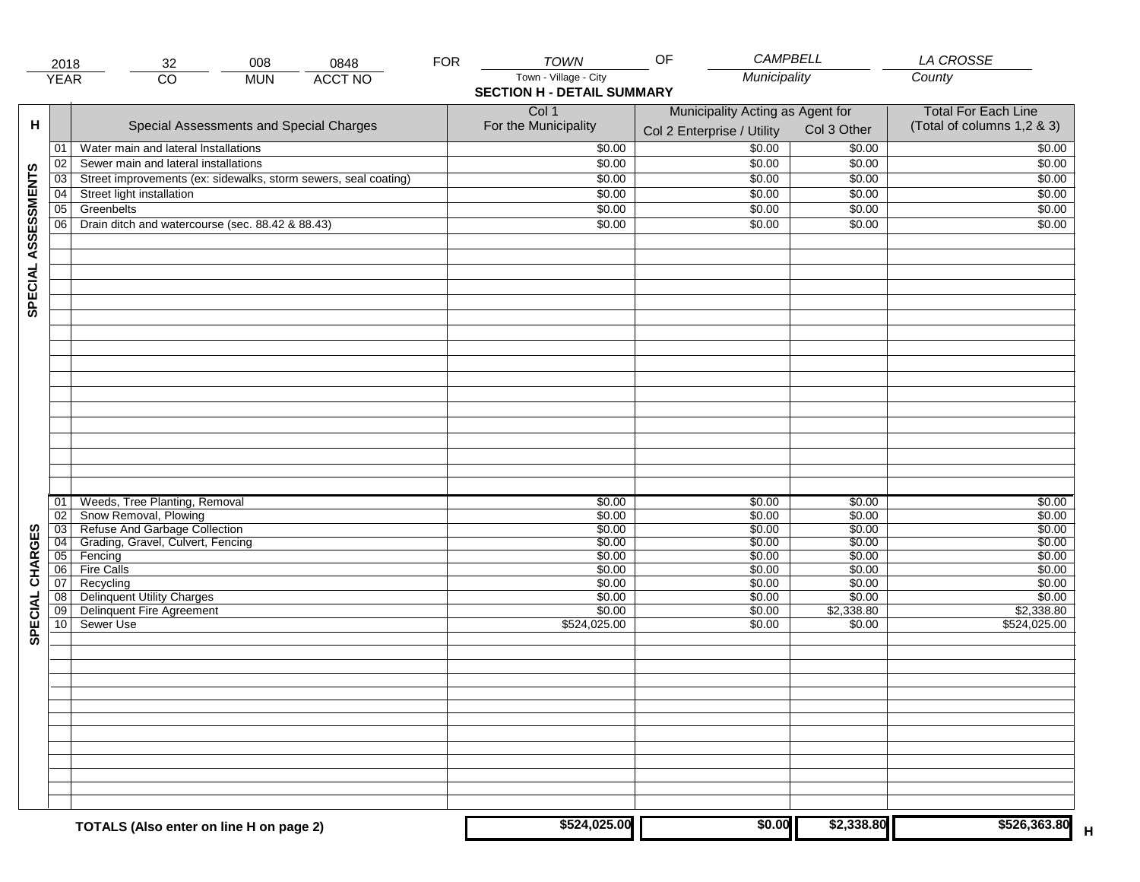|                     | 2018                  | 008<br>0848<br>32                                               | <b>FOR</b> | <b>TOWN</b>                       | OF<br><b>CAMPBELL</b>            |                  | LA CROSSE                  |
|---------------------|-----------------------|-----------------------------------------------------------------|------------|-----------------------------------|----------------------------------|------------------|----------------------------|
|                     | <b>YEAR</b>           | $\overline{CO}$<br><b>ACCT NO</b><br><b>MUN</b>                 |            | Town - Village - City             | Municipality                     |                  | County                     |
|                     |                       |                                                                 |            | <b>SECTION H - DETAIL SUMMARY</b> |                                  |                  |                            |
|                     |                       |                                                                 |            | Col 1                             | Municipality Acting as Agent for |                  | <b>Total For Each Line</b> |
| н                   |                       | Special Assessments and Special Charges                         |            | For the Municipality              |                                  | Col 3 Other      | (Total of columns 1,2 & 3) |
|                     |                       |                                                                 |            |                                   | Col 2 Enterprise / Utility       |                  |                            |
|                     | 01                    | Water main and lateral Installations                            |            | \$0.00                            | \$0.00                           | \$0.00           | \$0.00                     |
|                     | 02                    | Sewer main and lateral installations                            |            | \$0.00                            | \$0.00                           | \$0.00           | \$0.00                     |
| SPECIAL ASSESSMENTS | 03                    | Street improvements (ex: sidewalks, storm sewers, seal coating) |            | \$0.00                            | \$0.00                           | \$0.00           | \$0.00                     |
|                     | 04                    | Street light installation                                       |            | \$0.00                            | \$0.00                           | \$0.00           | \$0.00                     |
|                     | 05                    | Greenbelts                                                      |            | \$0.00                            | \$0.00                           | \$0.00           | \$0.00                     |
|                     | 06                    | Drain ditch and watercourse (sec. 88.42 & 88.43)                |            | \$0.00                            | \$0.00                           | \$0.00           | \$0.00                     |
|                     |                       |                                                                 |            |                                   |                                  |                  |                            |
|                     |                       |                                                                 |            |                                   |                                  |                  |                            |
|                     |                       |                                                                 |            |                                   |                                  |                  |                            |
|                     |                       |                                                                 |            |                                   |                                  |                  |                            |
|                     |                       |                                                                 |            |                                   |                                  |                  |                            |
|                     |                       |                                                                 |            |                                   |                                  |                  |                            |
|                     |                       |                                                                 |            |                                   |                                  |                  |                            |
|                     |                       |                                                                 |            |                                   |                                  |                  |                            |
|                     |                       |                                                                 |            |                                   |                                  |                  |                            |
|                     |                       |                                                                 |            |                                   |                                  |                  |                            |
|                     |                       |                                                                 |            |                                   |                                  |                  |                            |
|                     |                       |                                                                 |            |                                   |                                  |                  |                            |
|                     |                       |                                                                 |            |                                   |                                  |                  |                            |
|                     |                       |                                                                 |            |                                   |                                  |                  |                            |
|                     |                       |                                                                 |            |                                   |                                  |                  |                            |
|                     |                       |                                                                 |            |                                   |                                  |                  |                            |
|                     |                       |                                                                 |            |                                   |                                  |                  |                            |
|                     |                       |                                                                 |            |                                   |                                  |                  |                            |
|                     |                       |                                                                 |            |                                   |                                  |                  |                            |
|                     | 01                    | Weeds, Tree Planting, Removal                                   |            | \$0.00                            | \$0.00                           | \$0.00           | \$0.00                     |
|                     | 02                    | Snow Removal, Plowing<br>Refuse And Garbage Collection          |            | \$0.00                            | \$0.00                           | \$0.00           | \$0.00<br>\$0.00           |
| CHARGES             | $\overline{03}$       |                                                                 |            | \$0.00                            | \$0.00<br>\$0.00                 | \$0.00<br>\$0.00 | \$0.00                     |
|                     | $\overline{04}$<br>05 | Grading, Gravel, Culvert, Fencing<br>Fencing                    |            | \$0.00<br>\$0.00                  | \$0.00                           | \$0.00           | \$0.00                     |
|                     |                       | <b>Fire Calls</b>                                               |            |                                   | \$0.00                           |                  | \$0.00                     |
|                     | 06<br>07              | Recycling                                                       |            | \$0.00<br>\$0.00                  | \$0.00                           | \$0.00<br>\$0.00 | \$0.00                     |
|                     | 08                    | <b>Delinquent Utility Charges</b>                               |            | \$0.00                            | \$0.00                           | \$0.00           | \$0.00                     |
| <b>SPECIAL</b>      | 09                    | Delinquent Fire Agreement                                       |            | \$0.00                            | \$0.00                           | \$2,338.80       | \$2,338.80                 |
|                     | 10                    | Sewer Use                                                       |            | \$524,025.00                      | \$0.00                           | \$0.00           | \$524,025.00               |
|                     |                       |                                                                 |            |                                   |                                  |                  |                            |
|                     |                       |                                                                 |            |                                   |                                  |                  |                            |
|                     |                       |                                                                 |            |                                   |                                  |                  |                            |
|                     |                       |                                                                 |            |                                   |                                  |                  |                            |
|                     |                       |                                                                 |            |                                   |                                  |                  |                            |
|                     |                       |                                                                 |            |                                   |                                  |                  |                            |
|                     |                       |                                                                 |            |                                   |                                  |                  |                            |
|                     |                       |                                                                 |            |                                   |                                  |                  |                            |
|                     |                       |                                                                 |            |                                   |                                  |                  |                            |
|                     |                       |                                                                 |            |                                   |                                  |                  |                            |
|                     |                       |                                                                 |            |                                   |                                  |                  |                            |
|                     |                       |                                                                 |            |                                   |                                  |                  |                            |
|                     |                       |                                                                 |            |                                   |                                  |                  |                            |
|                     |                       |                                                                 |            |                                   |                                  |                  |                            |
|                     |                       | TOTALS (Also enter on line H on page 2)                         |            | \$524,025.00                      | \$0.00                           | \$2,338.80       | \$526,363.80<br>н          |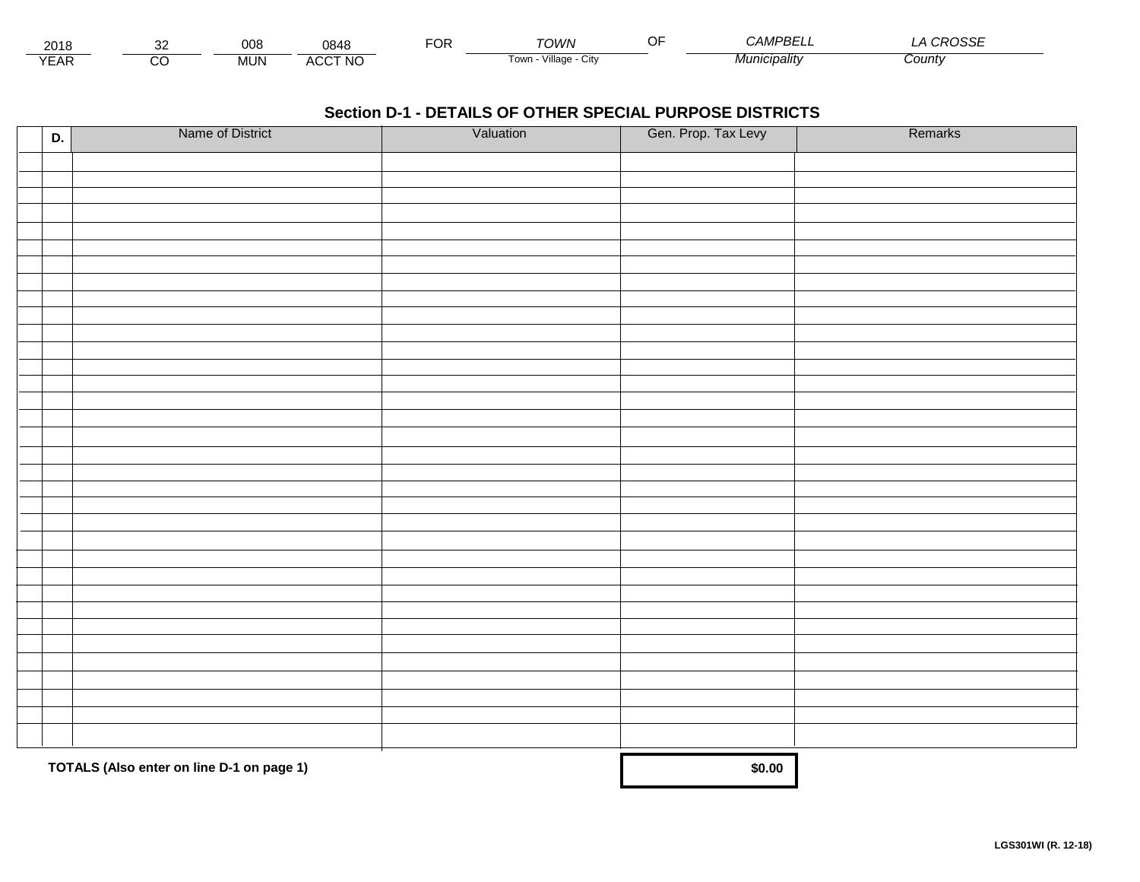| 2018             |        | 008        | 0848           | $\neg$<br>Ur | ั∩เ <i>∧/</i> ∧         | ∼− | <i>JAMPBE'</i><br>——— | $\cdots$<br>ാല |  |
|------------------|--------|------------|----------------|--------------|-------------------------|----|-----------------------|----------------|--|
| $\sqrt{2}$<br>►n | ~<br>U | <b>MUN</b> | <b>ACCT NO</b> |              | villade<br>i own<br>∪lW |    | $M$ unici<br>cınalıtv | County         |  |

| D. | Name of District                          | Valuation | Gen. Prop. Tax Levy | Remarks |
|----|-------------------------------------------|-----------|---------------------|---------|
|    |                                           |           |                     |         |
|    |                                           |           |                     |         |
|    |                                           |           |                     |         |
|    |                                           |           |                     |         |
|    |                                           |           |                     |         |
|    |                                           |           |                     |         |
|    |                                           |           |                     |         |
|    |                                           |           |                     |         |
|    |                                           |           |                     |         |
|    |                                           |           |                     |         |
|    |                                           |           |                     |         |
|    |                                           |           |                     |         |
|    |                                           |           |                     |         |
|    |                                           |           |                     |         |
|    |                                           |           |                     |         |
|    |                                           |           |                     |         |
|    |                                           |           |                     |         |
|    |                                           |           |                     |         |
|    |                                           |           |                     |         |
|    |                                           |           |                     |         |
|    |                                           |           |                     |         |
|    |                                           |           |                     |         |
|    |                                           |           |                     |         |
|    |                                           |           |                     |         |
|    |                                           |           |                     |         |
|    |                                           |           |                     |         |
|    |                                           |           |                     |         |
|    |                                           |           |                     |         |
|    |                                           |           |                     |         |
|    |                                           |           |                     |         |
|    |                                           |           |                     |         |
|    |                                           |           |                     |         |
|    | TOTALS (Also enter on line D-1 on page 1) | \$0.00    |                     |         |
|    |                                           |           |                     |         |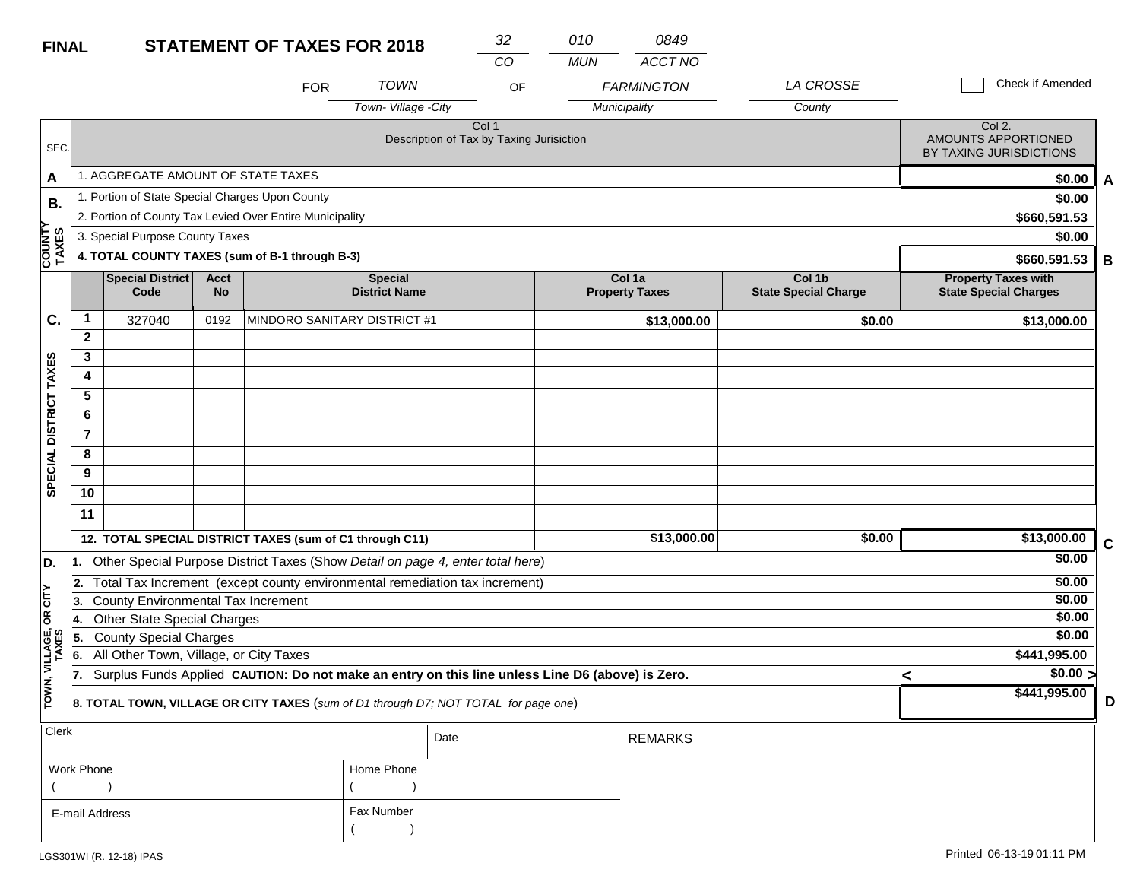| <b>FINAL</b>            |                                           |                                                                                                  |                          | <b>STATEMENT OF TAXES FOR 2018</b>                                             |                                        |                                                   | 32<br>CO | 010<br><b>MUN</b> | 0849<br>ACCT NO                   |                                       |  |                                                                 |             |
|-------------------------|-------------------------------------------|--------------------------------------------------------------------------------------------------|--------------------------|--------------------------------------------------------------------------------|----------------------------------------|---------------------------------------------------|----------|-------------------|-----------------------------------|---------------------------------------|--|-----------------------------------------------------------------|-------------|
|                         |                                           |                                                                                                  |                          | <b>FOR</b>                                                                     | <b>TOWN</b><br>Town-Village -City      |                                                   | OF       |                   | <b>FARMINGTON</b><br>Municipality | <b>LA CROSSE</b><br>County            |  | Check if Amended                                                |             |
| SEC.                    |                                           |                                                                                                  |                          |                                                                                |                                        | Col 1<br>Description of Tax by Taxing Jurisiction |          |                   |                                   |                                       |  | Col 2.<br><b>AMOUNTS APPORTIONED</b><br>BY TAXING JURISDICTIONS |             |
| A                       |                                           | 1. AGGREGATE AMOUNT OF STATE TAXES                                                               |                          |                                                                                |                                        |                                                   |          |                   |                                   |                                       |  | \$0.00                                                          | A           |
| В.                      |                                           | 1. Portion of State Special Charges Upon County                                                  |                          |                                                                                |                                        |                                                   |          |                   |                                   |                                       |  | \$0.00                                                          |             |
|                         |                                           |                                                                                                  |                          | 2. Portion of County Tax Levied Over Entire Municipality                       |                                        |                                                   |          |                   |                                   |                                       |  | \$660,591.53                                                    |             |
|                         |                                           | 3. Special Purpose County Taxes                                                                  |                          |                                                                                |                                        |                                                   |          |                   |                                   |                                       |  | \$0.00                                                          |             |
| <b>COUNTY</b><br>TAXES  |                                           |                                                                                                  |                          | 4. TOTAL COUNTY TAXES (sum of B-1 through B-3)                                 |                                        |                                                   |          |                   |                                   |                                       |  | \$660,591.53                                                    | В           |
|                         |                                           | <b>Special District</b><br>Code                                                                  | <b>Acct</b><br><b>No</b> |                                                                                | <b>Special</b><br><b>District Name</b> |                                                   |          |                   | Col 1a<br><b>Property Taxes</b>   | Col 1b<br><b>State Special Charge</b> |  | <b>Property Taxes with</b><br><b>State Special Charges</b>      |             |
| C.                      | $\mathbf{1}$                              | 327040                                                                                           | 0192                     | MINDORO SANITARY DISTRICT #1                                                   |                                        |                                                   |          |                   | \$13,000.00                       | \$0.00                                |  | \$13,000.00                                                     |             |
|                         | $\mathbf{2}$                              |                                                                                                  |                          |                                                                                |                                        |                                                   |          |                   |                                   |                                       |  |                                                                 |             |
|                         | 3                                         |                                                                                                  |                          |                                                                                |                                        |                                                   |          |                   |                                   |                                       |  |                                                                 |             |
| SPECIAL DISTRICT TAXES  | 4                                         |                                                                                                  |                          |                                                                                |                                        |                                                   |          |                   |                                   |                                       |  |                                                                 |             |
|                         | 5                                         |                                                                                                  |                          |                                                                                |                                        |                                                   |          |                   |                                   |                                       |  |                                                                 |             |
|                         | 6                                         |                                                                                                  |                          |                                                                                |                                        |                                                   |          |                   |                                   |                                       |  |                                                                 |             |
|                         | $\overline{\mathbf{r}}$                   |                                                                                                  |                          |                                                                                |                                        |                                                   |          |                   |                                   |                                       |  |                                                                 |             |
|                         | 8                                         |                                                                                                  |                          |                                                                                |                                        |                                                   |          |                   |                                   |                                       |  |                                                                 |             |
|                         | 9                                         |                                                                                                  |                          |                                                                                |                                        |                                                   |          |                   |                                   |                                       |  |                                                                 |             |
|                         | 10                                        |                                                                                                  |                          |                                                                                |                                        |                                                   |          |                   |                                   |                                       |  |                                                                 |             |
|                         | 11                                        |                                                                                                  |                          |                                                                                |                                        |                                                   |          |                   |                                   |                                       |  |                                                                 |             |
|                         |                                           |                                                                                                  |                          | 12. TOTAL SPECIAL DISTRICT TAXES (sum of C1 through C11)                       |                                        |                                                   |          |                   | \$13,000.00                       | \$0.00                                |  | \$13,000.00                                                     | $\mathbf C$ |
| D.                      |                                           |                                                                                                  |                          | Other Special Purpose District Taxes (Show Detail on page 4, enter total here) |                                        |                                                   |          |                   |                                   |                                       |  | \$0.00                                                          |             |
|                         | 2.                                        |                                                                                                  |                          | Total Tax Increment (except county environmental remediation tax increment)    |                                        |                                                   |          |                   |                                   |                                       |  | \$0.00                                                          |             |
| CITY                    | County Environmental Tax Increment<br>13. |                                                                                                  |                          |                                                                                |                                        |                                                   |          |                   |                                   |                                       |  | \$0.00                                                          |             |
| б                       | <b>Other State Special Charges</b><br>14. |                                                                                                  |                          |                                                                                |                                        |                                                   |          |                   |                                   |                                       |  | \$0.00                                                          |             |
|                         | 5.                                        | <b>County Special Charges</b>                                                                    |                          |                                                                                |                                        |                                                   |          |                   |                                   |                                       |  | \$0.00                                                          |             |
|                         | 6.                                        | All Other Town, Village, or City Taxes                                                           |                          |                                                                                |                                        |                                                   |          |                   |                                   |                                       |  | \$441,995.00                                                    |             |
|                         | 17.                                       | Surplus Funds Applied CAUTION: Do not make an entry on this line unless Line D6 (above) is Zero. |                          |                                                                                | k                                      | $\sqrt{$0.00}$                                    |          |                   |                                   |                                       |  |                                                                 |             |
| TOWN, VILLAGE,<br>TAXES |                                           | 8. TOTAL TOWN, VILLAGE OR CITY TAXES (sum of D1 through D7; NOT TOTAL for page one)              |                          |                                                                                |                                        | \$441,995.00                                      | D        |                   |                                   |                                       |  |                                                                 |             |
| Clerk                   |                                           |                                                                                                  |                          |                                                                                |                                        | Date                                              |          |                   | <b>REMARKS</b>                    |                                       |  |                                                                 |             |

| <b>VIGIN</b>   |            | Date | REMARKS |
|----------------|------------|------|---------|
| Work Phone     | Home Phone |      |         |
|                |            |      |         |
| E-mail Address | Fax Number |      |         |
|                |            |      |         |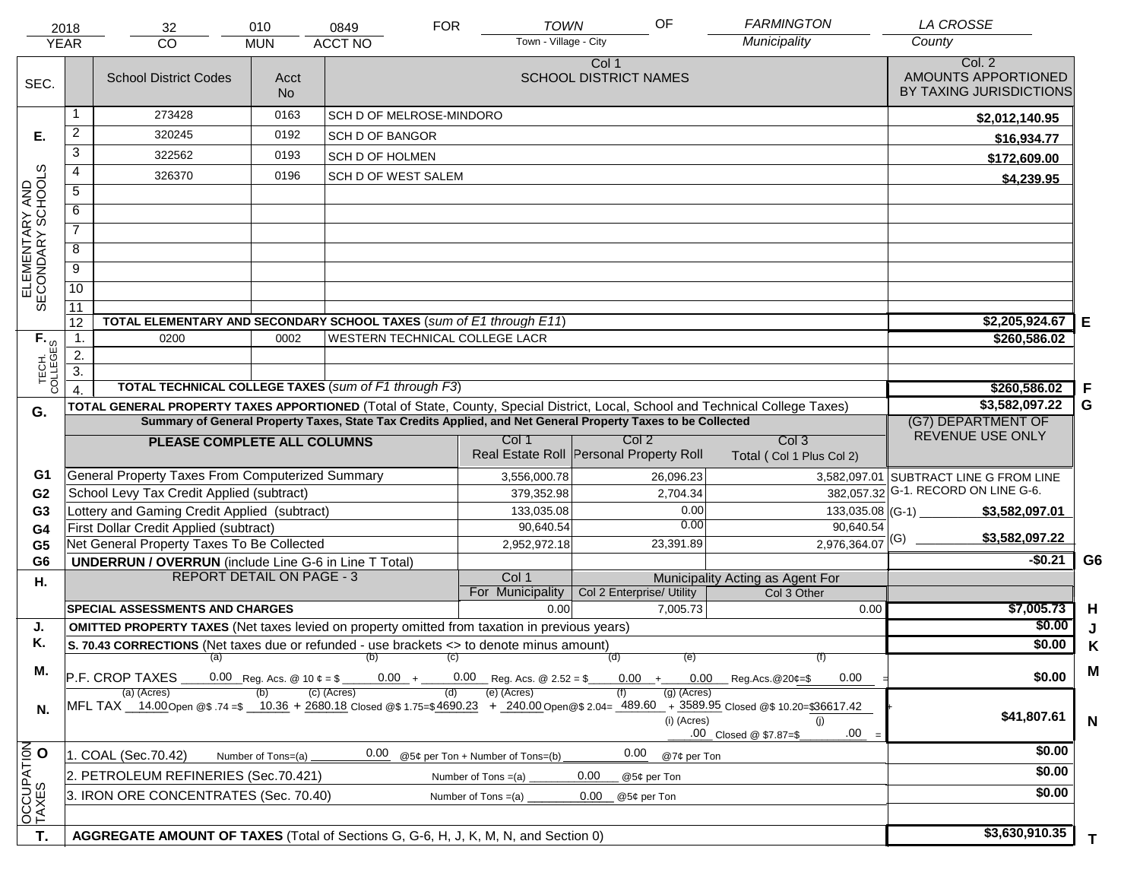|                                     | 2018                                                                                                         | 32                                                                                                                             | 010                                   | 0849                           | <b>FOR</b> | <b>TOWN</b>                                    | OF                                         | <b>FARMINGTON</b>                                                                                                                                                                   | <b>LA CROSSE</b>                                         |                |
|-------------------------------------|--------------------------------------------------------------------------------------------------------------|--------------------------------------------------------------------------------------------------------------------------------|---------------------------------------|--------------------------------|------------|------------------------------------------------|--------------------------------------------|-------------------------------------------------------------------------------------------------------------------------------------------------------------------------------------|----------------------------------------------------------|----------------|
|                                     | <b>YEAR</b>                                                                                                  | CO                                                                                                                             | <b>MUN</b>                            | <b>ACCT NO</b>                 |            | Town - Village - City                          |                                            | Municipality                                                                                                                                                                        | County                                                   |                |
| SEC.                                |                                                                                                              | <b>School District Codes</b>                                                                                                   | Acct<br><b>No</b>                     |                                |            |                                                | Col 1<br><b>SCHOOL DISTRICT NAMES</b>      |                                                                                                                                                                                     | Col. 2<br>AMOUNTS APPORTIONED<br>BY TAXING JURISDICTIONS |                |
|                                     | 1                                                                                                            | 273428                                                                                                                         | 0163                                  | SCH D OF MELROSE-MINDORO       |            |                                                |                                            |                                                                                                                                                                                     | \$2,012,140.95                                           |                |
| Е.                                  | $\overline{2}$                                                                                               | 320245                                                                                                                         | 0192                                  | <b>SCH D OF BANGOR</b>         |            |                                                |                                            |                                                                                                                                                                                     | \$16,934.77                                              |                |
|                                     | 3                                                                                                            | 322562                                                                                                                         | 0193                                  | <b>SCH D OF HOLMEN</b>         |            |                                                |                                            |                                                                                                                                                                                     | \$172,609.00                                             |                |
|                                     | 4                                                                                                            | 326370                                                                                                                         | 0196                                  | <b>SCH D OF WEST SALEM</b>     |            |                                                |                                            |                                                                                                                                                                                     | \$4,239.95                                               |                |
|                                     | $\overline{5}$                                                                                               |                                                                                                                                |                                       |                                |            |                                                |                                            |                                                                                                                                                                                     |                                                          |                |
|                                     | 6                                                                                                            |                                                                                                                                |                                       |                                |            |                                                |                                            |                                                                                                                                                                                     |                                                          |                |
| ELEMENTARY AND<br>SECONDARY SCHOOLS | $\overline{7}$                                                                                               |                                                                                                                                |                                       |                                |            |                                                |                                            |                                                                                                                                                                                     |                                                          |                |
|                                     | 8                                                                                                            |                                                                                                                                |                                       |                                |            |                                                |                                            |                                                                                                                                                                                     |                                                          |                |
|                                     | $\overline{9}$                                                                                               |                                                                                                                                |                                       |                                |            |                                                |                                            |                                                                                                                                                                                     |                                                          |                |
|                                     | $\overline{10}$                                                                                              |                                                                                                                                |                                       |                                |            |                                                |                                            |                                                                                                                                                                                     |                                                          |                |
|                                     | $\overline{11}$                                                                                              |                                                                                                                                |                                       |                                |            |                                                |                                            |                                                                                                                                                                                     |                                                          |                |
|                                     | 12                                                                                                           | TOTAL ELEMENTARY AND SECONDARY SCHOOL TAXES (sum of E1 through E11)                                                            | 0002                                  | WESTERN TECHNICAL COLLEGE LACR |            |                                                |                                            |                                                                                                                                                                                     | \$2,205,924.67                                           | E              |
|                                     | $\mathbf{1}$ .                                                                                               | 0200                                                                                                                           |                                       | \$260,586.02                   |            |                                                |                                            |                                                                                                                                                                                     |                                                          |                |
|                                     | 2.<br>$\overline{3}$ .                                                                                       |                                                                                                                                |                                       |                                |            |                                                |                                            |                                                                                                                                                                                     |                                                          |                |
| TECH. T                             |                                                                                                              | TOTAL TECHNICAL COLLEGE TAXES (sum of F1 through F3)                                                                           |                                       |                                |            |                                                |                                            |                                                                                                                                                                                     | \$260,586.02                                             | .F             |
| G.                                  |                                                                                                              | TOTAL GENERAL PROPERTY TAXES APPORTIONED (Total of State, County, Special District, Local, School and Technical College Taxes) |                                       | \$3,582,097.22                 | G          |                                                |                                            |                                                                                                                                                                                     |                                                          |                |
|                                     |                                                                                                              | Summary of General Property Taxes, State Tax Credits Applied, and Net General Property Taxes to be Collected                   |                                       | (G7) DEPARTMENT OF             |            |                                                |                                            |                                                                                                                                                                                     |                                                          |                |
|                                     |                                                                                                              | PLEASE COMPLETE ALL COLUMNS                                                                                                    |                                       |                                |            | Col 1                                          | Col <sub>2</sub>                           | Col <sub>3</sub>                                                                                                                                                                    | REVENUE USE ONLY                                         |                |
|                                     |                                                                                                              |                                                                                                                                |                                       |                                |            |                                                | Real Estate Roll Personal Property Roll    | Total (Col 1 Plus Col 2)                                                                                                                                                            |                                                          |                |
| G1                                  |                                                                                                              | General Property Taxes From Computerized Summary                                                                               |                                       |                                |            | 3,556,000.78                                   | 26,096.23                                  |                                                                                                                                                                                     | 3,582,097.01 SUBTRACT LINE G FROM LINE                   |                |
| G <sub>2</sub>                      |                                                                                                              | School Levy Tax Credit Applied (subtract)                                                                                      |                                       |                                |            | 379,352.98                                     | 2,704.34                                   |                                                                                                                                                                                     | 382,057.32 G-1. RECORD ON LINE G-6.                      |                |
| G <sub>3</sub>                      |                                                                                                              | Lottery and Gaming Credit Applied (subtract)                                                                                   |                                       |                                |            | 133,035.08<br>90,640.54                        | 0.00<br>0.00                               | 90,640.54                                                                                                                                                                           | \$3,582,097.01                                           |                |
| G4<br>G <sub>5</sub>                |                                                                                                              | First Dollar Credit Applied (subtract)<br>Net General Property Taxes To Be Collected                                           |                                       |                                |            | 2,952,972.18                                   | 23,391.89                                  | $2,976,364.07$ <sup>(G)</sup>                                                                                                                                                       | \$3,582,097.22                                           |                |
| G <sub>6</sub>                      |                                                                                                              | <b>UNDERRUN / OVERRUN</b> (include Line G-6 in Line T Total)                                                                   |                                       |                                |            |                                                |                                            |                                                                                                                                                                                     | $-$0.21$                                                 | G <sub>6</sub> |
| Η.                                  |                                                                                                              | <b>REPORT DETAIL ON PAGE - 3</b>                                                                                               |                                       |                                |            | Col 1                                          |                                            | Municipality Acting as Agent For                                                                                                                                                    |                                                          |                |
|                                     |                                                                                                              |                                                                                                                                |                                       |                                |            | For Municipality                               | Col 2 Enterprise/ Utility                  | Col 3 Other                                                                                                                                                                         |                                                          |                |
|                                     |                                                                                                              | <b>SPECIAL ASSESSMENTS AND CHARGES</b>                                                                                         |                                       |                                |            | 0.00                                           | 7.005.73                                   | 0.00                                                                                                                                                                                | \$7,005.73                                               | H              |
| J.                                  |                                                                                                              | <b>OMITTED PROPERTY TAXES</b> (Net taxes levied on property omitted from taxation in previous years)                           |                                       |                                |            |                                                |                                            |                                                                                                                                                                                     | \$0.00                                                   | J              |
| Κ.                                  |                                                                                                              | S. 70.43 CORRECTIONS (Net taxes due or refunded - use brackets <> to denote minus amount)                                      |                                       | (a) (b) (c)                    |            |                                                | (d)<br>(e)                                 | (f)                                                                                                                                                                                 | \$0.00                                                   | Κ              |
| М.                                  |                                                                                                              | P.F. CROP TAXES                                                                                                                | $0.00 + 0.00$ Reg.Acs.@20¢=\$<br>0.00 | \$0.00                         | M          |                                                |                                            |                                                                                                                                                                                     |                                                          |                |
| N.                                  |                                                                                                              | (a) (Acres)                                                                                                                    |                                       | (c) (Acres)                    | (d)        | (e) (Acres)                                    | (a) (Acres)<br>(i) (Acres)                 | MFL TAX 14.00 Open @\$ 74=\$ 10.36 + 2680.18 Closed @\$ 1.75=\$4690.23 + 240.00 Open @\$ 2.04= 489.60 + 3589.95 Closed @\$ 10.20=\$36617.42<br>(i)<br>.00<br>.00 Closed @ \$7.87=\$ | \$41,807.61                                              | $\mathsf{N}$   |
|                                     | 0.00<br>0.00<br>1. COAL (Sec.70.42)<br>@5¢ per Ton + Number of Tons=(b)<br>@7¢ per Ton<br>Number of Tons=(a) |                                                                                                                                |                                       |                                |            |                                                |                                            |                                                                                                                                                                                     | \$0.00                                                   |                |
| OCCUPATION                          |                                                                                                              | 2. PETROLEUM REFINERIES (Sec.70.421)                                                                                           |                                       | \$0.00                         |            |                                                |                                            |                                                                                                                                                                                     |                                                          |                |
|                                     |                                                                                                              | 3. IRON ORE CONCENTRATES (Sec. 70.40)                                                                                          |                                       |                                |            | Number of Tons $=(a)$<br>Number of Tons $=(a)$ | 0.00<br>@5¢ per Ton<br>0.00<br>@5¢ per Ton |                                                                                                                                                                                     | \$0.00                                                   |                |
|                                     |                                                                                                              |                                                                                                                                |                                       |                                |            |                                                |                                            |                                                                                                                                                                                     |                                                          |                |
| T.                                  |                                                                                                              | AGGREGATE AMOUNT OF TAXES (Total of Sections G, G-6, H, J, K, M, N, and Section 0)                                             |                                       |                                |            |                                                |                                            |                                                                                                                                                                                     | \$3,630,910.35                                           |                |
|                                     |                                                                                                              |                                                                                                                                |                                       |                                |            |                                                |                                            |                                                                                                                                                                                     |                                                          | T.             |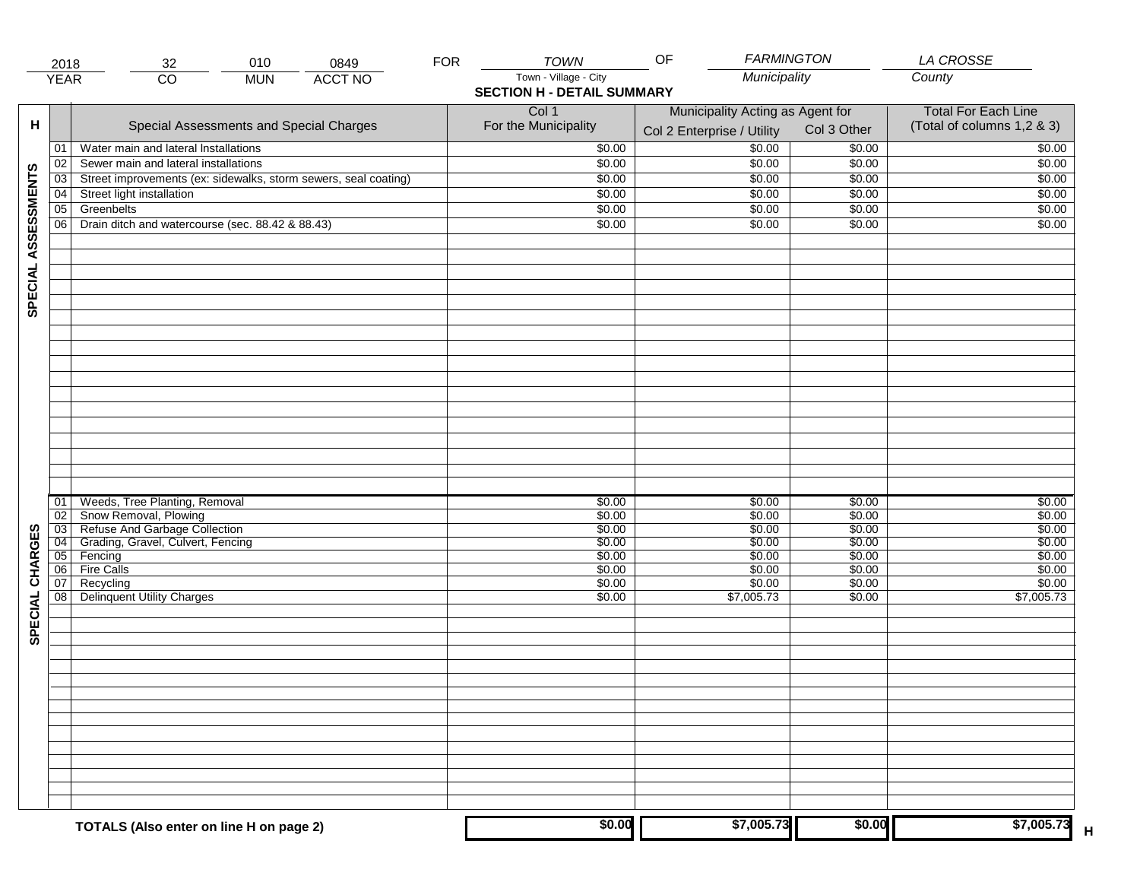|                     | 2018            | 010<br>32                                                       | 0849           | <b>FOR</b> | <b>TOWN</b>                       | OF                               | <b>FARMINGTON</b> | LA CROSSE                  |
|---------------------|-----------------|-----------------------------------------------------------------|----------------|------------|-----------------------------------|----------------------------------|-------------------|----------------------------|
|                     | <b>YEAR</b>     | $\overline{CO}$<br><b>MUN</b>                                   | <b>ACCT NO</b> |            | Town - Village - City             | Municipality                     |                   | County                     |
|                     |                 |                                                                 |                |            | <b>SECTION H - DETAIL SUMMARY</b> |                                  |                   |                            |
|                     |                 |                                                                 |                |            | Col 1                             | Municipality Acting as Agent for |                   | <b>Total For Each Line</b> |
| н                   |                 | Special Assessments and Special Charges                         |                |            | For the Municipality              | Col 2 Enterprise / Utility       | Col 3 Other       | (Total of columns 1,2 & 3) |
|                     |                 |                                                                 |                |            |                                   |                                  |                   |                            |
|                     | 01              | Water main and lateral Installations                            |                |            | \$0.00                            | \$0.00                           | \$0.00            | \$0.00                     |
|                     | 02              | Sewer main and lateral installations                            |                |            | \$0.00                            | \$0.00                           | \$0.00            | \$0.00                     |
|                     | 03              | Street improvements (ex: sidewalks, storm sewers, seal coating) |                |            | \$0.00                            | \$0.00                           | \$0.00            | \$0.00                     |
| SPECIAL ASSESSMENTS | 04              | Street light installation                                       |                |            | \$0.00                            | \$0.00                           | \$0.00            | \$0.00                     |
|                     | 05              | Greenbelts                                                      |                |            | \$0.00                            | \$0.00                           | \$0.00            | \$0.00                     |
|                     | 06              | Drain ditch and watercourse (sec. 88.42 & 88.43)                |                |            | \$0.00                            | \$0.00                           | \$0.00            | \$0.00                     |
|                     |                 |                                                                 |                |            |                                   |                                  |                   |                            |
|                     |                 |                                                                 |                |            |                                   |                                  |                   |                            |
|                     |                 |                                                                 |                |            |                                   |                                  |                   |                            |
|                     |                 |                                                                 |                |            |                                   |                                  |                   |                            |
|                     |                 |                                                                 |                |            |                                   |                                  |                   |                            |
|                     |                 |                                                                 |                |            |                                   |                                  |                   |                            |
|                     |                 |                                                                 |                |            |                                   |                                  |                   |                            |
|                     |                 |                                                                 |                |            |                                   |                                  |                   |                            |
|                     |                 |                                                                 |                |            |                                   |                                  |                   |                            |
|                     |                 |                                                                 |                |            |                                   |                                  |                   |                            |
|                     |                 |                                                                 |                |            |                                   |                                  |                   |                            |
|                     |                 |                                                                 |                |            |                                   |                                  |                   |                            |
|                     |                 |                                                                 |                |            |                                   |                                  |                   |                            |
|                     |                 |                                                                 |                |            |                                   |                                  |                   |                            |
|                     |                 |                                                                 |                |            |                                   |                                  |                   |                            |
|                     |                 |                                                                 |                |            |                                   |                                  |                   |                            |
|                     |                 |                                                                 |                |            |                                   |                                  |                   |                            |
|                     | 01              | Weeds, Tree Planting, Removal                                   |                |            | \$0.00                            | \$0.00                           | \$0.00            | \$0.00                     |
|                     | 02              | Snow Removal, Plowing                                           |                |            | \$0.00                            | \$0.00                           | \$0.00            | \$0.00                     |
|                     | $\overline{03}$ | Refuse And Garbage Collection                                   |                |            | \$0.00                            | \$0.00                           | \$0.00            | \$0.00                     |
|                     | $\overline{04}$ | Grading, Gravel, Culvert, Fencing                               |                |            | \$0.00                            | \$0.00                           | \$0.00            | \$0.00                     |
| SPECIAL CHARGES     | 05              | Fencing                                                         |                |            | \$0.00                            | \$0.00                           | \$0.00            | \$0.00                     |
|                     | 06              | <b>Fire Calls</b>                                               |                |            | \$0.00                            | \$0.00                           | \$0.00            | \$0.00                     |
|                     | 07              | Recycling                                                       |                |            | \$0.00                            | \$0.00                           | \$0.00            | \$0.00                     |
|                     | 08              | <b>Delinquent Utility Charges</b>                               |                |            | \$0.00                            | \$7,005.73                       | \$0.00            | \$7,005.73                 |
|                     |                 |                                                                 |                |            |                                   |                                  |                   |                            |
|                     |                 |                                                                 |                |            |                                   |                                  |                   |                            |
|                     |                 |                                                                 |                |            |                                   |                                  |                   |                            |
|                     |                 |                                                                 |                |            |                                   |                                  |                   |                            |
|                     |                 |                                                                 |                |            |                                   |                                  |                   |                            |
|                     |                 |                                                                 |                |            |                                   |                                  |                   |                            |
|                     |                 |                                                                 |                |            |                                   |                                  |                   |                            |
|                     |                 |                                                                 |                |            |                                   |                                  |                   |                            |
|                     |                 |                                                                 |                |            |                                   |                                  |                   |                            |
|                     |                 |                                                                 |                |            |                                   |                                  |                   |                            |
|                     |                 |                                                                 |                |            |                                   |                                  |                   |                            |
|                     |                 |                                                                 |                |            |                                   |                                  |                   |                            |
|                     |                 |                                                                 |                |            |                                   |                                  |                   |                            |
|                     |                 |                                                                 |                |            |                                   |                                  |                   |                            |
|                     |                 | TOTALS (Also enter on line H on page 2)                         |                |            | \$0.00                            | \$7,005.73                       | \$0.00            | \$7,005.73                 |
|                     |                 |                                                                 |                |            |                                   |                                  |                   |                            |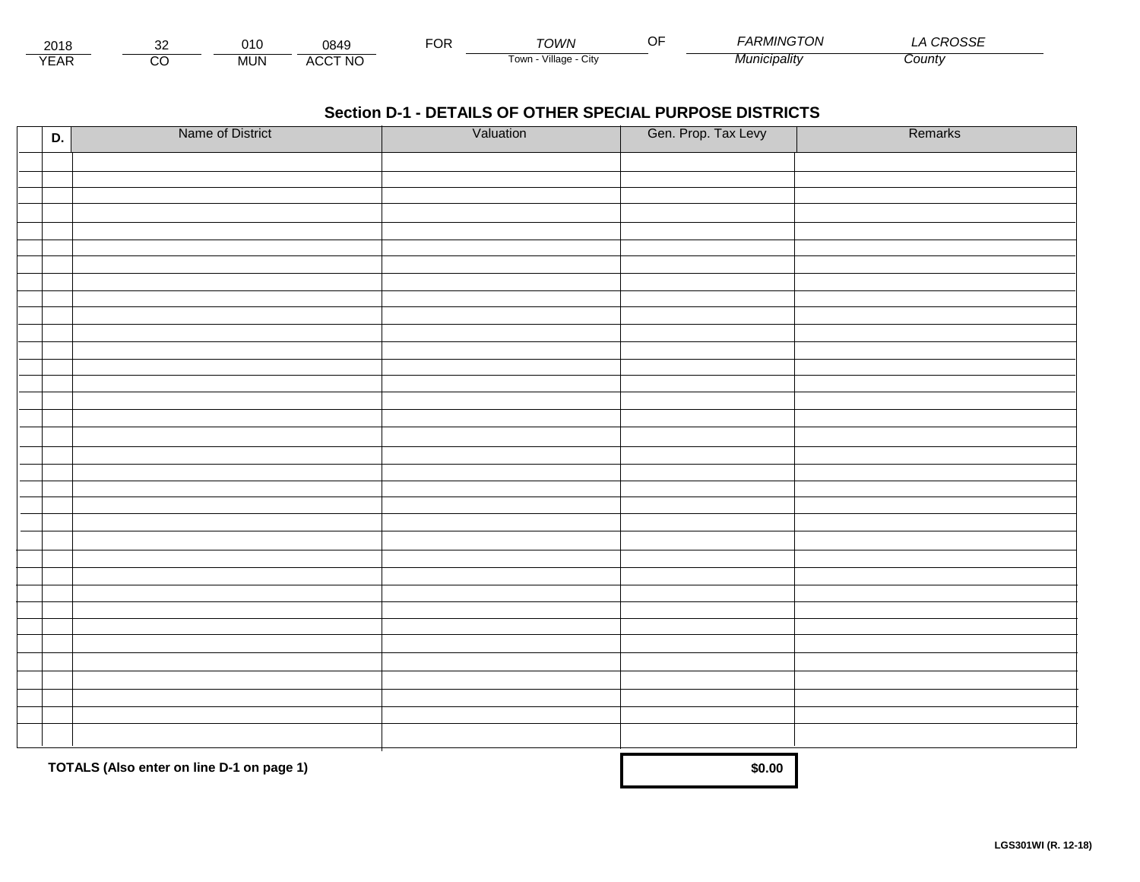| 2018            | ~~           | ງ1( | 18AC<br>,,,,,, | -^'<br>◡ | TOWN                    | $\cap$<br>⊣ر . | - - - - - - - - - - - - - - - -<br>, ON<br>. <i>MING</i> | $\sim$<br>∟טע |  |
|-----------------|--------------|-----|----------------|----------|-------------------------|----------------|----------------------------------------------------------|---------------|--|
| $\sqrt{2}$<br>ட | ~<br>$\cdot$ | MUI | ACCT NO        |          | /illage<br>Cit∖<br>Town |                | ınıcıpalıtv                                              | ∴ount∖        |  |

| D. | Name of District                          | Valuation | Gen. Prop. Tax Levy | Remarks |
|----|-------------------------------------------|-----------|---------------------|---------|
|    |                                           |           |                     |         |
|    |                                           |           |                     |         |
|    |                                           |           |                     |         |
|    |                                           |           |                     |         |
|    |                                           |           |                     |         |
|    |                                           |           |                     |         |
|    |                                           |           |                     |         |
|    |                                           |           |                     |         |
|    |                                           |           |                     |         |
|    |                                           |           |                     |         |
|    |                                           |           |                     |         |
|    |                                           |           |                     |         |
|    |                                           |           |                     |         |
|    |                                           |           |                     |         |
|    |                                           |           |                     |         |
|    |                                           |           |                     |         |
|    |                                           |           |                     |         |
|    |                                           |           |                     |         |
|    |                                           |           |                     |         |
|    |                                           |           |                     |         |
|    |                                           |           |                     |         |
|    |                                           |           |                     |         |
|    |                                           |           |                     |         |
|    |                                           |           |                     |         |
|    |                                           |           |                     |         |
|    |                                           |           |                     |         |
|    |                                           |           |                     |         |
|    |                                           |           |                     |         |
|    |                                           |           |                     |         |
|    |                                           |           |                     |         |
|    |                                           |           |                     |         |
|    | TOTALS (Also enter on line D-1 on page 1) |           | \$0.00              |         |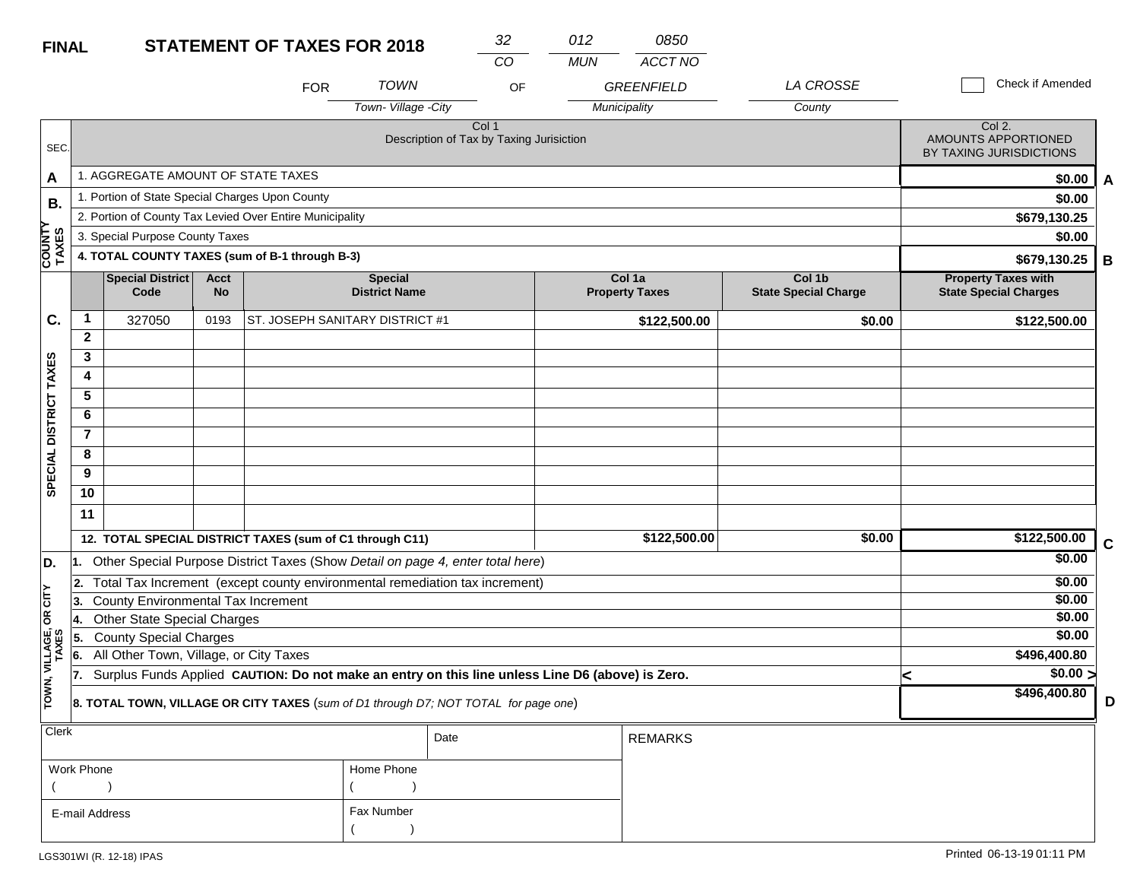| <b>FINAL</b>            |                |                                                                                                  |                          | <b>STATEMENT OF TAXES FOR 2018</b>                                                |                                        | 32                                                           | 012        | 0850                            |                                       |  |                                                            |   |
|-------------------------|----------------|--------------------------------------------------------------------------------------------------|--------------------------|-----------------------------------------------------------------------------------|----------------------------------------|--------------------------------------------------------------|------------|---------------------------------|---------------------------------------|--|------------------------------------------------------------|---|
|                         |                |                                                                                                  |                          |                                                                                   |                                        | CO                                                           | <b>MUN</b> | <b>ACCT NO</b>                  |                                       |  |                                                            |   |
|                         |                |                                                                                                  |                          | <b>FOR</b>                                                                        | <b>TOWN</b>                            | OF                                                           |            | <b>GREENFIELD</b>               | LA CROSSE                             |  | Check if Amended                                           |   |
|                         |                |                                                                                                  |                          |                                                                                   | Town-Village -City                     |                                                              |            | Municipality                    | County                                |  |                                                            |   |
| SEC.                    |                |                                                                                                  |                          |                                                                                   |                                        | Col <sub>1</sub><br>Description of Tax by Taxing Jurisiction |            |                                 |                                       |  | Col 2.<br>AMOUNTS APPORTIONED<br>BY TAXING JURISDICTIONS   |   |
| A                       |                | 1. AGGREGATE AMOUNT OF STATE TAXES                                                               |                          |                                                                                   |                                        |                                                              |            |                                 |                                       |  | \$0.00                                                     | A |
| <b>B.</b>               |                | 1. Portion of State Special Charges Upon County                                                  |                          |                                                                                   |                                        |                                                              |            |                                 |                                       |  | \$0.00                                                     |   |
|                         |                |                                                                                                  |                          | 2. Portion of County Tax Levied Over Entire Municipality                          |                                        |                                                              |            |                                 |                                       |  | \$679,130.25                                               |   |
|                         |                | 3. Special Purpose County Taxes                                                                  |                          |                                                                                   |                                        |                                                              |            |                                 |                                       |  | \$0.00                                                     |   |
| <b>COUNTY</b><br>TAXES  |                |                                                                                                  |                          | 4. TOTAL COUNTY TAXES (sum of B-1 through B-3)                                    |                                        |                                                              |            |                                 |                                       |  | \$679,130.25                                               | B |
|                         |                | <b>Special District</b><br>Code                                                                  | <b>Acct</b><br><b>No</b> |                                                                                   | <b>Special</b><br><b>District Name</b> |                                                              |            | Col 1a<br><b>Property Taxes</b> | Col 1b<br><b>State Special Charge</b> |  | <b>Property Taxes with</b><br><b>State Special Charges</b> |   |
| C.                      | 1              | 327050                                                                                           | 0193                     | ST. JOSEPH SANITARY DISTRICT #1                                                   |                                        |                                                              |            | \$122,500.00                    | \$0.00                                |  | \$122,500.00                                               |   |
|                         | $\mathbf{2}$   |                                                                                                  |                          |                                                                                   |                                        |                                                              |            |                                 |                                       |  |                                                            |   |
|                         | 3              |                                                                                                  |                          |                                                                                   |                                        |                                                              |            |                                 |                                       |  |                                                            |   |
|                         | 4              |                                                                                                  |                          |                                                                                   |                                        |                                                              |            |                                 |                                       |  |                                                            |   |
|                         | 5              |                                                                                                  |                          |                                                                                   |                                        |                                                              |            |                                 |                                       |  |                                                            |   |
|                         | 6              |                                                                                                  |                          |                                                                                   |                                        |                                                              |            |                                 |                                       |  |                                                            |   |
|                         | $\overline{7}$ |                                                                                                  |                          |                                                                                   |                                        |                                                              |            |                                 |                                       |  |                                                            |   |
|                         | 8              |                                                                                                  |                          |                                                                                   |                                        |                                                              |            |                                 |                                       |  |                                                            |   |
| SPECIAL DISTRICT TAXES  | 9              |                                                                                                  |                          |                                                                                   |                                        |                                                              |            |                                 |                                       |  |                                                            |   |
|                         | 10             |                                                                                                  |                          |                                                                                   |                                        |                                                              |            |                                 |                                       |  |                                                            |   |
|                         | 11             |                                                                                                  |                          |                                                                                   |                                        |                                                              |            |                                 |                                       |  |                                                            |   |
|                         |                |                                                                                                  |                          | 12. TOTAL SPECIAL DISTRICT TAXES (sum of C1 through C11)                          |                                        |                                                              |            | \$122,500.00                    | \$0.00                                |  | \$122,500.00                                               | C |
| D.                      |                |                                                                                                  |                          | 1. Other Special Purpose District Taxes (Show Detail on page 4, enter total here) |                                        |                                                              |            |                                 |                                       |  | \$0.00                                                     |   |
|                         | 2.             |                                                                                                  |                          | Total Tax Increment (except county environmental remediation tax increment)       |                                        |                                                              |            |                                 |                                       |  | \$0.00                                                     |   |
| čL                      | 13.            | <b>County Environmental Tax Increment</b>                                                        |                          |                                                                                   |                                        |                                                              |            |                                 |                                       |  | \$0.00                                                     |   |
| g                       | 14.            | <b>Other State Special Charges</b>                                                               |                          |                                                                                   |                                        |                                                              |            |                                 |                                       |  | \$0.00                                                     |   |
|                         | 5.             | <b>County Special Charges</b>                                                                    |                          |                                                                                   |                                        |                                                              |            |                                 |                                       |  | \$0.00                                                     |   |
|                         | 6.             | All Other Town, Village, or City Taxes                                                           |                          |                                                                                   |                                        | \$496,400.80                                                 |            |                                 |                                       |  |                                                            |   |
| TOWN, VILLAGE,<br>TAXES | 17.            | Surplus Funds Applied CAUTION: Do not make an entry on this line unless Line D6 (above) is Zero. |                          |                                                                                   | ⋖                                      | $\sqrt{$0.00}$                                               |            |                                 |                                       |  |                                                            |   |
|                         |                | 8. TOTAL TOWN, VILLAGE OR CITY TAXES (sum of D1 through D7; NOT TOTAL for page one)              |                          |                                                                                   | \$496,400.80                           | D                                                            |            |                                 |                                       |  |                                                            |   |
| <b>Clerk</b>            |                |                                                                                                  |                          |                                                                                   |                                        | Date                                                         |            | <b>REMARKS</b>                  |                                       |  |                                                            |   |

| ו טוטו         |            | Date | REMARKS |
|----------------|------------|------|---------|
| Work Phone     | Home Phone |      |         |
|                |            |      |         |
| E-mail Address | Fax Number |      |         |
|                |            |      |         |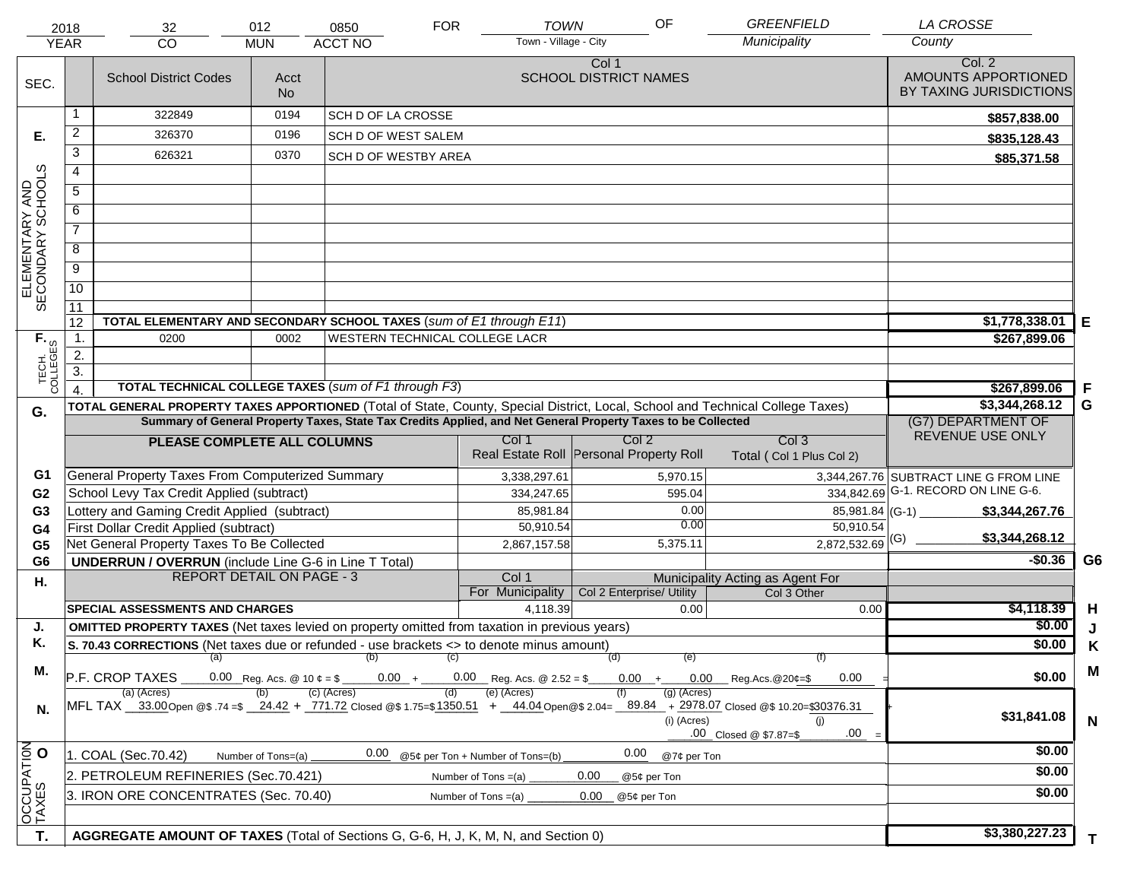|                                     | 2018<br><b>YEAR</b>                                                                                                                                                                                                                            | 32<br><b>CO</b>                                                                                                                                           | 012<br><b>MUN</b> | 0850<br><b>ACCT NO</b>                | <b>FOR</b> | <b>TOWN</b><br>Town - Village - City    | OF                                    |                              | <b>GREENFIELD</b><br>Municipality               | <b>LA CROSSE</b><br>County                               |                |
|-------------------------------------|------------------------------------------------------------------------------------------------------------------------------------------------------------------------------------------------------------------------------------------------|-----------------------------------------------------------------------------------------------------------------------------------------------------------|-------------------|---------------------------------------|------------|-----------------------------------------|---------------------------------------|------------------------------|-------------------------------------------------|----------------------------------------------------------|----------------|
| SEC.                                |                                                                                                                                                                                                                                                | <b>School District Codes</b>                                                                                                                              | Acct<br><b>No</b> |                                       |            |                                         | Col 1<br><b>SCHOOL DISTRICT NAMES</b> |                              |                                                 | Col. 2<br>AMOUNTS APPORTIONED<br>BY TAXING JURISDICTIONS |                |
|                                     |                                                                                                                                                                                                                                                | 322849                                                                                                                                                    | 0194              | <b>SCH D OF LA CROSSE</b>             |            |                                         |                                       |                              |                                                 | \$857,838.00                                             |                |
| Е.                                  | $\overline{a}$                                                                                                                                                                                                                                 | 326370                                                                                                                                                    | 0196              | SCH D OF WEST SALEM                   |            |                                         |                                       |                              |                                                 | \$835,128.43                                             |                |
|                                     | 3                                                                                                                                                                                                                                              | 626321                                                                                                                                                    | 0370              | SCH D OF WESTBY AREA                  |            |                                         |                                       |                              |                                                 | \$85,371.58                                              |                |
|                                     | $\overline{4}$                                                                                                                                                                                                                                 |                                                                                                                                                           |                   |                                       |            |                                         |                                       |                              |                                                 |                                                          |                |
|                                     | 5                                                                                                                                                                                                                                              |                                                                                                                                                           |                   |                                       |            |                                         |                                       |                              |                                                 |                                                          |                |
|                                     | 6                                                                                                                                                                                                                                              |                                                                                                                                                           |                   |                                       |            |                                         |                                       |                              |                                                 |                                                          |                |
| ELEMENTARY AND<br>SECONDARY SCHOOLS | $\overline{7}$                                                                                                                                                                                                                                 |                                                                                                                                                           |                   |                                       |            |                                         |                                       |                              |                                                 |                                                          |                |
|                                     | 8                                                                                                                                                                                                                                              |                                                                                                                                                           |                   |                                       |            |                                         |                                       |                              |                                                 |                                                          |                |
|                                     | $\overline{9}$                                                                                                                                                                                                                                 |                                                                                                                                                           |                   |                                       |            |                                         |                                       |                              |                                                 |                                                          |                |
|                                     | $\overline{10}$                                                                                                                                                                                                                                |                                                                                                                                                           |                   |                                       |            |                                         |                                       |                              |                                                 |                                                          |                |
|                                     | 11                                                                                                                                                                                                                                             |                                                                                                                                                           |                   |                                       |            |                                         |                                       |                              |                                                 |                                                          |                |
|                                     | 12                                                                                                                                                                                                                                             | TOTAL ELEMENTARY AND SECONDARY SCHOOL TAXES (sum of E1 through E11)                                                                                       |                   |                                       |            |                                         |                                       |                              |                                                 | \$1,778,338.01                                           | Е              |
|                                     | $\mathbf{1}$ .                                                                                                                                                                                                                                 | 0200                                                                                                                                                      | 0002              | <b>WESTERN TECHNICAL COLLEGE LACR</b> |            |                                         |                                       |                              |                                                 | \$267,899.06                                             |                |
|                                     | $\overline{2}$ .                                                                                                                                                                                                                               |                                                                                                                                                           |                   |                                       |            |                                         |                                       |                              |                                                 |                                                          |                |
| TECH. T<br>COLLEGES                 | $\overline{3}$ .                                                                                                                                                                                                                               |                                                                                                                                                           |                   |                                       |            |                                         |                                       |                              |                                                 |                                                          |                |
|                                     |                                                                                                                                                                                                                                                | <b>TOTAL TECHNICAL COLLEGE TAXES (sum of F1 through F3)</b>                                                                                               |                   |                                       |            |                                         |                                       |                              |                                                 | \$267,899.06                                             | F              |
| G.                                  | TOTAL GENERAL PROPERTY TAXES APPORTIONED (Total of State, County, Special District, Local, School and Technical College Taxes)<br>Summary of General Property Taxes, State Tax Credits Applied, and Net General Property Taxes to be Collected |                                                                                                                                                           |                   |                                       |            |                                         |                                       |                              |                                                 | \$3,344,268.12<br>(G7) DEPARTMENT OF                     | G              |
|                                     | Col 2<br>Col <sub>3</sub><br>Col 1<br>PLEASE COMPLETE ALL COLUMNS                                                                                                                                                                              |                                                                                                                                                           |                   |                                       |            |                                         |                                       |                              |                                                 | REVENUE USE ONLY                                         |                |
|                                     |                                                                                                                                                                                                                                                |                                                                                                                                                           |                   |                                       |            | Real Estate Roll Personal Property Roll |                                       |                              | Total (Col 1 Plus Col 2)                        |                                                          |                |
| G1                                  |                                                                                                                                                                                                                                                | General Property Taxes From Computerized Summary                                                                                                          |                   |                                       |            | 3,338,297.61                            |                                       | 5,970.15                     |                                                 | 3,344,267.76 SUBTRACT LINE G FROM LINE                   |                |
| G <sub>2</sub>                      |                                                                                                                                                                                                                                                | School Levy Tax Credit Applied (subtract)                                                                                                                 |                   |                                       |            | 334,247.65                              |                                       | 595.04                       |                                                 | 334,842.69 G-1. RECORD ON LINE G-6.                      |                |
| G <sub>3</sub>                      |                                                                                                                                                                                                                                                | Lottery and Gaming Credit Applied (subtract)                                                                                                              |                   |                                       |            | 85,981.84                               |                                       | 0.00                         | $85,981.84$ (G-1) $-$                           | \$3,344,267.76                                           |                |
| G4                                  |                                                                                                                                                                                                                                                | First Dollar Credit Applied (subtract)                                                                                                                    |                   |                                       |            | 50,910.54                               |                                       | 0.00                         | 50,910.54                                       | \$3,344,268.12                                           |                |
| G <sub>5</sub>                      |                                                                                                                                                                                                                                                | Net General Property Taxes To Be Collected                                                                                                                |                   |                                       |            | 2,867,157.58                            |                                       | 5,375.11                     | $2,872,532.69$ <sup>(G)</sup>                   |                                                          |                |
| G <sub>6</sub>                      |                                                                                                                                                                                                                                                | <b>UNDERRUN / OVERRUN</b> (include Line G-6 in Line T Total)<br><b>REPORT DETAIL ON PAGE - 3</b>                                                          |                   |                                       |            |                                         |                                       |                              |                                                 | $-$0.36$                                                 | G <sub>6</sub> |
| Η.                                  |                                                                                                                                                                                                                                                |                                                                                                                                                           |                   |                                       |            | Col 1<br>For Municipality               | Col 2 Enterprise/ Utility             |                              | Municipality Acting as Agent For<br>Col 3 Other |                                                          |                |
|                                     |                                                                                                                                                                                                                                                | <b>SPECIAL ASSESSMENTS AND CHARGES</b>                                                                                                                    |                   |                                       |            | 4,118.39                                |                                       | 0.00                         | 0.00                                            | \$4,118.39                                               | H              |
| J.                                  |                                                                                                                                                                                                                                                | <b>OMITTED PROPERTY TAXES</b> (Net taxes levied on property omitted from taxation in previous years)                                                      |                   |                                       |            |                                         |                                       |                              |                                                 | \$0.00                                                   | J              |
| Κ.                                  |                                                                                                                                                                                                                                                | S. 70.43 CORRECTIONS (Net taxes due or refunded - use brackets <> to denote minus amount)                                                                 |                   |                                       |            |                                         |                                       |                              |                                                 | \$0.00                                                   | Κ              |
|                                     |                                                                                                                                                                                                                                                | $(a)$ (b)                                                                                                                                                 |                   |                                       | (C)        | $0.00 + 0.00$ Reg. Acs. @ 2.52 = \$     | (d)                                   | (e)                          | (f)                                             |                                                          |                |
| М.                                  |                                                                                                                                                                                                                                                | P.F. CROP TAXES<br>0.00 Reg. Acs. @ 10 $\phi = \frac{1}{2}$                                                                                               | \$0.00            | M                                     |            |                                         |                                       |                              |                                                 |                                                          |                |
| N.                                  |                                                                                                                                                                                                                                                | (a) (Acres)<br>MFL TAX 33.00 Open @\$ .74 =\$ 24.42 + 771.72 Closed @\$ 1.75=\$1350.51 + 44.04 Open @\$ 2.04= 89.84 + 2978.07 Closed @\$ 10.20=\$30376.31 |                   | $(c)$ (Acres)                         | (d)        | (e) (Acres)                             |                                       | $(g)$ (Acres)<br>(i) (Acres) | (i)<br>.00<br>.00 Closed @ \$7.87=\$            | \$31,841.08                                              | $\mathbf N$    |
|                                     | 0.00<br>0.00<br>1. COAL (Sec.70.42)<br>@5¢ per Ton + Number of Tons=(b)<br>Number of Tons=(a)<br>@7¢ per Ton                                                                                                                                   |                                                                                                                                                           |                   |                                       |            |                                         |                                       |                              |                                                 | \$0.00                                                   |                |
| OCCUPATION                          | 2. PETROLEUM REFINERIES (Sec.70.421)<br>0.00<br>Number of Tons $=(a)$<br>@5¢ per Ton                                                                                                                                                           |                                                                                                                                                           |                   |                                       |            |                                         |                                       |                              |                                                 | \$0.00                                                   |                |
|                                     |                                                                                                                                                                                                                                                | 3. IRON ORE CONCENTRATES (Sec. 70.40)                                                                                                                     |                   |                                       |            | Number of Tons $=(a)$                   | 0.00<br>@5¢ per Ton                   |                              |                                                 | \$0.00                                                   |                |
|                                     |                                                                                                                                                                                                                                                |                                                                                                                                                           |                   |                                       |            |                                         |                                       |                              |                                                 |                                                          |                |
| T.                                  | AGGREGATE AMOUNT OF TAXES (Total of Sections G, G-6, H, J, K, M, N, and Section 0)                                                                                                                                                             |                                                                                                                                                           |                   |                                       |            |                                         |                                       |                              |                                                 | \$3,380,227.23                                           |                |
|                                     |                                                                                                                                                                                                                                                |                                                                                                                                                           |                   |                                       | T.         |                                         |                                       |                              |                                                 |                                                          |                |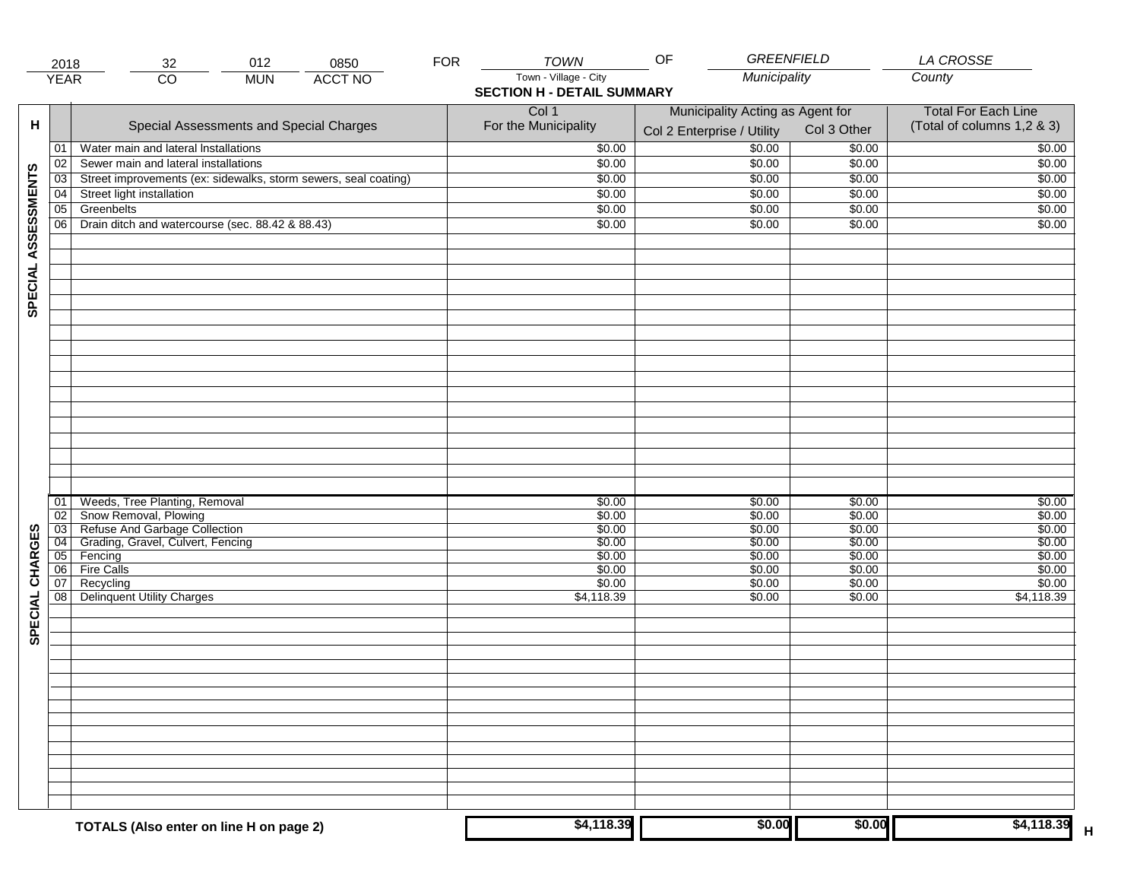|                     | 2018                  | 012<br>32                                                       | <b>FOR</b><br>0850 | <b>TOWN</b>                       | OF<br><b>GREENFIELD</b>          |                  | LA CROSSE                  |
|---------------------|-----------------------|-----------------------------------------------------------------|--------------------|-----------------------------------|----------------------------------|------------------|----------------------------|
|                     | <b>YEAR</b>           | $\overline{CO}$<br><b>MUN</b>                                   | <b>ACCT NO</b>     | Town - Village - City             | Municipality                     |                  | County                     |
|                     |                       |                                                                 |                    | <b>SECTION H - DETAIL SUMMARY</b> |                                  |                  |                            |
|                     |                       |                                                                 |                    | Col 1                             | Municipality Acting as Agent for |                  | <b>Total For Each Line</b> |
| н                   |                       | Special Assessments and Special Charges                         |                    | For the Municipality              |                                  | Col 3 Other      | (Total of columns 1,2 & 3) |
|                     |                       |                                                                 |                    |                                   | Col 2 Enterprise / Utility       |                  |                            |
|                     | 01                    | Water main and lateral Installations                            |                    | \$0.00                            | \$0.00                           | \$0.00           | \$0.00                     |
|                     | 02                    | Sewer main and lateral installations                            |                    | \$0.00                            | \$0.00                           | \$0.00           | \$0.00                     |
|                     | 03                    | Street improvements (ex: sidewalks, storm sewers, seal coating) |                    | \$0.00                            | \$0.00                           | \$0.00           | \$0.00                     |
| SPECIAL ASSESSMENTS | 04                    | Street light installation                                       |                    | \$0.00                            | \$0.00                           | \$0.00           | \$0.00                     |
|                     | 05                    | Greenbelts                                                      |                    | \$0.00                            | \$0.00                           | \$0.00           | \$0.00                     |
|                     | 06                    | Drain ditch and watercourse (sec. 88.42 & 88.43)                |                    | \$0.00                            | \$0.00                           | \$0.00           | \$0.00                     |
|                     |                       |                                                                 |                    |                                   |                                  |                  |                            |
|                     |                       |                                                                 |                    |                                   |                                  |                  |                            |
|                     |                       |                                                                 |                    |                                   |                                  |                  |                            |
|                     |                       |                                                                 |                    |                                   |                                  |                  |                            |
|                     |                       |                                                                 |                    |                                   |                                  |                  |                            |
|                     |                       |                                                                 |                    |                                   |                                  |                  |                            |
|                     |                       |                                                                 |                    |                                   |                                  |                  |                            |
|                     |                       |                                                                 |                    |                                   |                                  |                  |                            |
|                     |                       |                                                                 |                    |                                   |                                  |                  |                            |
|                     |                       |                                                                 |                    |                                   |                                  |                  |                            |
|                     |                       |                                                                 |                    |                                   |                                  |                  |                            |
|                     |                       |                                                                 |                    |                                   |                                  |                  |                            |
|                     |                       |                                                                 |                    |                                   |                                  |                  |                            |
|                     |                       |                                                                 |                    |                                   |                                  |                  |                            |
|                     |                       |                                                                 |                    |                                   |                                  |                  |                            |
|                     |                       |                                                                 |                    |                                   |                                  |                  |                            |
|                     |                       |                                                                 |                    |                                   |                                  |                  |                            |
|                     |                       |                                                                 |                    |                                   |                                  |                  |                            |
|                     | 01                    | Weeds, Tree Planting, Removal                                   |                    | \$0.00                            | \$0.00                           | \$0.00           | \$0.00                     |
|                     | 02<br>$\overline{03}$ | Snow Removal, Plowing<br>Refuse And Garbage Collection          |                    | \$0.00<br>\$0.00                  | \$0.00<br>\$0.00                 | \$0.00<br>\$0.00 | \$0.00<br>\$0.00           |
|                     | $\overline{04}$       | Grading, Gravel, Culvert, Fencing                               |                    | \$0.00                            | \$0.00                           | \$0.00           | \$0.00                     |
| SPECIAL CHARGES     | 05                    | Fencing                                                         |                    | \$0.00                            | \$0.00                           | \$0.00           | \$0.00                     |
|                     | 06                    | <b>Fire Calls</b>                                               |                    | \$0.00                            | \$0.00                           | \$0.00           | \$0.00                     |
|                     | 07                    | Recycling                                                       |                    | \$0.00                            | \$0.00                           | \$0.00           | \$0.00                     |
|                     | 08                    | <b>Delinquent Utility Charges</b>                               |                    | \$4,118.39                        | \$0.00                           | \$0.00           | \$4,118.39                 |
|                     |                       |                                                                 |                    |                                   |                                  |                  |                            |
|                     |                       |                                                                 |                    |                                   |                                  |                  |                            |
|                     |                       |                                                                 |                    |                                   |                                  |                  |                            |
|                     |                       |                                                                 |                    |                                   |                                  |                  |                            |
|                     |                       |                                                                 |                    |                                   |                                  |                  |                            |
|                     |                       |                                                                 |                    |                                   |                                  |                  |                            |
|                     |                       |                                                                 |                    |                                   |                                  |                  |                            |
|                     |                       |                                                                 |                    |                                   |                                  |                  |                            |
|                     |                       |                                                                 |                    |                                   |                                  |                  |                            |
|                     |                       |                                                                 |                    |                                   |                                  |                  |                            |
|                     |                       |                                                                 |                    |                                   |                                  |                  |                            |
|                     |                       |                                                                 |                    |                                   |                                  |                  |                            |
|                     |                       |                                                                 |                    |                                   |                                  |                  |                            |
|                     |                       |                                                                 |                    |                                   |                                  |                  |                            |
|                     |                       |                                                                 |                    |                                   | \$0.00                           |                  |                            |
|                     |                       | TOTALS (Also enter on line H on page 2)                         |                    | \$4,118.39                        |                                  | \$0.00           | \$4,118.39                 |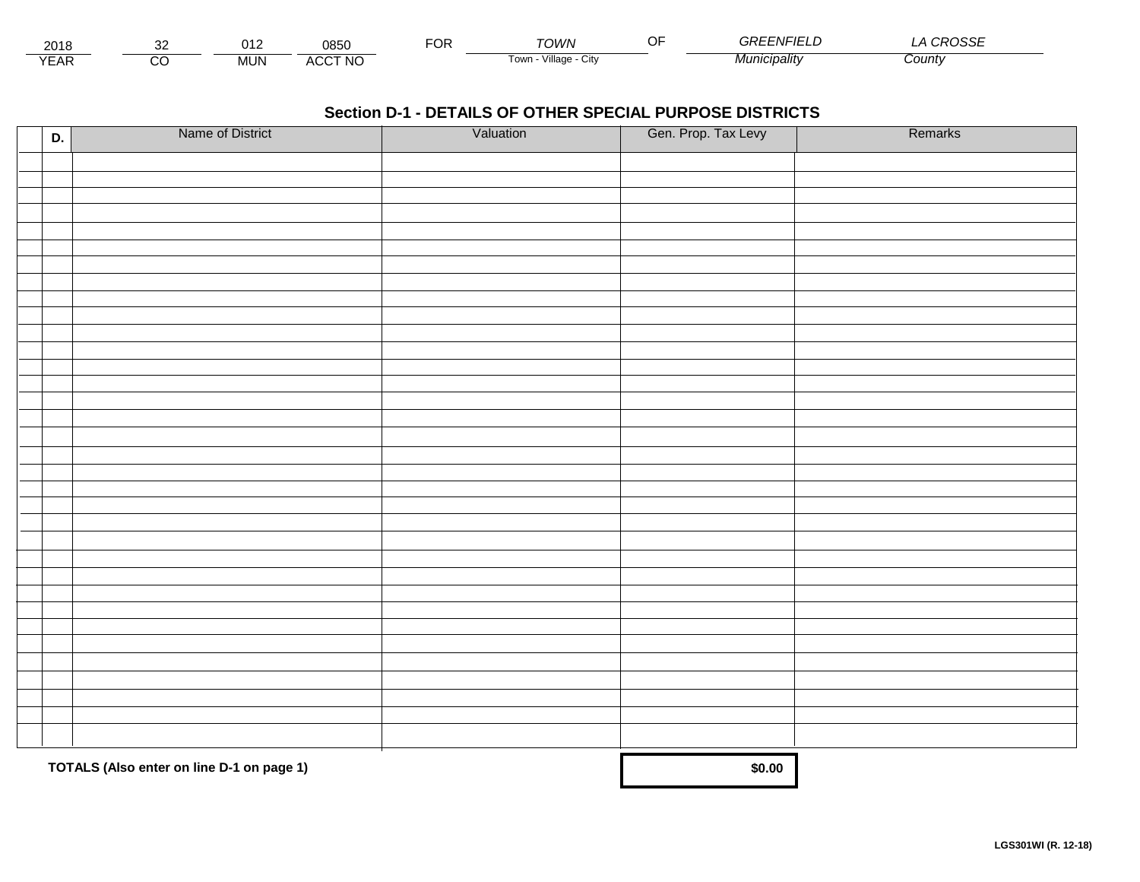| 2018                          |          | า 1 ว<br>. . | 0850           | ◡┍ | ™∩WN                    | - - | $\cdots$<br>`<br>-וו–ות  | $\sim$<br>SSE |
|-------------------------------|----------|--------------|----------------|----|-------------------------|-----|--------------------------|---------------|
| $V = V$<br>$\mathsf{L}$<br>⊢ี | ~~<br>ىد | <b>MUN</b>   | <b>ACCT NO</b> |    | Village<br>l own<br>URV |     | ` <i>'CIDalitv</i><br>МU | <i>⊃ount∨</i> |

| D. | Name of District                          | Valuation | Gen. Prop. Tax Levy | Remarks |
|----|-------------------------------------------|-----------|---------------------|---------|
|    |                                           |           |                     |         |
|    |                                           |           |                     |         |
|    |                                           |           |                     |         |
|    |                                           |           |                     |         |
|    |                                           |           |                     |         |
|    |                                           |           |                     |         |
|    |                                           |           |                     |         |
|    |                                           |           |                     |         |
|    |                                           |           |                     |         |
|    |                                           |           |                     |         |
|    |                                           |           |                     |         |
|    |                                           |           |                     |         |
|    |                                           |           |                     |         |
|    |                                           |           |                     |         |
|    |                                           |           |                     |         |
|    |                                           |           |                     |         |
|    |                                           |           |                     |         |
|    |                                           |           |                     |         |
|    |                                           |           |                     |         |
|    |                                           |           |                     |         |
|    |                                           |           |                     |         |
|    |                                           |           |                     |         |
|    |                                           |           |                     |         |
|    |                                           |           |                     |         |
|    |                                           |           |                     |         |
|    |                                           |           |                     |         |
|    |                                           |           |                     |         |
|    |                                           |           |                     |         |
|    |                                           |           |                     |         |
|    |                                           |           |                     |         |
|    |                                           |           |                     |         |
|    |                                           |           |                     |         |
|    |                                           |           |                     |         |
|    | TOTALS (Also enter on line D-1 on page 1) |           | \$0.00              |         |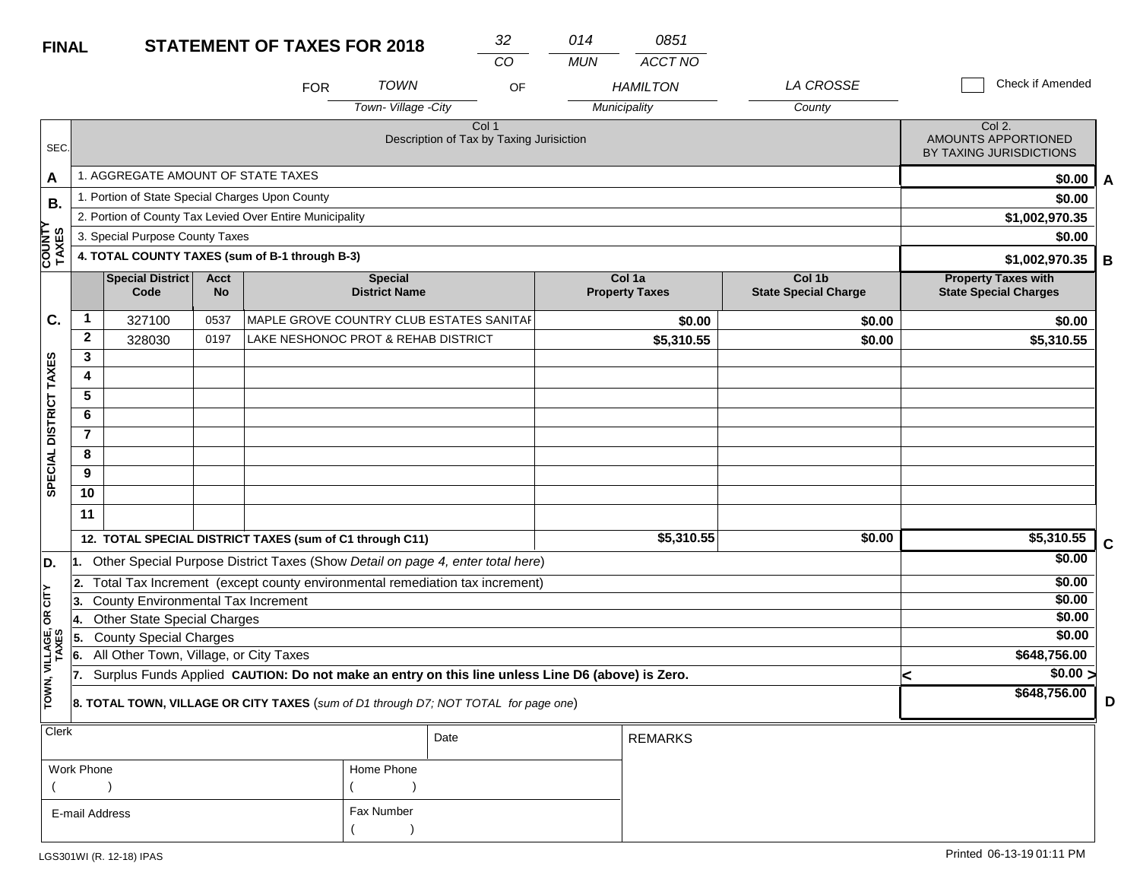| <b>FINAL</b>           |                |                                                 |                          | <b>STATEMENT OF TAXES FOR 2018</b>                       |                                        | 32                                                                                               | 014        | 0851                            |                                       |                                                            |   |
|------------------------|----------------|-------------------------------------------------|--------------------------|----------------------------------------------------------|----------------------------------------|--------------------------------------------------------------------------------------------------|------------|---------------------------------|---------------------------------------|------------------------------------------------------------|---|
|                        |                |                                                 |                          |                                                          |                                        | $\overline{CO}$                                                                                  | <b>MUN</b> | ACCT NO                         |                                       |                                                            |   |
|                        |                |                                                 |                          | <b>FOR</b>                                               | <b>TOWN</b>                            | OF                                                                                               |            | <b>HAMILTON</b>                 | LA CROSSE                             | Check if Amended                                           |   |
|                        |                |                                                 |                          |                                                          | Town-Village -City                     |                                                                                                  |            | Municipality                    | County                                |                                                            |   |
| SEC.                   |                |                                                 |                          |                                                          |                                        | Col <sub>1</sub><br>Description of Tax by Taxing Jurisiction                                     |            |                                 |                                       | Col 2.<br>AMOUNTS APPORTIONED<br>BY TAXING JURISDICTIONS   |   |
| A                      |                | 1. AGGREGATE AMOUNT OF STATE TAXES              |                          |                                                          |                                        |                                                                                                  |            |                                 |                                       | \$0.00                                                     | A |
| <b>B.</b>              |                | 1. Portion of State Special Charges Upon County |                          |                                                          |                                        |                                                                                                  |            |                                 |                                       | \$0.00                                                     |   |
| ≻                      |                |                                                 |                          | 2. Portion of County Tax Levied Over Entire Municipality |                                        |                                                                                                  |            |                                 |                                       | \$1,002,970.35                                             |   |
|                        |                | 3. Special Purpose County Taxes                 |                          |                                                          |                                        |                                                                                                  |            |                                 |                                       | \$0.00                                                     |   |
| <b>COUNT</b><br>TAXES  |                |                                                 |                          | 4. TOTAL COUNTY TAXES (sum of B-1 through B-3)           |                                        |                                                                                                  |            |                                 |                                       | \$1,002,970.35                                             | В |
|                        |                | Special District<br>Code                        | <b>Acct</b><br><b>No</b> |                                                          | <b>Special</b><br><b>District Name</b> |                                                                                                  |            | Col 1a<br><b>Property Taxes</b> | Col 1b<br><b>State Special Charge</b> | <b>Property Taxes with</b><br><b>State Special Charges</b> |   |
| C.                     | $\mathbf 1$    | 327100                                          | 0537                     |                                                          |                                        | MAPLE GROVE COUNTRY CLUB ESTATES SANITAF                                                         |            | \$0.00                          | \$0.00                                | \$0.00                                                     |   |
|                        | $\mathbf{2}$   | 328030                                          | 0197                     | LAKE NESHONOC PROT & REHAB DISTRICT                      |                                        |                                                                                                  |            | \$5,310.55                      | \$0.00                                | \$5,310.55                                                 |   |
|                        | 3              |                                                 |                          |                                                          |                                        |                                                                                                  |            |                                 |                                       |                                                            |   |
|                        | 4              |                                                 |                          |                                                          |                                        |                                                                                                  |            |                                 |                                       |                                                            |   |
|                        | 5              |                                                 |                          |                                                          |                                        |                                                                                                  |            |                                 |                                       |                                                            |   |
|                        | 6              |                                                 |                          |                                                          |                                        |                                                                                                  |            |                                 |                                       |                                                            |   |
|                        | $\overline{7}$ |                                                 |                          |                                                          |                                        |                                                                                                  |            |                                 |                                       |                                                            |   |
|                        | 8              |                                                 |                          |                                                          |                                        |                                                                                                  |            |                                 |                                       |                                                            |   |
| SPECIAL DISTRICT TAXES | 9              |                                                 |                          |                                                          |                                        |                                                                                                  |            |                                 |                                       |                                                            |   |
|                        | 10             |                                                 |                          |                                                          |                                        |                                                                                                  |            |                                 |                                       |                                                            |   |
|                        | 11             |                                                 |                          |                                                          |                                        |                                                                                                  |            |                                 |                                       |                                                            |   |
|                        |                |                                                 |                          | 12. TOTAL SPECIAL DISTRICT TAXES (sum of C1 through C11) |                                        |                                                                                                  |            | \$5,310.55                      | \$0.00                                | \$5,310.55                                                 | C |
| D.                     | 11.            |                                                 |                          |                                                          |                                        | Other Special Purpose District Taxes (Show Detail on page 4, enter total here)                   |            |                                 |                                       | \$0.00                                                     |   |
|                        | 2.             |                                                 |                          |                                                          |                                        | Total Tax Increment (except county environmental remediation tax increment)                      |            |                                 |                                       | \$0.00                                                     |   |
| <b>CITY</b>            | 3.             | <b>County Environmental Tax Increment</b>       |                          |                                                          |                                        |                                                                                                  |            |                                 |                                       | \$0.00                                                     |   |
| бR                     | 14.            | <b>Other State Special Charges</b>              |                          |                                                          |                                        |                                                                                                  |            |                                 |                                       | \$0.00                                                     |   |
|                        | 5.             | <b>County Special Charges</b>                   |                          |                                                          |                                        |                                                                                                  |            |                                 |                                       | \$0.00                                                     |   |
| VILLAGE,<br>TAXES      | 6.             | All Other Town, Village, or City Taxes          |                          |                                                          |                                        |                                                                                                  |            |                                 |                                       | \$648,756.00                                               |   |
|                        | 17.            |                                                 |                          |                                                          |                                        | Surplus Funds Applied CAUTION: Do not make an entry on this line unless Line D6 (above) is Zero. |            |                                 |                                       | \$0.00 ><br><                                              |   |
| TOWN,                  |                |                                                 |                          |                                                          |                                        | 8. TOTAL TOWN, VILLAGE OR CITY TAXES (sum of D1 through D7; NOT TOTAL for page one)              |            |                                 |                                       | \$648,756.00                                               | D |
| Clerk                  |                |                                                 |                          |                                                          |                                        | Date                                                                                             |            | <b>REMARKS</b>                  |                                       |                                                            |   |

|                |            | Date | REMARKS |
|----------------|------------|------|---------|
| Work Phone     | Home Phone |      |         |
|                |            |      |         |
| E-mail Address | Fax Number |      |         |
|                |            |      |         |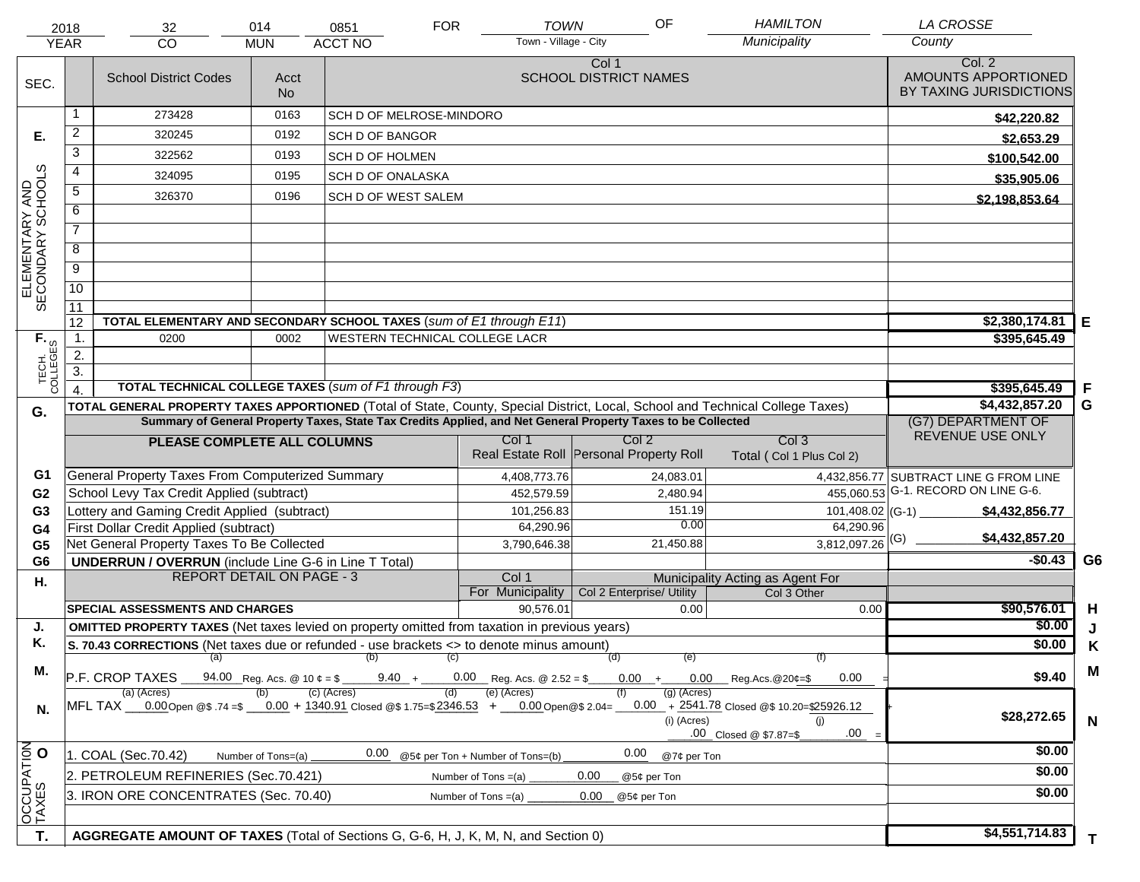|                                     | 2018                                 | 32                                                                                                                             | 014                                | 0851                           | <b>FOR</b>        | <b>TOWN</b>                             | OF                                    |                              | <b>HAMILTON</b>                                                                          | <b>LA CROSSE</b>                                         |                |
|-------------------------------------|--------------------------------------|--------------------------------------------------------------------------------------------------------------------------------|------------------------------------|--------------------------------|-------------------|-----------------------------------------|---------------------------------------|------------------------------|------------------------------------------------------------------------------------------|----------------------------------------------------------|----------------|
|                                     | <b>YEAR</b>                          | <b>CO</b>                                                                                                                      | <b>MUN</b>                         | <b>ACCT NO</b>                 |                   | Town - Village - City                   |                                       |                              | Municipality                                                                             | County                                                   |                |
| SEC.                                |                                      | <b>School District Codes</b>                                                                                                   | Acct<br><b>No</b>                  |                                |                   |                                         | Col 1<br><b>SCHOOL DISTRICT NAMES</b> |                              |                                                                                          | Col. 2<br>AMOUNTS APPORTIONED<br>BY TAXING JURISDICTIONS |                |
|                                     | 1                                    | 273428                                                                                                                         | 0163                               | SCH D OF MELROSE-MINDORO       |                   |                                         |                                       |                              |                                                                                          | \$42,220.82                                              |                |
| Е.                                  | $\overline{2}$                       | 320245                                                                                                                         | 0192                               | <b>SCH D OF BANGOR</b>         |                   |                                         |                                       |                              |                                                                                          | \$2,653.29                                               |                |
|                                     | $\overline{3}$                       | 322562                                                                                                                         | 0193                               | SCH D OF HOLMEN                |                   |                                         |                                       |                              |                                                                                          | \$100,542.00                                             |                |
|                                     | 4                                    | 324095                                                                                                                         | 0195                               | <b>SCH D OF ONALASKA</b>       |                   |                                         |                                       |                              |                                                                                          | \$35,905.06                                              |                |
| ELEMENTARY AND<br>SECONDARY SCHOOLS | $\overline{5}$                       | 326370                                                                                                                         | 0196                               | <b>SCH D OF WEST SALEM</b>     |                   |                                         |                                       |                              |                                                                                          | \$2,198,853.64                                           |                |
|                                     | 6                                    |                                                                                                                                |                                    |                                |                   |                                         |                                       |                              |                                                                                          |                                                          |                |
|                                     | $\overline{7}$                       |                                                                                                                                |                                    |                                |                   |                                         |                                       |                              |                                                                                          |                                                          |                |
|                                     | 8                                    |                                                                                                                                |                                    |                                |                   |                                         |                                       |                              |                                                                                          |                                                          |                |
|                                     | $\overline{9}$                       |                                                                                                                                |                                    |                                |                   |                                         |                                       |                              |                                                                                          |                                                          |                |
|                                     | 10                                   |                                                                                                                                |                                    |                                |                   |                                         |                                       |                              |                                                                                          |                                                          |                |
|                                     | $\overline{11}$                      |                                                                                                                                |                                    |                                |                   |                                         |                                       |                              |                                                                                          |                                                          |                |
|                                     | 12                                   | TOTAL ELEMENTARY AND SECONDARY SCHOOL TAXES (sum of E1 through E11)                                                            |                                    |                                |                   |                                         |                                       |                              |                                                                                          | \$2,380,174.81                                           | E              |
|                                     | $\overline{1}$ .                     | 0200                                                                                                                           | 0002                               | WESTERN TECHNICAL COLLEGE LACR |                   |                                         |                                       |                              |                                                                                          | \$395,645.49                                             |                |
|                                     | $\overline{2}$ .<br>$\overline{3}$ . |                                                                                                                                |                                    |                                |                   |                                         |                                       |                              |                                                                                          |                                                          |                |
| TECH. T                             | $\overline{4}$                       | <b>TOTAL TECHNICAL COLLEGE TAXES (sum of F1 through F3)</b>                                                                    |                                    |                                |                   |                                         |                                       |                              |                                                                                          | \$395,645.49                                             | -F             |
|                                     |                                      | TOTAL GENERAL PROPERTY TAXES APPORTIONED (Total of State, County, Special District, Local, School and Technical College Taxes) |                                    |                                |                   |                                         |                                       |                              |                                                                                          | \$4,432,857.20                                           | G              |
| G.                                  |                                      | Summary of General Property Taxes, State Tax Credits Applied, and Net General Property Taxes to be Collected                   |                                    |                                |                   |                                         |                                       |                              |                                                                                          | (G7) DEPARTMENT OF                                       |                |
|                                     |                                      | PLEASE COMPLETE ALL COLUMNS                                                                                                    |                                    |                                |                   | Col 1                                   | Col 2                                 |                              | Col <sub>3</sub>                                                                         | REVENUE USE ONLY                                         |                |
|                                     |                                      |                                                                                                                                |                                    |                                |                   | Real Estate Roll Personal Property Roll |                                       |                              | Total (Col 1 Plus Col 2)                                                                 |                                                          |                |
| G1                                  |                                      | <b>General Property Taxes From Computerized Summary</b>                                                                        |                                    |                                |                   | 4,408,773.76                            |                                       | 24,083.01                    |                                                                                          | 4,432,856.77 SUBTRACT LINE G FROM LINE                   |                |
| G <sub>2</sub>                      |                                      | School Levy Tax Credit Applied (subtract)                                                                                      |                                    |                                |                   | 452,579.59                              |                                       | 2,480.94                     |                                                                                          | 455,060.53 G-1. RECORD ON LINE G-6.                      |                |
| G <sub>3</sub>                      |                                      | Lottery and Gaming Credit Applied (subtract)                                                                                   |                                    |                                |                   | 101,256.83                              |                                       | 151.19<br>0.00               | $101,408.02$ (G-1)                                                                       | \$4,432,856.77                                           |                |
| G4                                  |                                      | First Dollar Credit Applied (subtract)                                                                                         |                                    |                                |                   | 64,290.96                               |                                       |                              | 64,290.96                                                                                | \$4,432,857.20                                           |                |
| G <sub>5</sub><br>G <sub>6</sub>    |                                      | Net General Property Taxes To Be Collected                                                                                     |                                    |                                |                   | 3,790,646.38                            |                                       | 21,450.88                    | $3,812,097.26$ <sup>(G)</sup>                                                            | $-$0.43$                                                 | G <sub>6</sub> |
|                                     |                                      | <b>UNDERRUN / OVERRUN</b> (include Line G-6 in Line T Total)<br><b>REPORT DETAIL ON PAGE - 3</b>                               |                                    |                                |                   | Col 1                                   |                                       |                              | Municipality Acting as Agent For                                                         |                                                          |                |
| Η.                                  |                                      |                                                                                                                                |                                    |                                |                   | For Municipality                        | Col 2 Enterprise/ Utility             |                              | Col 3 Other                                                                              |                                                          |                |
|                                     |                                      | SPECIAL ASSESSMENTS AND CHARGES                                                                                                |                                    |                                |                   | 90,576.01                               |                                       | 0.00                         | 0.00                                                                                     | \$90,576.01                                              | H              |
| J.                                  |                                      | <b>OMITTED PROPERTY TAXES</b> (Net taxes levied on property omitted from taxation in previous years)                           |                                    |                                |                   |                                         |                                       |                              |                                                                                          | \$0.00                                                   | J              |
| Κ.                                  |                                      | S. 70.43 CORRECTIONS (Net taxes due or refunded - use brackets <> to denote minus amount)                                      |                                    |                                |                   |                                         |                                       |                              |                                                                                          | \$0.00                                                   | Κ              |
| Μ.                                  |                                      | (a)<br>P.F. CROP TAXES                                                                                                         | $94.00$ Reg. Acs. @ 10 $\ell =$ \$ | (b)<br>$9.40 +$                | $\left( c\right)$ | $0.00$ Reg. Acs. @ 2.52 = \$            | (d)<br>$0.00 +$                       | (e)<br>$0.00\,$              | 7T)<br>0.00<br>Reg.Acs.@20¢=\$                                                           | \$9.40                                                   | M              |
| N.                                  |                                      | (a) (Acres)<br>MFL TAX 0.00 Open @\$.74 =\$ 0.00 + 1340.91 Closed @\$1.75 = \$2346.53 + 0.00 Open @\$2.04 =                    |                                    | (c) (Acres)                    |                   | (e) (Acres)                             |                                       | $(g)$ (Acres)<br>(i) (Acres) | $0.00 + 2541.78$ Closed @\$ 10.20=\$25926.12<br>(i)<br>$.00 =$<br>.00 Closed @ \$7.87=\$ | \$28,272.65                                              | N              |
|                                     |                                      | 1. COAL (Sec.70.42)                                                                                                            | Number of Tons=(a)                 | 0.00                           |                   | @5¢ per Ton + Number of Tons=(b)        | 0.00                                  | @7¢ per Ton                  |                                                                                          | \$0.00                                                   |                |
|                                     |                                      | 2. PETROLEUM REFINERIES (Sec.70.421)                                                                                           |                                    |                                |                   | Number of Tons $=(a)$                   | 0.00<br>@5¢ per Ton                   |                              |                                                                                          | \$0.00                                                   |                |
|                                     |                                      | 3. IRON ORE CONCENTRATES (Sec. 70.40)                                                                                          |                                    |                                |                   | Number of Tons $=(a)$                   | 0.00<br>@5¢ per Ton                   |                              |                                                                                          | \$0.00                                                   |                |
| OCCUPATION                          |                                      |                                                                                                                                |                                    |                                |                   |                                         |                                       |                              |                                                                                          |                                                          |                |
|                                     |                                      |                                                                                                                                |                                    |                                |                   |                                         |                                       |                              |                                                                                          | \$4,551,714.83                                           |                |
| T.                                  |                                      | AGGREGATE AMOUNT OF TAXES (Total of Sections G, G-6, H, J, K, M, N, and Section 0)                                             |                                    |                                |                   |                                         |                                       |                              |                                                                                          |                                                          | T.             |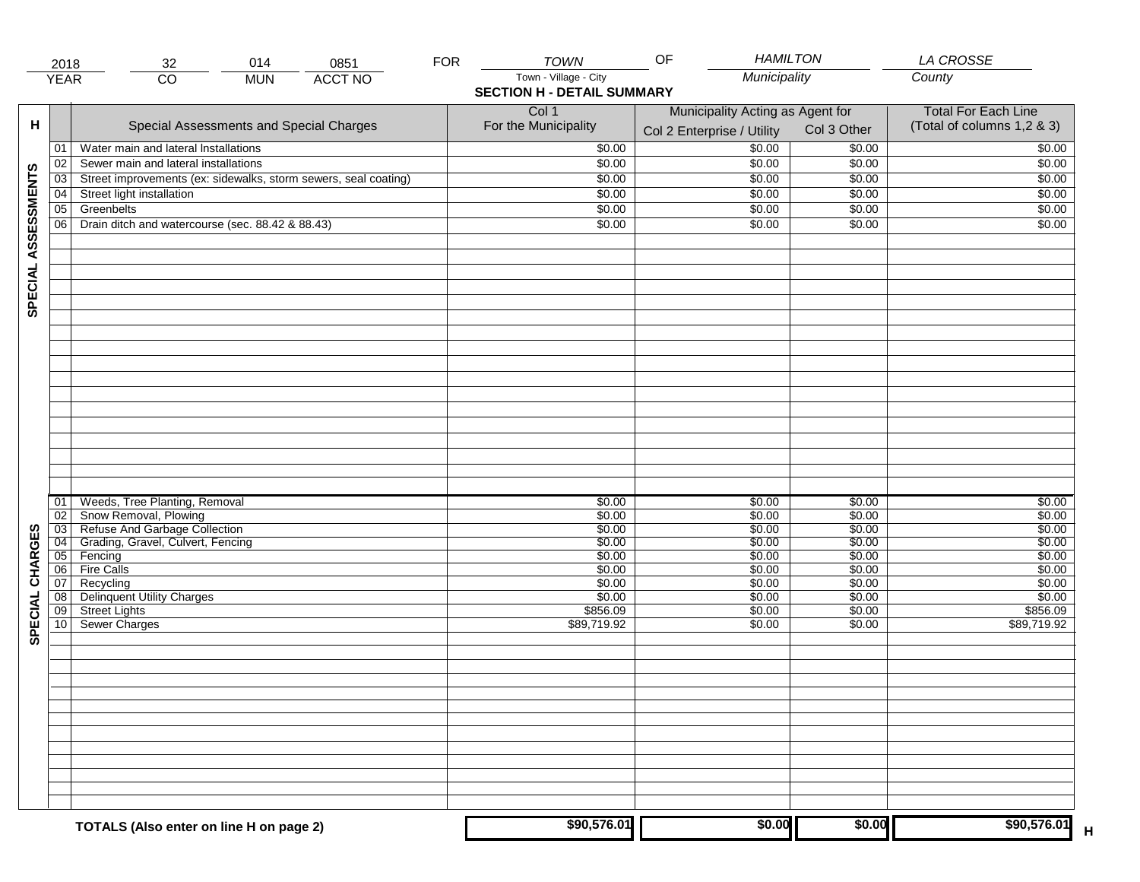|                     | 2018                  | 014<br>0851<br>32                                                  | <b>FOR</b> | <b>TOWN</b>                       | OF<br><b>HAMILTON</b>            |                  | LA CROSSE                  |
|---------------------|-----------------------|--------------------------------------------------------------------|------------|-----------------------------------|----------------------------------|------------------|----------------------------|
|                     | <b>YEAR</b>           | $\overline{CO}$<br><b>ACCT NO</b><br><b>MUN</b>                    |            | Town - Village - City             | Municipality                     |                  | County                     |
|                     |                       |                                                                    |            | <b>SECTION H - DETAIL SUMMARY</b> |                                  |                  |                            |
|                     |                       |                                                                    |            | Col 1                             | Municipality Acting as Agent for |                  | <b>Total For Each Line</b> |
| н                   |                       | Special Assessments and Special Charges                            |            | For the Municipality              |                                  | Col 3 Other      | (Total of columns 1,2 & 3) |
|                     |                       |                                                                    |            |                                   | Col 2 Enterprise / Utility       |                  |                            |
|                     | 01                    | Water main and lateral Installations                               |            | \$0.00                            | \$0.00                           | \$0.00           | \$0.00                     |
|                     | 02                    | Sewer main and lateral installations                               |            | \$0.00                            | \$0.00                           | \$0.00           | \$0.00                     |
| SPECIAL ASSESSMENTS | 03                    | Street improvements (ex: sidewalks, storm sewers, seal coating)    |            | \$0.00                            | \$0.00                           | \$0.00           | \$0.00                     |
|                     | 04                    | Street light installation                                          |            | \$0.00                            | \$0.00                           | \$0.00           | \$0.00                     |
|                     | 05                    | Greenbelts                                                         |            | \$0.00                            | \$0.00                           | \$0.00           | \$0.00                     |
|                     | 06                    | Drain ditch and watercourse (sec. 88.42 & 88.43)                   |            | \$0.00                            | \$0.00                           | \$0.00           | \$0.00                     |
|                     |                       |                                                                    |            |                                   |                                  |                  |                            |
|                     |                       |                                                                    |            |                                   |                                  |                  |                            |
|                     |                       |                                                                    |            |                                   |                                  |                  |                            |
|                     |                       |                                                                    |            |                                   |                                  |                  |                            |
|                     |                       |                                                                    |            |                                   |                                  |                  |                            |
|                     |                       |                                                                    |            |                                   |                                  |                  |                            |
|                     |                       |                                                                    |            |                                   |                                  |                  |                            |
|                     |                       |                                                                    |            |                                   |                                  |                  |                            |
|                     |                       |                                                                    |            |                                   |                                  |                  |                            |
|                     |                       |                                                                    |            |                                   |                                  |                  |                            |
|                     |                       |                                                                    |            |                                   |                                  |                  |                            |
|                     |                       |                                                                    |            |                                   |                                  |                  |                            |
|                     |                       |                                                                    |            |                                   |                                  |                  |                            |
|                     |                       |                                                                    |            |                                   |                                  |                  |                            |
|                     |                       |                                                                    |            |                                   |                                  |                  |                            |
|                     |                       |                                                                    |            |                                   |                                  |                  |                            |
|                     |                       |                                                                    |            |                                   |                                  |                  |                            |
|                     |                       |                                                                    |            |                                   |                                  |                  |                            |
|                     | 01                    | Weeds, Tree Planting, Removal                                      |            | \$0.00                            | \$0.00                           | \$0.00           | \$0.00                     |
|                     | 02                    | Snow Removal, Plowing                                              |            | \$0.00                            | \$0.00                           | \$0.00           | \$0.00                     |
| CHARGES             | $\overline{03}$       | Refuse And Garbage Collection<br>Grading, Gravel, Culvert, Fencing |            | \$0.00<br>\$0.00                  | \$0.00<br>\$0.00                 | \$0.00<br>\$0.00 | \$0.00<br>\$0.00           |
|                     | $\overline{04}$<br>05 | Fencing                                                            |            | \$0.00                            | \$0.00                           | \$0.00           | \$0.00                     |
|                     | 06                    | <b>Fire Calls</b>                                                  |            | \$0.00                            | \$0.00                           | \$0.00           | \$0.00                     |
|                     | 07                    | Recycling                                                          |            | \$0.00                            | \$0.00                           | \$0.00           | \$0.00                     |
|                     | 08                    | <b>Delinquent Utility Charges</b>                                  |            | \$0.00                            | \$0.00                           | \$0.00           | \$0.00                     |
| <b>SPECIAL</b>      | 09                    | <b>Street Lights</b>                                               |            | \$856.09                          | \$0.00                           | \$0.00           | \$856.09                   |
|                     | 10                    | Sewer Charges                                                      |            | \$89,719.92                       | \$0.00                           | \$0.00           | \$89,719.92                |
|                     |                       |                                                                    |            |                                   |                                  |                  |                            |
|                     |                       |                                                                    |            |                                   |                                  |                  |                            |
|                     |                       |                                                                    |            |                                   |                                  |                  |                            |
|                     |                       |                                                                    |            |                                   |                                  |                  |                            |
|                     |                       |                                                                    |            |                                   |                                  |                  |                            |
|                     |                       |                                                                    |            |                                   |                                  |                  |                            |
|                     |                       |                                                                    |            |                                   |                                  |                  |                            |
|                     |                       |                                                                    |            |                                   |                                  |                  |                            |
|                     |                       |                                                                    |            |                                   |                                  |                  |                            |
|                     |                       |                                                                    |            |                                   |                                  |                  |                            |
|                     |                       |                                                                    |            |                                   |                                  |                  |                            |
|                     |                       |                                                                    |            |                                   |                                  |                  |                            |
|                     |                       |                                                                    |            |                                   |                                  |                  |                            |
|                     |                       | TOTALS (Also enter on line H on page 2)                            |            | \$90,576.01                       | \$0.00                           | \$0.00           | \$90,576.01<br>н           |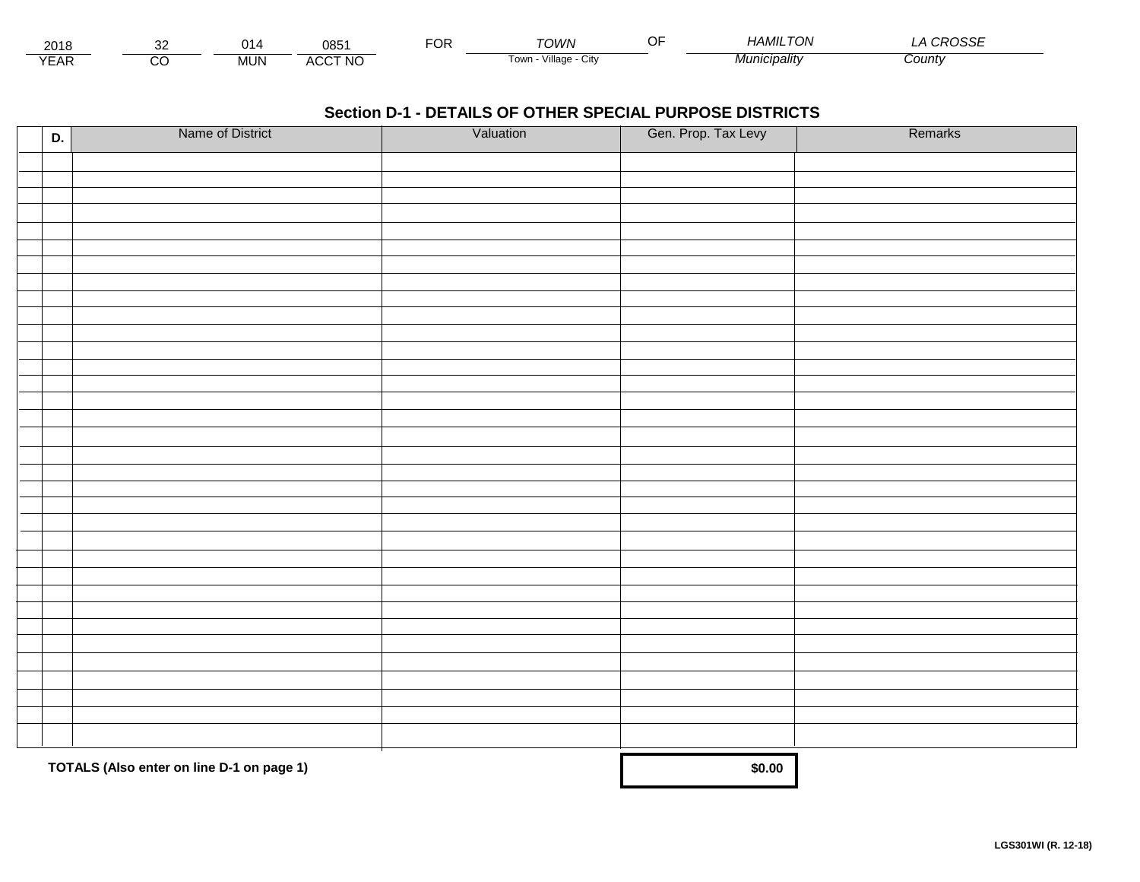| 2018                |         |            | 085            | ◡ | ™∩WN                     | <br>HAMIL<br>7 ON     | ⊐ت⊙    |
|---------------------|---------|------------|----------------|---|--------------------------|-----------------------|--------|
| $V = \Lambda$<br>⊢ี | ~<br>ىد | <b>MUN</b> | <b>ACCT NO</b> |   | Village<br>l own<br>◡៲៶៶ | <i>CIDAIItv</i><br>ΜU | Count∨ |

| D. | Name of District                          | Valuation | Gen. Prop. Tax Levy | Remarks |
|----|-------------------------------------------|-----------|---------------------|---------|
|    |                                           |           |                     |         |
|    |                                           |           |                     |         |
|    |                                           |           |                     |         |
|    |                                           |           |                     |         |
|    |                                           |           |                     |         |
|    |                                           |           |                     |         |
|    |                                           |           |                     |         |
|    |                                           |           |                     |         |
|    |                                           |           |                     |         |
|    |                                           |           |                     |         |
|    |                                           |           |                     |         |
|    |                                           |           |                     |         |
|    |                                           |           |                     |         |
|    |                                           |           |                     |         |
|    |                                           |           |                     |         |
|    |                                           |           |                     |         |
|    |                                           |           |                     |         |
|    |                                           |           |                     |         |
|    |                                           |           |                     |         |
|    |                                           |           |                     |         |
|    |                                           |           |                     |         |
|    |                                           |           |                     |         |
|    |                                           |           |                     |         |
|    |                                           |           |                     |         |
|    |                                           |           |                     |         |
|    |                                           |           |                     |         |
|    |                                           |           |                     |         |
|    |                                           |           |                     |         |
|    |                                           |           |                     |         |
|    |                                           |           |                     |         |
|    |                                           |           |                     |         |
|    | TOTALS (Also enter on line D-1 on page 1) | \$0.00    |                     |         |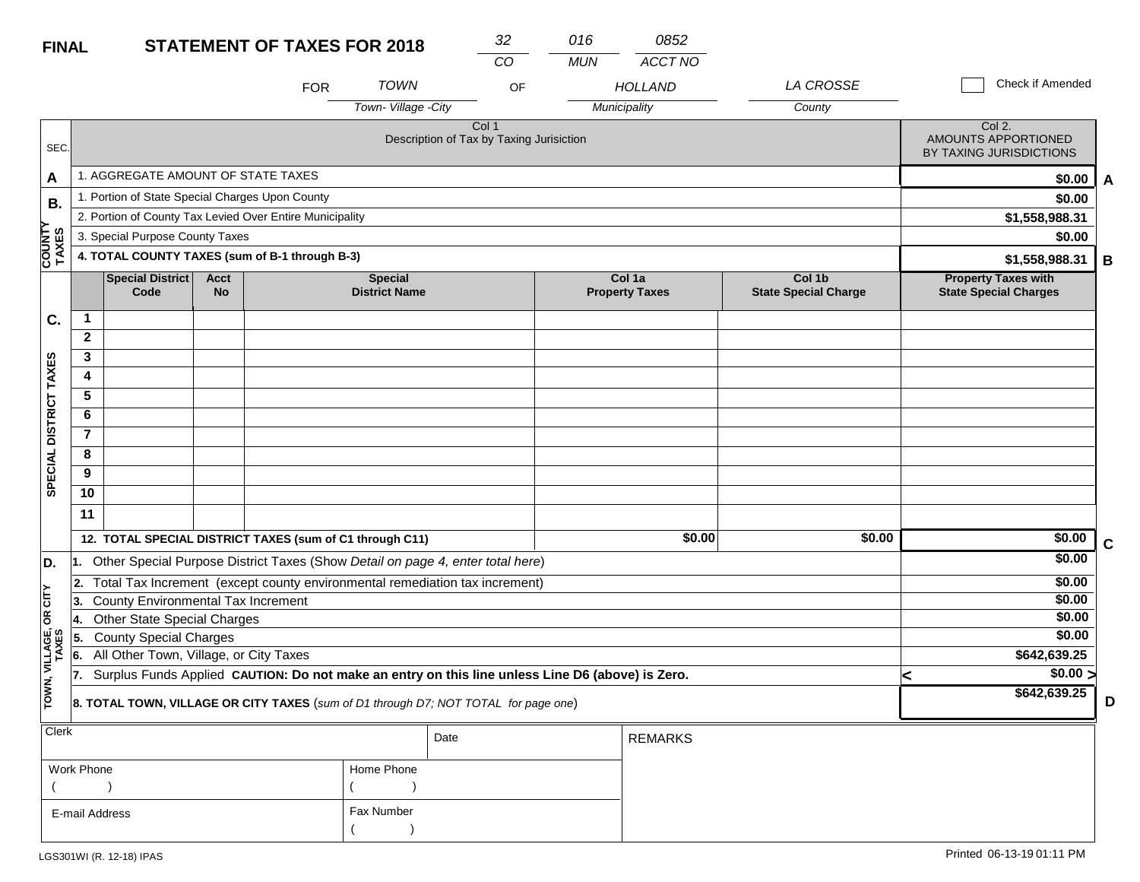| <b>FINAL</b>           |                |                                                                                                  |                          | <b>STATEMENT OF TAXES FOR 2018</b> |                                        | 32                                                           | 016        | 0852                            |                                       |   |                                                            |             |
|------------------------|----------------|--------------------------------------------------------------------------------------------------|--------------------------|------------------------------------|----------------------------------------|--------------------------------------------------------------|------------|---------------------------------|---------------------------------------|---|------------------------------------------------------------|-------------|
|                        |                |                                                                                                  |                          |                                    |                                        | CO                                                           | <b>MUN</b> | <b>ACCT NO</b>                  |                                       |   |                                                            |             |
|                        |                |                                                                                                  |                          | <b>FOR</b>                         | <b>TOWN</b>                            | OF                                                           |            | <b>HOLLAND</b>                  | <b>LA CROSSE</b>                      |   | Check if Amended                                           |             |
|                        |                |                                                                                                  |                          |                                    | Town-Village -City                     |                                                              |            | Municipality                    | County                                |   |                                                            |             |
| SEC.                   |                |                                                                                                  |                          |                                    |                                        | Col <sub>1</sub><br>Description of Tax by Taxing Jurisiction |            |                                 |                                       |   | Col 2.<br>AMOUNTS APPORTIONED<br>BY TAXING JURISDICTIONS   |             |
| A                      |                | 1. AGGREGATE AMOUNT OF STATE TAXES                                                               |                          |                                    |                                        |                                                              |            |                                 |                                       |   | \$0.00                                                     | A           |
| В.                     |                | 1. Portion of State Special Charges Upon County                                                  |                          |                                    |                                        |                                                              |            |                                 |                                       |   | \$0.00                                                     |             |
|                        |                | 2. Portion of County Tax Levied Over Entire Municipality                                         |                          |                                    |                                        |                                                              |            |                                 |                                       |   | \$1,558,988.31                                             |             |
|                        |                | 3. Special Purpose County Taxes                                                                  |                          |                                    |                                        |                                                              |            |                                 |                                       |   | \$0.00                                                     |             |
| COUNTY<br>TAXES        |                | 4. TOTAL COUNTY TAXES (sum of B-1 through B-3)                                                   |                          |                                    |                                        |                                                              |            |                                 |                                       |   | \$1,558,988.31                                             | B           |
|                        |                | <b>Special District</b><br>Code                                                                  | <b>Acct</b><br><b>No</b> |                                    | <b>Special</b><br><b>District Name</b> |                                                              |            | Col 1a<br><b>Property Taxes</b> | Col 1b<br><b>State Special Charge</b> |   | <b>Property Taxes with</b><br><b>State Special Charges</b> |             |
| C.                     | $\mathbf 1$    |                                                                                                  |                          |                                    |                                        |                                                              |            |                                 |                                       |   |                                                            |             |
|                        | $\mathbf{2}$   |                                                                                                  |                          |                                    |                                        |                                                              |            |                                 |                                       |   |                                                            |             |
|                        | 3              |                                                                                                  |                          |                                    |                                        |                                                              |            |                                 |                                       |   |                                                            |             |
|                        | 4              |                                                                                                  |                          |                                    |                                        |                                                              |            |                                 |                                       |   |                                                            |             |
|                        | $\overline{5}$ |                                                                                                  |                          |                                    |                                        |                                                              |            |                                 |                                       |   |                                                            |             |
|                        | 6              |                                                                                                  |                          |                                    |                                        |                                                              |            |                                 |                                       |   |                                                            |             |
|                        | $\overline{7}$ |                                                                                                  |                          |                                    |                                        |                                                              |            |                                 |                                       |   |                                                            |             |
| SPECIAL DISTRICT TAXES | 8              |                                                                                                  |                          |                                    |                                        |                                                              |            |                                 |                                       |   |                                                            |             |
|                        | 9              |                                                                                                  |                          |                                    |                                        |                                                              |            |                                 |                                       |   |                                                            |             |
|                        | 10             |                                                                                                  |                          |                                    |                                        |                                                              |            |                                 |                                       |   |                                                            |             |
|                        | 11             |                                                                                                  |                          |                                    |                                        |                                                              |            |                                 |                                       |   |                                                            |             |
|                        |                | 12. TOTAL SPECIAL DISTRICT TAXES (sum of C1 through C11)                                         |                          |                                    |                                        |                                                              |            | \$0.00                          | \$0.00                                |   | \$0.00                                                     | $\mathbf c$ |
| D.                     | I1.            | Other Special Purpose District Taxes (Show Detail on page 4, enter total here)                   |                          |                                    |                                        |                                                              |            |                                 |                                       |   | \$0.00                                                     |             |
|                        | 2.             | Total Tax Increment (except county environmental remediation tax increment)                      |                          |                                    |                                        |                                                              |            |                                 |                                       |   | \$0.00                                                     |             |
| OR CITY                | 3.             | <b>County Environmental Tax Increment</b>                                                        |                          |                                    |                                        |                                                              |            |                                 |                                       |   | \$0.00                                                     |             |
|                        | 14.            | <b>Other State Special Charges</b>                                                               |                          |                                    |                                        |                                                              |            |                                 |                                       |   | \$0.00<br>\$0.00                                           |             |
|                        | 5.             | <b>County Special Charges</b><br>All Other Town, Village, or City Taxes                          |                          |                                    |                                        |                                                              |            |                                 |                                       |   | \$642,639.25                                               |             |
| VILLAGE,<br>TAXES      | 6.<br>17.      | Surplus Funds Applied CAUTION: Do not make an entry on this line unless Line D6 (above) is Zero. |                          |                                    |                                        |                                                              |            |                                 |                                       |   | $\sqrt{$0.00}$                                             |             |
| TOWN,                  |                |                                                                                                  |                          |                                    |                                        |                                                              |            |                                 |                                       | K | \$642,639.25                                               |             |
|                        |                | 8. TOTAL TOWN, VILLAGE OR CITY TAXES (sum of D1 through D7; NOT TOTAL for page one)              |                          |                                    |                                        |                                                              |            |                                 |                                       |   |                                                            | D           |
| Clerk                  |                |                                                                                                  |                          |                                    |                                        | Date                                                         |            | <b>REMARKS</b>                  |                                       |   |                                                            |             |
|                        |                |                                                                                                  |                          |                                    |                                        |                                                              |            |                                 |                                       |   |                                                            |             |

| Work Phone     | Home Phone |
|----------------|------------|
|                |            |
| E-mail Address | Fax Number |
|                |            |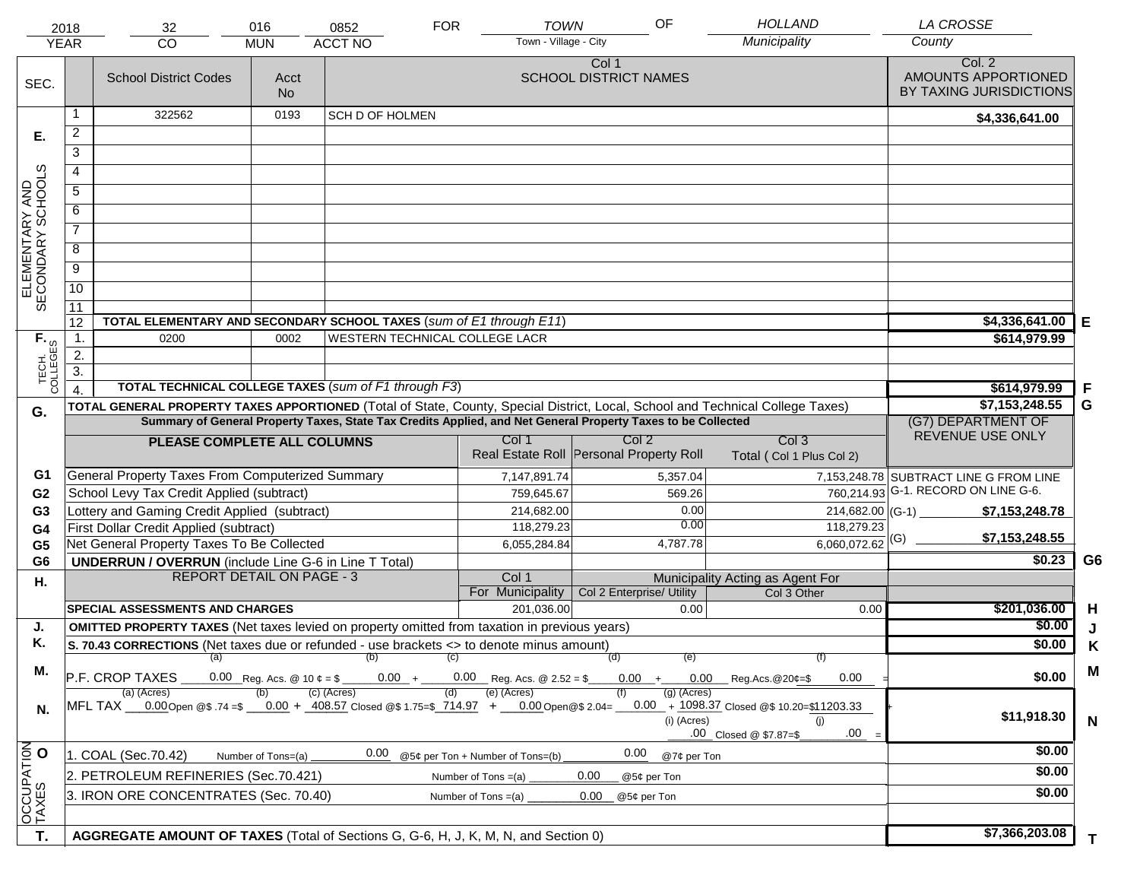|                                     | 2018                                                                                                                                                    | 32                                                                                                                             | 016                | 0852            | <b>FOR</b> | <b>TOWN</b>                         | OF                                                                                                           | <b>HOLLAND</b>                                      | <b>LA CROSSE</b>                                         |                |
|-------------------------------------|---------------------------------------------------------------------------------------------------------------------------------------------------------|--------------------------------------------------------------------------------------------------------------------------------|--------------------|-----------------|------------|-------------------------------------|--------------------------------------------------------------------------------------------------------------|-----------------------------------------------------|----------------------------------------------------------|----------------|
|                                     | <b>YEAR</b>                                                                                                                                             | CO                                                                                                                             | <b>MUN</b>         | <b>ACCT NO</b>  |            | Town - Village - City               |                                                                                                              | Municipality                                        | County                                                   |                |
| SEC.                                |                                                                                                                                                         | <b>School District Codes</b>                                                                                                   | Acct<br><b>No</b>  |                 |            |                                     | Col 1<br><b>SCHOOL DISTRICT NAMES</b>                                                                        |                                                     | Col. 2<br>AMOUNTS APPORTIONED<br>BY TAXING JURISDICTIONS |                |
|                                     | 1                                                                                                                                                       | 322562                                                                                                                         | 0193               | SCH D OF HOLMEN |            |                                     |                                                                                                              |                                                     | \$4,336,641.00                                           |                |
| Е.                                  | $\overline{2}$                                                                                                                                          |                                                                                                                                |                    |                 |            |                                     |                                                                                                              |                                                     |                                                          |                |
|                                     | $\overline{3}$                                                                                                                                          |                                                                                                                                |                    |                 |            |                                     |                                                                                                              |                                                     |                                                          |                |
|                                     | 4                                                                                                                                                       |                                                                                                                                |                    |                 |            |                                     |                                                                                                              |                                                     |                                                          |                |
|                                     | $\overline{5}$                                                                                                                                          |                                                                                                                                |                    |                 |            |                                     |                                                                                                              |                                                     |                                                          |                |
| ELEMENTARY AND<br>SECONDARY SCHOOLS | 6                                                                                                                                                       |                                                                                                                                |                    |                 |            |                                     |                                                                                                              |                                                     |                                                          |                |
|                                     | $\overline{7}$                                                                                                                                          |                                                                                                                                |                    |                 |            |                                     |                                                                                                              |                                                     |                                                          |                |
|                                     | 8                                                                                                                                                       |                                                                                                                                |                    |                 |            |                                     |                                                                                                              |                                                     |                                                          |                |
|                                     | $\overline{9}$                                                                                                                                          |                                                                                                                                |                    |                 |            |                                     |                                                                                                              |                                                     |                                                          |                |
|                                     | $\overline{10}$                                                                                                                                         |                                                                                                                                |                    |                 |            |                                     |                                                                                                              |                                                     |                                                          |                |
|                                     | $\overline{11}$                                                                                                                                         |                                                                                                                                |                    |                 |            |                                     |                                                                                                              |                                                     |                                                          |                |
|                                     | 12                                                                                                                                                      | TOTAL ELEMENTARY AND SECONDARY SCHOOL TAXES (sum of E1 through E11)                                                            | \$4,336,641.00     | Е               |            |                                     |                                                                                                              |                                                     |                                                          |                |
| TECH. T                             | $\mathbf{1}$ .                                                                                                                                          | 0200                                                                                                                           | 0002               |                 |            | WESTERN TECHNICAL COLLEGE LACR      |                                                                                                              |                                                     | \$614,979.99                                             |                |
|                                     | 2.                                                                                                                                                      |                                                                                                                                |                    |                 |            |                                     |                                                                                                              |                                                     |                                                          |                |
|                                     | $\overline{3}$ .                                                                                                                                        |                                                                                                                                |                    |                 |            |                                     |                                                                                                              |                                                     |                                                          |                |
|                                     |                                                                                                                                                         | TOTAL TECHNICAL COLLEGE TAXES (sum of F1 through F3)                                                                           |                    |                 |            |                                     |                                                                                                              |                                                     | \$614,979.99                                             | F              |
| G.                                  |                                                                                                                                                         | TOTAL GENERAL PROPERTY TAXES APPORTIONED (Total of State, County, Special District, Local, School and Technical College Taxes) |                    |                 |            |                                     | Summary of General Property Taxes, State Tax Credits Applied, and Net General Property Taxes to be Collected |                                                     | \$7,153,248.55<br>(G7) DEPARTMENT OF                     | G              |
|                                     |                                                                                                                                                         |                                                                                                                                |                    |                 |            | Col 1                               | Col <sub>2</sub>                                                                                             | Col <sub>3</sub>                                    | REVENUE USE ONLY                                         |                |
|                                     |                                                                                                                                                         | PLEASE COMPLETE ALL COLUMNS                                                                                                    |                    |                 |            |                                     | Real Estate Roll Personal Property Roll                                                                      | Total (Col 1 Plus Col 2)                            |                                                          |                |
| G1                                  |                                                                                                                                                         | General Property Taxes From Computerized Summary                                                                               |                    |                 |            | 7,147,891.74                        | 5,357.04                                                                                                     |                                                     | 7,153,248.78 SUBTRACT LINE G FROM LINE                   |                |
| G <sub>2</sub>                      |                                                                                                                                                         | School Levy Tax Credit Applied (subtract)                                                                                      |                    |                 |            | 759,645.67                          | 569.26                                                                                                       |                                                     | 760,214.93 G-1. RECORD ON LINE G-6.                      |                |
| G <sub>3</sub>                      |                                                                                                                                                         | Lottery and Gaming Credit Applied (subtract)                                                                                   |                    |                 |            | 214,682.00                          | 0.00                                                                                                         |                                                     | $214,682.00$ (G-1)<br>\$7,153,248.78                     |                |
| G4                                  |                                                                                                                                                         | First Dollar Credit Applied (subtract)                                                                                         |                    |                 |            | 118,279.23                          | 0.00                                                                                                         | 118,279.23                                          |                                                          |                |
| G <sub>5</sub>                      |                                                                                                                                                         | Net General Property Taxes To Be Collected                                                                                     |                    |                 |            | 6,055,284.84                        | 4,787.78                                                                                                     | $6,060,072.62$ <sup>(G)</sup>                       | \$7,153,248.55                                           |                |
| G <sub>6</sub>                      |                                                                                                                                                         | <b>UNDERRUN / OVERRUN</b> (include Line G-6 in Line T Total)                                                                   |                    |                 |            |                                     |                                                                                                              |                                                     | \$0.23                                                   | G <sub>6</sub> |
| Η.                                  |                                                                                                                                                         | <b>REPORT DETAIL ON PAGE - 3</b>                                                                                               |                    |                 |            | Col 1                               |                                                                                                              | Municipality Acting as Agent For                    |                                                          |                |
|                                     |                                                                                                                                                         | <b>SPECIAL ASSESSMENTS AND CHARGES</b>                                                                                         |                    |                 |            | For Municipality<br>201,036.00      | Col 2 Enterprise/ Utility<br>0.00                                                                            | Col 3 Other                                         | \$201,036.00                                             |                |
| J.                                  |                                                                                                                                                         | <b>OMITTED PROPERTY TAXES</b> (Net taxes levied on property omitted from taxation in previous years)                           |                    |                 |            |                                     |                                                                                                              | 0.00                                                | \$0.00                                                   | H              |
| Κ.                                  |                                                                                                                                                         | S. 70.43 CORRECTIONS (Net taxes due or refunded - use brackets <> to denote minus amount)                                      |                    |                 |            |                                     |                                                                                                              |                                                     | \$0.00                                                   | J<br>Κ         |
|                                     |                                                                                                                                                         | (a) (b) (c)                                                                                                                    |                    |                 |            |                                     |                                                                                                              |                                                     |                                                          |                |
| М.                                  |                                                                                                                                                         | P.F. CROP TAXES                                                                                                                |                    |                 |            | $0.00 + 0.00$ Reg. Acs. @ 2.52 = \$ |                                                                                                              | $0.00 + 0.00$ Reg.Acs. @ 20¢=\$<br>0.00             | \$0.00                                                   | M              |
|                                     | (c) (Acres)<br>(a) (Acres)<br>(e) (Acres)<br>(a) (Acres)<br>MFL TAX 0.00 Open @\$ .74 =\$ 0.00 + 408.57 Closed @\$ 1.75=\$ 714.97 + 0.00 Open @\$ 2.04= |                                                                                                                                |                    |                 |            |                                     |                                                                                                              |                                                     |                                                          |                |
| N.                                  |                                                                                                                                                         |                                                                                                                                |                    |                 |            |                                     | (i) (Acres)                                                                                                  | $0.00 + 1098.37$ Closed @\$ 10.20=\$11203.33<br>(i) | \$11,918.30                                              | $\mathsf{N}$   |
|                                     |                                                                                                                                                         |                                                                                                                                |                    |                 |            |                                     |                                                                                                              | .00<br>.00 Closed @ \$7.87=\$                       |                                                          |                |
|                                     |                                                                                                                                                         | 1. COAL (Sec.70.42)                                                                                                            | Number of Tons=(a) | 0.00            |            | @5¢ per Ton + Number of Tons=(b)    | 0.00<br>@7¢ per Ton                                                                                          |                                                     | \$0.00                                                   |                |
|                                     |                                                                                                                                                         | 2. PETROLEUM REFINERIES (Sec.70.421)                                                                                           |                    |                 |            | Number of Tons $=(a)$               | 0.00<br>@5¢ per Ton                                                                                          |                                                     | \$0.00                                                   |                |
|                                     | 3. IRON ORE CONCENTRATES (Sec. 70.40)<br>0.00<br>Number of Tons $=(a)$<br>@5¢ per Ton                                                                   |                                                                                                                                |                    |                 |            |                                     |                                                                                                              |                                                     | \$0.00                                                   |                |
| OCCUPATION                          |                                                                                                                                                         |                                                                                                                                |                    |                 |            |                                     |                                                                                                              |                                                     |                                                          |                |
|                                     |                                                                                                                                                         |                                                                                                                                |                    |                 |            |                                     |                                                                                                              |                                                     |                                                          |                |
| T.                                  |                                                                                                                                                         | AGGREGATE AMOUNT OF TAXES (Total of Sections G, G-6, H, J, K, M, N, and Section 0)                                             |                    |                 |            |                                     |                                                                                                              |                                                     | \$7,366,203.08                                           | T.             |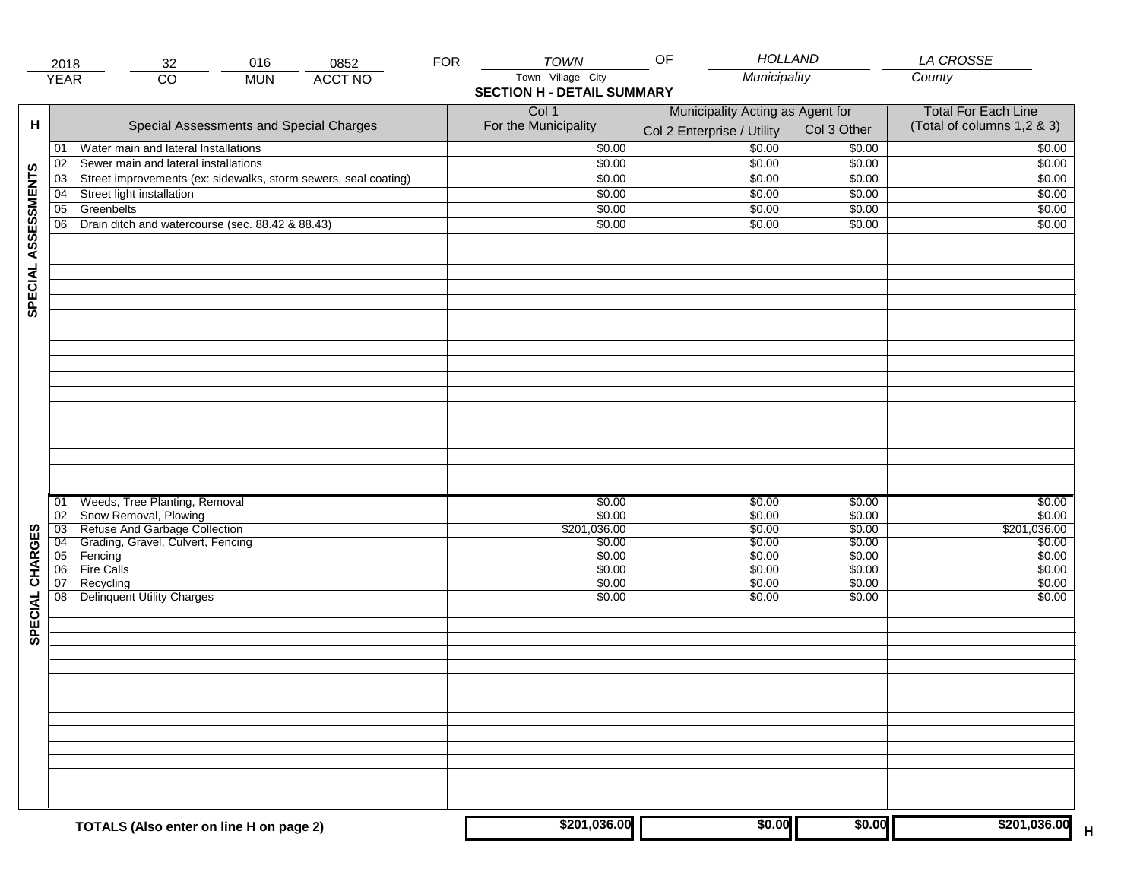|                     | 2018            | 016<br>0852<br>32                                               | <b>FOR</b> | <b>TOWN</b>                       | <b>HOLLAND</b><br>OF             |             | <b>LA CROSSE</b>            |
|---------------------|-----------------|-----------------------------------------------------------------|------------|-----------------------------------|----------------------------------|-------------|-----------------------------|
|                     | <b>YEAR</b>     | <b>ACCT NO</b><br>$\overline{CO}$<br><b>MUN</b>                 |            | Town - Village - City             | Municipality                     |             | County                      |
|                     |                 |                                                                 |            | <b>SECTION H - DETAIL SUMMARY</b> |                                  |             |                             |
|                     |                 |                                                                 |            | Col 1                             | Municipality Acting as Agent for |             | <b>Total For Each Line</b>  |
| н                   |                 | Special Assessments and Special Charges                         |            | For the Municipality              |                                  | Col 3 Other | (Total of columns 1,2 & 3)  |
|                     |                 |                                                                 |            |                                   | Col 2 Enterprise / Utility       |             |                             |
|                     | 01              | Water main and lateral Installations                            |            | \$0.00                            | \$0.00                           | \$0.00      | \$0.00                      |
|                     | 02              | Sewer main and lateral installations                            |            | \$0.00                            | \$0.00                           | \$0.00      | \$0.00                      |
| SPECIAL ASSESSMENTS | 03              | Street improvements (ex: sidewalks, storm sewers, seal coating) |            | \$0.00                            | \$0.00                           | \$0.00      | \$0.00                      |
|                     | 04              | Street light installation                                       |            | \$0.00                            | \$0.00                           | \$0.00      | \$0.00                      |
|                     | $\overline{05}$ | Greenbelts                                                      |            | \$0.00                            | \$0.00                           | \$0.00      | \$0.00                      |
|                     | 06              | Drain ditch and watercourse (sec. 88.42 & 88.43)                |            | \$0.00                            | \$0.00                           | \$0.00      | \$0.00                      |
|                     |                 |                                                                 |            |                                   |                                  |             |                             |
|                     |                 |                                                                 |            |                                   |                                  |             |                             |
|                     |                 |                                                                 |            |                                   |                                  |             |                             |
|                     |                 |                                                                 |            |                                   |                                  |             |                             |
|                     |                 |                                                                 |            |                                   |                                  |             |                             |
|                     |                 |                                                                 |            |                                   |                                  |             |                             |
|                     |                 |                                                                 |            |                                   |                                  |             |                             |
|                     |                 |                                                                 |            |                                   |                                  |             |                             |
|                     |                 |                                                                 |            |                                   |                                  |             |                             |
|                     |                 |                                                                 |            |                                   |                                  |             |                             |
|                     |                 |                                                                 |            |                                   |                                  |             |                             |
|                     |                 |                                                                 |            |                                   |                                  |             |                             |
|                     |                 |                                                                 |            |                                   |                                  |             |                             |
|                     |                 |                                                                 |            |                                   |                                  |             |                             |
|                     |                 |                                                                 |            |                                   |                                  |             |                             |
|                     |                 |                                                                 |            |                                   |                                  |             |                             |
|                     |                 |                                                                 |            |                                   |                                  |             |                             |
|                     |                 |                                                                 |            |                                   |                                  |             |                             |
|                     | 01              | Weeds, Tree Planting, Removal                                   |            | \$0.00                            | \$0.00                           | \$0.00      | \$0.00                      |
|                     | $\overline{02}$ | Snow Removal, Plowing                                           |            | \$0.00                            | \$0.00                           | \$0.00      | \$0.00                      |
|                     | $\overline{03}$ | Refuse And Garbage Collection                                   |            | \$201,036.00                      | \$0.00                           | \$0.00      | \$201,036.00                |
| SPECIAL CHARGES     | 04              | Grading, Gravel, Culvert, Fencing                               |            | \$0.00                            | \$0.00                           | \$0.00      | \$0.00                      |
|                     | 05              | Fencing                                                         |            | \$0.00                            | \$0.00                           | \$0.00      | \$0.00                      |
|                     | 06              | <b>Fire Calls</b>                                               |            | \$0.00                            | \$0.00                           | \$0.00      | \$0.00                      |
|                     | 07              | Recycling                                                       |            | \$0.00                            | \$0.00                           | \$0.00      | \$0.00                      |
|                     | 08              | <b>Delinquent Utility Charges</b>                               |            | \$0.00                            | \$0.00                           | \$0.00      | \$0.00                      |
|                     |                 |                                                                 |            |                                   |                                  |             |                             |
|                     |                 |                                                                 |            |                                   |                                  |             |                             |
|                     |                 |                                                                 |            |                                   |                                  |             |                             |
|                     |                 |                                                                 |            |                                   |                                  |             |                             |
|                     |                 |                                                                 |            |                                   |                                  |             |                             |
|                     |                 |                                                                 |            |                                   |                                  |             |                             |
|                     |                 |                                                                 |            |                                   |                                  |             |                             |
|                     |                 |                                                                 |            |                                   |                                  |             |                             |
|                     |                 |                                                                 |            |                                   |                                  |             |                             |
|                     |                 |                                                                 |            |                                   |                                  |             |                             |
|                     |                 |                                                                 |            |                                   |                                  |             |                             |
|                     |                 |                                                                 |            |                                   |                                  |             |                             |
|                     |                 |                                                                 |            |                                   |                                  |             |                             |
|                     |                 |                                                                 |            |                                   |                                  |             |                             |
|                     |                 |                                                                 |            |                                   |                                  |             |                             |
|                     |                 | TOTALS (Also enter on line H on page 2)                         |            | \$201,036.00                      | \$0.00                           | \$0.00      | \$201,036.00<br>$\mathsf H$ |
|                     |                 |                                                                 |            |                                   |                                  |             |                             |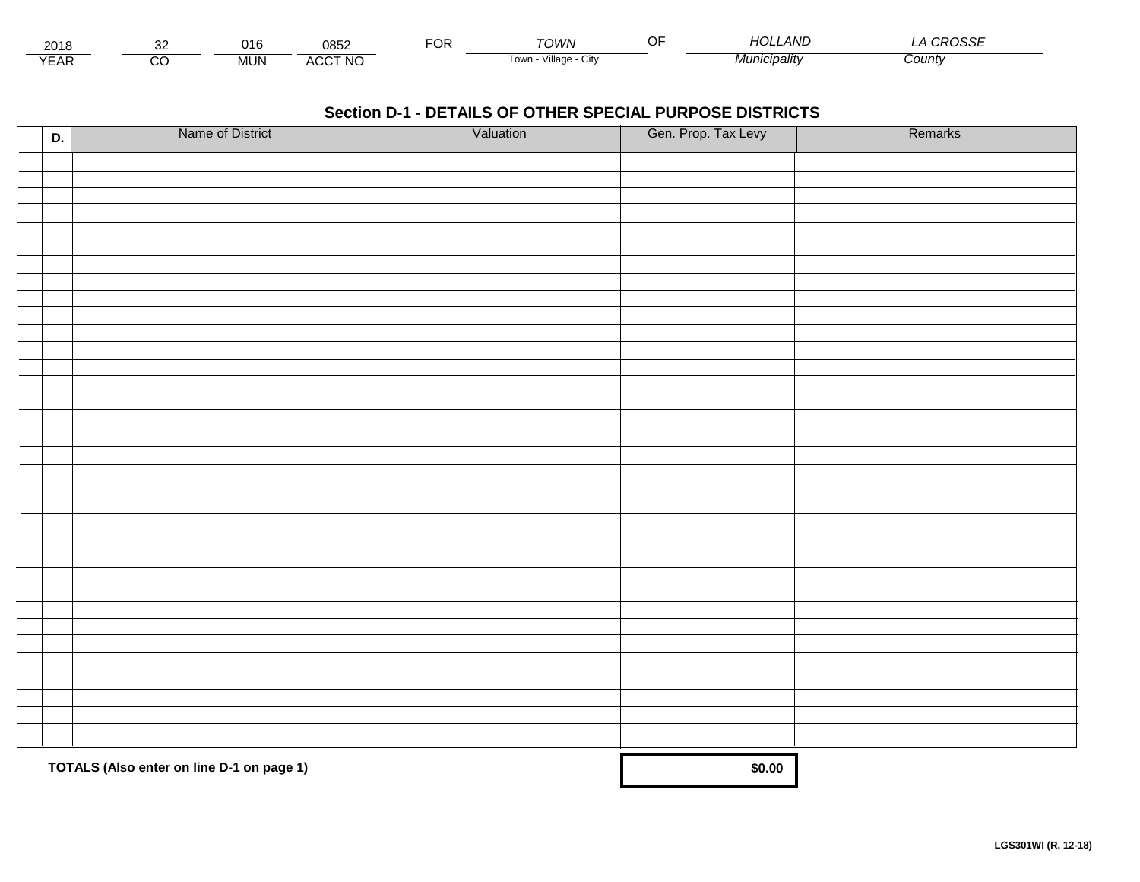| 2018                             |          | 016        | 0852           | ◡ | <b>TOWN</b>             | $\sqrt{2}$<br><b>AND</b> | $\sim$<br>רפני ה |
|----------------------------------|----------|------------|----------------|---|-------------------------|--------------------------|------------------|
| $\sqrt{2}$<br>$\mathsf{L}$<br>⊢ี | ~~<br>ىد | <b>MUN</b> | <b>ACCT NO</b> |   | Village<br>l own<br>URV | ` <i>'CIDalitv</i>       | Count∨           |

| D. | Name of District                          | Valuation | Gen. Prop. Tax Levy | Remarks |
|----|-------------------------------------------|-----------|---------------------|---------|
|    |                                           |           |                     |         |
|    |                                           |           |                     |         |
|    |                                           |           |                     |         |
|    |                                           |           |                     |         |
|    |                                           |           |                     |         |
|    |                                           |           |                     |         |
|    |                                           |           |                     |         |
|    |                                           |           |                     |         |
|    |                                           |           |                     |         |
|    |                                           |           |                     |         |
|    |                                           |           |                     |         |
|    |                                           |           |                     |         |
|    |                                           |           |                     |         |
|    |                                           |           |                     |         |
|    |                                           |           |                     |         |
|    |                                           |           |                     |         |
|    |                                           |           |                     |         |
|    |                                           |           |                     |         |
|    |                                           |           |                     |         |
|    |                                           |           |                     |         |
|    |                                           |           |                     |         |
|    |                                           |           |                     |         |
|    |                                           |           |                     |         |
|    |                                           |           |                     |         |
|    |                                           |           |                     |         |
|    |                                           |           |                     |         |
|    |                                           |           |                     |         |
|    |                                           |           |                     |         |
|    |                                           |           |                     |         |
|    |                                           |           |                     |         |
|    |                                           |           |                     |         |
|    | TOTALS (Also enter on line D-1 on page 1) |           | \$0.00              |         |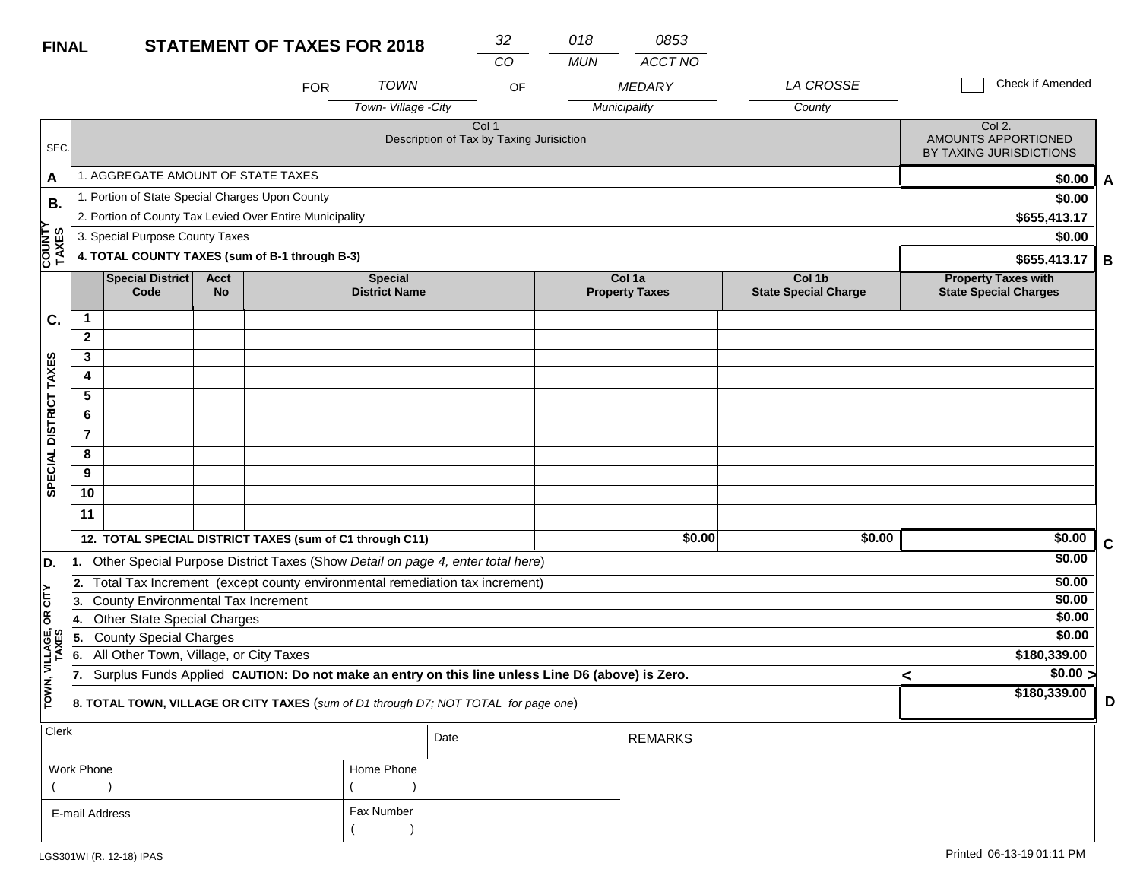| <b>FINAL</b>            |                                                                                   |                                                                                                  |                          | 32<br><b>STATEMENT OF TAXES FOR 2018</b> |                                        |                                                   | 018        | 0853                            |                                       |   |                                                            |   |
|-------------------------|-----------------------------------------------------------------------------------|--------------------------------------------------------------------------------------------------|--------------------------|------------------------------------------|----------------------------------------|---------------------------------------------------|------------|---------------------------------|---------------------------------------|---|------------------------------------------------------------|---|
|                         |                                                                                   |                                                                                                  |                          |                                          |                                        | CO                                                | <b>MUN</b> | ACCT NO                         |                                       |   |                                                            |   |
|                         |                                                                                   |                                                                                                  |                          | <b>FOR</b>                               | <b>TOWN</b>                            | OF                                                |            | <b>MEDARY</b>                   | LA CROSSE                             |   | Check if Amended                                           |   |
|                         |                                                                                   |                                                                                                  |                          |                                          | Town-Village -City                     |                                                   |            | Municipality                    | County                                |   |                                                            |   |
| SEC.                    |                                                                                   |                                                                                                  |                          |                                          |                                        | Col 1<br>Description of Tax by Taxing Jurisiction |            |                                 |                                       |   | Col 2.<br>AMOUNTS APPORTIONED<br>BY TAXING JURISDICTIONS   |   |
| A                       |                                                                                   | 1. AGGREGATE AMOUNT OF STATE TAXES                                                               |                          | \$0.00                                   | A                                      |                                                   |            |                                 |                                       |   |                                                            |   |
| В.                      |                                                                                   | 1. Portion of State Special Charges Upon County                                                  |                          | \$0.00                                   |                                        |                                                   |            |                                 |                                       |   |                                                            |   |
|                         |                                                                                   | 2. Portion of County Tax Levied Over Entire Municipality                                         |                          | \$655,413.17                             |                                        |                                                   |            |                                 |                                       |   |                                                            |   |
|                         |                                                                                   | 3. Special Purpose County Taxes                                                                  |                          | \$0.00                                   |                                        |                                                   |            |                                 |                                       |   |                                                            |   |
| <b>COUNTY<br/>TAXES</b> |                                                                                   | 4. TOTAL COUNTY TAXES (sum of B-1 through B-3)                                                   |                          |                                          |                                        |                                                   |            |                                 |                                       |   | \$655,413.17                                               | B |
|                         |                                                                                   | <b>Special District</b><br>Code                                                                  | <b>Acct</b><br><b>No</b> |                                          | <b>Special</b><br><b>District Name</b> |                                                   |            | Col 1a<br><b>Property Taxes</b> | Col 1b<br><b>State Special Charge</b> |   | <b>Property Taxes with</b><br><b>State Special Charges</b> |   |
| C.                      | 1                                                                                 |                                                                                                  |                          |                                          |                                        |                                                   |            |                                 |                                       |   |                                                            |   |
|                         | $\mathbf{2}$                                                                      |                                                                                                  |                          |                                          |                                        |                                                   |            |                                 |                                       |   |                                                            |   |
|                         | 3                                                                                 |                                                                                                  |                          |                                          |                                        |                                                   |            |                                 |                                       |   |                                                            |   |
|                         | 4                                                                                 |                                                                                                  |                          |                                          |                                        |                                                   |            |                                 |                                       |   |                                                            |   |
|                         | 5                                                                                 |                                                                                                  |                          |                                          |                                        |                                                   |            |                                 |                                       |   |                                                            |   |
|                         | 6                                                                                 |                                                                                                  |                          |                                          |                                        |                                                   |            |                                 |                                       |   |                                                            |   |
|                         | $\overline{7}$                                                                    |                                                                                                  |                          |                                          |                                        |                                                   |            |                                 |                                       |   |                                                            |   |
|                         | 8                                                                                 |                                                                                                  |                          |                                          |                                        |                                                   |            |                                 |                                       |   |                                                            |   |
| SPECIAL DISTRICT TAXES  | 9                                                                                 |                                                                                                  |                          |                                          |                                        |                                                   |            |                                 |                                       |   |                                                            |   |
|                         | 10                                                                                |                                                                                                  |                          |                                          |                                        |                                                   |            |                                 |                                       |   |                                                            |   |
|                         | 11                                                                                |                                                                                                  |                          |                                          |                                        |                                                   |            |                                 |                                       |   |                                                            |   |
|                         |                                                                                   | 12. TOTAL SPECIAL DISTRICT TAXES (sum of C1 through C11)                                         |                          |                                          |                                        |                                                   |            | \$0.00                          | \$0.00                                |   | \$0.00                                                     | C |
| D.                      | 1. Other Special Purpose District Taxes (Show Detail on page 4, enter total here) |                                                                                                  |                          |                                          |                                        |                                                   |            |                                 |                                       |   | \$0.00                                                     |   |
|                         | Total Tax Increment (except county environmental remediation tax increment)<br>2. |                                                                                                  |                          |                                          |                                        |                                                   |            |                                 |                                       |   | \$0.00                                                     |   |
| OR CITY                 | County Environmental Tax Increment<br>13.                                         |                                                                                                  |                          |                                          |                                        |                                                   |            |                                 |                                       |   | \$0.00                                                     |   |
|                         | <b>Other State Special Charges</b><br>14.                                         |                                                                                                  |                          |                                          |                                        |                                                   |            |                                 |                                       |   | \$0.00                                                     |   |
|                         | 5.                                                                                | <b>County Special Charges</b>                                                                    |                          | \$0.00                                   |                                        |                                                   |            |                                 |                                       |   |                                                            |   |
| TOWN, VILLAGE,<br>TAXES | 6.                                                                                | All Other Town, Village, or City Taxes                                                           |                          | \$180,339.00                             |                                        |                                                   |            |                                 |                                       |   |                                                            |   |
|                         | 17.                                                                               | Surplus Funds Applied CAUTION: Do not make an entry on this line unless Line D6 (above) is Zero. |                          |                                          |                                        |                                                   |            |                                 |                                       | k | $\sqrt{$0.00}$<br>\$180,339.00                             |   |
|                         |                                                                                   | 8. TOTAL TOWN, VILLAGE OR CITY TAXES (sum of D1 through D7; NOT TOTAL for page one)              |                          |                                          | D                                      |                                                   |            |                                 |                                       |   |                                                            |   |
| <b>Clerk</b>            |                                                                                   |                                                                                                  |                          |                                          |                                        | Date                                              |            | <b>REMARKS</b>                  |                                       |   |                                                            |   |

| Work Phone     | Home Phone |
|----------------|------------|
|                |            |
| E-mail Address | Fax Number |
|                |            |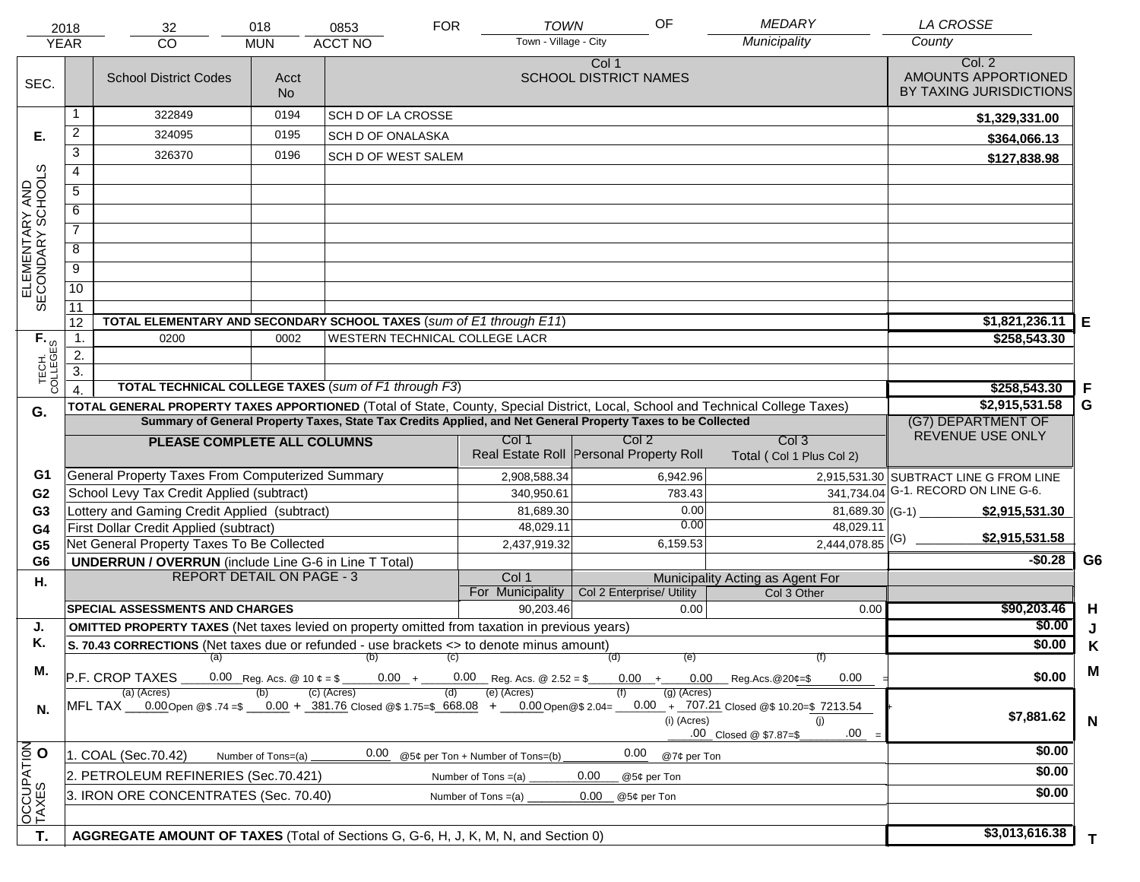| <b>YEAR</b>                         | 2018                                                                                                                                                                                                                                                             | 32<br><b>CO</b>                                                                                                                | 018                                    | 0853<br><b>ACCT NO</b>         | <b>FOR</b> | <b>TOWN</b><br>Town - Village - City             | OF                                    |                | <b>MEDARY</b><br>Municipality                   | <b>LA CROSSE</b><br>County                               |                |
|-------------------------------------|------------------------------------------------------------------------------------------------------------------------------------------------------------------------------------------------------------------------------------------------------------------|--------------------------------------------------------------------------------------------------------------------------------|----------------------------------------|--------------------------------|------------|--------------------------------------------------|---------------------------------------|----------------|-------------------------------------------------|----------------------------------------------------------|----------------|
|                                     |                                                                                                                                                                                                                                                                  |                                                                                                                                | <b>MUN</b>                             |                                |            |                                                  |                                       |                |                                                 |                                                          |                |
| SEC.                                |                                                                                                                                                                                                                                                                  | <b>School District Codes</b>                                                                                                   | Acct<br><b>No</b>                      |                                |            |                                                  | Col 1<br><b>SCHOOL DISTRICT NAMES</b> |                |                                                 | Col. 2<br>AMOUNTS APPORTIONED<br>BY TAXING JURISDICTIONS |                |
|                                     | 0194<br>322849<br><b>SCH D OF LA CROSSE</b>                                                                                                                                                                                                                      |                                                                                                                                |                                        |                                |            |                                                  |                                       | \$1,329,331.00 |                                                 |                                                          |                |
| Е.                                  | $\overline{a}$                                                                                                                                                                                                                                                   | 324095                                                                                                                         | 0195                                   | SCH D OF ONALASKA              |            |                                                  |                                       |                |                                                 | \$364,066.13                                             |                |
|                                     | 3                                                                                                                                                                                                                                                                | 326370                                                                                                                         | 0196                                   | SCH D OF WEST SALEM            |            |                                                  |                                       |                |                                                 | \$127,838.98                                             |                |
|                                     | $\overline{4}$                                                                                                                                                                                                                                                   |                                                                                                                                |                                        |                                |            |                                                  |                                       |                |                                                 |                                                          |                |
|                                     | 5                                                                                                                                                                                                                                                                |                                                                                                                                |                                        |                                |            |                                                  |                                       |                |                                                 |                                                          |                |
|                                     | 6                                                                                                                                                                                                                                                                |                                                                                                                                |                                        |                                |            |                                                  |                                       |                |                                                 |                                                          |                |
| ELEMENTARY AND<br>SECONDARY SCHOOLS | $\overline{7}$                                                                                                                                                                                                                                                   |                                                                                                                                |                                        |                                |            |                                                  |                                       |                |                                                 |                                                          |                |
|                                     | 8                                                                                                                                                                                                                                                                |                                                                                                                                |                                        |                                |            |                                                  |                                       |                |                                                 |                                                          |                |
|                                     | $\overline{9}$                                                                                                                                                                                                                                                   |                                                                                                                                |                                        |                                |            |                                                  |                                       |                |                                                 |                                                          |                |
|                                     | $\overline{10}$                                                                                                                                                                                                                                                  |                                                                                                                                |                                        |                                |            |                                                  |                                       |                |                                                 |                                                          |                |
|                                     | 11                                                                                                                                                                                                                                                               |                                                                                                                                |                                        |                                |            |                                                  |                                       |                |                                                 |                                                          |                |
|                                     | 12                                                                                                                                                                                                                                                               | TOTAL ELEMENTARY AND SECONDARY SCHOOL TAXES (sum of E1 through E11)                                                            |                                        |                                |            |                                                  |                                       |                |                                                 | \$1,821,236.11                                           | Е              |
|                                     | $\mathbf{1}$ .                                                                                                                                                                                                                                                   | 0200                                                                                                                           | 0002                                   | WESTERN TECHNICAL COLLEGE LACR |            |                                                  |                                       |                |                                                 | \$258,543.30                                             |                |
|                                     | $\overline{2}$ .                                                                                                                                                                                                                                                 |                                                                                                                                |                                        |                                |            |                                                  |                                       |                |                                                 |                                                          |                |
| TECH. T<br>COLLEGES                 | $\overline{3}$ .                                                                                                                                                                                                                                                 |                                                                                                                                |                                        |                                |            |                                                  |                                       |                |                                                 |                                                          |                |
|                                     |                                                                                                                                                                                                                                                                  | <b>TOTAL TECHNICAL COLLEGE TAXES (sum of F1 through F3)</b>                                                                    |                                        |                                |            |                                                  |                                       |                |                                                 | \$258,543.30                                             | -F             |
| G.                                  |                                                                                                                                                                                                                                                                  | TOTAL GENERAL PROPERTY TAXES APPORTIONED (Total of State, County, Special District, Local, School and Technical College Taxes) | \$2,915,531.58                         | G                              |            |                                                  |                                       |                |                                                 |                                                          |                |
|                                     |                                                                                                                                                                                                                                                                  | Summary of General Property Taxes, State Tax Credits Applied, and Net General Property Taxes to be Collected                   | (G7) DEPARTMENT OF<br>REVENUE USE ONLY |                                |            |                                                  |                                       |                |                                                 |                                                          |                |
|                                     |                                                                                                                                                                                                                                                                  | PLEASE COMPLETE ALL COLUMNS                                                                                                    |                                        |                                |            | Col 1<br>Real Estate Roll Personal Property Roll | Col 2                                 |                | Col <sub>3</sub><br>Total (Col 1 Plus Col 2)    |                                                          |                |
| G1                                  |                                                                                                                                                                                                                                                                  | General Property Taxes From Computerized Summary                                                                               |                                        |                                |            | 2,908,588.34                                     |                                       | 6,942.96       |                                                 | 2,915,531.30 SUBTRACT LINE G FROM LINE                   |                |
| G <sub>2</sub>                      |                                                                                                                                                                                                                                                                  | School Levy Tax Credit Applied (subtract)                                                                                      |                                        |                                |            | 340,950.61                                       |                                       | 783.43         | 341,734.04                                      | G-1. RECORD ON LINE G-6.                                 |                |
| G <sub>3</sub>                      |                                                                                                                                                                                                                                                                  | Lottery and Gaming Credit Applied (subtract)                                                                                   |                                        |                                |            | 81,689.30                                        |                                       | 0.00           | $81,689.30$ (G-1)                               | \$2,915,531.30                                           |                |
| G4                                  |                                                                                                                                                                                                                                                                  | First Dollar Credit Applied (subtract)                                                                                         |                                        |                                |            | 48,029.11                                        |                                       | 0.00           | 48,029.11                                       | \$2,915,531.58                                           |                |
| G <sub>5</sub>                      |                                                                                                                                                                                                                                                                  | Net General Property Taxes To Be Collected                                                                                     |                                        |                                |            | 2,437,919.32                                     |                                       | 6,159.53       | $2,444,078.85$ <sup>(G)</sup>                   |                                                          |                |
| G <sub>6</sub>                      |                                                                                                                                                                                                                                                                  | <b>UNDERRUN / OVERRUN</b> (include Line G-6 in Line T Total)                                                                   |                                        |                                |            |                                                  |                                       |                |                                                 | $-$0.28$                                                 | G <sub>6</sub> |
| Η.                                  | <b>REPORT DETAIL ON PAGE - 3</b>                                                                                                                                                                                                                                 |                                                                                                                                |                                        |                                |            | Col 1<br>For Municipality                        | Col 2 Enterprise/ Utility             |                | Municipality Acting as Agent For<br>Col 3 Other |                                                          |                |
|                                     |                                                                                                                                                                                                                                                                  | <b>SPECIAL ASSESSMENTS AND CHARGES</b>                                                                                         |                                        |                                |            | 90,203.46                                        |                                       | 0.00           | 0.00                                            | \$90,203.46                                              | H              |
| J.                                  |                                                                                                                                                                                                                                                                  | <b>OMITTED PROPERTY TAXES</b> (Net taxes levied on property omitted from taxation in previous years)                           |                                        |                                |            |                                                  |                                       |                |                                                 | \$0.00                                                   | J              |
| Κ.                                  |                                                                                                                                                                                                                                                                  | S. 70.43 CORRECTIONS (Net taxes due or refunded - use brackets <> to denote minus amount)                                      |                                        |                                |            |                                                  |                                       |                |                                                 | \$0.00                                                   | Κ              |
|                                     |                                                                                                                                                                                                                                                                  | $(a)$ (b)                                                                                                                      |                                        |                                | (C)        |                                                  | (d)                                   | (e)            | (f)                                             |                                                          |                |
| М.                                  |                                                                                                                                                                                                                                                                  | P.F. CROP TAXES                                                                                                                | 0.00 Reg. Acs. @ 10 $\phi$ = \$        |                                |            | $0.00 + 0.00$ Reg. Acs. @ 2.52 = \$              |                                       |                | $0.00 + 0.00$ Reg.Acs. @20¢=\$<br>0.00          | \$0.00                                                   | M              |
| N.                                  | (c) (Acres)<br>(e) (Acres)<br>(a) (Acres)<br>$(g)$ (Acres)<br>(d)<br>MFL TAX 0.00 Open @\$ 74 =\$ 0.00 + 381.76 Closed @\$ 1.75=\$ 668.08 + 0.00 Open @\$ 2.04= 0.00 + 707.21 Closed @\$ 10.20=\$ 7213.54<br>(i) (Acres)<br>(i)<br>.00<br>.00 Closed @ \$7.87=\$ |                                                                                                                                |                                        |                                |            |                                                  |                                       |                |                                                 | \$7,881.62                                               | $\mathbf N$    |
|                                     |                                                                                                                                                                                                                                                                  | 1. COAL (Sec.70.42)                                                                                                            | Number of Tons=(a)                     | 0.00                           |            | @5¢ per Ton + Number of Tons=(b)                 | 0.00                                  | @7¢ per Ton    |                                                 | \$0.00                                                   |                |
| OCCUPATION                          |                                                                                                                                                                                                                                                                  | 2. PETROLEUM REFINERIES (Sec.70.421)                                                                                           |                                        |                                |            | Number of Tons $=(a)$                            | 0.00<br>@5¢ per Ton                   |                |                                                 | \$0.00                                                   |                |
|                                     |                                                                                                                                                                                                                                                                  | 3. IRON ORE CONCENTRATES (Sec. 70.40)                                                                                          |                                        |                                |            | Number of Tons $=(a)$                            | 0.00<br>@5¢ per Ton                   |                |                                                 | \$0.00                                                   |                |
|                                     |                                                                                                                                                                                                                                                                  |                                                                                                                                |                                        |                                |            |                                                  |                                       |                |                                                 |                                                          |                |
| T.                                  |                                                                                                                                                                                                                                                                  |                                                                                                                                |                                        |                                |            |                                                  |                                       |                |                                                 | \$3,013,616.38                                           |                |
|                                     | AGGREGATE AMOUNT OF TAXES (Total of Sections G, G-6, H, J, K, M, N, and Section 0)                                                                                                                                                                               |                                                                                                                                |                                        |                                |            |                                                  |                                       |                |                                                 | T                                                        |                |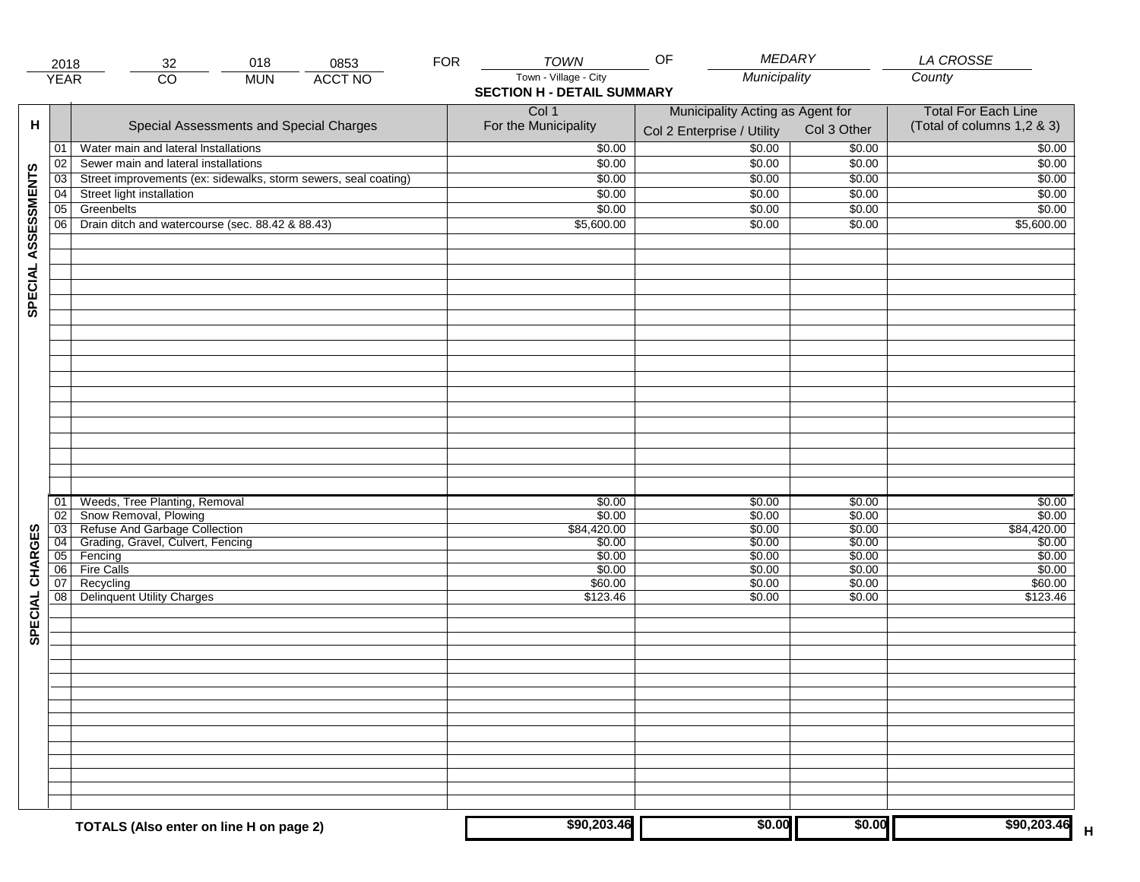|                     | 2018            | 018<br>0853<br>32                                               | <b>FOR</b> | <b>TOWN</b>                       | <b>MEDARY</b><br>OF              |             | <b>LA CROSSE</b>           |
|---------------------|-----------------|-----------------------------------------------------------------|------------|-----------------------------------|----------------------------------|-------------|----------------------------|
|                     | <b>YEAR</b>     | <b>ACCT NO</b><br>$\overline{CO}$<br><b>MUN</b>                 |            | Town - Village - City             | Municipality                     |             | County                     |
|                     |                 |                                                                 |            | <b>SECTION H - DETAIL SUMMARY</b> |                                  |             |                            |
|                     |                 |                                                                 |            | Col 1                             | Municipality Acting as Agent for |             | <b>Total For Each Line</b> |
| н                   |                 | Special Assessments and Special Charges                         |            | For the Municipality              |                                  | Col 3 Other | (Total of columns 1,2 & 3) |
|                     |                 |                                                                 |            |                                   | Col 2 Enterprise / Utility       |             |                            |
|                     | 01              | Water main and lateral Installations                            |            | \$0.00                            | \$0.00                           | \$0.00      | \$0.00                     |
|                     | 02              | Sewer main and lateral installations                            |            | \$0.00                            | \$0.00                           | \$0.00      | \$0.00                     |
| SPECIAL ASSESSMENTS | 03              | Street improvements (ex: sidewalks, storm sewers, seal coating) |            | \$0.00                            | \$0.00                           | \$0.00      | \$0.00                     |
|                     | 04              | Street light installation                                       |            | \$0.00                            | \$0.00                           | \$0.00      | \$0.00                     |
|                     | $\overline{05}$ | Greenbelts                                                      |            | \$0.00                            | \$0.00                           | \$0.00      | \$0.00                     |
|                     | 06              | Drain ditch and watercourse (sec. 88.42 & 88.43)                |            | \$5,600.00                        | \$0.00                           | \$0.00      | \$5,600.00                 |
|                     |                 |                                                                 |            |                                   |                                  |             |                            |
|                     |                 |                                                                 |            |                                   |                                  |             |                            |
|                     |                 |                                                                 |            |                                   |                                  |             |                            |
|                     |                 |                                                                 |            |                                   |                                  |             |                            |
|                     |                 |                                                                 |            |                                   |                                  |             |                            |
|                     |                 |                                                                 |            |                                   |                                  |             |                            |
|                     |                 |                                                                 |            |                                   |                                  |             |                            |
|                     |                 |                                                                 |            |                                   |                                  |             |                            |
|                     |                 |                                                                 |            |                                   |                                  |             |                            |
|                     |                 |                                                                 |            |                                   |                                  |             |                            |
|                     |                 |                                                                 |            |                                   |                                  |             |                            |
|                     |                 |                                                                 |            |                                   |                                  |             |                            |
|                     |                 |                                                                 |            |                                   |                                  |             |                            |
|                     |                 |                                                                 |            |                                   |                                  |             |                            |
|                     |                 |                                                                 |            |                                   |                                  |             |                            |
|                     |                 |                                                                 |            |                                   |                                  |             |                            |
|                     |                 |                                                                 |            |                                   |                                  |             |                            |
|                     |                 |                                                                 |            |                                   |                                  |             |                            |
|                     | 01              | Weeds, Tree Planting, Removal                                   |            | \$0.00                            | \$0.00                           | \$0.00      | \$0.00                     |
|                     | $\overline{02}$ | Snow Removal, Plowing                                           |            | \$0.00                            | \$0.00                           | \$0.00      | \$0.00                     |
|                     | $\overline{03}$ | Refuse And Garbage Collection                                   |            | \$84,420.00                       | \$0.00                           | \$0.00      | \$84,420.00                |
|                     | 04              | Grading, Gravel, Culvert, Fencing                               |            | \$0.00                            | \$0.00                           | \$0.00      | \$0.00                     |
| SPECIAL CHARGES     | 05              | Fencing                                                         |            | \$0.00                            | \$0.00                           | \$0.00      | \$0.00                     |
|                     | 06              | <b>Fire Calls</b>                                               |            | \$0.00                            | \$0.00                           | \$0.00      | \$0.00                     |
|                     | 07              | Recycling                                                       |            | \$60.00                           | \$0.00                           | \$0.00      | \$60.00                    |
|                     | 08              | <b>Delinquent Utility Charges</b>                               |            | \$123.46                          | \$0.00                           | \$0.00      | \$123.46                   |
|                     |                 |                                                                 |            |                                   |                                  |             |                            |
|                     |                 |                                                                 |            |                                   |                                  |             |                            |
|                     |                 |                                                                 |            |                                   |                                  |             |                            |
|                     |                 |                                                                 |            |                                   |                                  |             |                            |
|                     |                 |                                                                 |            |                                   |                                  |             |                            |
|                     |                 |                                                                 |            |                                   |                                  |             |                            |
|                     |                 |                                                                 |            |                                   |                                  |             |                            |
|                     |                 |                                                                 |            |                                   |                                  |             |                            |
|                     |                 |                                                                 |            |                                   |                                  |             |                            |
|                     |                 |                                                                 |            |                                   |                                  |             |                            |
|                     |                 |                                                                 |            |                                   |                                  |             |                            |
|                     |                 |                                                                 |            |                                   |                                  |             |                            |
|                     |                 |                                                                 |            |                                   |                                  |             |                            |
|                     |                 |                                                                 |            |                                   |                                  |             |                            |
|                     |                 |                                                                 |            |                                   |                                  |             |                            |
|                     |                 | TOTALS (Also enter on line H on page 2)                         |            | \$90,203.46                       | \$0.00                           | \$0.00      | \$90,203.46<br>$\mathsf H$ |
|                     |                 |                                                                 |            |                                   |                                  |             |                            |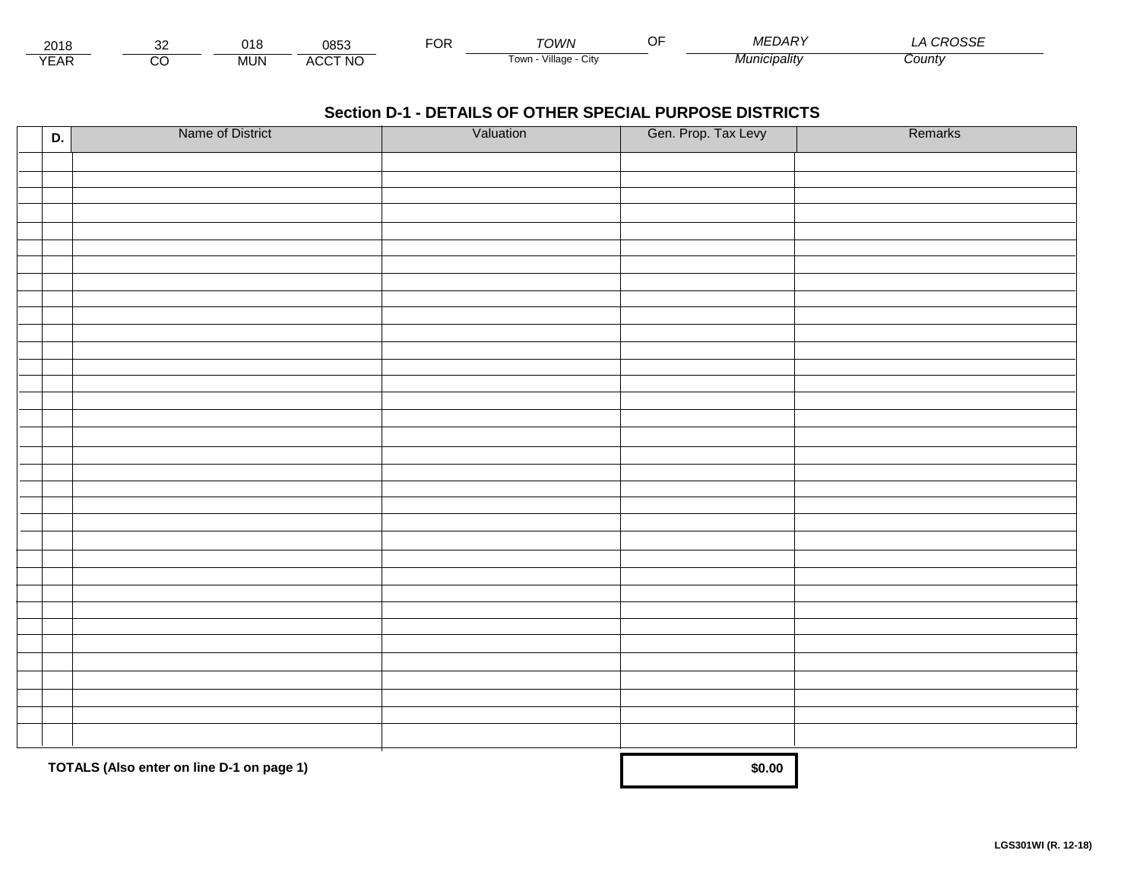| 2018                          |         | ∩4 O<br>ن الن | 0853                | $\neg$ nr.<br>Ur | ∩M/N                    | -- | $I^{\sim}$<br>$\sim$<br>DАI | .noocr<br>םטט |
|-------------------------------|---------|---------------|---------------------|------------------|-------------------------|----|-----------------------------|---------------|
| $V = V$<br>$\mathbf{L}$<br>⊢ี | ~~<br>U | MUN           | <b>CCT NO</b><br>AU |                  | villade<br>i own<br>∪lW |    | upalitvس.                   | County        |

| D. | Name of District                          | Valuation | Gen. Prop. Tax Levy | Remarks |
|----|-------------------------------------------|-----------|---------------------|---------|
|    |                                           |           |                     |         |
|    |                                           |           |                     |         |
|    |                                           |           |                     |         |
|    |                                           |           |                     |         |
|    |                                           |           |                     |         |
|    |                                           |           |                     |         |
|    |                                           |           |                     |         |
|    |                                           |           |                     |         |
|    |                                           |           |                     |         |
|    |                                           |           |                     |         |
|    |                                           |           |                     |         |
|    |                                           |           |                     |         |
|    |                                           |           |                     |         |
|    |                                           |           |                     |         |
|    |                                           |           |                     |         |
|    |                                           |           |                     |         |
|    |                                           |           |                     |         |
|    |                                           |           |                     |         |
|    |                                           |           |                     |         |
|    |                                           |           |                     |         |
|    |                                           |           |                     |         |
|    |                                           |           |                     |         |
|    |                                           |           |                     |         |
|    |                                           |           |                     |         |
|    |                                           |           |                     |         |
|    |                                           |           |                     |         |
|    |                                           |           |                     |         |
|    |                                           |           |                     |         |
|    |                                           |           |                     |         |
|    |                                           |           |                     |         |
|    |                                           |           |                     |         |
|    | TOTALS (Also enter on line D-1 on page 1) | \$0.00    |                     |         |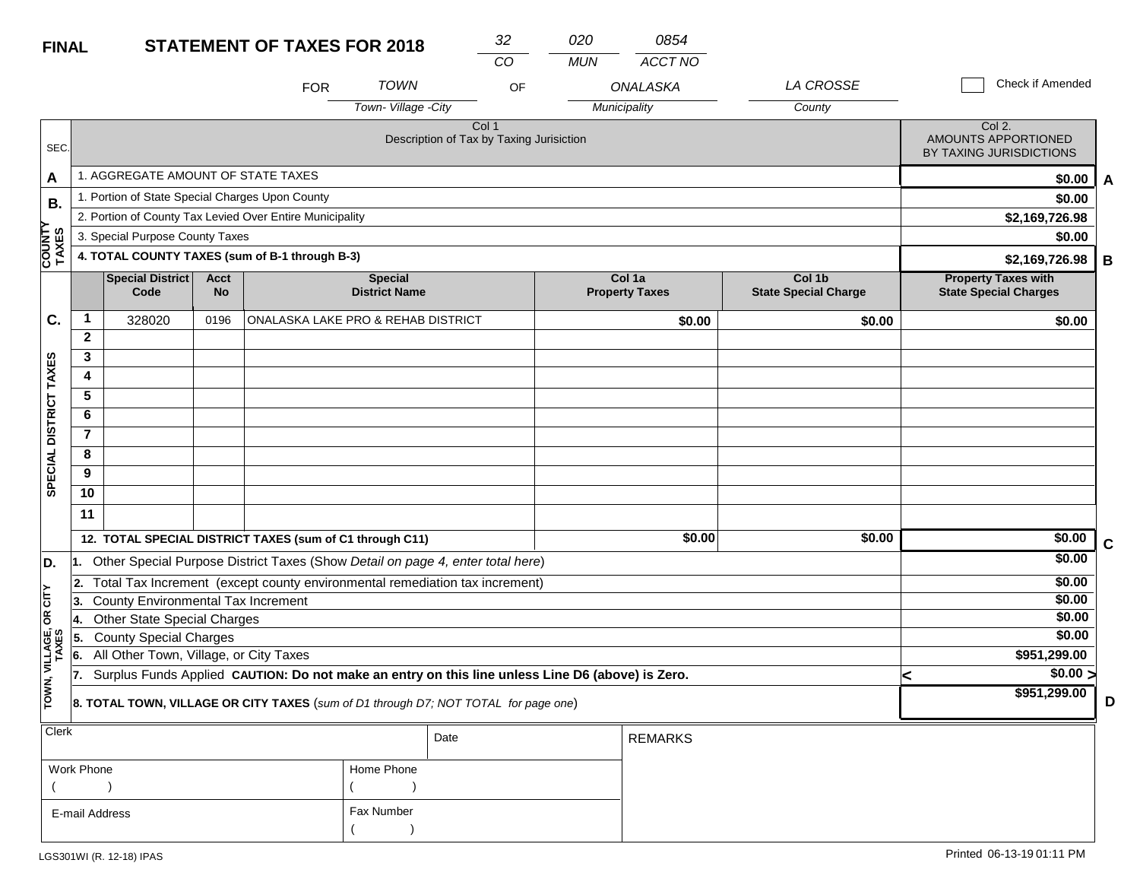| <b>FINAL</b>            |                |                                                                         |                   | <b>STATEMENT OF TAXES FOR 2018</b>                       |                                                                                                  | 32    | 020        | 0854                            |                                       |                                                            |   |
|-------------------------|----------------|-------------------------------------------------------------------------|-------------------|----------------------------------------------------------|--------------------------------------------------------------------------------------------------|-------|------------|---------------------------------|---------------------------------------|------------------------------------------------------------|---|
|                         |                |                                                                         |                   |                                                          |                                                                                                  | CO    | <b>MUN</b> | ACCT NO                         |                                       |                                                            |   |
|                         |                |                                                                         |                   | <b>FOR</b>                                               | <b>TOWN</b>                                                                                      | OF    |            | ONALASKA                        | LA CROSSE                             | Check if Amended                                           |   |
|                         |                |                                                                         |                   |                                                          | Town-Village -City                                                                               |       |            | Municipality                    | County                                |                                                            |   |
| SEC.                    |                |                                                                         |                   |                                                          | Description of Tax by Taxing Jurisiction                                                         | Col 1 |            |                                 |                                       | Col 2.<br>AMOUNTS APPORTIONED<br>BY TAXING JURISDICTIONS   |   |
| A                       |                | 1. AGGREGATE AMOUNT OF STATE TAXES                                      |                   |                                                          |                                                                                                  |       |            |                                 |                                       | \$0.00                                                     | A |
| В.                      |                | 1. Portion of State Special Charges Upon County                         |                   |                                                          |                                                                                                  |       |            |                                 |                                       | \$0.00                                                     |   |
|                         |                |                                                                         |                   | 2. Portion of County Tax Levied Over Entire Municipality |                                                                                                  |       |            |                                 |                                       | \$2,169,726.98                                             |   |
|                         |                | 3. Special Purpose County Taxes                                         |                   |                                                          |                                                                                                  |       |            |                                 |                                       | \$0.00                                                     |   |
| <b>COUNTY</b><br>TAXES  |                |                                                                         |                   | 4. TOTAL COUNTY TAXES (sum of B-1 through B-3)           |                                                                                                  |       |            |                                 |                                       | \$2,169,726.98                                             | в |
|                         |                | <b>Special District</b><br>Code                                         | Acct<br><b>No</b> |                                                          | <b>Special</b><br><b>District Name</b>                                                           |       |            | Col 1a<br><b>Property Taxes</b> | Col 1b<br><b>State Special Charge</b> | <b>Property Taxes with</b><br><b>State Special Charges</b> |   |
| C.                      | 1              | 328020                                                                  | 0196              |                                                          | ONALASKA LAKE PRO & REHAB DISTRICT                                                               |       |            | \$0.00                          | \$0.00                                | \$0.00                                                     |   |
|                         | $\mathbf{2}$   |                                                                         |                   |                                                          |                                                                                                  |       |            |                                 |                                       |                                                            |   |
|                         | 3              |                                                                         |                   |                                                          |                                                                                                  |       |            |                                 |                                       |                                                            |   |
|                         | 4              |                                                                         |                   |                                                          |                                                                                                  |       |            |                                 |                                       |                                                            |   |
|                         | 5              |                                                                         |                   |                                                          |                                                                                                  |       |            |                                 |                                       |                                                            |   |
| DISTRICT TAXES          | 6              |                                                                         |                   |                                                          |                                                                                                  |       |            |                                 |                                       |                                                            |   |
|                         | $\overline{7}$ |                                                                         |                   |                                                          |                                                                                                  |       |            |                                 |                                       |                                                            |   |
| <b>SPECIAL</b>          | 8              |                                                                         |                   |                                                          |                                                                                                  |       |            |                                 |                                       |                                                            |   |
|                         | 9<br>10        |                                                                         |                   |                                                          |                                                                                                  |       |            |                                 |                                       |                                                            |   |
|                         |                |                                                                         |                   |                                                          |                                                                                                  |       |            |                                 |                                       |                                                            |   |
|                         | 11             |                                                                         |                   |                                                          |                                                                                                  |       |            |                                 |                                       |                                                            |   |
|                         |                |                                                                         |                   | 12. TOTAL SPECIAL DISTRICT TAXES (sum of C1 through C11) |                                                                                                  |       |            | \$0.00                          | \$0.00                                | \$0.00                                                     | C |
| D.                      |                |                                                                         |                   |                                                          | Other Special Purpose District Taxes (Show Detail on page 4, enter total here)                   |       |            |                                 |                                       | \$0.00                                                     |   |
|                         | 2.             |                                                                         |                   |                                                          | Total Tax Increment (except county environmental remediation tax increment)                      |       |            |                                 |                                       | \$0.00                                                     |   |
| OR CITY                 | 13.            | <b>County Environmental Tax Increment</b>                               |                   |                                                          |                                                                                                  |       |            |                                 |                                       | \$0.00                                                     |   |
|                         | 14.            | <b>Other State Special Charges</b>                                      |                   |                                                          |                                                                                                  |       |            |                                 |                                       | \$0.00<br>\$0.00                                           |   |
|                         | 15.            | <b>County Special Charges</b><br>All Other Town, Village, or City Taxes |                   |                                                          |                                                                                                  |       |            |                                 |                                       | \$951,299.00                                               |   |
|                         | 6.<br>17.      |                                                                         |                   |                                                          | Surplus Funds Applied CAUTION: Do not make an entry on this line unless Line D6 (above) is Zero. |       |            |                                 |                                       | \$0.00 >                                                   |   |
| TOWN, VILLAGE,<br>TAXES |                |                                                                         |                   |                                                          | 8. TOTAL TOWN, VILLAGE OR CITY TAXES (sum of D1 through D7; NOT TOTAL for page one)              |       |            |                                 |                                       | ⋖<br>\$951,299.00                                          | D |
| Clerk                   |                |                                                                         |                   |                                                          |                                                                                                  |       |            |                                 |                                       |                                                            |   |

| $ $ Clerk      |            | Date | <b>REMARKS</b> |
|----------------|------------|------|----------------|
| Work Phone     | Home Phone |      |                |
|                |            |      |                |
| E-mail Address | Fax Number |      |                |
|                |            |      |                |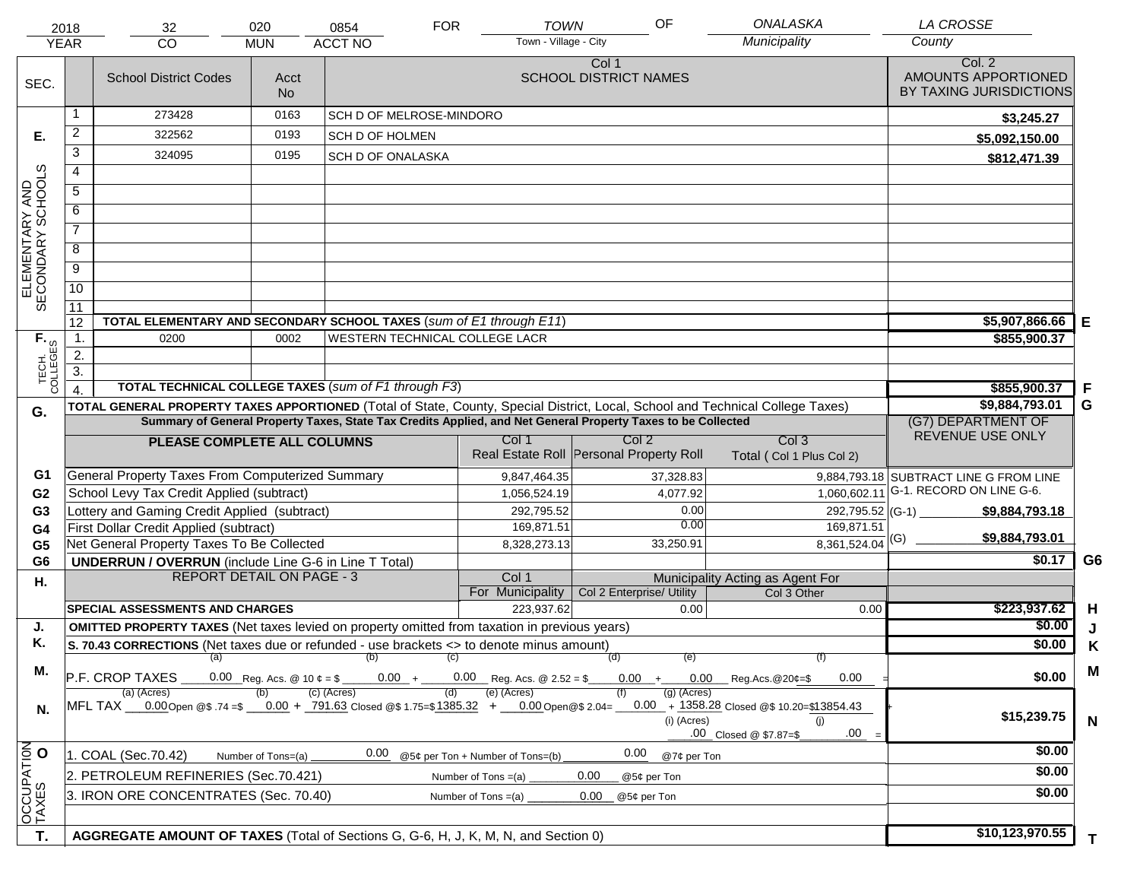|                                     | 2018                                                                                  | 32                                                                                                                             | 020                                                                          | 0854                           | <b>FOR</b> | <b>TOWN</b>                      | OF                                                                                                           | <b>ONALASKA</b>                                                                      | <b>LA CROSSE</b>                                         |                |
|-------------------------------------|---------------------------------------------------------------------------------------|--------------------------------------------------------------------------------------------------------------------------------|------------------------------------------------------------------------------|--------------------------------|------------|----------------------------------|--------------------------------------------------------------------------------------------------------------|--------------------------------------------------------------------------------------|----------------------------------------------------------|----------------|
|                                     | <b>YEAR</b>                                                                           | CO                                                                                                                             | <b>MUN</b>                                                                   | <b>ACCT NO</b>                 |            | Town - Village - City            |                                                                                                              | Municipality                                                                         | County                                                   |                |
| SEC.                                |                                                                                       | <b>School District Codes</b>                                                                                                   | Acct<br><b>No</b>                                                            |                                |            |                                  | Col 1<br><b>SCHOOL DISTRICT NAMES</b>                                                                        |                                                                                      | Col. 2<br>AMOUNTS APPORTIONED<br>BY TAXING JURISDICTIONS |                |
|                                     | 1                                                                                     | 273428                                                                                                                         | 0163                                                                         | SCH D OF MELROSE-MINDORO       |            |                                  |                                                                                                              |                                                                                      | \$3,245.27                                               |                |
| Е.                                  | $\overline{2}$                                                                        | 322562                                                                                                                         | 0193                                                                         | SCH D OF HOLMEN                |            |                                  |                                                                                                              |                                                                                      | \$5,092,150.00                                           |                |
|                                     | 3                                                                                     | 324095                                                                                                                         | 0195                                                                         | <b>SCH D OF ONALASKA</b>       |            |                                  |                                                                                                              |                                                                                      | \$812,471.39                                             |                |
|                                     | $\overline{4}$                                                                        |                                                                                                                                |                                                                              |                                |            |                                  |                                                                                                              |                                                                                      |                                                          |                |
|                                     | $\overline{5}$                                                                        |                                                                                                                                |                                                                              |                                |            |                                  |                                                                                                              |                                                                                      |                                                          |                |
|                                     | 6                                                                                     |                                                                                                                                |                                                                              |                                |            |                                  |                                                                                                              |                                                                                      |                                                          |                |
| ELEMENTARY AND<br>SECONDARY SCHOOLS | $\overline{7}$                                                                        |                                                                                                                                |                                                                              |                                |            |                                  |                                                                                                              |                                                                                      |                                                          |                |
|                                     | 8                                                                                     |                                                                                                                                |                                                                              |                                |            |                                  |                                                                                                              |                                                                                      |                                                          |                |
|                                     | $\overline{9}$                                                                        |                                                                                                                                |                                                                              |                                |            |                                  |                                                                                                              |                                                                                      |                                                          |                |
|                                     | $\overline{10}$                                                                       |                                                                                                                                |                                                                              |                                |            |                                  |                                                                                                              |                                                                                      |                                                          |                |
|                                     | $\overline{11}$                                                                       |                                                                                                                                |                                                                              |                                |            |                                  |                                                                                                              |                                                                                      |                                                          |                |
|                                     | 12                                                                                    | TOTAL ELEMENTARY AND SECONDARY SCHOOL TAXES (sum of E1 through E11)                                                            |                                                                              | \$5,907,866.66                 | Е          |                                  |                                                                                                              |                                                                                      |                                                          |                |
|                                     | $\mathbf{1}$ .                                                                        | 0200                                                                                                                           | 0002                                                                         | WESTERN TECHNICAL COLLEGE LACR |            |                                  |                                                                                                              |                                                                                      | \$855,900.37                                             |                |
|                                     | 2.<br>$\overline{3}$ .                                                                |                                                                                                                                |                                                                              |                                |            |                                  |                                                                                                              |                                                                                      |                                                          |                |
| TECH. T                             |                                                                                       | TOTAL TECHNICAL COLLEGE TAXES (sum of F1 through F3)                                                                           |                                                                              |                                |            |                                  |                                                                                                              |                                                                                      | \$855,900.37                                             | F              |
|                                     |                                                                                       | TOTAL GENERAL PROPERTY TAXES APPORTIONED (Total of State, County, Special District, Local, School and Technical College Taxes) |                                                                              | \$9,884,793.01                 | G          |                                  |                                                                                                              |                                                                                      |                                                          |                |
| G.                                  |                                                                                       |                                                                                                                                |                                                                              |                                |            |                                  | Summary of General Property Taxes, State Tax Credits Applied, and Net General Property Taxes to be Collected |                                                                                      | (G7) DEPARTMENT OF                                       |                |
|                                     |                                                                                       | PLEASE COMPLETE ALL COLUMNS                                                                                                    |                                                                              |                                |            | Col 1                            | Col <sub>2</sub>                                                                                             | Col <sub>3</sub>                                                                     | REVENUE USE ONLY                                         |                |
|                                     |                                                                                       |                                                                                                                                |                                                                              |                                |            |                                  | Real Estate Roll Personal Property Roll                                                                      | Total (Col 1 Plus Col 2)                                                             |                                                          |                |
| G1                                  |                                                                                       | General Property Taxes From Computerized Summary                                                                               |                                                                              |                                |            | 9,847,464.35                     | 37,328.83                                                                                                    |                                                                                      | 9,884,793.18 SUBTRACT LINE G FROM LINE                   |                |
| G <sub>2</sub>                      |                                                                                       | School Levy Tax Credit Applied (subtract)                                                                                      |                                                                              |                                |            | 1,056,524.19                     | 4,077.92                                                                                                     | 1,060,602.11                                                                         | G-1. RECORD ON LINE G-6.                                 |                |
| G <sub>3</sub>                      |                                                                                       | Lottery and Gaming Credit Applied (subtract)                                                                                   |                                                                              |                                |            | 292,795.52                       | 0.00                                                                                                         |                                                                                      | $292,795.52$ (G-1)<br>\$9,884,793.18                     |                |
| G <sub>4</sub>                      |                                                                                       | First Dollar Credit Applied (subtract)                                                                                         |                                                                              |                                |            | 169,871.51                       | 0.00                                                                                                         | 169,871.51                                                                           | \$9,884,793.01                                           |                |
| G <sub>5</sub>                      |                                                                                       | Net General Property Taxes To Be Collected                                                                                     |                                                                              |                                |            | 8,328,273.13                     | 33,250.91                                                                                                    | $8,361,524.04$ <sup>(G)</sup>                                                        | \$0.17                                                   | G <sub>6</sub> |
| G <sub>6</sub>                      |                                                                                       | <b>UNDERRUN / OVERRUN</b> (include Line G-6 in Line T Total)<br><b>REPORT DETAIL ON PAGE - 3</b>                               |                                                                              |                                |            | Col 1                            |                                                                                                              | Municipality Acting as Agent For                                                     |                                                          |                |
| Η.                                  |                                                                                       |                                                                                                                                |                                                                              |                                |            | For Municipality                 | Col 2 Enterprise/ Utility                                                                                    | Col 3 Other                                                                          |                                                          |                |
|                                     |                                                                                       | <b>SPECIAL ASSESSMENTS AND CHARGES</b>                                                                                         |                                                                              |                                |            | 223,937.62                       | 0.00                                                                                                         | 0.00                                                                                 | \$223,937.62                                             | H              |
| J.                                  |                                                                                       | <b>OMITTED PROPERTY TAXES</b> (Net taxes levied on property omitted from taxation in previous years)                           |                                                                              | \$0.00                         | J          |                                  |                                                                                                              |                                                                                      |                                                          |                |
| Κ.                                  |                                                                                       | S. 70.43 CORRECTIONS (Net taxes due or refunded - use brackets <> to denote minus amount)                                      |                                                                              | \$0.00                         | Κ          |                                  |                                                                                                              |                                                                                      |                                                          |                |
| М.                                  |                                                                                       | (a) (b) (c)                                                                                                                    | (f)                                                                          |                                | M          |                                  |                                                                                                              |                                                                                      |                                                          |                |
|                                     |                                                                                       | P.F. CROP TAXES<br>(a) (Acres)                                                                                                 | $0.00 + 0.00$ Reg. Acs. @ 2.52 = \$ $0.00 + 0.00$ Reg. Acs. @ 20¢=\$<br>0.00 | \$0.00                         |            |                                  |                                                                                                              |                                                                                      |                                                          |                |
| N.                                  |                                                                                       | MFL TAX 0.00 Open @\$ .74 =\$ 0.00 + 791.63 Closed @\$ 1.75=\$1385.32 + 0.00 Open @\$ 2.04=                                    |                                                                              | (c) (Acres)                    | (d)        | (e) (Acres)                      | (a) (Acres)<br>(i) (Acres)                                                                                   | $0.00 + 1358.28$ Closed @\$ 10.20=\$13854.43<br>(i)<br>.00<br>.00 Closed @ \$7.87=\$ | \$15,239.75                                              | $\mathsf{N}$   |
|                                     |                                                                                       | 1. COAL (Sec.70.42)                                                                                                            | Number of Tons=(a)                                                           | 0.00                           |            | @5¢ per Ton + Number of Tons=(b) | 0.00<br>@7¢ per Ton                                                                                          |                                                                                      | \$0.00                                                   |                |
| OCCUPATION                          |                                                                                       | 2. PETROLEUM REFINERIES (Sec.70.421)                                                                                           |                                                                              |                                |            | Number of Tons $=(a)$            | 0.00<br>@5¢ per Ton                                                                                          |                                                                                      | \$0.00                                                   |                |
|                                     | 3. IRON ORE CONCENTRATES (Sec. 70.40)<br>0.00<br>Number of Tons $=(a)$<br>@5¢ per Ton |                                                                                                                                |                                                                              |                                |            |                                  |                                                                                                              |                                                                                      | \$0.00                                                   |                |
|                                     |                                                                                       |                                                                                                                                |                                                                              |                                |            |                                  |                                                                                                              |                                                                                      |                                                          |                |
|                                     |                                                                                       | AGGREGATE AMOUNT OF TAXES (Total of Sections G, G-6, H, J, K, M, N, and Section 0)                                             |                                                                              |                                |            |                                  |                                                                                                              |                                                                                      | \$10,123,970.55                                          |                |
| T.                                  |                                                                                       |                                                                                                                                |                                                                              |                                |            |                                  |                                                                                                              |                                                                                      |                                                          | T.             |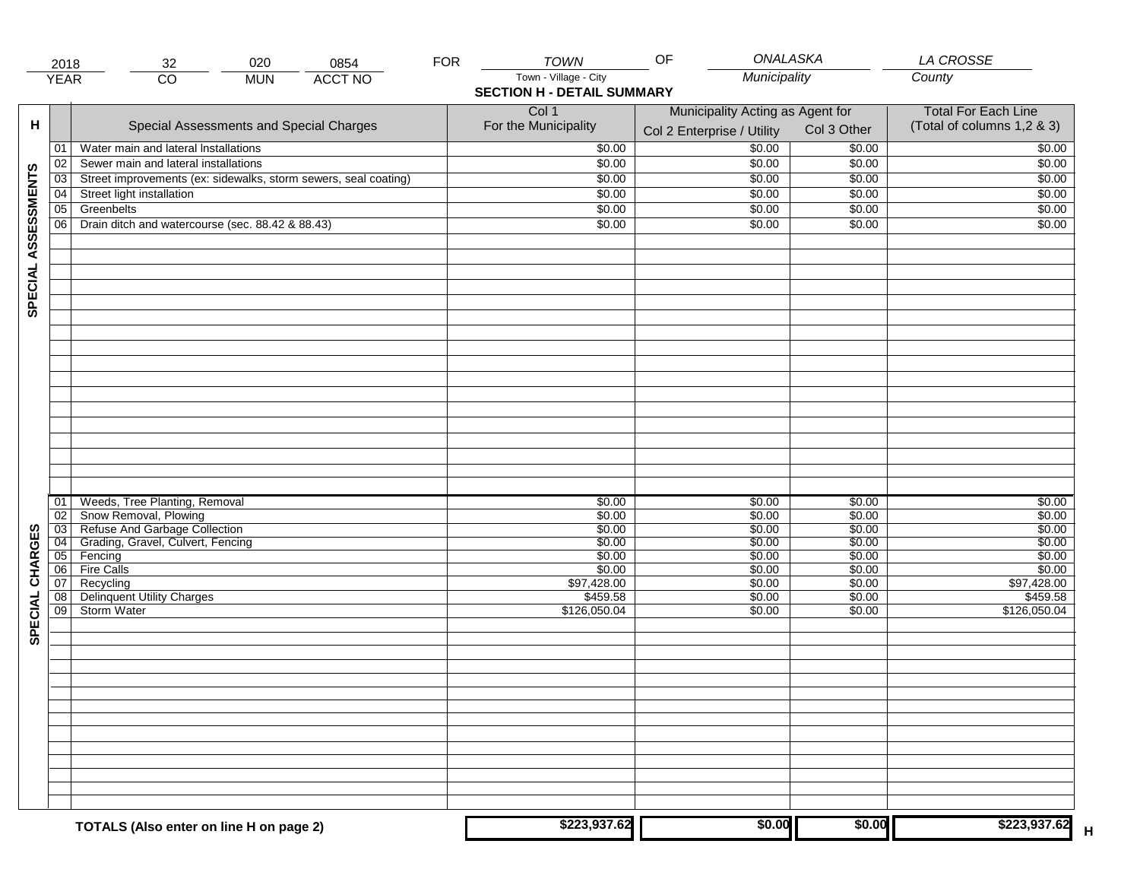|                     | 2018            | 020<br>0854<br>32                                               | <b>FOR</b> | <b>TOWN</b>                       | ONALASKA<br>OF                   |             | <b>LA CROSSE</b>            |
|---------------------|-----------------|-----------------------------------------------------------------|------------|-----------------------------------|----------------------------------|-------------|-----------------------------|
|                     | <b>YEAR</b>     | <b>ACCT NO</b><br>$\overline{CO}$<br><b>MUN</b>                 |            | Town - Village - City             | Municipality                     |             | County                      |
|                     |                 |                                                                 |            | <b>SECTION H - DETAIL SUMMARY</b> |                                  |             |                             |
|                     |                 |                                                                 |            | Col 1                             | Municipality Acting as Agent for |             | <b>Total For Each Line</b>  |
| н                   |                 | Special Assessments and Special Charges                         |            | For the Municipality              |                                  | Col 3 Other | (Total of columns 1,2 & 3)  |
|                     |                 |                                                                 |            |                                   | Col 2 Enterprise / Utility       |             |                             |
|                     | 01              | Water main and lateral Installations                            |            | \$0.00                            | \$0.00                           | \$0.00      | \$0.00                      |
|                     | 02              | Sewer main and lateral installations                            |            | \$0.00                            | \$0.00                           | \$0.00      | \$0.00                      |
| SPECIAL ASSESSMENTS | 03              | Street improvements (ex: sidewalks, storm sewers, seal coating) |            | \$0.00                            | \$0.00                           | \$0.00      | \$0.00                      |
|                     | 04              | Street light installation                                       |            | \$0.00                            | \$0.00                           | \$0.00      | \$0.00                      |
|                     | $\overline{05}$ | Greenbelts                                                      |            | \$0.00                            | \$0.00                           | \$0.00      | \$0.00                      |
|                     | 06              | Drain ditch and watercourse (sec. 88.42 & 88.43)                |            | \$0.00                            | \$0.00                           | \$0.00      | \$0.00                      |
|                     |                 |                                                                 |            |                                   |                                  |             |                             |
|                     |                 |                                                                 |            |                                   |                                  |             |                             |
|                     |                 |                                                                 |            |                                   |                                  |             |                             |
|                     |                 |                                                                 |            |                                   |                                  |             |                             |
|                     |                 |                                                                 |            |                                   |                                  |             |                             |
|                     |                 |                                                                 |            |                                   |                                  |             |                             |
|                     |                 |                                                                 |            |                                   |                                  |             |                             |
|                     |                 |                                                                 |            |                                   |                                  |             |                             |
|                     |                 |                                                                 |            |                                   |                                  |             |                             |
|                     |                 |                                                                 |            |                                   |                                  |             |                             |
|                     |                 |                                                                 |            |                                   |                                  |             |                             |
|                     |                 |                                                                 |            |                                   |                                  |             |                             |
|                     |                 |                                                                 |            |                                   |                                  |             |                             |
|                     |                 |                                                                 |            |                                   |                                  |             |                             |
|                     |                 |                                                                 |            |                                   |                                  |             |                             |
|                     |                 |                                                                 |            |                                   |                                  |             |                             |
|                     |                 |                                                                 |            |                                   |                                  |             |                             |
|                     |                 |                                                                 |            |                                   |                                  |             |                             |
|                     | 01              | Weeds, Tree Planting, Removal                                   |            | \$0.00                            | \$0.00                           | \$0.00      | \$0.00                      |
|                     | $\overline{02}$ | Snow Removal, Plowing                                           |            | \$0.00                            | \$0.00                           | \$0.00      | \$0.00                      |
|                     | $\overline{03}$ | Refuse And Garbage Collection                                   |            | \$0.00                            | \$0.00                           | \$0.00      | \$0.00                      |
| CHARGES             | 04              | Grading, Gravel, Culvert, Fencing                               |            | \$0.00                            | \$0.00                           | \$0.00      | \$0.00                      |
|                     | 05              | Fencing                                                         |            | \$0.00                            | \$0.00                           | \$0.00      | \$0.00                      |
|                     | 06              | <b>Fire Calls</b>                                               |            | \$0.00                            | \$0.00                           | \$0.00      | \$0.00                      |
|                     | 07              | Recycling                                                       |            | \$97,428.00                       | \$0.00                           | \$0.00      | \$97,428.00                 |
| SPECIAL             | 08              | <b>Delinquent Utility Charges</b>                               |            | \$459.58                          | \$0.00                           | \$0.00      | \$459.58                    |
|                     | $\overline{09}$ | <b>Storm Water</b>                                              |            | \$126,050.04                      | \$0.00                           | \$0.00      | \$126,050.04                |
|                     |                 |                                                                 |            |                                   |                                  |             |                             |
|                     |                 |                                                                 |            |                                   |                                  |             |                             |
|                     |                 |                                                                 |            |                                   |                                  |             |                             |
|                     |                 |                                                                 |            |                                   |                                  |             |                             |
|                     |                 |                                                                 |            |                                   |                                  |             |                             |
|                     |                 |                                                                 |            |                                   |                                  |             |                             |
|                     |                 |                                                                 |            |                                   |                                  |             |                             |
|                     |                 |                                                                 |            |                                   |                                  |             |                             |
|                     |                 |                                                                 |            |                                   |                                  |             |                             |
|                     |                 |                                                                 |            |                                   |                                  |             |                             |
|                     |                 |                                                                 |            |                                   |                                  |             |                             |
|                     |                 |                                                                 |            |                                   |                                  |             |                             |
|                     |                 |                                                                 |            |                                   |                                  |             |                             |
|                     |                 |                                                                 |            |                                   |                                  |             |                             |
|                     |                 | TOTALS (Also enter on line H on page 2)                         |            | \$223,937.62                      | \$0.00                           | \$0.00      | \$223,937.62<br>$\mathsf H$ |
|                     |                 |                                                                 |            |                                   |                                  |             |                             |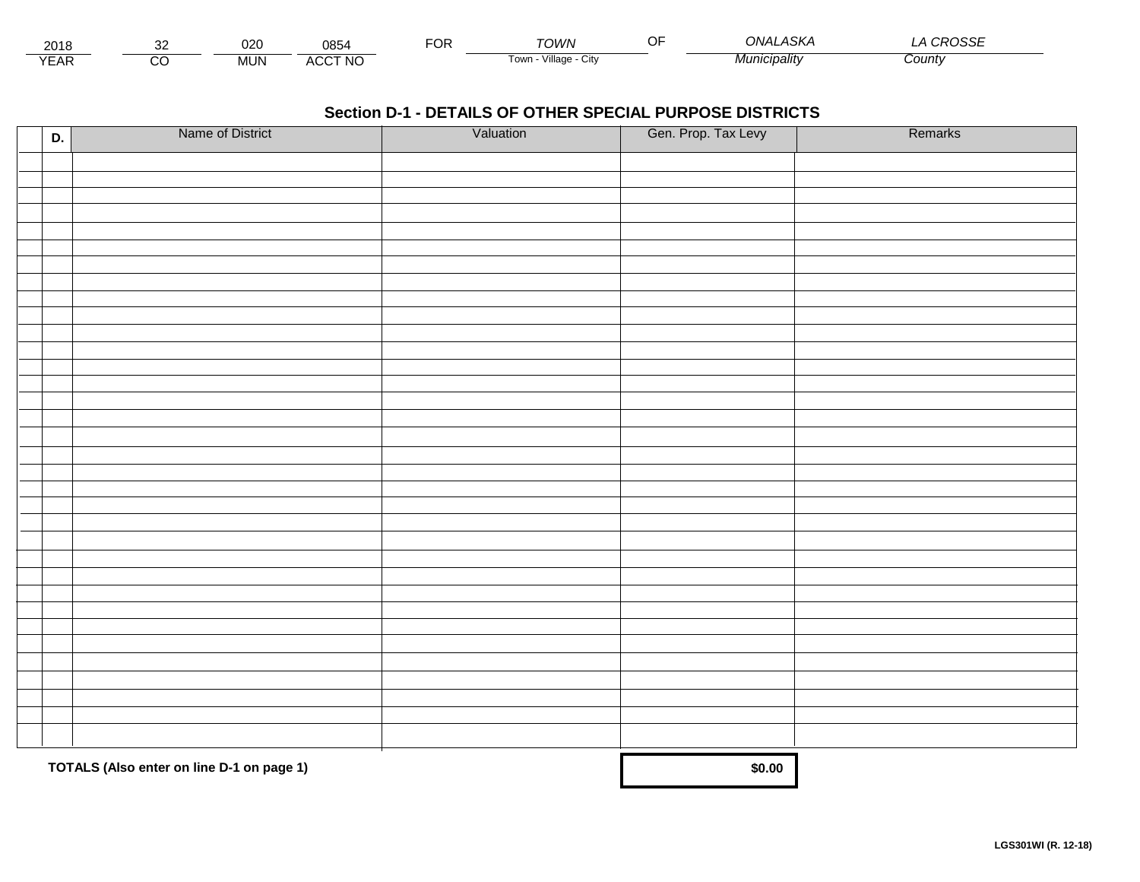| 2018            |         | nno<br>∪∠∪ | 0854           | ™OR: | OWN                    | 4SKA<br><b>ONAL</b> | noccr.<br>∟טטי∸ |
|-----------------|---------|------------|----------------|------|------------------------|---------------------|-----------------|
| $\sqrt{2}$<br>⊢ | ~~<br>w | <b>MUN</b> | <b>ACCT NO</b> |      | Village<br>⊺OWN<br>URV | ucipality           | County          |

| D. | Name of District                          | Valuation | Gen. Prop. Tax Levy | Remarks |
|----|-------------------------------------------|-----------|---------------------|---------|
|    |                                           |           |                     |         |
|    |                                           |           |                     |         |
|    |                                           |           |                     |         |
|    |                                           |           |                     |         |
|    |                                           |           |                     |         |
|    |                                           |           |                     |         |
|    |                                           |           |                     |         |
|    |                                           |           |                     |         |
|    |                                           |           |                     |         |
|    |                                           |           |                     |         |
|    |                                           |           |                     |         |
|    |                                           |           |                     |         |
|    |                                           |           |                     |         |
|    |                                           |           |                     |         |
|    |                                           |           |                     |         |
|    |                                           |           |                     |         |
|    |                                           |           |                     |         |
|    |                                           |           |                     |         |
|    |                                           |           |                     |         |
|    |                                           |           |                     |         |
|    |                                           |           |                     |         |
|    |                                           |           |                     |         |
|    |                                           |           |                     |         |
|    |                                           |           |                     |         |
|    |                                           |           |                     |         |
|    |                                           |           |                     |         |
|    |                                           |           |                     |         |
|    |                                           |           |                     |         |
|    |                                           |           |                     |         |
|    |                                           |           |                     |         |
|    |                                           |           |                     |         |
|    | TOTALS (Also enter on line D-1 on page 1) | \$0.00    |                     |         |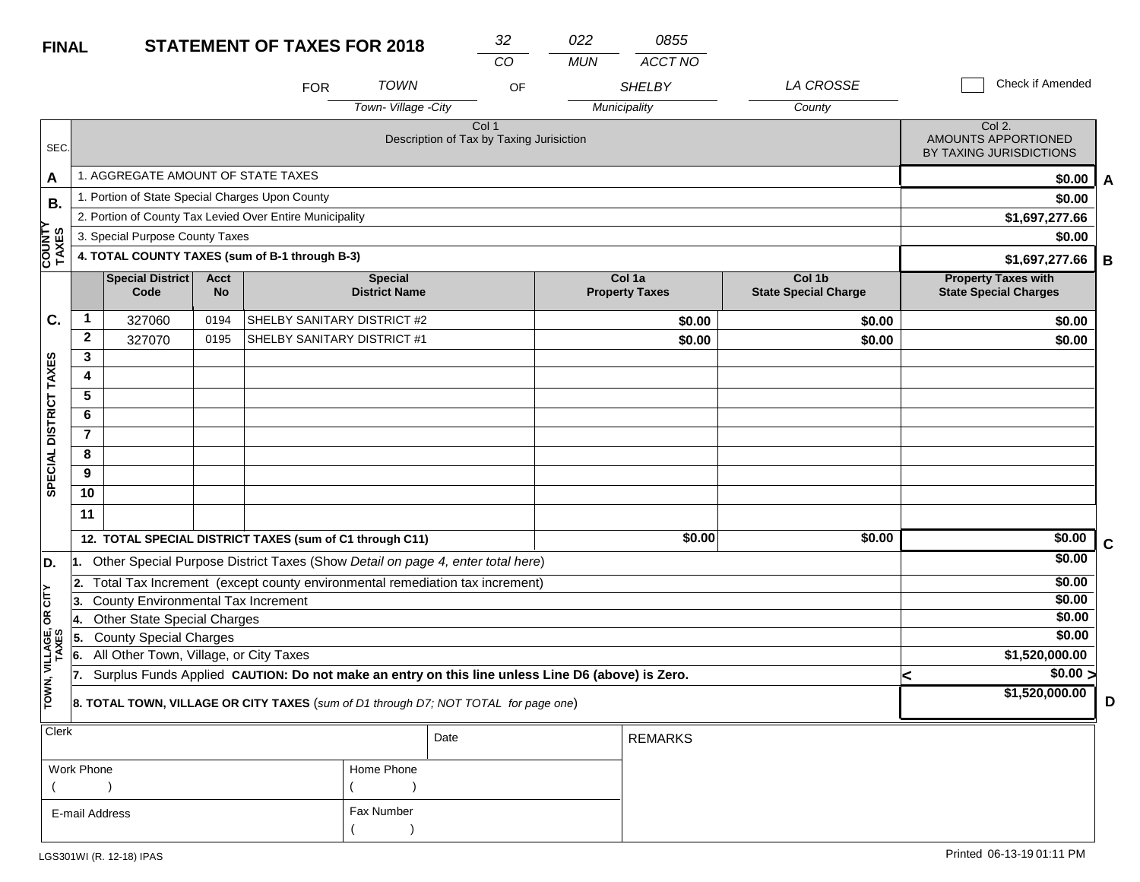| <b>FINAL</b>            |                                                                                                         |                                                 |                   | <b>STATEMENT OF TAXES FOR 2018</b>                       |                                                                                | 32    | 022        | 0855                            |                                       |                                                            |             |
|-------------------------|---------------------------------------------------------------------------------------------------------|-------------------------------------------------|-------------------|----------------------------------------------------------|--------------------------------------------------------------------------------|-------|------------|---------------------------------|---------------------------------------|------------------------------------------------------------|-------------|
|                         |                                                                                                         |                                                 |                   |                                                          |                                                                                | CO    | <b>MUN</b> | <b>ACCT NO</b>                  |                                       |                                                            |             |
|                         |                                                                                                         |                                                 |                   | <b>FOR</b>                                               | <b>TOWN</b>                                                                    | OF    |            | <b>SHELBY</b>                   | LA CROSSE                             | <b>Check if Amended</b>                                    |             |
|                         |                                                                                                         |                                                 |                   |                                                          | Town-Village -City                                                             |       |            | Municipality                    | County                                |                                                            |             |
| SEC.                    |                                                                                                         |                                                 |                   |                                                          | Description of Tax by Taxing Jurisiction                                       | Col 1 |            |                                 |                                       | Col 2.<br>AMOUNTS APPORTIONED<br>BY TAXING JURISDICTIONS   |             |
| A                       |                                                                                                         | 1. AGGREGATE AMOUNT OF STATE TAXES              |                   |                                                          |                                                                                |       |            |                                 |                                       | \$0.00                                                     | A           |
| В.                      |                                                                                                         | 1. Portion of State Special Charges Upon County |                   |                                                          |                                                                                |       |            |                                 |                                       | \$0.00                                                     |             |
|                         |                                                                                                         |                                                 |                   | 2. Portion of County Tax Levied Over Entire Municipality |                                                                                |       |            |                                 |                                       | \$1,697,277.66                                             |             |
|                         |                                                                                                         | 3. Special Purpose County Taxes                 |                   |                                                          |                                                                                |       |            |                                 |                                       | \$0.00                                                     |             |
| <b>COUNTY</b><br>TAXES  |                                                                                                         |                                                 |                   | 4. TOTAL COUNTY TAXES (sum of B-1 through B-3)           |                                                                                |       |            |                                 |                                       | \$1,697,277.66                                             | B           |
|                         |                                                                                                         | <b>Special District</b><br>Code                 | <b>Acct</b><br>No |                                                          | <b>Special</b><br><b>District Name</b>                                         |       |            | Col 1a<br><b>Property Taxes</b> | Col 1b<br><b>State Special Charge</b> | <b>Property Taxes with</b><br><b>State Special Charges</b> |             |
| C.                      | 1                                                                                                       | 327060                                          | 0194              | SHELBY SANITARY DISTRICT #2                              |                                                                                |       |            | \$0.00                          | \$0.00                                | \$0.00                                                     |             |
|                         | $\overline{2}$                                                                                          | 327070                                          | 0195              | SHELBY SANITARY DISTRICT #1                              |                                                                                |       |            | \$0.00                          | \$0.00                                | \$0.00                                                     |             |
|                         | 3                                                                                                       |                                                 |                   |                                                          |                                                                                |       |            |                                 |                                       |                                                            |             |
|                         | 4                                                                                                       |                                                 |                   |                                                          |                                                                                |       |            |                                 |                                       |                                                            |             |
| DISTRICT TAXES          | 5                                                                                                       |                                                 |                   |                                                          |                                                                                |       |            |                                 |                                       |                                                            |             |
|                         | 6                                                                                                       |                                                 |                   |                                                          |                                                                                |       |            |                                 |                                       |                                                            |             |
|                         | $\overline{\mathbf{7}}$                                                                                 |                                                 |                   |                                                          |                                                                                |       |            |                                 |                                       |                                                            |             |
| <b>SPECIAL</b>          | 8                                                                                                       |                                                 |                   |                                                          |                                                                                |       |            |                                 |                                       |                                                            |             |
|                         | 9                                                                                                       |                                                 |                   |                                                          |                                                                                |       |            |                                 |                                       |                                                            |             |
|                         | 10                                                                                                      |                                                 |                   |                                                          |                                                                                |       |            |                                 |                                       |                                                            |             |
|                         | 11                                                                                                      |                                                 |                   |                                                          |                                                                                |       |            |                                 |                                       |                                                            |             |
|                         |                                                                                                         |                                                 |                   | 12. TOTAL SPECIAL DISTRICT TAXES (sum of C1 through C11) |                                                                                |       |            | \$0.00                          | \$0.00                                | \$0.00                                                     | $\mathbf c$ |
| D.                      |                                                                                                         |                                                 |                   |                                                          | Other Special Purpose District Taxes (Show Detail on page 4, enter total here) |       |            |                                 |                                       | \$0.00                                                     |             |
|                         | 2.                                                                                                      |                                                 |                   |                                                          | Total Tax Increment (except county environmental remediation tax increment)    |       |            |                                 |                                       | \$0.00                                                     |             |
| OR CITY                 | 3.                                                                                                      | County Environmental Tax Increment              |                   |                                                          |                                                                                |       |            |                                 |                                       | \$0.00                                                     |             |
|                         | 14.                                                                                                     | <b>Other State Special Charges</b>              |                   |                                                          |                                                                                |       |            |                                 |                                       | \$0.00                                                     |             |
|                         | ۱5.                                                                                                     | <b>County Special Charges</b>                   |                   |                                                          |                                                                                |       |            |                                 |                                       | \$0.00                                                     |             |
|                         | 6.                                                                                                      | All Other Town, Village, or City Taxes          |                   |                                                          |                                                                                |       |            |                                 |                                       | \$1,520,000.00                                             |             |
|                         | Surplus Funds Applied CAUTION: Do not make an entry on this line unless Line D6 (above) is Zero.<br>17. |                                                 |                   |                                                          |                                                                                |       |            | $\sqrt{$0.00}$<br>≺             |                                       |                                                            |             |
| TOWN, VILLAGE,<br>TAXES | 8. TOTAL TOWN, VILLAGE OR CITY TAXES (sum of D1 through D7; NOT TOTAL for page one)                     |                                                 |                   |                                                          |                                                                                |       |            |                                 |                                       | \$1,520,000.00                                             | D           |

| $ $ Clerk      |            | Date | <b>REMARKS</b> |
|----------------|------------|------|----------------|
| Work Phone     | Home Phone |      |                |
|                |            |      |                |
| E-mail Address | Fax Number |      |                |
|                |            |      |                |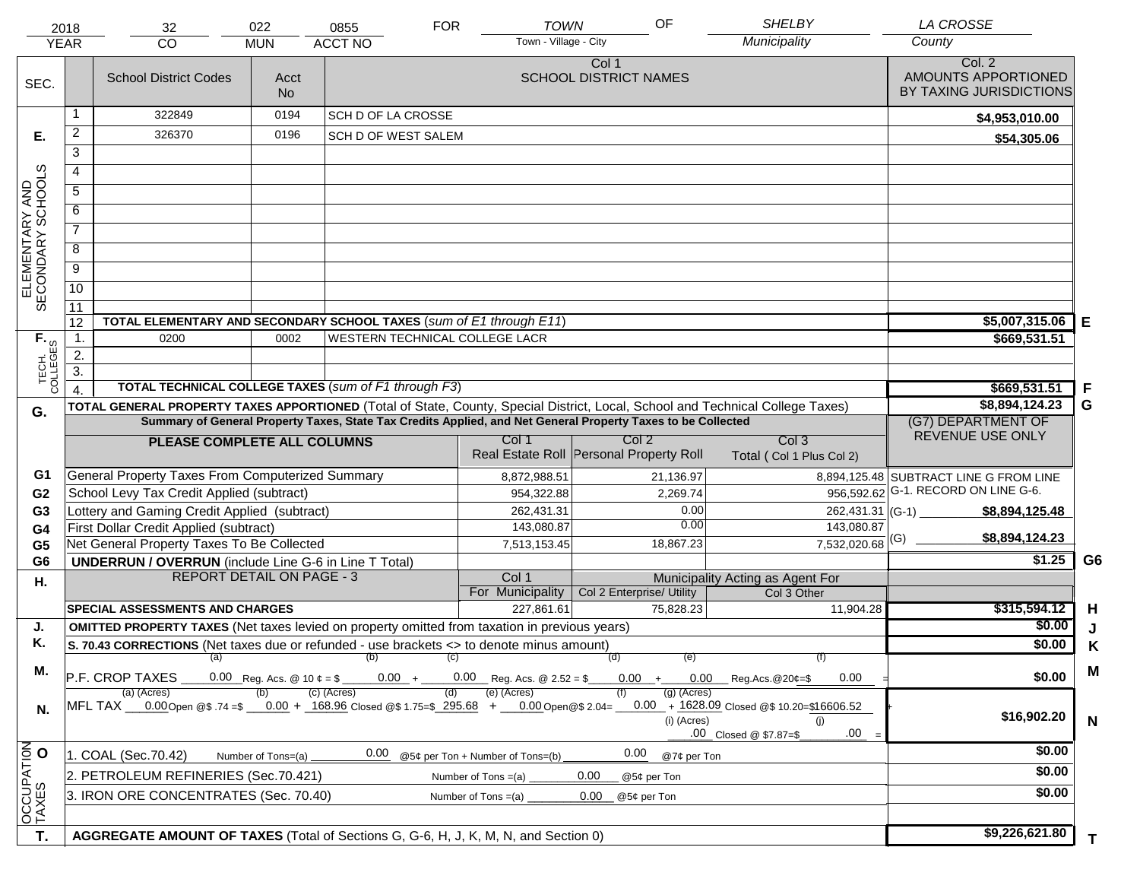|                                                                | 2018<br><b>YEAR</b> | 32<br><b>CO</b>                                                                                                                | 022<br><b>MUN</b>  | 0855<br><b>ACCT NO</b>         | <b>FOR</b> | <b>TOWN</b><br>Town - Village - City | OF                                                                                                           | <b>SHELBY</b><br>Municipality                                                        | <b>LA CROSSE</b><br>County                                                    |                |
|----------------------------------------------------------------|---------------------|--------------------------------------------------------------------------------------------------------------------------------|--------------------|--------------------------------|------------|--------------------------------------|--------------------------------------------------------------------------------------------------------------|--------------------------------------------------------------------------------------|-------------------------------------------------------------------------------|----------------|
|                                                                |                     |                                                                                                                                |                    |                                |            |                                      |                                                                                                              |                                                                                      |                                                                               |                |
| SEC.                                                           |                     | <b>School District Codes</b>                                                                                                   | Acct<br><b>No</b>  |                                |            |                                      | Col 1<br><b>SCHOOL DISTRICT NAMES</b>                                                                        |                                                                                      | Col. 2<br>AMOUNTS APPORTIONED<br>BY TAXING JURISDICTIONS                      |                |
|                                                                | 1                   | 322849                                                                                                                         | 0194               | SCH D OF LA CROSSE             |            |                                      |                                                                                                              |                                                                                      | \$4,953,010.00                                                                |                |
| Е.                                                             | 2                   | 326370                                                                                                                         | 0196               | SCH D OF WEST SALEM            |            |                                      |                                                                                                              |                                                                                      | \$54,305.06                                                                   |                |
|                                                                | $\overline{3}$      |                                                                                                                                |                    |                                |            |                                      |                                                                                                              |                                                                                      |                                                                               |                |
|                                                                | 4                   |                                                                                                                                |                    |                                |            |                                      |                                                                                                              |                                                                                      |                                                                               |                |
|                                                                | 5                   |                                                                                                                                |                    |                                |            |                                      |                                                                                                              |                                                                                      |                                                                               |                |
|                                                                | 6                   |                                                                                                                                |                    |                                |            |                                      |                                                                                                              |                                                                                      |                                                                               |                |
| ELEMENTARY AND<br>SECONDARY SCHOOLS                            | $\overline{7}$      |                                                                                                                                |                    |                                |            |                                      |                                                                                                              |                                                                                      |                                                                               |                |
|                                                                | 8                   |                                                                                                                                |                    |                                |            |                                      |                                                                                                              |                                                                                      |                                                                               |                |
|                                                                | $\overline{9}$      |                                                                                                                                |                    |                                |            |                                      |                                                                                                              |                                                                                      |                                                                               |                |
|                                                                | 10                  |                                                                                                                                |                    |                                |            |                                      |                                                                                                              |                                                                                      |                                                                               |                |
|                                                                | 11                  |                                                                                                                                |                    |                                |            |                                      |                                                                                                              |                                                                                      |                                                                               |                |
|                                                                | 12                  | TOTAL ELEMENTARY AND SECONDARY SCHOOL TAXES (sum of E1 through E11)                                                            |                    | \$5,007,315.06                 | Е          |                                      |                                                                                                              |                                                                                      |                                                                               |                |
|                                                                | 1.                  | 0200                                                                                                                           | 0002               | WESTERN TECHNICAL COLLEGE LACR |            |                                      |                                                                                                              |                                                                                      | \$669,531.51                                                                  |                |
|                                                                | 2.                  |                                                                                                                                |                    |                                |            |                                      |                                                                                                              |                                                                                      |                                                                               |                |
| TECH. T                                                        | $\overline{3}$ .    |                                                                                                                                |                    |                                |            |                                      |                                                                                                              |                                                                                      |                                                                               |                |
|                                                                | $\overline{4}$ .    | <b>TOTAL TECHNICAL COLLEGE TAXES (sum of F1 through F3)</b>                                                                    |                    |                                |            |                                      |                                                                                                              |                                                                                      | \$669,531.51                                                                  | -F             |
| G.                                                             |                     | TOTAL GENERAL PROPERTY TAXES APPORTIONED (Total of State, County, Special District, Local, School and Technical College Taxes) |                    |                                |            |                                      |                                                                                                              |                                                                                      | \$8,894,124.23                                                                | G              |
|                                                                |                     |                                                                                                                                |                    |                                |            |                                      | Summary of General Property Taxes, State Tax Credits Applied, and Net General Property Taxes to be Collected |                                                                                      | (G7) DEPARTMENT OF<br>REVENUE USE ONLY                                        |                |
|                                                                |                     | PLEASE COMPLETE ALL COLUMNS                                                                                                    |                    |                                |            | Col 1                                | Col 2<br>Real Estate Roll Personal Property Roll                                                             | Col <sub>3</sub><br>Total (Col 1 Plus Col 2)                                         |                                                                               |                |
|                                                                |                     |                                                                                                                                |                    |                                |            |                                      |                                                                                                              |                                                                                      |                                                                               |                |
| G1                                                             |                     | General Property Taxes From Computerized Summary<br>School Levy Tax Credit Applied (subtract)                                  |                    |                                |            | 8,872,988.51                         | 21,136.97                                                                                                    |                                                                                      | 8,894,125.48 SUBTRACT LINE G FROM LINE<br>956,592.62 G-1. RECORD ON LINE G-6. |                |
| G <sub>2</sub><br>G <sub>3</sub>                               |                     | Lottery and Gaming Credit Applied (subtract)                                                                                   |                    |                                |            | 954,322.88<br>262,431.31             | 2,269.74<br>0.00                                                                                             | 262,431.31 (G-1)                                                                     | \$8,894,125.48                                                                |                |
| G4                                                             |                     | First Dollar Credit Applied (subtract)                                                                                         |                    |                                |            | 143,080.87                           | 0.00                                                                                                         | 143,080.87                                                                           |                                                                               |                |
| G <sub>5</sub>                                                 |                     | Net General Property Taxes To Be Collected                                                                                     |                    |                                |            | 7,513,153.45                         | 18,867.23                                                                                                    | $7,532,020.68$ <sup>(G)</sup>                                                        | \$8,894,124.23                                                                |                |
| G <sub>6</sub>                                                 |                     | <b>UNDERRUN / OVERRUN</b> (include Line G-6 in Line T Total)                                                                   |                    |                                |            |                                      |                                                                                                              |                                                                                      | \$1.25                                                                        | G <sub>6</sub> |
| Н.                                                             |                     | <b>REPORT DETAIL ON PAGE - 3</b>                                                                                               |                    |                                |            | Col 1                                |                                                                                                              | Municipality Acting as Agent For                                                     |                                                                               |                |
|                                                                |                     |                                                                                                                                |                    |                                |            | For Municipality                     | Col 2 Enterprise/ Utility                                                                                    | Col 3 Other                                                                          |                                                                               |                |
|                                                                |                     | <b>SPECIAL ASSESSMENTS AND CHARGES</b>                                                                                         |                    |                                |            | 227,861.61                           | 75,828.23                                                                                                    | 11,904.28                                                                            | \$315,594.12                                                                  | H              |
| J.                                                             |                     | <b>OMITTED PROPERTY TAXES</b> (Net taxes levied on property omitted from taxation in previous years)                           |                    |                                |            |                                      |                                                                                                              |                                                                                      | \$0.00                                                                        | J              |
| Κ.                                                             |                     | S. 70.43 CORRECTIONS (Net taxes due or refunded - use brackets <> to denote minus amount)<br>(a)                               |                    | (b)                            | (C)        |                                      | (d)<br>(e)                                                                                                   | (f)                                                                                  | \$0.00                                                                        | Κ              |
| М.                                                             |                     | P.F. CROP TAXES                                                                                                                |                    |                                |            | $0.00 + 0.00$ Reg. Acs. @ 2.52 = \$  | $0.00 +$                                                                                                     | $0.00$ Reg.Acs. @20¢=\$<br>0.00                                                      | \$0.00                                                                        | M              |
| N.                                                             |                     | (a) (Acres)<br>MFL TAX __0.00 Open @\$ .74 =\$ __0.00 + _168.96 Closed @\$ 1.75=\$ _295.68 + __0.00 Open @\$ 2.04=             |                    | $(c)$ (Acres)                  | (d)        | (e) (Acres)                          | $(g)$ (Acres)<br>$(i)$ (Acres)                                                                               | $0.00 + 1628.09$ Closed @\$ 10.20=\$16606.52<br>(i)<br>.00<br>.00 Closed @ \$7.87=\$ | \$16,902.20                                                                   | $\mathbf N$    |
|                                                                |                     | 1. COAL (Sec.70.42)                                                                                                            | Number of Tons=(a) | 0.00                           |            | @5¢ per Ton + Number of Tons=(b)     | 0.00<br>@7¢ per Ton                                                                                          |                                                                                      | \$0.00                                                                        |                |
| OCCUPATION<br>TAXES O                                          |                     | 2. PETROLEUM REFINERIES (Sec.70.421)                                                                                           |                    |                                |            | Number of Tons $=(a)$                | 0.00<br>@5¢ per Ton                                                                                          |                                                                                      | \$0.00                                                                        |                |
|                                                                |                     |                                                                                                                                |                    |                                |            |                                      | 0.00<br>@5¢ per Ton                                                                                          |                                                                                      | \$0.00                                                                        |                |
| 3. IRON ORE CONCENTRATES (Sec. 70.40)<br>Number of Tons $=(a)$ |                     |                                                                                                                                |                    |                                |            |                                      |                                                                                                              |                                                                                      |                                                                               |                |
|                                                                |                     |                                                                                                                                |                    |                                |            |                                      |                                                                                                              |                                                                                      | \$9,226,621.80                                                                |                |
| T.                                                             |                     | AGGREGATE AMOUNT OF TAXES (Total of Sections G, G-6, H, J, K, M, N, and Section 0)                                             |                    |                                |            |                                      |                                                                                                              |                                                                                      |                                                                               | T.             |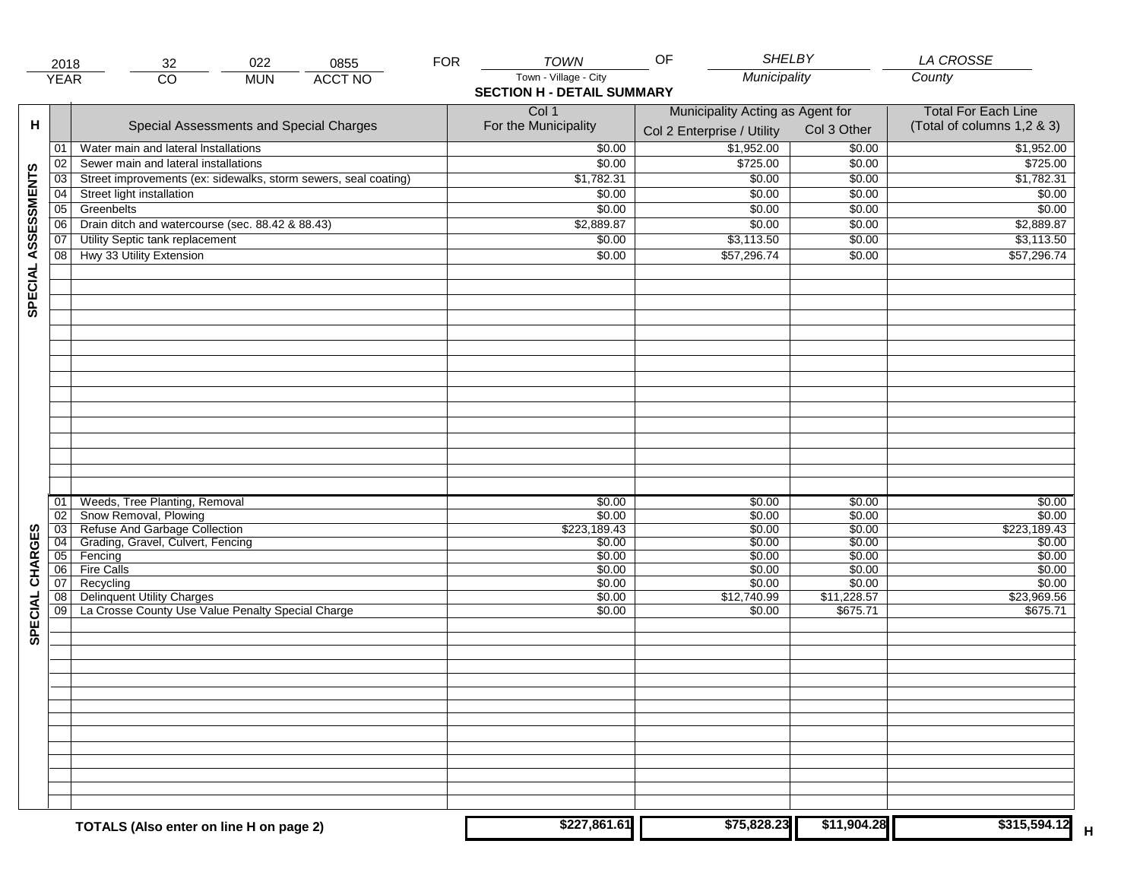|                     | 2018            | 32                                                              | 022        | 0855           | <b>FOR</b> | <b>TOWN</b>                       | <b>SHELBY</b><br>OF              |             | LA CROSSE                  |
|---------------------|-----------------|-----------------------------------------------------------------|------------|----------------|------------|-----------------------------------|----------------------------------|-------------|----------------------------|
|                     | <b>YEAR</b>     | $\overline{CO}$                                                 | <b>MUN</b> | <b>ACCT NO</b> |            | Town - Village - City             | Municipality                     |             | County                     |
|                     |                 |                                                                 |            |                |            | <b>SECTION H - DETAIL SUMMARY</b> |                                  |             |                            |
|                     |                 |                                                                 |            |                |            | Col 1                             | Municipality Acting as Agent for |             | <b>Total For Each Line</b> |
| н                   |                 | Special Assessments and Special Charges                         |            |                |            | For the Municipality              |                                  | Col 3 Other | (Total of columns 1,2 & 3) |
|                     |                 |                                                                 |            |                |            |                                   | Col 2 Enterprise / Utility       |             |                            |
|                     | 01              | Water main and lateral Installations                            |            |                |            | \$0.00                            | \$1,952.00                       | \$0.00      | \$1,952.00                 |
|                     | 02              | Sewer main and lateral installations                            |            |                |            | \$0.00                            | \$725.00                         | \$0.00      | \$725.00                   |
|                     | 03              | Street improvements (ex: sidewalks, storm sewers, seal coating) |            |                |            | \$1,782.31                        | \$0.00                           | \$0.00      | \$1,782.31                 |
| SPECIAL ASSESSMENTS | 04              | Street light installation                                       |            |                |            | \$0.00                            | \$0.00                           | \$0.00      | \$0.00                     |
|                     | 05              | Greenbelts                                                      |            |                |            | \$0.00                            | \$0.00                           | \$0.00      | \$0.00                     |
|                     | $\overline{06}$ | Drain ditch and watercourse (sec. 88.42 & 88.43)                |            |                |            | \$2,889.87                        | \$0.00                           | \$0.00      | \$2,889.87                 |
|                     | 07              | Utility Septic tank replacement                                 |            |                |            | \$0.00                            | \$3,113.50                       | \$0.00      | \$3,113.50                 |
|                     | 08              | Hwy 33 Utility Extension                                        |            |                |            | \$0.00                            | \$57,296.74                      | \$0.00      | \$57,296.74                |
|                     |                 |                                                                 |            |                |            |                                   |                                  |             |                            |
|                     |                 |                                                                 |            |                |            |                                   |                                  |             |                            |
|                     |                 |                                                                 |            |                |            |                                   |                                  |             |                            |
|                     |                 |                                                                 |            |                |            |                                   |                                  |             |                            |
|                     |                 |                                                                 |            |                |            |                                   |                                  |             |                            |
|                     |                 |                                                                 |            |                |            |                                   |                                  |             |                            |
|                     |                 |                                                                 |            |                |            |                                   |                                  |             |                            |
|                     |                 |                                                                 |            |                |            |                                   |                                  |             |                            |
|                     |                 |                                                                 |            |                |            |                                   |                                  |             |                            |
|                     |                 |                                                                 |            |                |            |                                   |                                  |             |                            |
|                     |                 |                                                                 |            |                |            |                                   |                                  |             |                            |
|                     |                 |                                                                 |            |                |            |                                   |                                  |             |                            |
|                     |                 |                                                                 |            |                |            |                                   |                                  |             |                            |
|                     |                 |                                                                 |            |                |            |                                   |                                  |             |                            |
|                     |                 |                                                                 |            |                |            |                                   |                                  |             |                            |
|                     |                 |                                                                 |            |                |            |                                   |                                  |             |                            |
|                     | 01              | Weeds, Tree Planting, Removal                                   |            |                |            | \$0.00                            | \$0.00                           | \$0.00      | \$0.00                     |
|                     | 02              | Snow Removal, Plowing                                           |            |                |            | \$0.00                            | \$0.00                           | \$0.00      | \$0.00                     |
|                     | 03              | Refuse And Garbage Collection                                   |            |                |            | \$223,189.43                      | \$0.00                           | \$0.00      | \$223,189.43               |
|                     | $\overline{04}$ | Grading, Gravel, Culvert, Fencing                               |            |                |            | \$0.00                            | \$0.00                           | \$0.00      | \$0.00                     |
| SPECIAL CHARGES     | 05              | Fencing                                                         |            |                |            | \$0.00                            | \$0.00                           | \$0.00      | \$0.00                     |
|                     | 06              | <b>Fire Calls</b>                                               |            |                |            | \$0.00                            | \$0.00                           | \$0.00      | \$0.00                     |
|                     | 07              | Recycling                                                       |            |                |            | \$0.00                            | \$0.00                           | \$0.00      | \$0.00                     |
|                     | 08              | <b>Delinquent Utility Charges</b>                               |            |                |            | \$0.00                            | \$12,740.99                      | \$11,228.57 | \$23,969.56                |
|                     | 09              | La Crosse County Use Value Penalty Special Charge               |            |                |            | \$0.00                            | \$0.00                           | \$675.71    | \$675.71                   |
|                     |                 |                                                                 |            |                |            |                                   |                                  |             |                            |
|                     |                 |                                                                 |            |                |            |                                   |                                  |             |                            |
|                     |                 |                                                                 |            |                |            |                                   |                                  |             |                            |
|                     |                 |                                                                 |            |                |            |                                   |                                  |             |                            |
|                     |                 |                                                                 |            |                |            |                                   |                                  |             |                            |
|                     |                 |                                                                 |            |                |            |                                   |                                  |             |                            |
|                     |                 |                                                                 |            |                |            |                                   |                                  |             |                            |
|                     |                 |                                                                 |            |                |            |                                   |                                  |             |                            |
|                     |                 |                                                                 |            |                |            |                                   |                                  |             |                            |
|                     |                 |                                                                 |            |                |            |                                   |                                  |             |                            |
|                     |                 |                                                                 |            |                |            |                                   |                                  |             |                            |
|                     |                 |                                                                 |            |                |            |                                   |                                  |             |                            |
|                     |                 |                                                                 |            |                |            |                                   |                                  |             |                            |
|                     |                 |                                                                 |            |                |            |                                   |                                  |             |                            |
|                     |                 | TOTALS (Also enter on line H on page 2)                         |            |                |            | \$227,861.61                      | \$75,828.23                      | \$11,904.28 | \$315,594.12               |
|                     |                 |                                                                 |            |                |            |                                   |                                  |             |                            |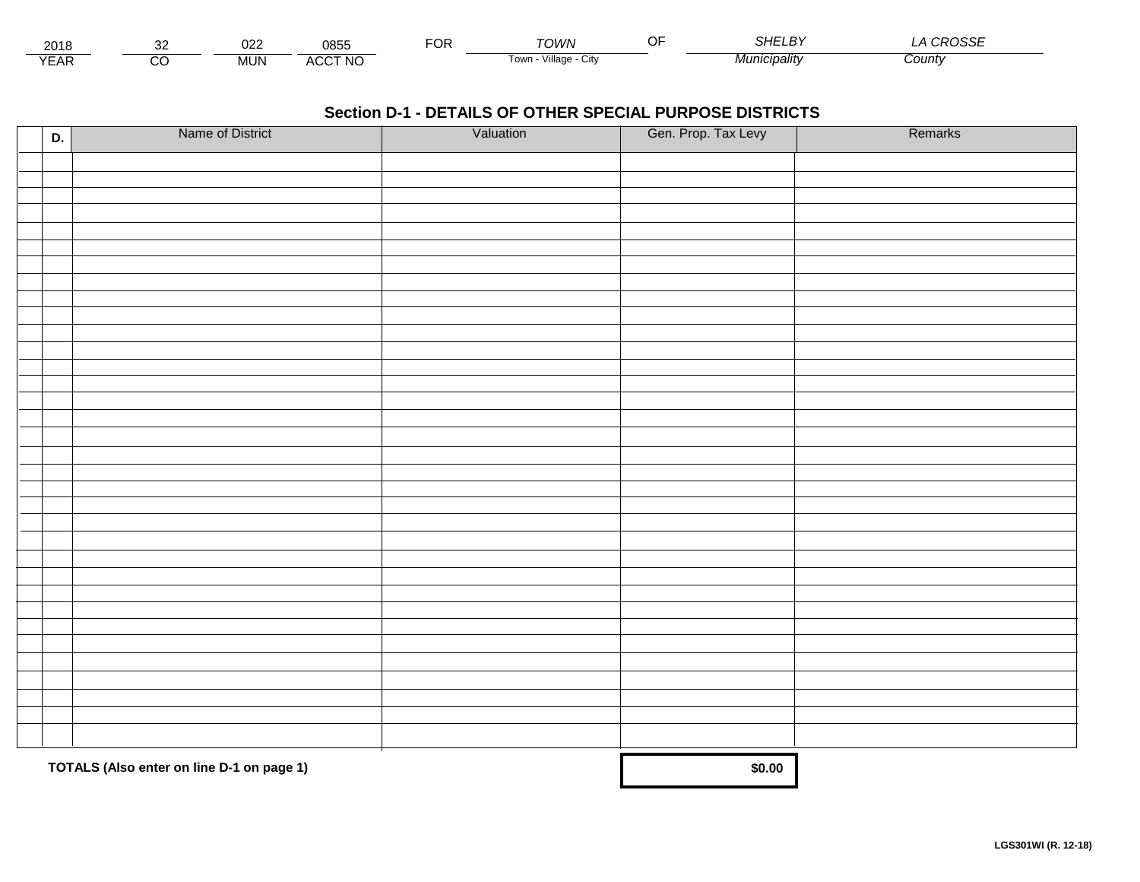| 2018                |   | nne<br>ധ∠∠ | 0855                             | -^'<br>◡ | TOWN                    | - - | 2115<br>וחכ  | $\sim$<br>UUUL |
|---------------------|---|------------|----------------------------------|----------|-------------------------|-----|--------------|----------------|
| $V = \Lambda$<br>⊢ี | U | MUN        | <b>CCT NC</b><br>$\cdots$<br>nuu |          | Village<br>l own<br>UIW |     | Municipalitv | County         |

| D. | Name of District                          | Valuation | Gen. Prop. Tax Levy | Remarks |
|----|-------------------------------------------|-----------|---------------------|---------|
|    |                                           |           |                     |         |
|    |                                           |           |                     |         |
|    |                                           |           |                     |         |
|    |                                           |           |                     |         |
|    |                                           |           |                     |         |
|    |                                           |           |                     |         |
|    |                                           |           |                     |         |
|    |                                           |           |                     |         |
|    |                                           |           |                     |         |
|    |                                           |           |                     |         |
|    |                                           |           |                     |         |
|    |                                           |           |                     |         |
|    |                                           |           |                     |         |
|    |                                           |           |                     |         |
|    |                                           |           |                     |         |
|    |                                           |           |                     |         |
|    |                                           |           |                     |         |
|    |                                           |           |                     |         |
|    |                                           |           |                     |         |
|    |                                           |           |                     |         |
|    |                                           |           |                     |         |
|    |                                           |           |                     |         |
|    |                                           |           |                     |         |
|    |                                           |           |                     |         |
|    |                                           |           |                     |         |
|    |                                           |           |                     |         |
|    |                                           |           |                     |         |
|    |                                           |           |                     |         |
|    |                                           |           |                     |         |
|    |                                           |           |                     |         |
|    |                                           |           |                     |         |
|    | TOTALS (Also enter on line D-1 on page 1) | \$0.00    |                     |         |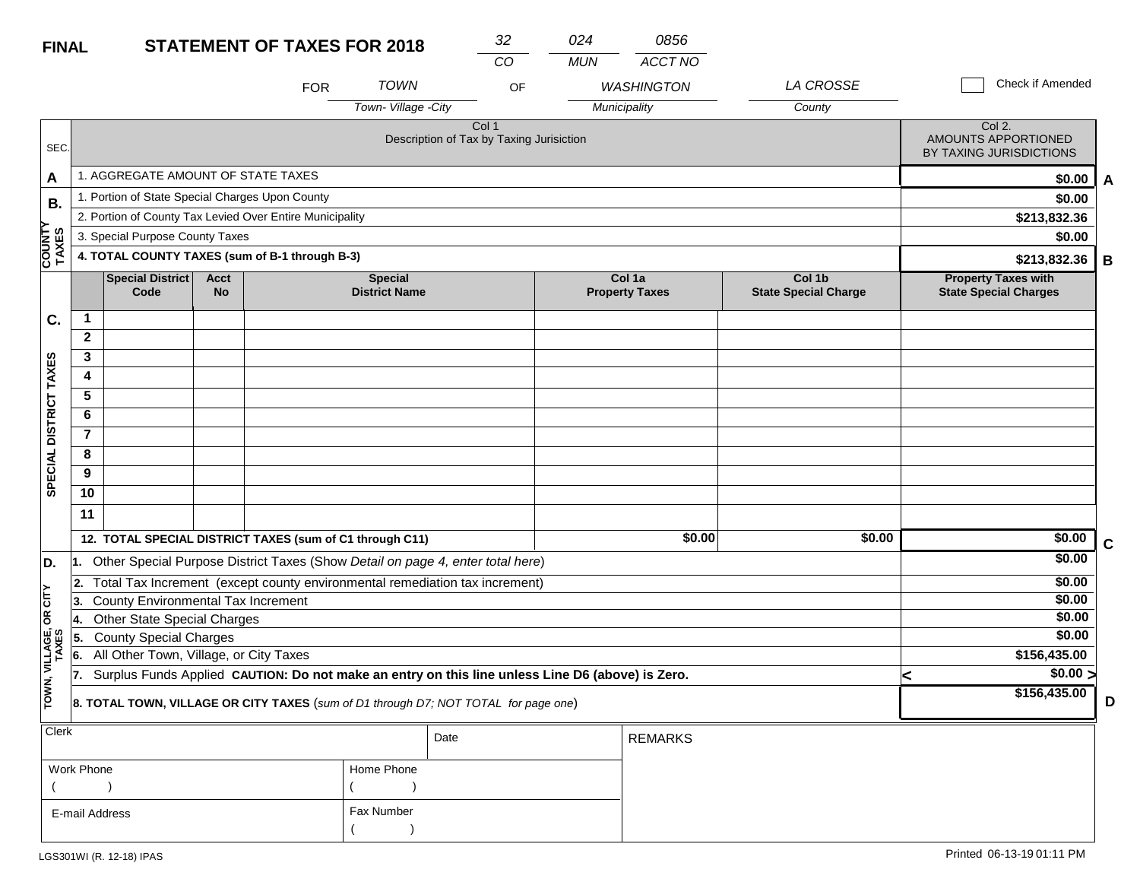| <b>STATEMENT OF TAXES FOR 2018</b><br><b>FINAL</b> |                                                                                                                                                   |                                                 |                          |                                                          | 32                                     | 024                                                                                 | 0856       |                                 |                                       |   |                                                            |             |
|----------------------------------------------------|---------------------------------------------------------------------------------------------------------------------------------------------------|-------------------------------------------------|--------------------------|----------------------------------------------------------|----------------------------------------|-------------------------------------------------------------------------------------|------------|---------------------------------|---------------------------------------|---|------------------------------------------------------------|-------------|
|                                                    |                                                                                                                                                   |                                                 |                          |                                                          |                                        | CO                                                                                  | <b>MUN</b> | ACCT NO                         |                                       |   |                                                            |             |
|                                                    |                                                                                                                                                   |                                                 |                          | <b>FOR</b>                                               | <b>TOWN</b>                            | OF                                                                                  |            | <b>WASHINGTON</b>               | LA CROSSE                             |   | Check if Amended                                           |             |
|                                                    |                                                                                                                                                   |                                                 |                          |                                                          | Town-Village -City                     |                                                                                     |            | Municipality                    | County                                |   |                                                            |             |
| SEC.                                               |                                                                                                                                                   |                                                 |                          |                                                          |                                        | Col <sub>1</sub><br>Description of Tax by Taxing Jurisiction                        |            |                                 |                                       |   | Col 2.<br>AMOUNTS APPORTIONED<br>BY TAXING JURISDICTIONS   |             |
| A                                                  |                                                                                                                                                   | 1. AGGREGATE AMOUNT OF STATE TAXES              |                          |                                                          |                                        |                                                                                     |            |                                 |                                       |   | \$0.00                                                     | A           |
| <b>B.</b>                                          |                                                                                                                                                   | 1. Portion of State Special Charges Upon County |                          |                                                          |                                        |                                                                                     |            |                                 |                                       |   | \$0.00                                                     |             |
|                                                    |                                                                                                                                                   |                                                 |                          | 2. Portion of County Tax Levied Over Entire Municipality |                                        |                                                                                     |            |                                 |                                       |   | \$213,832.36                                               |             |
|                                                    |                                                                                                                                                   | 3. Special Purpose County Taxes                 |                          |                                                          |                                        |                                                                                     |            |                                 |                                       |   | \$0.00                                                     |             |
| COUNTY<br>TAXES                                    |                                                                                                                                                   |                                                 |                          | 4. TOTAL COUNTY TAXES (sum of B-1 through B-3)           |                                        |                                                                                     |            |                                 |                                       |   | \$213,832.36                                               | B           |
|                                                    |                                                                                                                                                   | <b>Special District</b><br>Code                 | <b>Acct</b><br><b>No</b> |                                                          | <b>Special</b><br><b>District Name</b> |                                                                                     |            | Col 1a<br><b>Property Taxes</b> | Col 1b<br><b>State Special Charge</b> |   | <b>Property Taxes with</b><br><b>State Special Charges</b> |             |
| C.                                                 | $\mathbf{1}$                                                                                                                                      |                                                 |                          |                                                          |                                        |                                                                                     |            |                                 |                                       |   |                                                            |             |
|                                                    | $\mathbf{2}$                                                                                                                                      |                                                 |                          |                                                          |                                        |                                                                                     |            |                                 |                                       |   |                                                            |             |
|                                                    | 3                                                                                                                                                 |                                                 |                          |                                                          |                                        |                                                                                     |            |                                 |                                       |   |                                                            |             |
|                                                    | 4                                                                                                                                                 |                                                 |                          |                                                          |                                        |                                                                                     |            |                                 |                                       |   |                                                            |             |
|                                                    | 5                                                                                                                                                 |                                                 |                          |                                                          |                                        |                                                                                     |            |                                 |                                       |   |                                                            |             |
|                                                    | 6                                                                                                                                                 |                                                 |                          |                                                          |                                        |                                                                                     |            |                                 |                                       |   |                                                            |             |
| SPECIAL DISTRICT TAXES                             | $\overline{7}$                                                                                                                                    |                                                 |                          |                                                          |                                        |                                                                                     |            |                                 |                                       |   |                                                            |             |
|                                                    | 8                                                                                                                                                 |                                                 |                          |                                                          |                                        |                                                                                     |            |                                 |                                       |   |                                                            |             |
|                                                    | 9<br>10                                                                                                                                           |                                                 |                          |                                                          |                                        |                                                                                     |            |                                 |                                       |   |                                                            |             |
|                                                    |                                                                                                                                                   |                                                 |                          |                                                          |                                        |                                                                                     |            |                                 |                                       |   |                                                            |             |
|                                                    | 11                                                                                                                                                |                                                 |                          |                                                          |                                        |                                                                                     |            |                                 |                                       |   |                                                            |             |
|                                                    |                                                                                                                                                   |                                                 |                          | 12. TOTAL SPECIAL DISTRICT TAXES (sum of C1 through C11) |                                        |                                                                                     |            | \$0.00                          | \$0.00                                |   | \$0.00                                                     | $\mathbf C$ |
| D.                                                 | 11.                                                                                                                                               |                                                 |                          |                                                          |                                        | Other Special Purpose District Taxes (Show Detail on page 4, enter total here)      |            |                                 |                                       |   | \$0.00                                                     |             |
|                                                    | 2.                                                                                                                                                |                                                 |                          |                                                          |                                        | Total Tax Increment (except county environmental remediation tax increment)         |            |                                 |                                       |   | \$0.00                                                     |             |
|                                                    | 3.                                                                                                                                                | <b>County Environmental Tax Increment</b>       |                          |                                                          |                                        |                                                                                     |            |                                 |                                       |   | \$0.00<br>\$0.00                                           |             |
|                                                    | 14.                                                                                                                                               | <b>Other State Special Charges</b>              |                          |                                                          |                                        |                                                                                     |            |                                 |                                       |   | \$0.00                                                     |             |
|                                                    | 5.<br>6.                                                                                                                                          | <b>County Special Charges</b>                   |                          |                                                          |                                        |                                                                                     |            |                                 |                                       |   | \$156,435.00                                               |             |
|                                                    | All Other Town, Village, or City Taxes<br>Surplus Funds Applied CAUTION: Do not make an entry on this line unless Line D6 (above) is Zero.<br>17. |                                                 |                          |                                                          |                                        |                                                                                     |            |                                 |                                       |   | \$0.00 >                                                   |             |
| TOWN, VILLAGE, OR CITY<br>TAXES                    |                                                                                                                                                   |                                                 |                          |                                                          |                                        | 8. TOTAL TOWN, VILLAGE OR CITY TAXES (sum of D1 through D7; NOT TOTAL for page one) |            |                                 |                                       | < | \$156,435.00                                               | D           |
| Clerk                                              |                                                                                                                                                   |                                                 |                          |                                                          |                                        | Date                                                                                |            | <b>REMARKS</b>                  |                                       |   |                                                            |             |

| ∣ Clerk        |            | Date | REMARKS |
|----------------|------------|------|---------|
| Work Phone     | Home Phone |      |         |
|                |            |      |         |
| E-mail Address | Fax Number |      |         |
|                |            |      |         |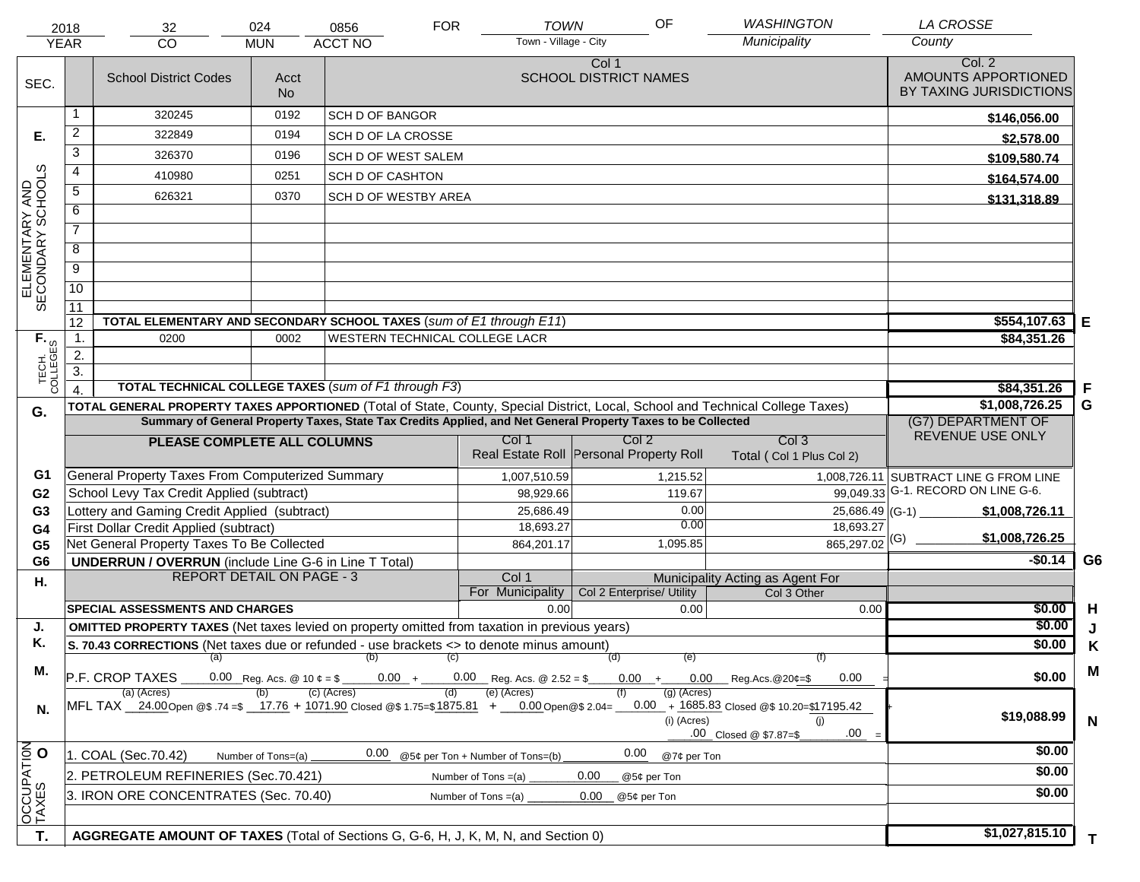|                                     | 2018                                                                                                                                                                                                                                           | 32                                                                                                         | 024                             | 0856                       | <b>FOR</b>                    | <b>TOWN</b>                             |                                       | OF                         | <b>WASHINGTON</b>                                                                        | <b>LA CROSSE</b>                                         |                |
|-------------------------------------|------------------------------------------------------------------------------------------------------------------------------------------------------------------------------------------------------------------------------------------------|------------------------------------------------------------------------------------------------------------|---------------------------------|----------------------------|-------------------------------|-----------------------------------------|---------------------------------------|----------------------------|------------------------------------------------------------------------------------------|----------------------------------------------------------|----------------|
|                                     | <b>YEAR</b>                                                                                                                                                                                                                                    | <b>CO</b>                                                                                                  | <b>MUN</b>                      | <b>ACCT NO</b>             |                               | Town - Village - City                   |                                       |                            | Municipality                                                                             | County                                                   |                |
| SEC.                                |                                                                                                                                                                                                                                                | <b>School District Codes</b>                                                                               | Acct<br><b>No</b>               |                            |                               |                                         | Col 1<br><b>SCHOOL DISTRICT NAMES</b> |                            |                                                                                          | Col. 2<br>AMOUNTS APPORTIONED<br>BY TAXING JURISDICTIONS |                |
|                                     | 1                                                                                                                                                                                                                                              | 320245                                                                                                     | 0192                            | <b>SCH D OF BANGOR</b>     |                               |                                         |                                       |                            |                                                                                          | \$146,056.00                                             |                |
| Е.                                  | $\overline{2}$                                                                                                                                                                                                                                 | 322849                                                                                                     | 0194                            | SCH D OF LA CROSSE         |                               |                                         |                                       |                            |                                                                                          | \$2,578.00                                               |                |
|                                     | $\overline{3}$                                                                                                                                                                                                                                 | 326370                                                                                                     | 0196                            | <b>SCH D OF WEST SALEM</b> |                               |                                         |                                       |                            |                                                                                          | \$109,580.74                                             |                |
|                                     | 4                                                                                                                                                                                                                                              | 410980                                                                                                     | 0251                            | <b>SCH D OF CASHTON</b>    |                               |                                         |                                       |                            |                                                                                          | \$164,574.00                                             |                |
|                                     | $\overline{5}$                                                                                                                                                                                                                                 | 626321                                                                                                     | 0370                            | SCH D OF WESTBY AREA       |                               |                                         |                                       |                            |                                                                                          | \$131,318.89                                             |                |
|                                     | 6                                                                                                                                                                                                                                              |                                                                                                            |                                 |                            |                               |                                         |                                       |                            |                                                                                          |                                                          |                |
| ELEMENTARY AND<br>SECONDARY SCHOOLS | $\overline{7}$                                                                                                                                                                                                                                 |                                                                                                            |                                 |                            |                               |                                         |                                       |                            |                                                                                          |                                                          |                |
|                                     | 8                                                                                                                                                                                                                                              |                                                                                                            |                                 |                            |                               |                                         |                                       |                            |                                                                                          |                                                          |                |
|                                     | $\overline{9}$                                                                                                                                                                                                                                 |                                                                                                            |                                 |                            |                               |                                         |                                       |                            |                                                                                          |                                                          |                |
|                                     | 10                                                                                                                                                                                                                                             |                                                                                                            |                                 |                            |                               |                                         |                                       |                            |                                                                                          |                                                          |                |
|                                     | $\overline{11}$                                                                                                                                                                                                                                |                                                                                                            |                                 |                            |                               |                                         |                                       |                            |                                                                                          |                                                          |                |
|                                     | 12                                                                                                                                                                                                                                             | TOTAL ELEMENTARY AND SECONDARY SCHOOL TAXES (sum of E1 through E11)                                        |                                 |                            |                               |                                         |                                       |                            |                                                                                          | \$554,107.63                                             | E              |
|                                     | $\mathbf{1}$ .                                                                                                                                                                                                                                 | 0200                                                                                                       | 0002                            |                            |                               | WESTERN TECHNICAL COLLEGE LACR          |                                       |                            |                                                                                          | \$84,351.26                                              |                |
|                                     | $\overline{2}$ .<br>$\overline{3}$ .                                                                                                                                                                                                           |                                                                                                            |                                 |                            |                               |                                         |                                       |                            |                                                                                          |                                                          |                |
| TECH. T                             |                                                                                                                                                                                                                                                | <b>TOTAL TECHNICAL COLLEGE TAXES (sum of F1 through F3)</b>                                                |                                 |                            |                               |                                         |                                       |                            |                                                                                          | \$84,351.26                                              | F              |
|                                     |                                                                                                                                                                                                                                                |                                                                                                            |                                 |                            |                               |                                         |                                       |                            |                                                                                          | \$1,008,726.25                                           | G              |
| G.                                  | TOTAL GENERAL PROPERTY TAXES APPORTIONED (Total of State, County, Special District, Local, School and Technical College Taxes)<br>Summary of General Property Taxes, State Tax Credits Applied, and Net General Property Taxes to be Collected |                                                                                                            |                                 |                            |                               |                                         |                                       |                            | (G7) DEPARTMENT OF                                                                       |                                                          |                |
|                                     |                                                                                                                                                                                                                                                | PLEASE COMPLETE ALL COLUMNS                                                                                |                                 |                            |                               | Col 1                                   | Col 2                                 |                            | Col <sub>3</sub>                                                                         | REVENUE USE ONLY                                         |                |
|                                     |                                                                                                                                                                                                                                                |                                                                                                            |                                 |                            |                               | Real Estate Roll Personal Property Roll |                                       |                            | Total (Col 1 Plus Col 2)                                                                 |                                                          |                |
| G1                                  |                                                                                                                                                                                                                                                | <b>General Property Taxes From Computerized Summary</b>                                                    |                                 |                            |                               | 1,007,510.59                            |                                       | 1,215.52                   |                                                                                          | 1,008,726.11 SUBTRACT LINE G FROM LINE                   |                |
| G <sub>2</sub>                      |                                                                                                                                                                                                                                                | School Levy Tax Credit Applied (subtract)                                                                  |                                 |                            |                               | 98,929.66                               |                                       | 119.67                     |                                                                                          | 99,049.33 G-1. RECORD ON LINE G-6.                       |                |
| G <sub>3</sub>                      |                                                                                                                                                                                                                                                | Lottery and Gaming Credit Applied (subtract)                                                               |                                 |                            |                               | 25,686.49                               |                                       | 0.00                       | $25,686.49$ (G-1)                                                                        | \$1,008,726.11                                           |                |
| G4                                  |                                                                                                                                                                                                                                                | First Dollar Credit Applied (subtract)                                                                     |                                 |                            |                               | 18,693.27                               |                                       | 0.00                       | 18,693.27                                                                                | \$1,008,726.25                                           |                |
| G <sub>5</sub>                      |                                                                                                                                                                                                                                                | Net General Property Taxes To Be Collected                                                                 |                                 |                            |                               | 864,201.17                              |                                       | 1,095.85                   | $\frac{1}{865,297.02}$ (G)                                                               | $-$0.14$                                                 | G <sub>6</sub> |
| G <sub>6</sub>                      |                                                                                                                                                                                                                                                | <b>UNDERRUN / OVERRUN</b> (include Line G-6 in Line T Total)<br><b>REPORT DETAIL ON PAGE - 3</b>           |                                 |                            |                               | Col 1                                   |                                       |                            | Municipality Acting as Agent For                                                         |                                                          |                |
| Η.                                  |                                                                                                                                                                                                                                                |                                                                                                            |                                 |                            |                               | For Municipality                        | Col 2 Enterprise/ Utility             |                            | Col 3 Other                                                                              |                                                          |                |
|                                     |                                                                                                                                                                                                                                                | SPECIAL ASSESSMENTS AND CHARGES                                                                            |                                 |                            |                               | 0.00                                    |                                       | 0.00                       | 0.00                                                                                     | \$0.00                                                   | H              |
| J.                                  |                                                                                                                                                                                                                                                | <b>OMITTED PROPERTY TAXES</b> (Net taxes levied on property omitted from taxation in previous years)       |                                 |                            |                               |                                         |                                       |                            |                                                                                          | \$0.00                                                   |                |
| Κ.                                  |                                                                                                                                                                                                                                                | S. 70.43 CORRECTIONS (Net taxes due or refunded - use brackets <> to denote minus amount)                  |                                 |                            |                               |                                         |                                       |                            |                                                                                          | \$0.00                                                   | Κ              |
| М.                                  |                                                                                                                                                                                                                                                | (a)<br>P.F. CROP TAXES                                                                                     | 0.00 Reg. Acs. @ 10 $\ell =$ \$ | (b)                        | $\left( c\right)$<br>$0.00 +$ | $0.00$ Reg. Acs. @ 2.52 = \$            | (d)<br>$0.00 +$                       | (e)<br>0.00                | 7T)<br>0.00<br>Reg.Acs.@20¢=\$                                                           | \$0.00                                                   | M              |
| N.                                  |                                                                                                                                                                                                                                                | (a) (Acres)<br>MFL TAX 24.00 Open @\$.74 =\$ 17.76 + 1071.90 Closed @\$1.75=\$1875.81 + 0.00 Open @\$2.04= |                                 | $(c)$ (Acres)              |                               | (e) (Acres)                             |                                       | (g) (Acres)<br>(i) (Acres) | $0.00 + 1685.83$ Closed @\$ 10.20=\$17195.42<br>(i)<br>$.00 =$<br>.00 Closed @ \$7.87=\$ | \$19,088.99                                              | N              |
|                                     |                                                                                                                                                                                                                                                | 1. COAL (Sec.70.42)                                                                                        | Number of Tons=(a)              | 0.00                       |                               | @5¢ per Ton + Number of Tons=(b)        | 0.00                                  | @7¢ per Ton                |                                                                                          | \$0.00                                                   |                |
|                                     | 2. PETROLEUM REFINERIES (Sec.70.421)<br>0.00<br>@5¢ per Ton<br>Number of Tons $=(a)$                                                                                                                                                           |                                                                                                            |                                 |                            |                               |                                         |                                       |                            |                                                                                          | \$0.00                                                   |                |
|                                     | 3. IRON ORE CONCENTRATES (Sec. 70.40)<br>0.00<br>Number of Tons $=(a)$<br>@5¢ per Ton                                                                                                                                                          |                                                                                                            |                                 |                            |                               |                                         |                                       |                            | \$0.00                                                                                   |                                                          |                |
| OCCUPATION                          |                                                                                                                                                                                                                                                |                                                                                                            |                                 |                            |                               |                                         |                                       |                            |                                                                                          |                                                          |                |
|                                     |                                                                                                                                                                                                                                                |                                                                                                            |                                 |                            |                               |                                         |                                       |                            |                                                                                          | \$1,027,815.10                                           |                |
| T.                                  |                                                                                                                                                                                                                                                | AGGREGATE AMOUNT OF TAXES (Total of Sections G, G-6, H, J, K, M, N, and Section 0)                         |                                 | T.                         |                               |                                         |                                       |                            |                                                                                          |                                                          |                |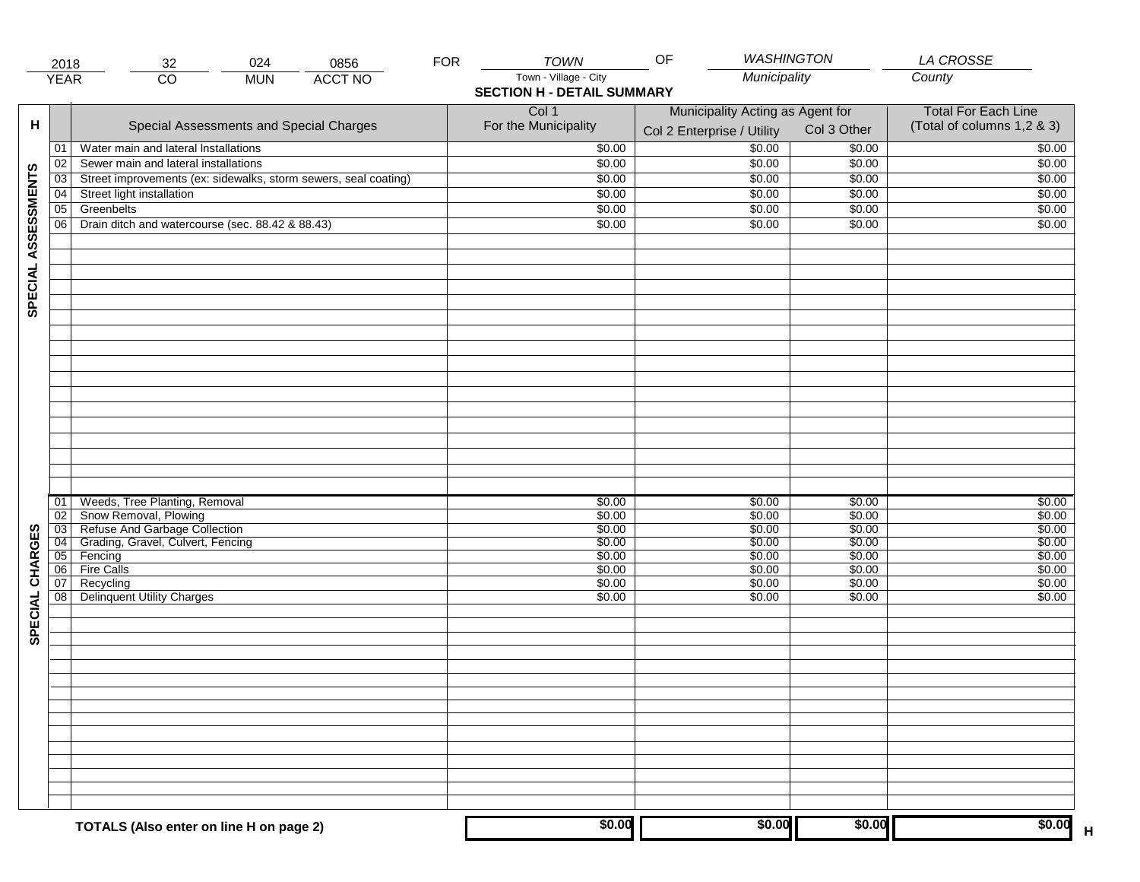|                     | 2018            | 024<br>32                                                       | 0856           | <b>FOR</b> | <b>TOWN</b>                       | <b>WASHINGTON</b><br>OF          |             | <b>LA CROSSE</b>           |
|---------------------|-----------------|-----------------------------------------------------------------|----------------|------------|-----------------------------------|----------------------------------|-------------|----------------------------|
|                     | <b>YEAR</b>     | $\overline{CO}$<br><b>MUN</b>                                   | <b>ACCT NO</b> |            | Town - Village - City             | Municipality                     |             | County                     |
|                     |                 |                                                                 |                |            | <b>SECTION H - DETAIL SUMMARY</b> |                                  |             |                            |
|                     |                 |                                                                 |                |            | Col 1                             | Municipality Acting as Agent for |             | <b>Total For Each Line</b> |
| н                   |                 | Special Assessments and Special Charges                         |                |            | For the Municipality              |                                  | Col 3 Other | (Total of columns 1,2 & 3) |
|                     |                 |                                                                 |                |            |                                   | Col 2 Enterprise / Utility       |             |                            |
|                     | 01              | Water main and lateral Installations                            |                |            | \$0.00                            | \$0.00                           | \$0.00      | \$0.00                     |
|                     | 02              | Sewer main and lateral installations                            |                |            | \$0.00                            | \$0.00                           | \$0.00      | \$0.00                     |
|                     | 03              | Street improvements (ex: sidewalks, storm sewers, seal coating) |                |            | \$0.00                            | \$0.00                           | \$0.00      | \$0.00                     |
|                     | 04              | Street light installation                                       |                |            | \$0.00                            | \$0.00                           | \$0.00      | \$0.00                     |
| SPECIAL ASSESSMENTS | $\overline{05}$ | Greenbelts                                                      |                |            | \$0.00                            | \$0.00                           | \$0.00      | \$0.00                     |
|                     | 06              | Drain ditch and watercourse (sec. 88.42 & 88.43)                |                |            | \$0.00                            | \$0.00                           | \$0.00      | \$0.00                     |
|                     |                 |                                                                 |                |            |                                   |                                  |             |                            |
|                     |                 |                                                                 |                |            |                                   |                                  |             |                            |
|                     |                 |                                                                 |                |            |                                   |                                  |             |                            |
|                     |                 |                                                                 |                |            |                                   |                                  |             |                            |
|                     |                 |                                                                 |                |            |                                   |                                  |             |                            |
|                     |                 |                                                                 |                |            |                                   |                                  |             |                            |
|                     |                 |                                                                 |                |            |                                   |                                  |             |                            |
|                     |                 |                                                                 |                |            |                                   |                                  |             |                            |
|                     |                 |                                                                 |                |            |                                   |                                  |             |                            |
|                     |                 |                                                                 |                |            |                                   |                                  |             |                            |
|                     |                 |                                                                 |                |            |                                   |                                  |             |                            |
|                     |                 |                                                                 |                |            |                                   |                                  |             |                            |
|                     |                 |                                                                 |                |            |                                   |                                  |             |                            |
|                     |                 |                                                                 |                |            |                                   |                                  |             |                            |
|                     |                 |                                                                 |                |            |                                   |                                  |             |                            |
|                     |                 |                                                                 |                |            |                                   |                                  |             |                            |
|                     |                 |                                                                 |                |            |                                   |                                  |             |                            |
|                     |                 |                                                                 |                |            |                                   |                                  |             |                            |
|                     | 01              | Weeds, Tree Planting, Removal                                   |                |            | \$0.00                            | \$0.00                           | \$0.00      | \$0.00                     |
|                     | $\overline{02}$ | Snow Removal, Plowing                                           |                |            | \$0.00                            | \$0.00                           | \$0.00      | \$0.00                     |
|                     | $\overline{03}$ | Refuse And Garbage Collection                                   |                |            | \$0.00                            | \$0.00                           | \$0.00      | \$0.00                     |
| SPECIAL CHARGES     | $\overline{04}$ | Grading, Gravel, Culvert, Fencing                               |                |            | \$0.00                            | \$0.00                           | \$0.00      | \$0.00                     |
|                     | 05              | Fencing                                                         |                |            | \$0.00                            | \$0.00                           | \$0.00      | \$0.00                     |
|                     | 06              | <b>Fire Calls</b>                                               |                |            | \$0.00                            | \$0.00                           | \$0.00      | \$0.00                     |
|                     | 07              | Recycling                                                       |                |            | \$0.00                            | \$0.00                           | \$0.00      | \$0.00                     |
|                     | 08              | <b>Delinquent Utility Charges</b>                               |                |            | \$0.00                            | \$0.00                           | \$0.00      | \$0.00                     |
|                     |                 |                                                                 |                |            |                                   |                                  |             |                            |
|                     |                 |                                                                 |                |            |                                   |                                  |             |                            |
|                     |                 |                                                                 |                |            |                                   |                                  |             |                            |
|                     |                 |                                                                 |                |            |                                   |                                  |             |                            |
|                     |                 |                                                                 |                |            |                                   |                                  |             |                            |
|                     |                 |                                                                 |                |            |                                   |                                  |             |                            |
|                     |                 |                                                                 |                |            |                                   |                                  |             |                            |
|                     |                 |                                                                 |                |            |                                   |                                  |             |                            |
|                     |                 |                                                                 |                |            |                                   |                                  |             |                            |
|                     |                 |                                                                 |                |            |                                   |                                  |             |                            |
|                     |                 |                                                                 |                |            |                                   |                                  |             |                            |
|                     |                 |                                                                 |                |            |                                   |                                  |             |                            |
|                     |                 |                                                                 |                |            |                                   |                                  |             |                            |
|                     |                 |                                                                 |                |            |                                   |                                  |             |                            |
|                     |                 |                                                                 |                |            |                                   |                                  |             |                            |
|                     |                 | TOTALS (Also enter on line H on page 2)                         |                |            | \$0.00                            | \$0.00                           | \$0.00      | \$0.00<br>$\mathsf H$      |
|                     |                 |                                                                 |                |            |                                   |                                  |             |                            |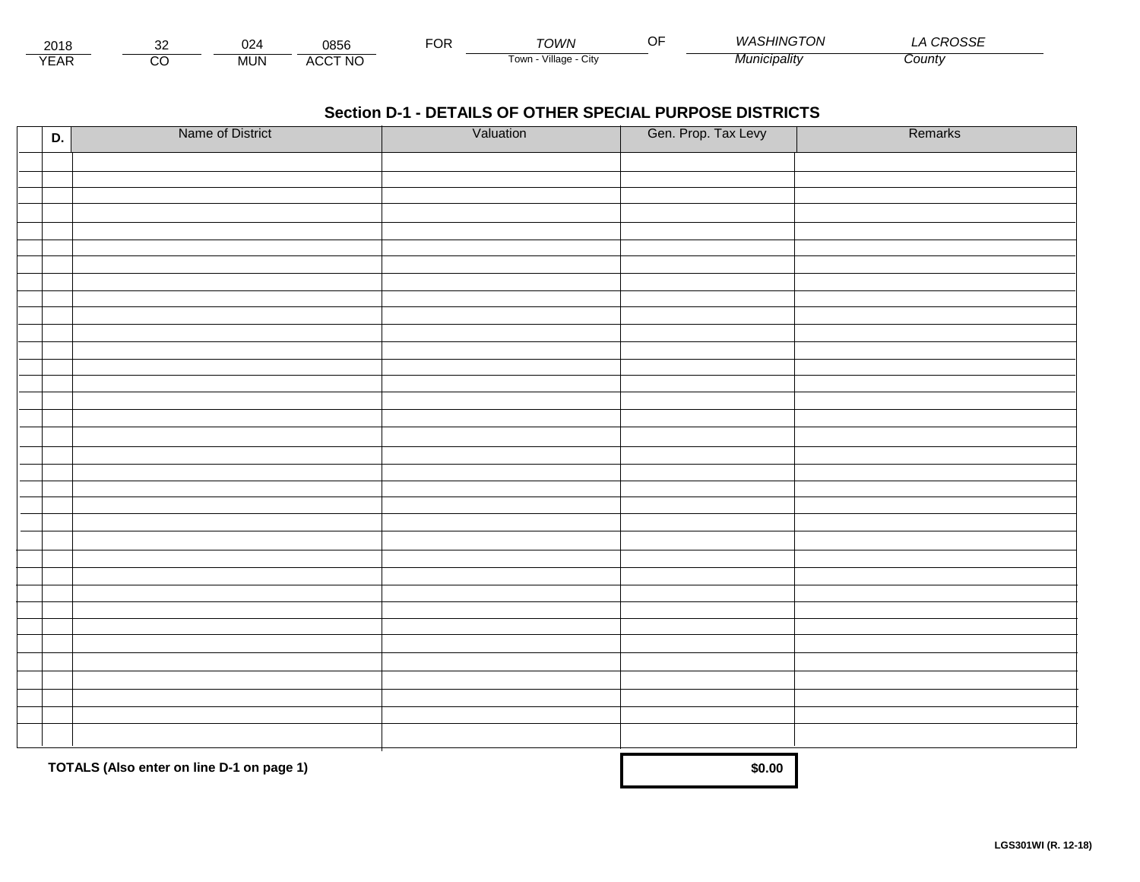| 201'<br>— ∿ا∪ے  |                     | 024       | 0856                             | $ -$<br>ີ | ⊤∩WN                      | $\sim$ $\sim$ | $\alpha$ SHIMATO<br>$M/\Delta$<br>- VI | -----<br>ັ<br>≺∪ວວ∟ |  |
|-----------------|---------------------|-----------|----------------------------------|-----------|---------------------------|---------------|----------------------------------------|---------------------|--|
| $\sqrt{2}$<br>⊢ | <b>~</b><br>$\cdot$ | <b>MU</b> | CCT NO.<br>$\mathbf{u}$<br>¬\ /\ |           | Village<br><b>LOW</b><br> |               | Municipality                           | Count               |  |

| D. | Name of District                          | Valuation | Gen. Prop. Tax Levy | Remarks |
|----|-------------------------------------------|-----------|---------------------|---------|
|    |                                           |           |                     |         |
|    |                                           |           |                     |         |
|    |                                           |           |                     |         |
|    |                                           |           |                     |         |
|    |                                           |           |                     |         |
|    |                                           |           |                     |         |
|    |                                           |           |                     |         |
|    |                                           |           |                     |         |
|    |                                           |           |                     |         |
|    |                                           |           |                     |         |
|    |                                           |           |                     |         |
|    |                                           |           |                     |         |
|    |                                           |           |                     |         |
|    |                                           |           |                     |         |
|    |                                           |           |                     |         |
|    |                                           |           |                     |         |
|    |                                           |           |                     |         |
|    |                                           |           |                     |         |
|    |                                           |           |                     |         |
|    |                                           |           |                     |         |
|    |                                           |           |                     |         |
|    |                                           |           |                     |         |
|    |                                           |           |                     |         |
|    |                                           |           |                     |         |
|    |                                           |           |                     |         |
|    |                                           |           |                     |         |
|    |                                           |           |                     |         |
|    |                                           |           |                     |         |
|    |                                           |           |                     |         |
|    |                                           |           |                     |         |
|    |                                           |           |                     |         |
|    | TOTALS (Also enter on line D-1 on page 1) | \$0.00    |                     |         |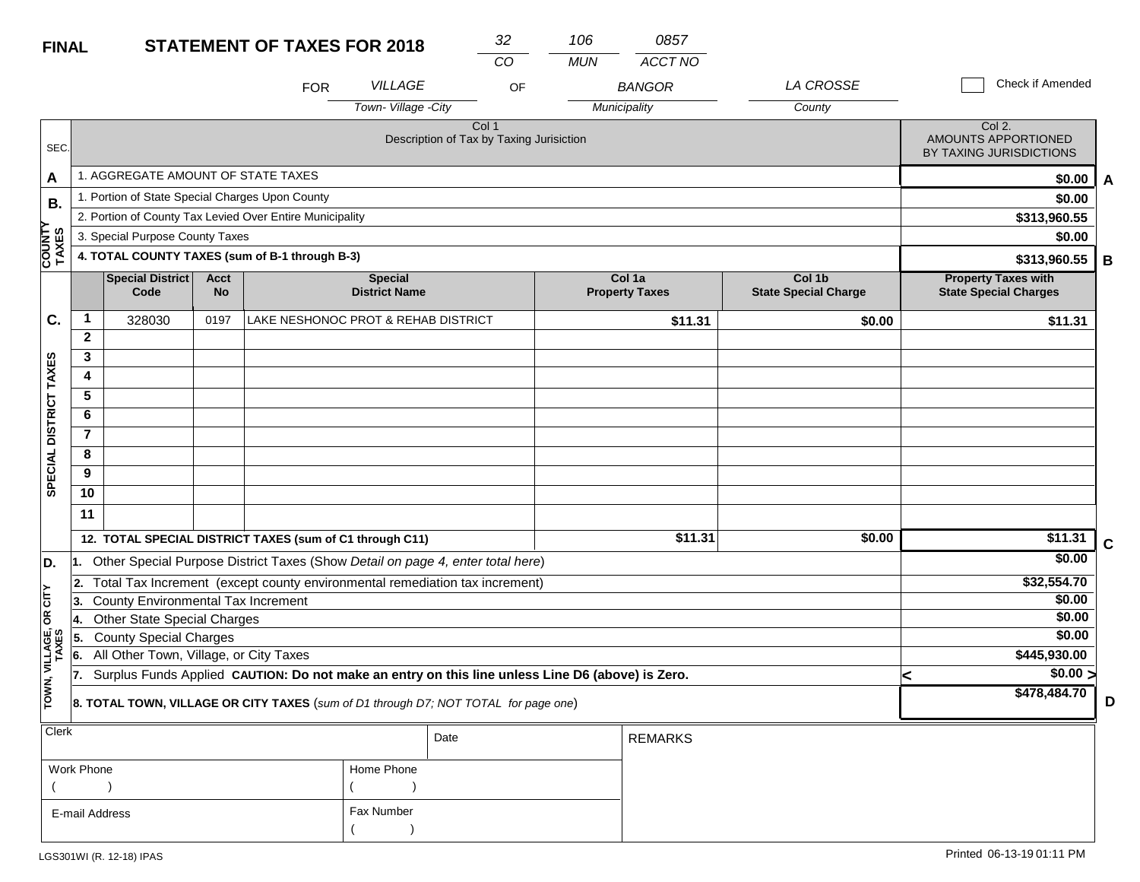| <b>FINAL</b>            |                |                                                                         |                          | <b>STATEMENT OF TAXES FOR 2018</b>                                                               |                                        | 32                                                | 106        | 0857                            |                                       |                                                            |                  |   |
|-------------------------|----------------|-------------------------------------------------------------------------|--------------------------|--------------------------------------------------------------------------------------------------|----------------------------------------|---------------------------------------------------|------------|---------------------------------|---------------------------------------|------------------------------------------------------------|------------------|---|
|                         |                |                                                                         |                          |                                                                                                  |                                        | CO                                                | <b>MUN</b> | <b>ACCT NO</b>                  |                                       |                                                            |                  |   |
|                         |                |                                                                         |                          | <b>FOR</b>                                                                                       | <b>VILLAGE</b>                         | OF                                                |            | <b>BANGOR</b>                   | <b>LA CROSSE</b>                      | Check if Amended                                           |                  |   |
|                         |                |                                                                         |                          |                                                                                                  | Town-Village -City                     |                                                   |            | Municipality                    | County                                |                                                            |                  |   |
| SEC.                    |                |                                                                         |                          |                                                                                                  |                                        | Col 1<br>Description of Tax by Taxing Jurisiction |            |                                 |                                       | Col 2.<br>AMOUNTS APPORTIONED<br>BY TAXING JURISDICTIONS   |                  |   |
| A                       |                | 1. AGGREGATE AMOUNT OF STATE TAXES                                      |                          |                                                                                                  |                                        |                                                   |            |                                 |                                       |                                                            | \$0.00           | A |
| В.                      |                | 1. Portion of State Special Charges Upon County                         |                          |                                                                                                  |                                        |                                                   |            |                                 |                                       |                                                            | \$0.00           |   |
|                         |                |                                                                         |                          | 2. Portion of County Tax Levied Over Entire Municipality                                         |                                        |                                                   |            |                                 |                                       | \$313,960.55                                               |                  |   |
|                         |                | 3. Special Purpose County Taxes                                         |                          |                                                                                                  | \$0.00                                 |                                                   |            |                                 |                                       |                                                            |                  |   |
| <b>COUNTY</b><br>TAXES  |                |                                                                         |                          | 4. TOTAL COUNTY TAXES (sum of B-1 through B-3)                                                   |                                        |                                                   |            |                                 |                                       | \$313,960.55                                               |                  | В |
|                         |                | <b>Special District</b><br>Code                                         | <b>Acct</b><br><b>No</b> |                                                                                                  | <b>Special</b><br><b>District Name</b> |                                                   |            | Col 1a<br><b>Property Taxes</b> | Col 1b<br><b>State Special Charge</b> | <b>Property Taxes with</b><br><b>State Special Charges</b> |                  |   |
| C.                      | 1              | 328030                                                                  | 0197                     | LAKE NESHONOC PROT & REHAB DISTRICT                                                              |                                        |                                                   |            | \$11.31                         | \$0.00                                | \$11.31                                                    |                  |   |
|                         | $\mathbf{2}$   |                                                                         |                          |                                                                                                  |                                        |                                                   |            |                                 |                                       |                                                            |                  |   |
|                         | 3              |                                                                         |                          |                                                                                                  |                                        |                                                   |            |                                 |                                       |                                                            |                  |   |
|                         | 4              |                                                                         |                          |                                                                                                  |                                        |                                                   |            |                                 |                                       |                                                            |                  |   |
|                         | 5              |                                                                         |                          |                                                                                                  |                                        |                                                   |            |                                 |                                       |                                                            |                  |   |
|                         | 6              |                                                                         |                          |                                                                                                  |                                        |                                                   |            |                                 |                                       |                                                            |                  |   |
|                         | $\overline{7}$ |                                                                         |                          |                                                                                                  |                                        |                                                   |            |                                 |                                       |                                                            |                  |   |
|                         | 8              |                                                                         |                          |                                                                                                  |                                        |                                                   |            |                                 |                                       |                                                            |                  |   |
| SPECIAL DISTRICT TAXES  | 9              |                                                                         |                          |                                                                                                  |                                        |                                                   |            |                                 |                                       |                                                            |                  |   |
|                         | 10             |                                                                         |                          |                                                                                                  |                                        |                                                   |            |                                 |                                       |                                                            |                  |   |
|                         | 11             |                                                                         |                          |                                                                                                  |                                        |                                                   |            |                                 |                                       |                                                            |                  |   |
|                         |                |                                                                         |                          | 12. TOTAL SPECIAL DISTRICT TAXES (sum of C1 through C11)                                         |                                        |                                                   |            | \$11.31                         | \$0.00                                | \$11.31                                                    |                  | C |
| D.                      |                |                                                                         |                          | 1. Other Special Purpose District Taxes (Show Detail on page 4, enter total here)                |                                        |                                                   |            |                                 |                                       |                                                            | \$0.00           |   |
|                         | 2.             |                                                                         |                          | Total Tax Increment (except county environmental remediation tax increment)                      |                                        |                                                   |            |                                 |                                       | \$32,554.70                                                |                  |   |
| OR CITY                 | 13.            | County Environmental Tax Increment                                      |                          |                                                                                                  |                                        |                                                   |            |                                 |                                       |                                                            | \$0.00           |   |
|                         | 14.            | <b>Other State Special Charges</b>                                      |                          |                                                                                                  |                                        |                                                   |            |                                 |                                       |                                                            | \$0.00<br>\$0.00 |   |
|                         | 5.             | <b>County Special Charges</b><br>All Other Town, Village, or City Taxes |                          |                                                                                                  |                                        |                                                   |            |                                 |                                       | \$445,930.00                                               |                  |   |
|                         | 6.<br>17.      |                                                                         |                          | Surplus Funds Applied CAUTION: Do not make an entry on this line unless Line D6 (above) is Zero. |                                        |                                                   |            |                                 |                                       |                                                            | \$0.00 >         |   |
| TOWN, VILLAGE,<br>TAXES |                |                                                                         |                          |                                                                                                  |                                        |                                                   |            |                                 |                                       | ≺<br>\$478,484.70                                          |                  |   |
|                         |                |                                                                         |                          | 8. TOTAL TOWN, VILLAGE OR CITY TAXES (sum of D1 through D7; NOT TOTAL for page one)              |                                        |                                                   |            |                                 |                                       |                                                            |                  | D |
| <b>Clerk</b>            |                |                                                                         |                          |                                                                                                  |                                        | Date                                              |            | <b>REMARKS</b>                  |                                       |                                                            |                  |   |

| Work Phone     | Home Phone |
|----------------|------------|
|                |            |
| E-mail Address | Fax Number |
|                |            |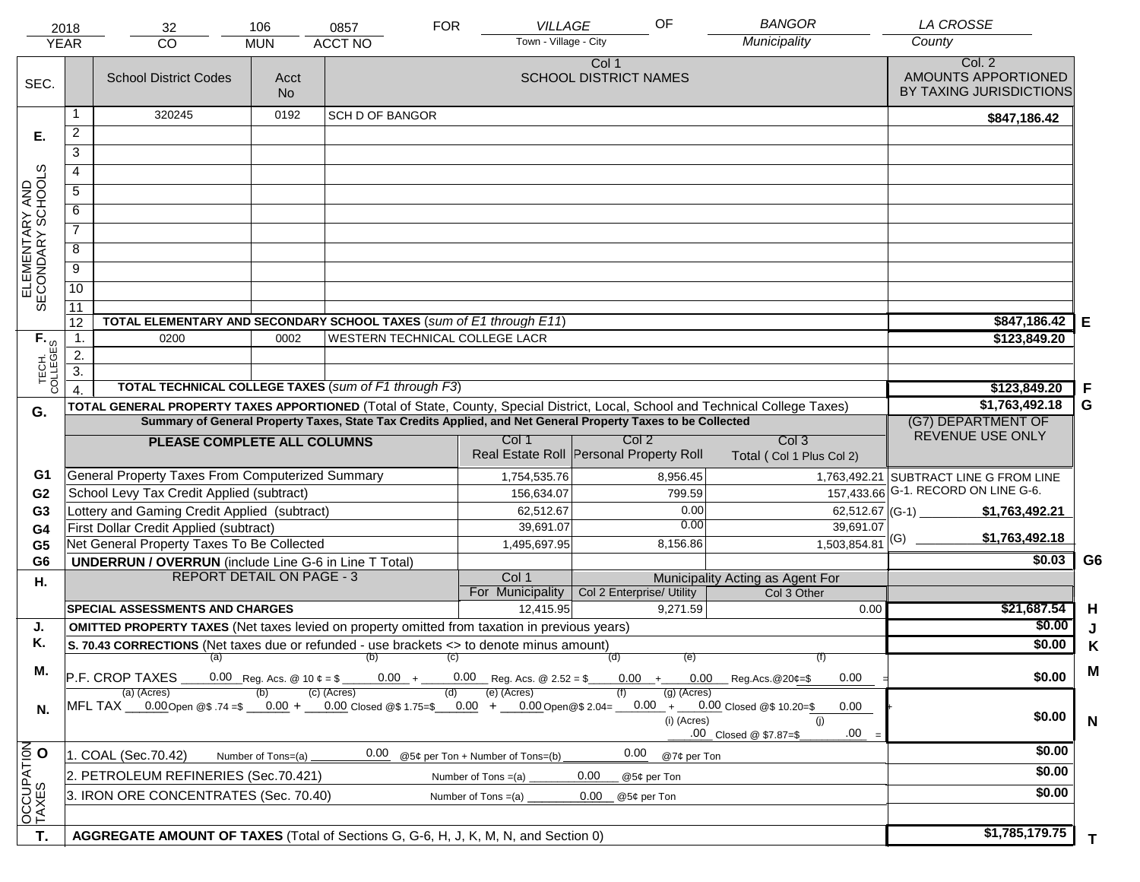| <b>YEAR</b>                         | 2018                                                                                  | 32<br><b>CO</b>                                                                                                                    | 106<br><b>MUN</b>                      | 0857<br><b>ACCT NO</b>         | <b>FOR</b> | <b>VILLAGE</b><br>Town - Village - City            | OF                                                          | <b>BANGOR</b><br>Municipality                   | <b>LA CROSSE</b><br>County                     |                |
|-------------------------------------|---------------------------------------------------------------------------------------|------------------------------------------------------------------------------------------------------------------------------------|----------------------------------------|--------------------------------|------------|----------------------------------------------------|-------------------------------------------------------------|-------------------------------------------------|------------------------------------------------|----------------|
|                                     |                                                                                       |                                                                                                                                    |                                        |                                |            |                                                    | Col 1                                                       |                                                 | Col. 2                                         |                |
| SEC.                                |                                                                                       | <b>School District Codes</b>                                                                                                       | Acct<br><b>No</b>                      |                                |            |                                                    | <b>SCHOOL DISTRICT NAMES</b>                                |                                                 | AMOUNTS APPORTIONED<br>BY TAXING JURISDICTIONS |                |
|                                     | 1                                                                                     | 320245                                                                                                                             | 0192                                   | <b>SCH D OF BANGOR</b>         |            |                                                    |                                                             |                                                 | \$847,186.42                                   |                |
| Е.                                  | $\overline{a}$                                                                        |                                                                                                                                    |                                        |                                |            |                                                    |                                                             |                                                 |                                                |                |
|                                     | 3                                                                                     |                                                                                                                                    |                                        |                                |            |                                                    |                                                             |                                                 |                                                |                |
|                                     | 4                                                                                     |                                                                                                                                    |                                        |                                |            |                                                    |                                                             |                                                 |                                                |                |
|                                     | 5                                                                                     |                                                                                                                                    |                                        |                                |            |                                                    |                                                             |                                                 |                                                |                |
|                                     | 6                                                                                     |                                                                                                                                    |                                        |                                |            |                                                    |                                                             |                                                 |                                                |                |
| ELEMENTARY AND<br>SECONDARY SCHOOLS | $\overline{7}$                                                                        |                                                                                                                                    |                                        |                                |            |                                                    |                                                             |                                                 |                                                |                |
|                                     | 8                                                                                     |                                                                                                                                    |                                        |                                |            |                                                    |                                                             |                                                 |                                                |                |
|                                     | $\overline{9}$                                                                        |                                                                                                                                    |                                        |                                |            |                                                    |                                                             |                                                 |                                                |                |
|                                     | 10                                                                                    |                                                                                                                                    |                                        |                                |            |                                                    |                                                             |                                                 |                                                |                |
|                                     | 11                                                                                    |                                                                                                                                    |                                        |                                |            |                                                    |                                                             |                                                 |                                                |                |
|                                     | 12                                                                                    | TOTAL ELEMENTARY AND SECONDARY SCHOOL TAXES (sum of E1 through E11)                                                                |                                        |                                |            |                                                    |                                                             |                                                 | \$847,186.42                                   | Е              |
|                                     | $\mathbf{1}$ .                                                                        | 0200                                                                                                                               | 0002                                   | WESTERN TECHNICAL COLLEGE LACR |            |                                                    |                                                             |                                                 | \$123,849.20                                   |                |
|                                     | 2.                                                                                    |                                                                                                                                    |                                        |                                |            |                                                    |                                                             |                                                 |                                                |                |
| TECH. T                             | $\overline{3}$ .                                                                      |                                                                                                                                    |                                        |                                |            |                                                    |                                                             |                                                 |                                                |                |
|                                     | $\overline{4}$                                                                        | <b>TOTAL TECHNICAL COLLEGE TAXES (sum of F1 through F3)</b>                                                                        |                                        |                                |            |                                                    |                                                             |                                                 | \$123,849.20                                   | F              |
| G.                                  |                                                                                       | TOTAL GENERAL PROPERTY TAXES APPORTIONED (Total of State, County, Special District, Local, School and Technical College Taxes)     | \$1,763,492.18                         | G                              |            |                                                    |                                                             |                                                 |                                                |                |
|                                     |                                                                                       | Summary of General Property Taxes, State Tax Credits Applied, and Net General Property Taxes to be Collected                       | (G7) DEPARTMENT OF<br>REVENUE USE ONLY |                                |            |                                                    |                                                             |                                                 |                                                |                |
|                                     |                                                                                       | PLEASE COMPLETE ALL COLUMNS                                                                                                        |                                        |                                |            | Col 1                                              | Col <sub>2</sub><br>Real Estate Roll Personal Property Roll | Col <sub>3</sub><br>Total (Col 1 Plus Col 2)    |                                                |                |
| G1                                  |                                                                                       | General Property Taxes From Computerized Summary                                                                                   |                                        |                                |            | 1,754,535.76                                       | 8,956.45                                                    |                                                 | 1,763,492.21 SUBTRACT LINE G FROM LINE         |                |
| G <sub>2</sub>                      |                                                                                       | School Levy Tax Credit Applied (subtract)                                                                                          |                                        |                                |            | 156,634.07                                         | 799.59                                                      |                                                 | 157,433.66 G-1. RECORD ON LINE G-6.            |                |
| G <sub>3</sub>                      |                                                                                       | Lottery and Gaming Credit Applied (subtract)                                                                                       |                                        |                                |            | 62,512.67                                          |                                                             | 0.00                                            | 62,512.67 (G-1)<br>\$1,763,492.21              |                |
| G4                                  |                                                                                       | First Dollar Credit Applied (subtract)                                                                                             |                                        |                                |            | 39,691.07                                          |                                                             | 0.00<br>39,691.07                               | \$1,763,492.18                                 |                |
| G <sub>5</sub>                      |                                                                                       | Net General Property Taxes To Be Collected                                                                                         |                                        |                                |            | 1,495,697.95                                       | 8,156.86                                                    | 1,503,854.81                                    |                                                |                |
| G <sub>6</sub>                      |                                                                                       | <b>UNDERRUN / OVERRUN</b> (include Line G-6 in Line T Total)                                                                       |                                        |                                |            |                                                    |                                                             |                                                 | \$0.03                                         | G <sub>6</sub> |
| Η.                                  |                                                                                       | <b>REPORT DETAIL ON PAGE - 3</b>                                                                                                   |                                        |                                |            | Col 1<br>For Municipality                          | Col 2 Enterprise/ Utility                                   | Municipality Acting as Agent For<br>Col 3 Other |                                                |                |
|                                     |                                                                                       | <b>SPECIAL ASSESSMENTS AND CHARGES</b>                                                                                             |                                        |                                |            | 12,415.95                                          | 9,271.59                                                    | 0.00                                            | \$21,687.54                                    | H              |
| J.                                  |                                                                                       | <b>OMITTED PROPERTY TAXES</b> (Net taxes levied on property omitted from taxation in previous years)                               |                                        |                                |            |                                                    |                                                             |                                                 | \$0.00                                         | J              |
| Κ.                                  |                                                                                       | S. 70.43 CORRECTIONS (Net taxes due or refunded - use brackets <> to denote minus amount)                                          |                                        |                                |            |                                                    |                                                             |                                                 | \$0.00                                         | Κ              |
|                                     |                                                                                       | $(a)$ (b)                                                                                                                          |                                        |                                | (C)        |                                                    | (d)                                                         | (e)<br>(f)                                      |                                                |                |
| М.                                  |                                                                                       | P.F. CROP TAXES<br>(a) (Acres)                                                                                                     |                                        | (c) (Acres)                    | (d)        | $0.00 + 0.00$ Reg. Acs. @ 2.52 = \$<br>(e) (Acres) | $(g)$ (Acres)                                               | $0.00 + 0.00$ Reg.Acs. @20¢=\$<br>0.00          | \$0.00                                         | M              |
| N.                                  |                                                                                       | MFL TAX __0.00Open @\$ .74 =\$ __0.00 + __0.00 Closed @\$ 1.75=\$ __0.00 + __0.00Open@\$ 2.04= __0.00 + __0.00 Closed @\$ 10.20=\$ |                                        |                                |            |                                                    | (i) (Acres)                                                 | 0.00<br>(i)<br>.00<br>.00 Closed @ \$7.87=\$    | \$0.00                                         | N              |
|                                     |                                                                                       | 1. COAL (Sec.70.42)                                                                                                                | Number of Tons=(a)                     | 0.00                           |            | @5¢ per Ton + Number of Tons=(b)                   | 0.00                                                        | @7¢ per Ton                                     | \$0.00                                         |                |
|                                     |                                                                                       | 2. PETROLEUM REFINERIES (Sec.70.421)                                                                                               |                                        |                                |            | Number of Tons $=(a)$                              | 0.00<br>@5¢ per Ton                                         |                                                 | \$0.00                                         |                |
| OCCUPATION                          | 3. IRON ORE CONCENTRATES (Sec. 70.40)<br>Number of Tons $=(a)$<br>0.00<br>@5¢ per Ton |                                                                                                                                    |                                        |                                |            |                                                    |                                                             |                                                 | \$0.00                                         |                |
|                                     |                                                                                       |                                                                                                                                    |                                        |                                |            |                                                    |                                                             |                                                 |                                                |                |
| T.                                  |                                                                                       | AGGREGATE AMOUNT OF TAXES (Total of Sections G, G-6, H, J, K, M, N, and Section 0)                                                 |                                        |                                |            |                                                    |                                                             |                                                 | \$1,785,179.75                                 | T.             |
|                                     |                                                                                       |                                                                                                                                    |                                        |                                |            |                                                    |                                                             |                                                 |                                                |                |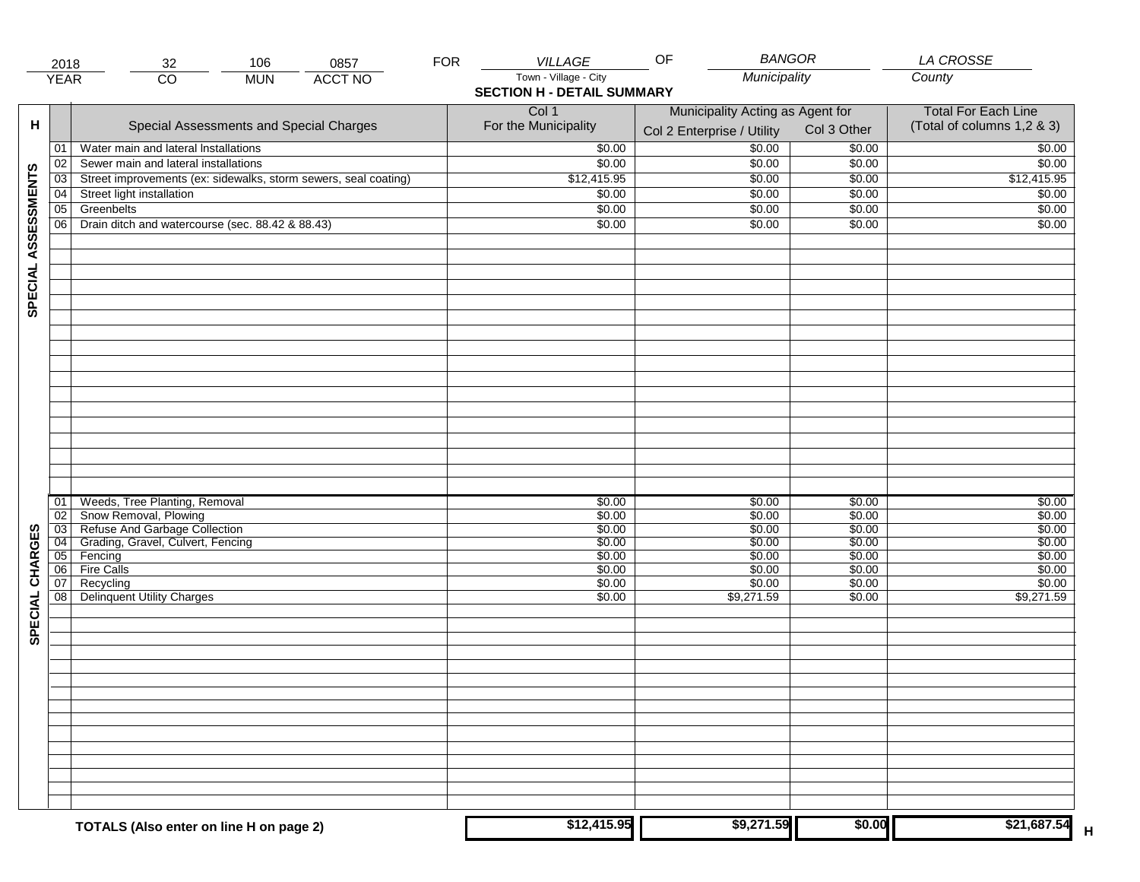|                     | 2018            | 106<br>0857<br>32                                               | <b>FOR</b> | VILLAGE                           | <b>BANGOR</b><br>OF                       |                            | LA CROSSE                  |
|---------------------|-----------------|-----------------------------------------------------------------|------------|-----------------------------------|-------------------------------------------|----------------------------|----------------------------|
|                     | <b>YEAR</b>     | <b>ACCT NO</b><br>$\overline{CO}$<br><b>MUN</b>                 |            | Town - Village - City             | Municipality                              |                            | County                     |
|                     |                 |                                                                 |            | <b>SECTION H - DETAIL SUMMARY</b> |                                           |                            |                            |
|                     |                 |                                                                 |            | Col 1                             | Municipality Acting as Agent for          | <b>Total For Each Line</b> |                            |
| н                   |                 | Special Assessments and Special Charges                         |            | For the Municipality              | Col 3 Other<br>Col 2 Enterprise / Utility |                            | (Total of columns 1,2 & 3) |
|                     |                 |                                                                 |            |                                   |                                           |                            |                            |
|                     | 01              | Water main and lateral Installations                            |            | \$0.00                            | \$0.00                                    | \$0.00                     | \$0.00                     |
|                     | 02              | Sewer main and lateral installations                            |            | \$0.00                            | \$0.00                                    | \$0.00                     | \$0.00                     |
| SPECIAL ASSESSMENTS | $\overline{03}$ | Street improvements (ex: sidewalks, storm sewers, seal coating) |            | \$12,415.95                       | \$0.00                                    | \$0.00                     | \$12,415.95                |
|                     | 04              | Street light installation                                       |            | \$0.00                            | \$0.00                                    | \$0.00                     | \$0.00                     |
|                     | $\overline{05}$ | Greenbelts                                                      |            | \$0.00                            | \$0.00                                    | \$0.00                     | \$0.00                     |
|                     | 06              | Drain ditch and watercourse (sec. 88.42 & 88.43)                |            | \$0.00                            | \$0.00                                    | \$0.00                     | \$0.00                     |
|                     |                 |                                                                 |            |                                   |                                           |                            |                            |
|                     |                 |                                                                 |            |                                   |                                           |                            |                            |
|                     |                 |                                                                 |            |                                   |                                           |                            |                            |
|                     |                 |                                                                 |            |                                   |                                           |                            |                            |
|                     |                 |                                                                 |            |                                   |                                           |                            |                            |
|                     |                 |                                                                 |            |                                   |                                           |                            |                            |
|                     |                 |                                                                 |            |                                   |                                           |                            |                            |
|                     |                 |                                                                 |            |                                   |                                           |                            |                            |
|                     |                 |                                                                 |            |                                   |                                           |                            |                            |
|                     |                 |                                                                 |            |                                   |                                           |                            |                            |
|                     |                 |                                                                 |            |                                   |                                           |                            |                            |
|                     |                 |                                                                 |            |                                   |                                           |                            |                            |
|                     |                 |                                                                 |            |                                   |                                           |                            |                            |
|                     |                 |                                                                 |            |                                   |                                           |                            |                            |
|                     |                 |                                                                 |            |                                   |                                           |                            |                            |
|                     |                 |                                                                 |            |                                   |                                           |                            |                            |
|                     |                 |                                                                 |            |                                   |                                           |                            |                            |
|                     |                 |                                                                 |            |                                   |                                           |                            |                            |
|                     | 01              | Weeds, Tree Planting, Removal                                   |            | \$0.00                            | \$0.00                                    | \$0.00                     | \$0.00                     |
|                     | 02<br>03        | Snow Removal, Plowing<br>Refuse And Garbage Collection          |            | \$0.00<br>\$0.00                  | \$0.00<br>\$0.00                          | \$0.00<br>\$0.00           | \$0.00<br>\$0.00           |
|                     | $\overline{04}$ | Grading, Gravel, Culvert, Fencing                               |            | \$0.00                            | \$0.00                                    | \$0.00                     | \$0.00                     |
|                     | 05              | Fencing                                                         |            | \$0.00                            | \$0.00                                    | \$0.00                     | \$0.00                     |
| SPECIAL CHARGES     | 06              | <b>Fire Calls</b>                                               |            | \$0.00                            | \$0.00                                    | \$0.00                     | \$0.00                     |
|                     | 07              | Recycling                                                       |            | \$0.00                            | \$0.00                                    | \$0.00                     | \$0.00                     |
|                     | 08              | Delinquent Utility Charges                                      |            | \$0.00                            | \$9,271.59                                | \$0.00                     | \$9,271.59                 |
|                     |                 |                                                                 |            |                                   |                                           |                            |                            |
|                     |                 |                                                                 |            |                                   |                                           |                            |                            |
|                     |                 |                                                                 |            |                                   |                                           |                            |                            |
|                     |                 |                                                                 |            |                                   |                                           |                            |                            |
|                     |                 |                                                                 |            |                                   |                                           |                            |                            |
|                     |                 |                                                                 |            |                                   |                                           |                            |                            |
|                     |                 |                                                                 |            |                                   |                                           |                            |                            |
|                     |                 |                                                                 |            |                                   |                                           |                            |                            |
|                     |                 |                                                                 |            |                                   |                                           |                            |                            |
|                     |                 |                                                                 |            |                                   |                                           |                            |                            |
|                     |                 |                                                                 |            |                                   |                                           |                            |                            |
|                     |                 |                                                                 |            |                                   |                                           |                            |                            |
|                     |                 |                                                                 |            |                                   |                                           |                            |                            |
|                     |                 |                                                                 |            |                                   |                                           |                            |                            |
|                     |                 |                                                                 |            | \$12,415.95                       | \$9,271.59                                | \$0.00                     |                            |
|                     |                 | TOTALS (Also enter on line H on page 2)                         |            |                                   |                                           |                            | \$21,687.54                |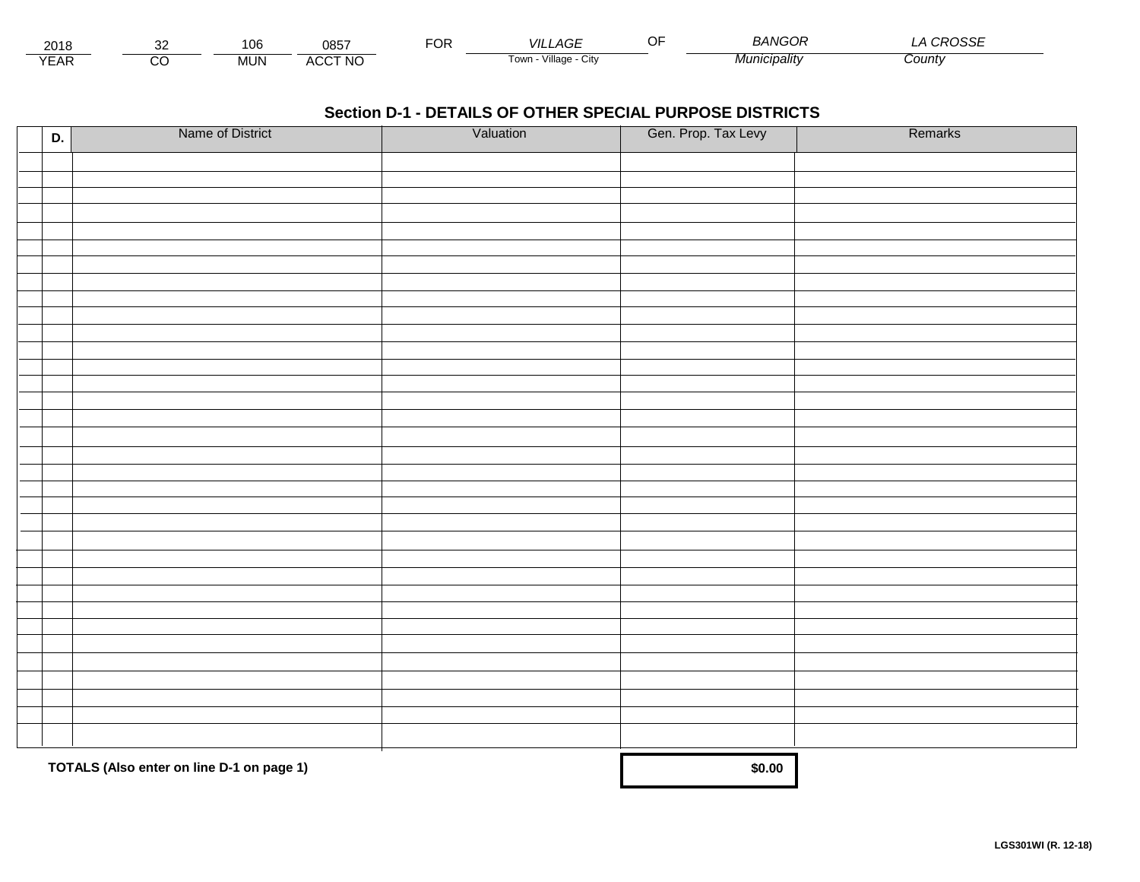| 0015<br>∠∪≀o             | 106        | 0857              | ---<br>◡ | _AGE<br>VII             | - - | RANGOR<br>RANG. | $\sim$<br>، ب |  |
|--------------------------|------------|-------------------|----------|-------------------------|-----|-----------------|---------------|--|
| $\sqrt{2}$<br><b>EAR</b> | <b>MUN</b> | 0.00710<br>w<br>- |          | Town<br>Village<br>City |     | ∵'nıcıpalitv    | Count         |  |

| D. | Name of District                          | Valuation | Gen. Prop. Tax Levy | Remarks |
|----|-------------------------------------------|-----------|---------------------|---------|
|    |                                           |           |                     |         |
|    |                                           |           |                     |         |
|    |                                           |           |                     |         |
|    |                                           |           |                     |         |
|    |                                           |           |                     |         |
|    |                                           |           |                     |         |
|    |                                           |           |                     |         |
|    |                                           |           |                     |         |
|    |                                           |           |                     |         |
|    |                                           |           |                     |         |
|    |                                           |           |                     |         |
|    |                                           |           |                     |         |
|    |                                           |           |                     |         |
|    |                                           |           |                     |         |
|    |                                           |           |                     |         |
|    |                                           |           |                     |         |
|    |                                           |           |                     |         |
|    |                                           |           |                     |         |
|    |                                           |           |                     |         |
|    |                                           |           |                     |         |
|    |                                           |           |                     |         |
|    |                                           |           |                     |         |
|    |                                           |           |                     |         |
|    |                                           |           |                     |         |
|    |                                           |           |                     |         |
|    |                                           |           |                     |         |
|    |                                           |           |                     |         |
|    |                                           |           |                     |         |
|    |                                           |           |                     |         |
|    |                                           |           |                     |         |
|    |                                           |           |                     |         |
|    | TOTALS (Also enter on line D-1 on page 1) | \$0.00    |                     |         |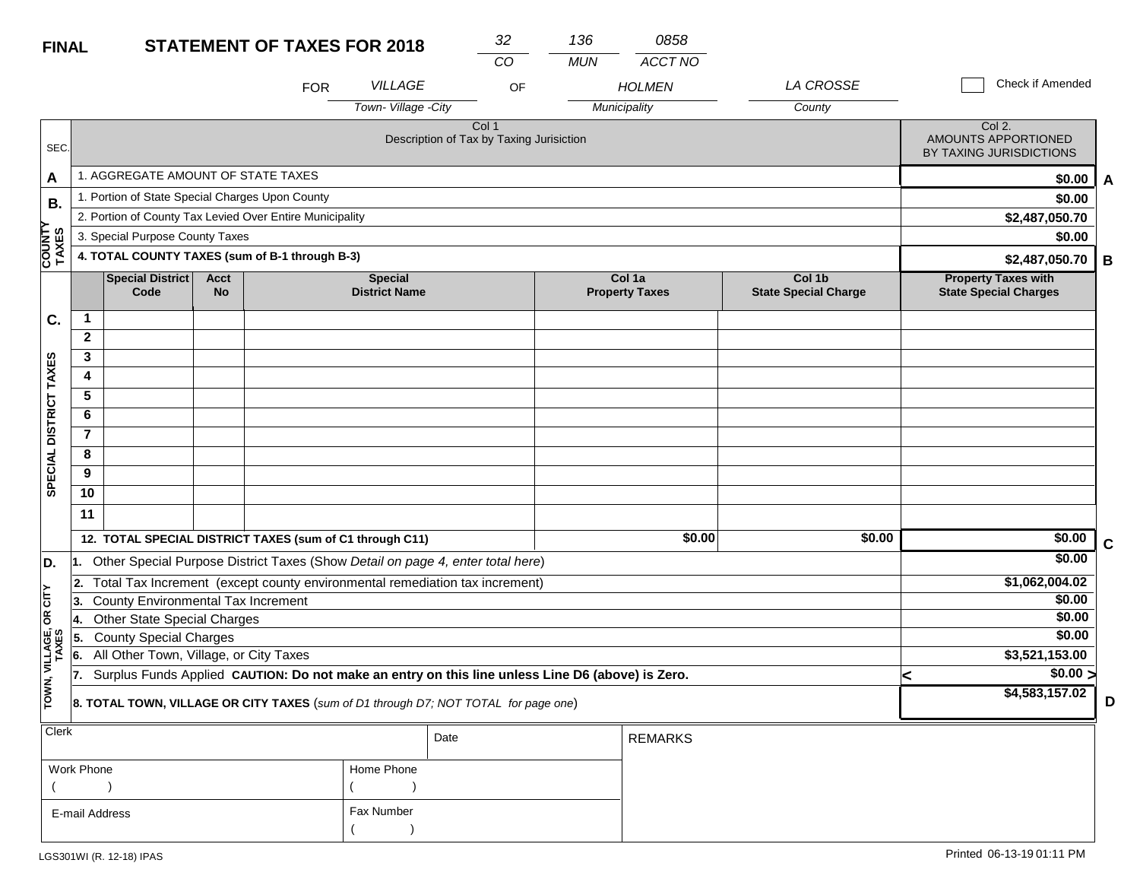| <b>FINAL</b>            |                |                                                                                                                          |                          | <b>STATEMENT OF TAXES FOR 2018</b> |                                        | 32                                                | 136        | 0858                            |                                       |   |                                                            |   |
|-------------------------|----------------|--------------------------------------------------------------------------------------------------------------------------|--------------------------|------------------------------------|----------------------------------------|---------------------------------------------------|------------|---------------------------------|---------------------------------------|---|------------------------------------------------------------|---|
|                         |                |                                                                                                                          |                          |                                    |                                        | CO                                                | <b>MUN</b> | <b>ACCT NO</b>                  |                                       |   |                                                            |   |
|                         |                |                                                                                                                          |                          | <b>FOR</b>                         | <b>VILLAGE</b>                         | OF                                                |            | <b>HOLMEN</b>                   | <b>LA CROSSE</b>                      |   | <b>Check if Amended</b>                                    |   |
|                         |                |                                                                                                                          |                          |                                    | Town-Village -City                     |                                                   |            | Municipality                    | County                                |   |                                                            |   |
| SEC.                    |                |                                                                                                                          |                          |                                    |                                        | Col 1<br>Description of Tax by Taxing Jurisiction |            |                                 |                                       |   | Col 2.<br>AMOUNTS APPORTIONED<br>BY TAXING JURISDICTIONS   |   |
| A                       |                | 1. AGGREGATE AMOUNT OF STATE TAXES                                                                                       |                          |                                    |                                        |                                                   |            |                                 |                                       |   | \$0.00                                                     | A |
| В.                      |                | 1. Portion of State Special Charges Upon County                                                                          |                          |                                    |                                        |                                                   |            |                                 |                                       |   | \$0.00                                                     |   |
|                         |                | 2. Portion of County Tax Levied Over Entire Municipality                                                                 |                          |                                    |                                        |                                                   |            |                                 |                                       |   | \$2,487,050.70                                             |   |
|                         |                | 3. Special Purpose County Taxes                                                                                          |                          |                                    |                                        |                                                   |            |                                 |                                       |   | \$0.00                                                     |   |
| <b>COUNTY<br/>TAXES</b> |                | 4. TOTAL COUNTY TAXES (sum of B-1 through B-3)                                                                           |                          |                                    |                                        |                                                   |            |                                 |                                       |   | \$2,487,050.70                                             | В |
|                         |                | Special District<br>Code                                                                                                 | <b>Acct</b><br><b>No</b> |                                    | <b>Special</b><br><b>District Name</b> |                                                   |            | Col 1a<br><b>Property Taxes</b> | Col 1b<br><b>State Special Charge</b> |   | <b>Property Taxes with</b><br><b>State Special Charges</b> |   |
| C.                      | $\mathbf{1}$   |                                                                                                                          |                          |                                    |                                        |                                                   |            |                                 |                                       |   |                                                            |   |
|                         | $\mathbf{2}$   |                                                                                                                          |                          |                                    |                                        |                                                   |            |                                 |                                       |   |                                                            |   |
| SPECIAL DISTRICT TAXES  | 3              |                                                                                                                          |                          |                                    |                                        |                                                   |            |                                 |                                       |   |                                                            |   |
|                         | 4              |                                                                                                                          |                          |                                    |                                        |                                                   |            |                                 |                                       |   |                                                            |   |
|                         | 5              |                                                                                                                          |                          |                                    |                                        |                                                   |            |                                 |                                       |   |                                                            |   |
|                         | 6              |                                                                                                                          |                          |                                    |                                        |                                                   |            |                                 |                                       |   |                                                            |   |
|                         | $\overline{7}$ |                                                                                                                          |                          |                                    |                                        |                                                   |            |                                 |                                       |   |                                                            |   |
|                         | 8              |                                                                                                                          |                          |                                    |                                        |                                                   |            |                                 |                                       |   |                                                            |   |
|                         | 9<br>10        |                                                                                                                          |                          |                                    |                                        |                                                   |            |                                 |                                       |   |                                                            |   |
|                         | 11             |                                                                                                                          |                          |                                    |                                        |                                                   |            |                                 |                                       |   |                                                            |   |
|                         |                |                                                                                                                          |                          |                                    |                                        |                                                   |            | \$0.00                          | \$0.00                                |   | \$0.00                                                     |   |
|                         |                | 12. TOTAL SPECIAL DISTRICT TAXES (sum of C1 through C11)                                                                 |                          |                                    |                                        |                                                   |            |                                 |                                       |   | \$0.00                                                     | С |
| D.                      | l1.            | Other Special Purpose District Taxes (Show Detail on page 4, enter total here)                                           |                          |                                    |                                        |                                                   |            |                                 |                                       |   |                                                            |   |
| CITY                    | 2.<br>3.       | Total Tax Increment (except county environmental remediation tax increment)<br><b>County Environmental Tax Increment</b> |                          |                                    |                                        |                                                   |            |                                 |                                       |   | \$1,062,004.02<br>\$0.00                                   |   |
| б                       | ∣4.            | <b>Other State Special Charges</b>                                                                                       |                          |                                    |                                        |                                                   |            |                                 |                                       |   | \$0.00                                                     |   |
|                         | 5.             | <b>County Special Charges</b>                                                                                            |                          |                                    |                                        |                                                   |            |                                 |                                       |   | \$0.00                                                     |   |
| VILLAGE,<br>TAXES       | 6.             | All Other Town, Village, or City Taxes                                                                                   |                          |                                    |                                        |                                                   |            |                                 |                                       |   | \$3,521,153.00                                             |   |
|                         | 17.            | Surplus Funds Applied CAUTION: Do not make an entry on this line unless Line D6 (above) is Zero.                         |                          |                                    |                                        |                                                   |            |                                 |                                       | < | \$0.00 >                                                   |   |
| TOWN,                   |                | 8. TOTAL TOWN, VILLAGE OR CITY TAXES (sum of D1 through D7; NOT TOTAL for page one)                                      |                          |                                    | \$4,583,157.02                         | D                                                 |            |                                 |                                       |   |                                                            |   |
| Clerk                   |                |                                                                                                                          |                          |                                    |                                        | Date                                              |            | <b>REMARKS</b>                  |                                       |   |                                                            |   |
|                         |                |                                                                                                                          |                          |                                    |                                        |                                                   |            |                                 |                                       |   |                                                            |   |

| Work Phone     | Home Phone |
|----------------|------------|
|                |            |
| E-mail Address | Fax Number |
|                |            |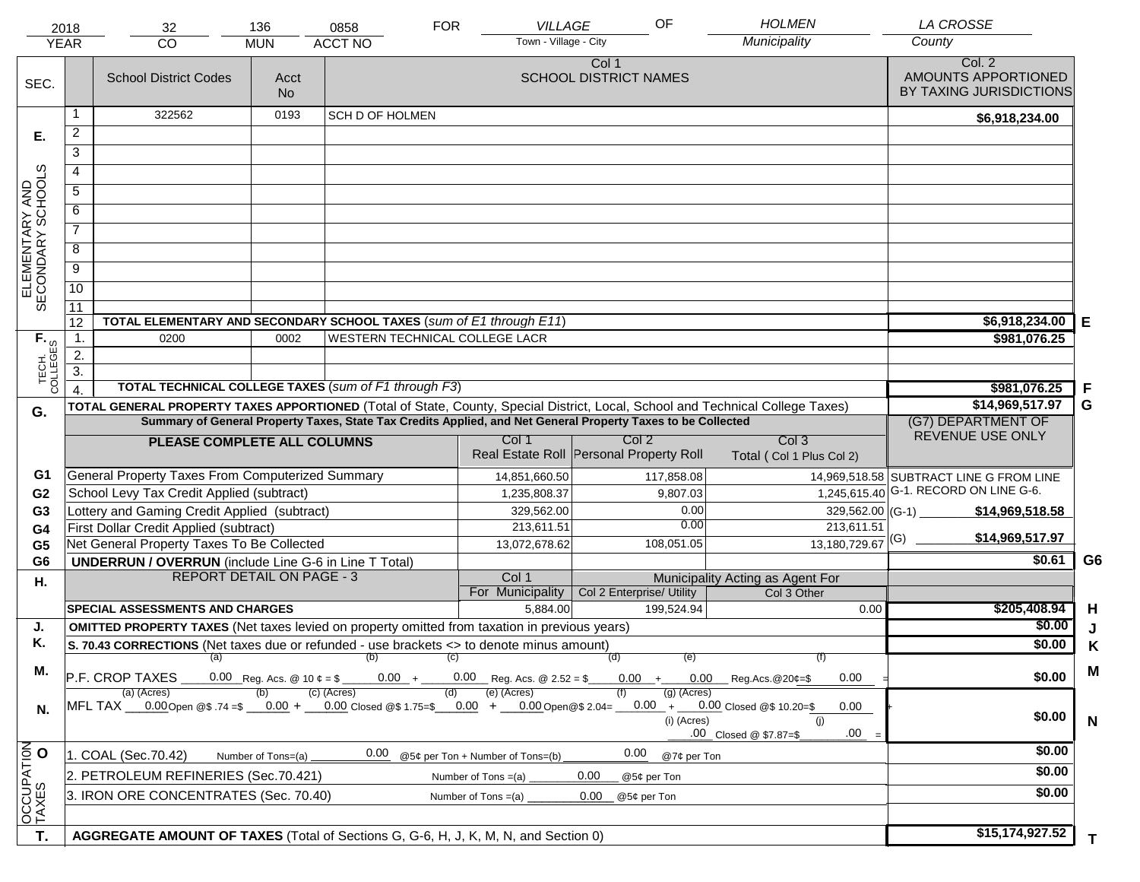|                                                             | 2018<br><b>YEAR</b>                                                                                          | 32<br><b>CO</b>                                                                                                                                   | 136               | 0858<br><b>ACCT NO</b>         | <b>FOR</b> | <b>VILLAGE</b><br>Town - Village - City | OF                                      | <b>HOLMEN</b><br>Municipality    |                                              | <b>LA CROSSE</b><br>County                               |                |
|-------------------------------------------------------------|--------------------------------------------------------------------------------------------------------------|---------------------------------------------------------------------------------------------------------------------------------------------------|-------------------|--------------------------------|------------|-----------------------------------------|-----------------------------------------|----------------------------------|----------------------------------------------|----------------------------------------------------------|----------------|
|                                                             |                                                                                                              |                                                                                                                                                   | <b>MUN</b>        |                                |            |                                         |                                         |                                  |                                              |                                                          |                |
| SEC.                                                        |                                                                                                              | <b>School District Codes</b>                                                                                                                      | Acct<br><b>No</b> |                                |            |                                         | Col 1<br><b>SCHOOL DISTRICT NAMES</b>   |                                  |                                              | Col. 2<br>AMOUNTS APPORTIONED<br>BY TAXING JURISDICTIONS |                |
|                                                             | 1                                                                                                            | 322562                                                                                                                                            | 0193              | <b>SCH D OF HOLMEN</b>         |            |                                         |                                         |                                  |                                              | \$6,918,234.00                                           |                |
| Е.                                                          | $\overline{2}$                                                                                               |                                                                                                                                                   |                   |                                |            |                                         |                                         |                                  |                                              |                                                          |                |
|                                                             | 3                                                                                                            |                                                                                                                                                   |                   |                                |            |                                         |                                         |                                  |                                              |                                                          |                |
|                                                             | 4                                                                                                            |                                                                                                                                                   |                   |                                |            |                                         |                                         |                                  |                                              |                                                          |                |
|                                                             | 5                                                                                                            |                                                                                                                                                   |                   |                                |            |                                         |                                         |                                  |                                              |                                                          |                |
|                                                             | 6                                                                                                            |                                                                                                                                                   |                   |                                |            |                                         |                                         |                                  |                                              |                                                          |                |
| ELEMENTARY AND<br>SECONDARY SCHOOLS                         | $\overline{7}$                                                                                               |                                                                                                                                                   |                   |                                |            |                                         |                                         |                                  |                                              |                                                          |                |
|                                                             |                                                                                                              |                                                                                                                                                   |                   |                                |            |                                         |                                         |                                  |                                              |                                                          |                |
|                                                             | 8                                                                                                            |                                                                                                                                                   |                   |                                |            |                                         |                                         |                                  |                                              |                                                          |                |
|                                                             | $\overline{9}$                                                                                               |                                                                                                                                                   |                   |                                |            |                                         |                                         |                                  |                                              |                                                          |                |
|                                                             | $\overline{10}$                                                                                              |                                                                                                                                                   |                   |                                |            |                                         |                                         |                                  |                                              |                                                          |                |
|                                                             | 11<br>12                                                                                                     | TOTAL ELEMENTARY AND SECONDARY SCHOOL TAXES (sum of E1 through E11)                                                                               |                   |                                |            |                                         |                                         |                                  |                                              | \$6,918,234.00                                           |                |
|                                                             | $\mathbf{1}$ .                                                                                               | 0200                                                                                                                                              | 0002              | WESTERN TECHNICAL COLLEGE LACR |            |                                         |                                         |                                  |                                              | \$981,076.25                                             | Е              |
|                                                             | 2.                                                                                                           |                                                                                                                                                   |                   |                                |            |                                         |                                         |                                  |                                              |                                                          |                |
|                                                             | $\overline{3}$ .                                                                                             |                                                                                                                                                   |                   |                                |            |                                         |                                         |                                  |                                              |                                                          |                |
| TECH. T<br>COLLEGES                                         |                                                                                                              | <b>TOTAL TECHNICAL COLLEGE TAXES (sum of F1 through F3)</b>                                                                                       |                   |                                |            |                                         |                                         |                                  |                                              | \$981,076.25                                             | F              |
| G.                                                          |                                                                                                              | TOTAL GENERAL PROPERTY TAXES APPORTIONED (Total of State, County, Special District, Local, School and Technical College Taxes)                    |                   | \$14,969,517.97                | G          |                                         |                                         |                                  |                                              |                                                          |                |
|                                                             | Summary of General Property Taxes, State Tax Credits Applied, and Net General Property Taxes to be Collected |                                                                                                                                                   |                   |                                |            |                                         |                                         |                                  |                                              | (G7) DEPARTMENT OF                                       |                |
|                                                             |                                                                                                              | PLEASE COMPLETE ALL COLUMNS                                                                                                                       |                   |                                |            | Col 1                                   | Col <sub>2</sub>                        | Col <sub>3</sub>                 |                                              | REVENUE USE ONLY                                         |                |
|                                                             |                                                                                                              |                                                                                                                                                   |                   |                                |            |                                         | Real Estate Roll Personal Property Roll | Total (Col 1 Plus Col 2)         |                                              |                                                          |                |
| G1                                                          |                                                                                                              | General Property Taxes From Computerized Summary                                                                                                  |                   |                                |            | 14,851,660.50                           | 117,858.08                              |                                  |                                              | 14,969,518.58 SUBTRACT LINE G FROM LINE                  |                |
| G <sub>2</sub>                                              |                                                                                                              | School Levy Tax Credit Applied (subtract)                                                                                                         |                   |                                |            | 1,235,808.37                            | 9,807.03                                |                                  |                                              | $1,245,615.40$ G-1. RECORD ON LINE G-6.                  |                |
| G <sub>3</sub>                                              |                                                                                                              | Lottery and Gaming Credit Applied (subtract)                                                                                                      |                   |                                |            | 329,562.00                              |                                         | 0.00<br>0.00                     | $329,562.00$ (G-1)                           | \$14,969,518.58                                          |                |
| G4                                                          |                                                                                                              | First Dollar Credit Applied (subtract)<br>Net General Property Taxes To Be Collected                                                              |                   |                                |            | 213,611.51<br>13,072,678.62             | 108,051.05                              |                                  | 213,611.51<br>$13,180,729.67$ <sup>(G)</sup> | \$14,969,517.97                                          |                |
| G <sub>5</sub><br>G <sub>6</sub>                            |                                                                                                              | <b>UNDERRUN / OVERRUN</b> (include Line G-6 in Line T Total)                                                                                      |                   |                                |            |                                         |                                         |                                  |                                              | \$0.61                                                   | G <sub>6</sub> |
| Η.                                                          |                                                                                                              | <b>REPORT DETAIL ON PAGE - 3</b>                                                                                                                  |                   |                                |            | Col 1                                   |                                         | Municipality Acting as Agent For |                                              |                                                          |                |
|                                                             |                                                                                                              |                                                                                                                                                   |                   |                                |            | For Municipality                        | Col 2 Enterprise/ Utility               | Col 3 Other                      |                                              |                                                          |                |
|                                                             |                                                                                                              | <b>SPECIAL ASSESSMENTS AND CHARGES</b>                                                                                                            |                   |                                |            | 5,884.00                                | 199,524.94                              |                                  | 0.00                                         | \$205,408.94                                             | H              |
| J.                                                          |                                                                                                              | <b>OMITTED PROPERTY TAXES</b> (Net taxes levied on property omitted from taxation in previous years)                                              |                   |                                |            |                                         |                                         |                                  |                                              | \$0.00                                                   | J              |
| Κ.                                                          |                                                                                                              | S. 70.43 CORRECTIONS (Net taxes due or refunded - use brackets <> to denote minus amount)                                                         |                   |                                | (C)        |                                         | (d)                                     | (e)                              |                                              | \$0.00                                                   | Κ              |
| М.                                                          |                                                                                                              | $(a)$ (b)<br>P.F. CROP TAXES                                                                                                                      | (f)<br>0.00       | \$0.00                         | M          |                                         |                                         |                                  |                                              |                                                          |                |
| N.                                                          |                                                                                                              | (a) (Acres)<br>MFL TAX __0.00Open @\$ .74 =\$ __0.00 + __0.00 Closed @\$ 1.75=\$ __0.00 + __0.00Open@\$ 2.04= __0.00 + __0.00 Closed @\$ 10.20=\$ |                   | (c) (Acres)                    | (d)        | (e) (Acres)                             |                                         | $(g)$ (Acres)                    | 0.00                                         |                                                          |                |
| (i) (Acres)<br>(i)<br>.00<br>.00 Closed @ \$7.87=\$<br>0.00 |                                                                                                              |                                                                                                                                                   |                   |                                |            |                                         |                                         |                                  | \$0.00                                       | $\mathsf{N}$                                             |                |
|                                                             |                                                                                                              | 1. COAL (Sec.70.42)<br>Number of Tons=(a)                                                                                                         |                   | \$0.00                         |            |                                         |                                         |                                  |                                              |                                                          |                |
|                                                             | 2. PETROLEUM REFINERIES (Sec.70.421)<br>0.00<br>Number of Tons $=(a)$<br>@5¢ per Ton                         |                                                                                                                                                   |                   |                                |            |                                         |                                         |                                  |                                              | \$0.00                                                   |                |
| OCCUPATION                                                  |                                                                                                              | 3. IRON ORE CONCENTRATES (Sec. 70.40)                                                                                                             |                   |                                |            | Number of Tons $=(a)$                   | 0.00<br>@5¢ per Ton                     |                                  |                                              | \$0.00                                                   |                |
|                                                             |                                                                                                              |                                                                                                                                                   |                   |                                |            |                                         |                                         |                                  |                                              |                                                          |                |
| T.                                                          |                                                                                                              | AGGREGATE AMOUNT OF TAXES (Total of Sections G, G-6, H, J, K, M, N, and Section 0)                                                                |                   |                                |            |                                         |                                         |                                  |                                              | \$15,174,927.52                                          | T.             |
|                                                             |                                                                                                              |                                                                                                                                                   |                   |                                |            |                                         |                                         |                                  |                                              |                                                          |                |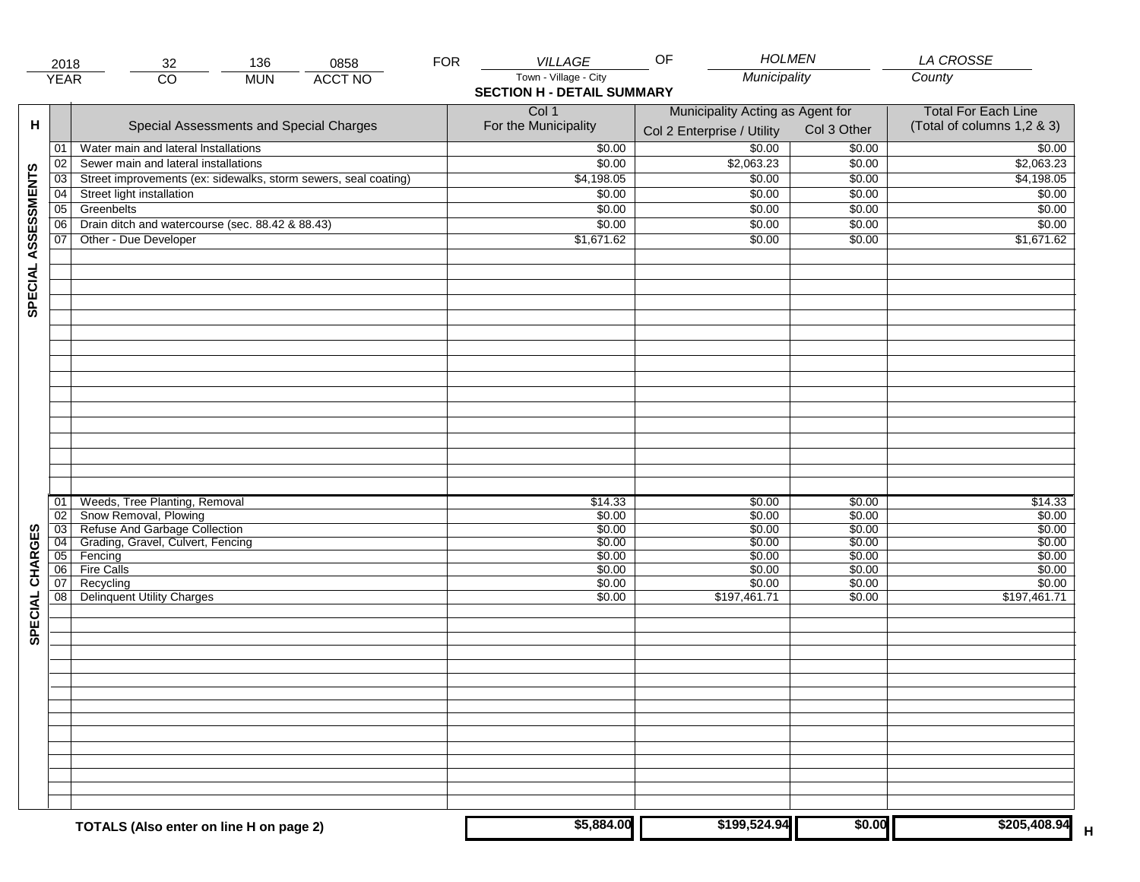|                     | 2018            | 32                                                              | 136        | 0858           | <b>FOR</b> | <b>VILLAGE</b>                    | <b>HOLMEN</b><br>OF              |             | <b>LA CROSSE</b>           |
|---------------------|-----------------|-----------------------------------------------------------------|------------|----------------|------------|-----------------------------------|----------------------------------|-------------|----------------------------|
|                     | <b>YEAR</b>     | $\overline{CO}$                                                 | <b>MUN</b> | <b>ACCT NO</b> |            | Town - Village - City             | Municipality                     |             | County                     |
|                     |                 |                                                                 |            |                |            | <b>SECTION H - DETAIL SUMMARY</b> |                                  |             |                            |
|                     |                 |                                                                 |            |                |            | Col 1                             | Municipality Acting as Agent for |             | <b>Total For Each Line</b> |
| н                   |                 | Special Assessments and Special Charges                         |            |                |            | For the Municipality              |                                  | Col 3 Other | (Total of columns 1,2 & 3) |
|                     |                 |                                                                 |            |                |            |                                   | Col 2 Enterprise / Utility       |             |                            |
|                     | 01              | Water main and lateral Installations                            |            |                |            | \$0.00                            | 50.00                            | \$0.00      | \$0.00                     |
|                     | 02              | Sewer main and lateral installations                            |            |                |            | \$0.00                            | \$2,063.23                       | \$0.00      | \$2,063.23                 |
| SPECIAL ASSESSMENTS | 03              | Street improvements (ex: sidewalks, storm sewers, seal coating) |            |                |            | \$4,198.05                        | \$0.00                           | \$0.00      | \$4,198.05                 |
|                     | 04              | Street light installation                                       |            |                |            | \$0.00                            | \$0.00                           | \$0.00      | \$0.00                     |
|                     | $\overline{05}$ | Greenbelts                                                      |            |                |            | \$0.00                            | \$0.00                           | \$0.00      | \$0.00                     |
|                     | 06              | Drain ditch and watercourse (sec. 88.42 & 88.43)                |            |                |            | \$0.00                            | \$0.00                           | \$0.00      | \$0.00                     |
|                     | 07              | Other - Due Developer                                           |            |                |            | \$1,671.62                        | \$0.00                           | \$0.00      | \$1,671.62                 |
|                     |                 |                                                                 |            |                |            |                                   |                                  |             |                            |
|                     |                 |                                                                 |            |                |            |                                   |                                  |             |                            |
|                     |                 |                                                                 |            |                |            |                                   |                                  |             |                            |
|                     |                 |                                                                 |            |                |            |                                   |                                  |             |                            |
|                     |                 |                                                                 |            |                |            |                                   |                                  |             |                            |
|                     |                 |                                                                 |            |                |            |                                   |                                  |             |                            |
|                     |                 |                                                                 |            |                |            |                                   |                                  |             |                            |
|                     |                 |                                                                 |            |                |            |                                   |                                  |             |                            |
|                     |                 |                                                                 |            |                |            |                                   |                                  |             |                            |
|                     |                 |                                                                 |            |                |            |                                   |                                  |             |                            |
|                     |                 |                                                                 |            |                |            |                                   |                                  |             |                            |
|                     |                 |                                                                 |            |                |            |                                   |                                  |             |                            |
|                     |                 |                                                                 |            |                |            |                                   |                                  |             |                            |
|                     |                 |                                                                 |            |                |            |                                   |                                  |             |                            |
|                     |                 |                                                                 |            |                |            |                                   |                                  |             |                            |
|                     |                 |                                                                 |            |                |            |                                   |                                  |             |                            |
|                     |                 |                                                                 |            |                |            |                                   |                                  |             |                            |
|                     | 01              | Weeds, Tree Planting, Removal                                   |            |                |            | \$14.33                           | \$0.00                           | \$0.00      | \$14.33                    |
|                     | 02              | Snow Removal, Plowing                                           |            |                |            | \$0.00                            | \$0.00                           | \$0.00      | \$0.00                     |
|                     | 03              | Refuse And Garbage Collection                                   |            |                |            | \$0.00                            | \$0.00                           | \$0.00      | \$0.00                     |
| CHARGES             | 04              | Grading, Gravel, Culvert, Fencing                               |            |                |            | \$0.00                            | \$0.00                           | \$0.00      | \$0.00                     |
|                     | 05              | Fencing                                                         |            |                |            | \$0.00                            | \$0.00                           | \$0.00      | \$0.00                     |
|                     | 06              | <b>Fire Calls</b>                                               |            |                |            | \$0.00                            | \$0.00                           | \$0.00      | \$0.00                     |
|                     | 07              | Recycling                                                       |            |                |            | \$0.00                            | \$0.00                           | \$0.00      | \$0.00                     |
| SPECIAL             | 08              | <b>Delinquent Utility Charges</b>                               |            |                |            | \$0.00                            | \$197,461.71                     | \$0.00      | $\overline{$197,461.71}$   |
|                     |                 |                                                                 |            |                |            |                                   |                                  |             |                            |
|                     |                 |                                                                 |            |                |            |                                   |                                  |             |                            |
|                     |                 |                                                                 |            |                |            |                                   |                                  |             |                            |
|                     |                 |                                                                 |            |                |            |                                   |                                  |             |                            |
|                     |                 |                                                                 |            |                |            |                                   |                                  |             |                            |
|                     |                 |                                                                 |            |                |            |                                   |                                  |             |                            |
|                     |                 |                                                                 |            |                |            |                                   |                                  |             |                            |
|                     |                 |                                                                 |            |                |            |                                   |                                  |             |                            |
|                     |                 |                                                                 |            |                |            |                                   |                                  |             |                            |
|                     |                 |                                                                 |            |                |            |                                   |                                  |             |                            |
|                     |                 |                                                                 |            |                |            |                                   |                                  |             |                            |
|                     |                 |                                                                 |            |                |            |                                   |                                  |             |                            |
|                     |                 |                                                                 |            |                |            |                                   |                                  |             |                            |
|                     |                 |                                                                 |            |                |            |                                   |                                  |             |                            |
|                     |                 |                                                                 |            |                |            |                                   |                                  |             |                            |
|                     |                 | TOTALS (Also enter on line H on page 2)                         |            |                |            | \$5,884.00                        | \$199,524.94                     | \$0.00      | \$205,408.94<br>н          |
|                     |                 |                                                                 |            |                |            |                                   |                                  |             |                            |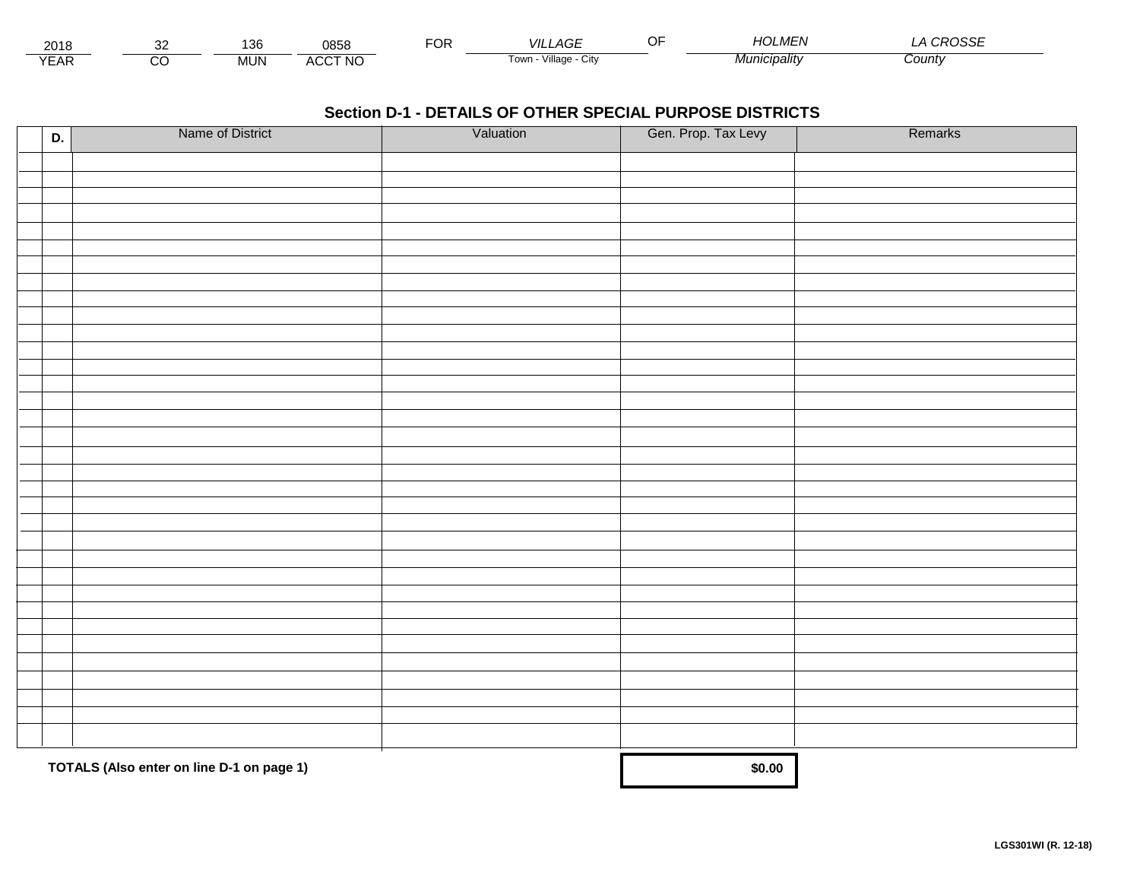| 0015<br>∠∪≀o                |         | ممد<br>טט ו | 0858                | ◡ | _AGF<br>VII            | $\sim$ $-$ | $\cdot$ $\cdot$ $\cdot$<br>$\overline{101}$<br><u>Ηι.</u><br>. <i>MEI</i> \ | $\sim$<br>ںں |  |
|-----------------------------|---------|-------------|---------------------|---|------------------------|------------|-----------------------------------------------------------------------------|--------------|--|
| $\sim$ $\sim$<br><b>CAR</b> | `<br>৴⊾ | <b>MUN</b>  | $CCT$ NIC<br>$\sim$ |   | Village<br>own<br>יווש |            | . <i>iicipalitv</i>                                                         | County       |  |

| D. | Name of District                          | Valuation | Gen. Prop. Tax Levy | Remarks |
|----|-------------------------------------------|-----------|---------------------|---------|
|    |                                           |           |                     |         |
|    |                                           |           |                     |         |
|    |                                           |           |                     |         |
|    |                                           |           |                     |         |
|    |                                           |           |                     |         |
|    |                                           |           |                     |         |
|    |                                           |           |                     |         |
|    |                                           |           |                     |         |
|    |                                           |           |                     |         |
|    |                                           |           |                     |         |
|    |                                           |           |                     |         |
|    |                                           |           |                     |         |
|    |                                           |           |                     |         |
|    |                                           |           |                     |         |
|    |                                           |           |                     |         |
|    |                                           |           |                     |         |
|    |                                           |           |                     |         |
|    |                                           |           |                     |         |
|    |                                           |           |                     |         |
|    |                                           |           |                     |         |
|    |                                           |           |                     |         |
|    |                                           |           |                     |         |
|    |                                           |           |                     |         |
|    |                                           |           |                     |         |
|    |                                           |           |                     |         |
|    |                                           |           |                     |         |
|    |                                           |           |                     |         |
|    |                                           |           |                     |         |
|    |                                           |           |                     |         |
|    |                                           |           |                     |         |
|    |                                           |           |                     |         |
|    | TOTALS (Also enter on line D-1 on page 1) | \$0.00    |                     |         |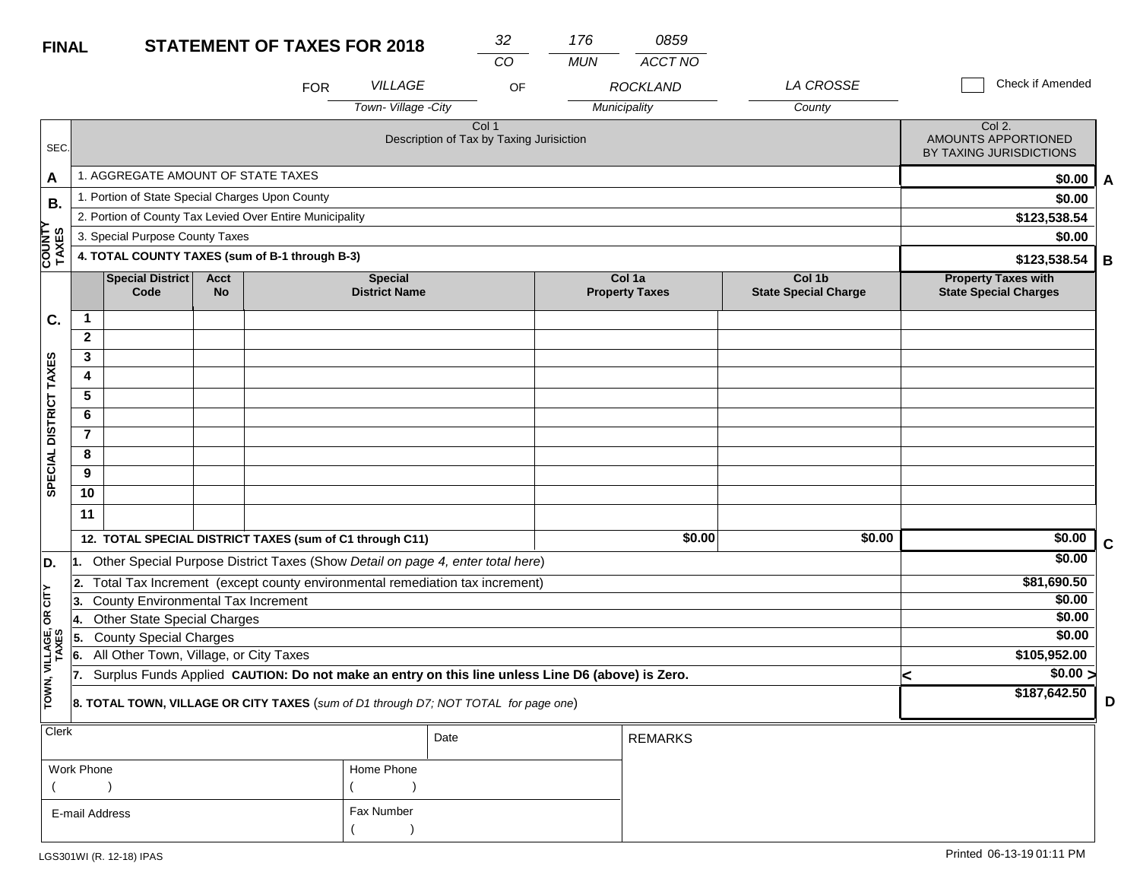| <b>FINAL</b>            |                |                                                                                                  |                          | <b>STATEMENT OF TAXES FOR 2018</b> |                                        | 32                                                           | 176        | 0859                            |                                       |   |                                                                 |   |
|-------------------------|----------------|--------------------------------------------------------------------------------------------------|--------------------------|------------------------------------|----------------------------------------|--------------------------------------------------------------|------------|---------------------------------|---------------------------------------|---|-----------------------------------------------------------------|---|
|                         |                |                                                                                                  |                          |                                    |                                        | $\overline{CO}$                                              | <b>MUN</b> | ACCT NO                         |                                       |   |                                                                 |   |
|                         |                |                                                                                                  |                          | <b>FOR</b>                         | <b>VILLAGE</b>                         | OF                                                           |            | <b>ROCKLAND</b>                 | LA CROSSE                             |   | Check if Amended                                                |   |
|                         |                |                                                                                                  |                          |                                    | Town-Village -City                     |                                                              |            | Municipality                    | County                                |   |                                                                 |   |
| SEC.                    |                |                                                                                                  |                          |                                    |                                        | Col <sub>1</sub><br>Description of Tax by Taxing Jurisiction |            |                                 |                                       |   | Col 2.<br><b>AMOUNTS APPORTIONED</b><br>BY TAXING JURISDICTIONS |   |
| A                       |                | 1. AGGREGATE AMOUNT OF STATE TAXES                                                               |                          |                                    |                                        |                                                              |            |                                 |                                       |   | \$0.00                                                          | A |
| <b>B.</b>               |                | 1. Portion of State Special Charges Upon County                                                  |                          |                                    |                                        |                                                              |            |                                 |                                       |   | \$0.00                                                          |   |
|                         |                | 2. Portion of County Tax Levied Over Entire Municipality                                         |                          |                                    |                                        |                                                              |            |                                 |                                       |   | \$123,538.54                                                    |   |
|                         |                | 3. Special Purpose County Taxes                                                                  |                          |                                    |                                        |                                                              |            |                                 |                                       |   | \$0.00                                                          |   |
| <b>COUNTY<br/>TAXES</b> |                | 4. TOTAL COUNTY TAXES (sum of B-1 through B-3)                                                   |                          |                                    |                                        |                                                              |            |                                 |                                       |   | \$123,538.54                                                    | В |
|                         |                | Special District<br>Code                                                                         | <b>Acct</b><br><b>No</b> |                                    | <b>Special</b><br><b>District Name</b> |                                                              |            | Col 1a<br><b>Property Taxes</b> | Col 1b<br><b>State Special Charge</b> |   | <b>Property Taxes with</b><br><b>State Special Charges</b>      |   |
| C.                      | $\mathbf{1}$   |                                                                                                  |                          |                                    |                                        |                                                              |            |                                 |                                       |   |                                                                 |   |
|                         | $\mathbf{2}$   |                                                                                                  |                          |                                    |                                        |                                                              |            |                                 |                                       |   |                                                                 |   |
| SPECIAL DISTRICT TAXES  | 3              |                                                                                                  |                          |                                    |                                        |                                                              |            |                                 |                                       |   |                                                                 |   |
|                         | 4              |                                                                                                  |                          |                                    |                                        |                                                              |            |                                 |                                       |   |                                                                 |   |
|                         | 5              |                                                                                                  |                          |                                    |                                        |                                                              |            |                                 |                                       |   |                                                                 |   |
|                         | 6              |                                                                                                  |                          |                                    |                                        |                                                              |            |                                 |                                       |   |                                                                 |   |
|                         | $\overline{7}$ |                                                                                                  |                          |                                    |                                        |                                                              |            |                                 |                                       |   |                                                                 |   |
|                         | 8              |                                                                                                  |                          |                                    |                                        |                                                              |            |                                 |                                       |   |                                                                 |   |
|                         | 9              |                                                                                                  |                          |                                    |                                        |                                                              |            |                                 |                                       |   |                                                                 |   |
|                         | 10             |                                                                                                  |                          |                                    |                                        |                                                              |            |                                 |                                       |   |                                                                 |   |
|                         | 11             |                                                                                                  |                          |                                    |                                        |                                                              |            |                                 |                                       |   |                                                                 |   |
|                         |                | 12. TOTAL SPECIAL DISTRICT TAXES (sum of C1 through C11)                                         |                          |                                    |                                        |                                                              |            | \$0.00                          | \$0.00                                |   | \$0.00                                                          | C |
| D.                      | l1.            | Other Special Purpose District Taxes (Show Detail on page 4, enter total here)                   |                          |                                    |                                        |                                                              |            |                                 |                                       |   | \$0.00                                                          |   |
|                         | 2.             | Total Tax Increment (except county environmental remediation tax increment)                      |                          |                                    |                                        |                                                              |            |                                 |                                       |   | \$81,690.50                                                     |   |
| CITY                    | 3              | <b>County Environmental Tax Increment</b>                                                        |                          |                                    |                                        |                                                              |            |                                 |                                       |   | \$0.00                                                          |   |
| бR                      | 14.            | Other State Special Charges                                                                      |                          |                                    |                                        |                                                              |            |                                 |                                       |   | \$0.00                                                          |   |
|                         | 5.             | <b>County Special Charges</b>                                                                    |                          |                                    |                                        |                                                              |            |                                 |                                       |   | \$0.00                                                          |   |
| VILLAGE,<br>TAXES       | 6.             | All Other Town, Village, or City Taxes                                                           |                          |                                    |                                        |                                                              |            |                                 |                                       |   | \$105,952.00                                                    |   |
|                         | 17.            | Surplus Funds Applied CAUTION: Do not make an entry on this line unless Line D6 (above) is Zero. |                          |                                    |                                        |                                                              |            |                                 |                                       | < | $\sqrt{$0.00}$                                                  |   |
| TOWN,                   |                | 8. TOTAL TOWN, VILLAGE OR CITY TAXES (sum of D1 through D7; NOT TOTAL for page one)              |                          |                                    | \$187,642.50                           | D                                                            |            |                                 |                                       |   |                                                                 |   |
| Clerk                   |                |                                                                                                  |                          |                                    |                                        | Date                                                         |            | <b>REMARKS</b>                  |                                       |   |                                                                 |   |

| ----           |            | Date | REMARKS |
|----------------|------------|------|---------|
| Work Phone     | Home Phone |      |         |
|                |            |      |         |
| E-mail Address | Fax Number |      |         |
|                |            |      |         |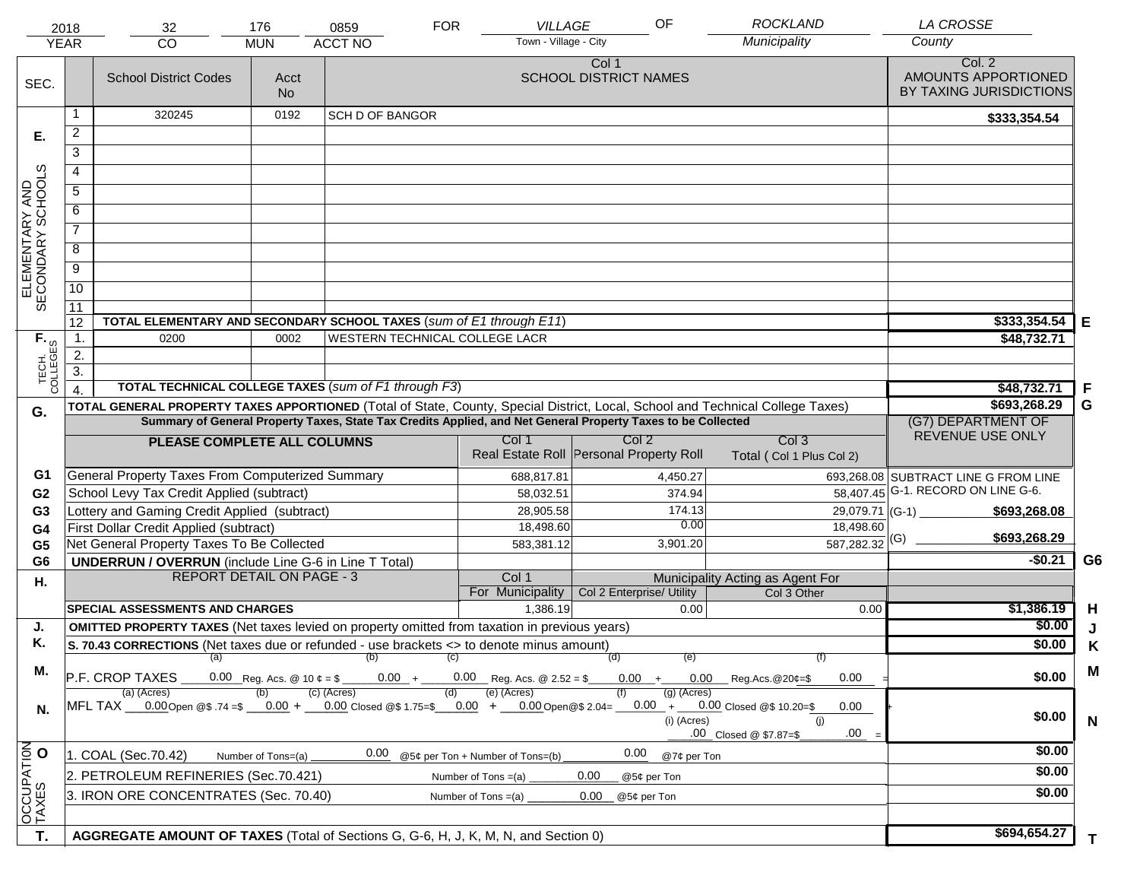| <b>YEAR</b>                         | 2018                                                                                                                                                                                         | 32<br><b>CO</b>                                                                                                                                   | 176<br><b>MUN</b>                      | 0859<br><b>ACCT NO</b>         | <b>FOR</b> | <b>VILLAGE</b><br>Town - Village - City                   | OF                                      | <b>ROCKLAND</b><br>Municipality                 | <b>LA CROSSE</b><br>County                               |                |
|-------------------------------------|----------------------------------------------------------------------------------------------------------------------------------------------------------------------------------------------|---------------------------------------------------------------------------------------------------------------------------------------------------|----------------------------------------|--------------------------------|------------|-----------------------------------------------------------|-----------------------------------------|-------------------------------------------------|----------------------------------------------------------|----------------|
|                                     |                                                                                                                                                                                              |                                                                                                                                                   |                                        |                                |            |                                                           |                                         |                                                 |                                                          |                |
| SEC.                                |                                                                                                                                                                                              | <b>School District Codes</b>                                                                                                                      | Acct<br><b>No</b>                      |                                |            |                                                           | Col 1<br><b>SCHOOL DISTRICT NAMES</b>   |                                                 | Col. 2<br>AMOUNTS APPORTIONED<br>BY TAXING JURISDICTIONS |                |
|                                     | 1                                                                                                                                                                                            | 320245                                                                                                                                            | 0192                                   | <b>SCH D OF BANGOR</b>         |            |                                                           |                                         |                                                 | \$333,354.54                                             |                |
| Е.                                  | $\overline{a}$                                                                                                                                                                               |                                                                                                                                                   |                                        |                                |            |                                                           |                                         |                                                 |                                                          |                |
|                                     | 3                                                                                                                                                                                            |                                                                                                                                                   |                                        |                                |            |                                                           |                                         |                                                 |                                                          |                |
|                                     | 4                                                                                                                                                                                            |                                                                                                                                                   |                                        |                                |            |                                                           |                                         |                                                 |                                                          |                |
|                                     |                                                                                                                                                                                              |                                                                                                                                                   |                                        |                                |            |                                                           |                                         |                                                 |                                                          |                |
|                                     | 5                                                                                                                                                                                            |                                                                                                                                                   |                                        |                                |            |                                                           |                                         |                                                 |                                                          |                |
| ELEMENTARY AND<br>SECONDARY SCHOOLS | 6                                                                                                                                                                                            |                                                                                                                                                   |                                        |                                |            |                                                           |                                         |                                                 |                                                          |                |
|                                     | $\overline{7}$                                                                                                                                                                               |                                                                                                                                                   |                                        |                                |            |                                                           |                                         |                                                 |                                                          |                |
|                                     | 8                                                                                                                                                                                            |                                                                                                                                                   |                                        |                                |            |                                                           |                                         |                                                 |                                                          |                |
|                                     | $\overline{9}$                                                                                                                                                                               |                                                                                                                                                   |                                        |                                |            |                                                           |                                         |                                                 |                                                          |                |
|                                     | $\overline{10}$                                                                                                                                                                              |                                                                                                                                                   |                                        |                                |            |                                                           |                                         |                                                 |                                                          |                |
|                                     | 11                                                                                                                                                                                           |                                                                                                                                                   |                                        |                                |            |                                                           |                                         |                                                 |                                                          |                |
|                                     | 12                                                                                                                                                                                           | TOTAL ELEMENTARY AND SECONDARY SCHOOL TAXES (sum of E1 through E11)                                                                               |                                        |                                |            |                                                           |                                         |                                                 | \$333,354.54                                             | Е              |
|                                     | $\mathbf{1}$ .                                                                                                                                                                               | 0200                                                                                                                                              | 0002                                   | WESTERN TECHNICAL COLLEGE LACR |            |                                                           |                                         |                                                 | \$48,732.71                                              |                |
|                                     | 2.                                                                                                                                                                                           |                                                                                                                                                   |                                        |                                |            |                                                           |                                         |                                                 |                                                          |                |
| TECH. T                             | $\overline{3}$ .                                                                                                                                                                             | TOTAL TECHNICAL COLLEGE TAXES (sum of F1 through F3)                                                                                              |                                        |                                |            |                                                           |                                         |                                                 |                                                          |                |
|                                     |                                                                                                                                                                                              |                                                                                                                                                   | \$48,732.71<br>\$693,268.29            | F<br>G                         |            |                                                           |                                         |                                                 |                                                          |                |
| G.                                  |                                                                                                                                                                                              | TOTAL GENERAL PROPERTY TAXES APPORTIONED (Total of State, County, Special District, Local, School and Technical College Taxes)                    | (G7) DEPARTMENT OF                     |                                |            |                                                           |                                         |                                                 |                                                          |                |
|                                     | Summary of General Property Taxes, State Tax Credits Applied, and Net General Property Taxes to be Collected<br>Col <sub>2</sub><br>Col <sub>3</sub><br>Col 1<br>PLEASE COMPLETE ALL COLUMNS |                                                                                                                                                   |                                        |                                |            |                                                           |                                         |                                                 | REVENUE USE ONLY                                         |                |
|                                     |                                                                                                                                                                                              |                                                                                                                                                   |                                        |                                |            |                                                           | Real Estate Roll Personal Property Roll | Total (Col 1 Plus Col 2)                        |                                                          |                |
| G1                                  |                                                                                                                                                                                              | General Property Taxes From Computerized Summary                                                                                                  |                                        |                                |            | 688,817.81                                                | 4,450.27                                |                                                 | 693,268.08 SUBTRACT LINE G FROM LINE                     |                |
| G <sub>2</sub>                      |                                                                                                                                                                                              | School Levy Tax Credit Applied (subtract)                                                                                                         |                                        |                                |            | 58,032.51                                                 | 374.94                                  |                                                 | 58,407.45 G-1. RECORD ON LINE G-6.                       |                |
| G <sub>3</sub>                      |                                                                                                                                                                                              | Lottery and Gaming Credit Applied (subtract)                                                                                                      |                                        |                                |            | 28,905.58                                                 | 174.13                                  |                                                 | 29,079.71 (G-1)<br>\$693,268.08                          |                |
| G4                                  |                                                                                                                                                                                              | First Dollar Credit Applied (subtract)                                                                                                            |                                        |                                |            | 18,498.60                                                 | 0.00                                    | 18,498.60                                       | \$693,268.29                                             |                |
| G <sub>5</sub>                      |                                                                                                                                                                                              | Net General Property Taxes To Be Collected                                                                                                        |                                        |                                |            | 583,381.12                                                | 3,901.20                                | $\overline{587,282.32}$ (G)                     |                                                          |                |
| G <sub>6</sub>                      |                                                                                                                                                                                              | <b>UNDERRUN / OVERRUN</b> (include Line G-6 in Line T Total)                                                                                      |                                        |                                |            |                                                           |                                         |                                                 | $-$0.21$                                                 | G <sub>6</sub> |
| Η.                                  |                                                                                                                                                                                              | <b>REPORT DETAIL ON PAGE - 3</b>                                                                                                                  |                                        |                                |            | Col 1<br>For Municipality                                 | Col 2 Enterprise/ Utility               | Municipality Acting as Agent For<br>Col 3 Other |                                                          |                |
|                                     |                                                                                                                                                                                              | <b>SPECIAL ASSESSMENTS AND CHARGES</b>                                                                                                            |                                        |                                |            | 1,386.19                                                  | 0.00                                    | 0.00                                            | \$1,386.19                                               | H              |
| J.                                  |                                                                                                                                                                                              | <b>OMITTED PROPERTY TAXES</b> (Net taxes levied on property omitted from taxation in previous years)                                              |                                        |                                |            |                                                           |                                         |                                                 | \$0.00                                                   | J              |
| Κ.                                  |                                                                                                                                                                                              | S. 70.43 CORRECTIONS (Net taxes due or refunded - use brackets <> to denote minus amount)                                                         |                                        |                                |            |                                                           |                                         |                                                 | \$0.00                                                   | Κ              |
|                                     |                                                                                                                                                                                              | (a) (b) (c)                                                                                                                                       |                                        |                                |            |                                                           | (d)<br>(e)                              | (f)                                             |                                                          |                |
| М.                                  |                                                                                                                                                                                              | P.F. CROP TAXES                                                                                                                                   | $0.00 + 0.00$ Reg.Acs. @20¢=\$<br>0.00 | \$0.00                         | M          |                                                           |                                         |                                                 |                                                          |                |
| N.                                  |                                                                                                                                                                                              | (a) (Acres)<br>MFL TAX __0.00Open @\$ .74 =\$ __0.00 + __0.00 Closed @\$ 1.75=\$ __0.00 + __0.00Open@\$ 2.04= __0.00 + __0.00 Closed @\$ 10.20=\$ |                                        | (c) (Acres)                    | (d)        | (e) (Acres)                                               | $(g)$ (Acres)<br>(i) (Acres)            | 0.00<br>(i)<br>.00<br>.00 Closed @ \$7.87=\$    | \$0.00                                                   | N              |
|                                     |                                                                                                                                                                                              | 1. COAL (Sec.70.42)<br>Number of Tons=(a)                                                                                                         | @7¢ per Ton                            | \$0.00                         |            |                                                           |                                         |                                                 |                                                          |                |
|                                     |                                                                                                                                                                                              | 2. PETROLEUM REFINERIES (Sec.70.421)                                                                                                              |                                        | 0.00                           |            | @5¢ per Ton + Number of Tons=(b)<br>Number of Tons $=(a)$ | 0.00<br>0.00<br>@5¢ per Ton             |                                                 | \$0.00                                                   |                |
|                                     |                                                                                                                                                                                              | 3. IRON ORE CONCENTRATES (Sec. 70.40)                                                                                                             |                                        |                                |            | Number of Tons $=(a)$                                     | 0.00<br>@5¢ per Ton                     |                                                 | \$0.00                                                   |                |
| OCCUPATION                          |                                                                                                                                                                                              |                                                                                                                                                   |                                        |                                |            |                                                           |                                         |                                                 |                                                          |                |
| T.                                  |                                                                                                                                                                                              | AGGREGATE AMOUNT OF TAXES (Total of Sections G, G-6, H, J, K, M, N, and Section 0)                                                                |                                        |                                |            |                                                           |                                         |                                                 | \$694,654.27                                             | T.             |
|                                     |                                                                                                                                                                                              |                                                                                                                                                   |                                        |                                |            |                                                           |                                         |                                                 |                                                          |                |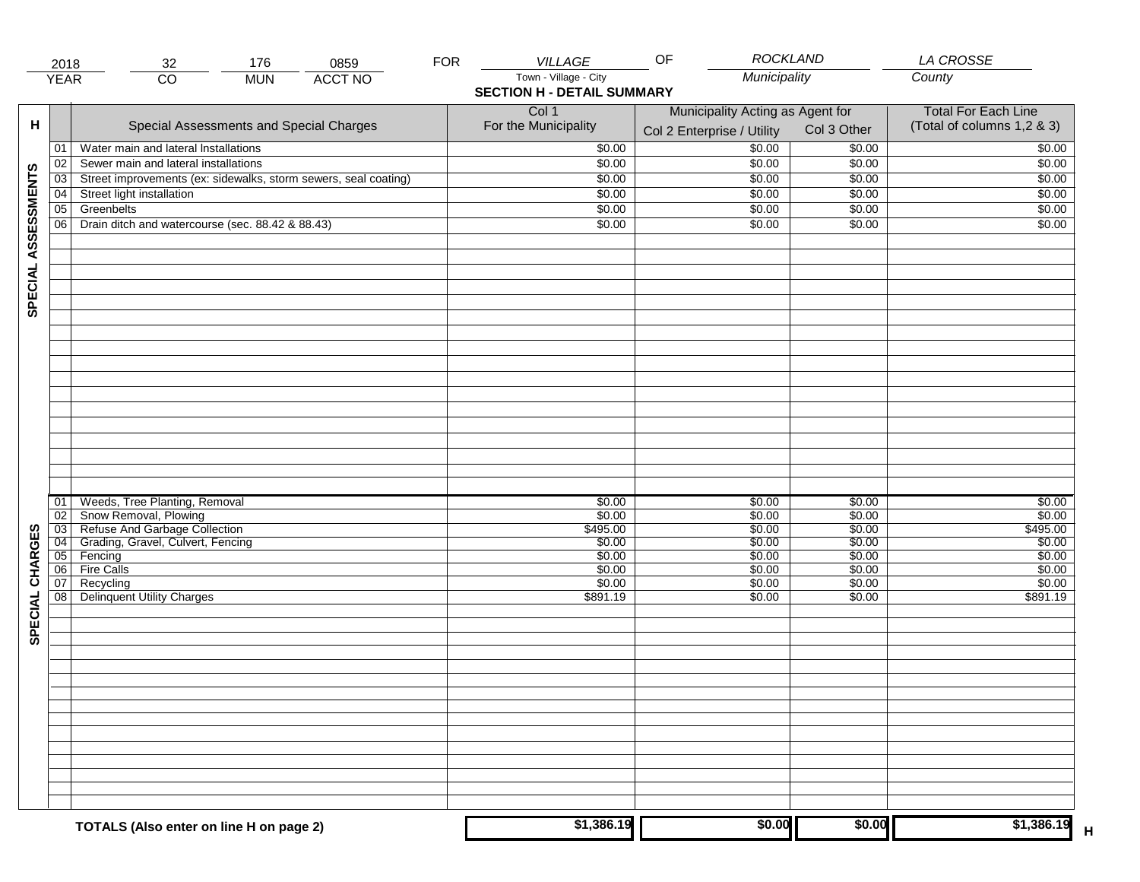|                     | 2018            | 176<br>0859<br>32                                               | <b>FOR</b> | VILLAGE                           | <b>ROCKLAND</b><br>OF            |                            | LA CROSSE                  |
|---------------------|-----------------|-----------------------------------------------------------------|------------|-----------------------------------|----------------------------------|----------------------------|----------------------------|
|                     | <b>YEAR</b>     | <b>ACCT NO</b><br>$\overline{CO}$<br><b>MUN</b>                 |            | Town - Village - City             | Municipality                     |                            | County                     |
|                     |                 |                                                                 |            | <b>SECTION H - DETAIL SUMMARY</b> |                                  |                            |                            |
|                     |                 |                                                                 |            | Col 1                             | Municipality Acting as Agent for | <b>Total For Each Line</b> |                            |
| н                   |                 | Special Assessments and Special Charges                         |            | For the Municipality              | Col 2 Enterprise / Utility       | Col 3 Other                | (Total of columns 1,2 & 3) |
|                     |                 |                                                                 |            |                                   |                                  |                            |                            |
|                     | 01              | Water main and lateral Installations                            |            | \$0.00                            | 50.00                            | \$0.00                     | \$0.00                     |
|                     | 02              | Sewer main and lateral installations                            |            | \$0.00                            | \$0.00                           | \$0.00                     | \$0.00                     |
|                     | $\overline{03}$ | Street improvements (ex: sidewalks, storm sewers, seal coating) |            | \$0.00                            | \$0.00                           | \$0.00                     | \$0.00                     |
| SPECIAL ASSESSMENTS | 04              | Street light installation                                       |            | \$0.00                            | \$0.00                           | \$0.00                     | \$0.00                     |
|                     | $\overline{05}$ | Greenbelts                                                      |            | \$0.00                            | \$0.00                           | \$0.00                     | \$0.00                     |
|                     | 06              | Drain ditch and watercourse (sec. 88.42 & 88.43)                |            | \$0.00                            | \$0.00                           | \$0.00                     | \$0.00                     |
|                     |                 |                                                                 |            |                                   |                                  |                            |                            |
|                     |                 |                                                                 |            |                                   |                                  |                            |                            |
|                     |                 |                                                                 |            |                                   |                                  |                            |                            |
|                     |                 |                                                                 |            |                                   |                                  |                            |                            |
|                     |                 |                                                                 |            |                                   |                                  |                            |                            |
|                     |                 |                                                                 |            |                                   |                                  |                            |                            |
|                     |                 |                                                                 |            |                                   |                                  |                            |                            |
|                     |                 |                                                                 |            |                                   |                                  |                            |                            |
|                     |                 |                                                                 |            |                                   |                                  |                            |                            |
|                     |                 |                                                                 |            |                                   |                                  |                            |                            |
|                     |                 |                                                                 |            |                                   |                                  |                            |                            |
|                     |                 |                                                                 |            |                                   |                                  |                            |                            |
|                     |                 |                                                                 |            |                                   |                                  |                            |                            |
|                     |                 |                                                                 |            |                                   |                                  |                            |                            |
|                     |                 |                                                                 |            |                                   |                                  |                            |                            |
|                     |                 |                                                                 |            |                                   |                                  |                            |                            |
|                     |                 |                                                                 |            |                                   |                                  |                            |                            |
|                     |                 |                                                                 |            |                                   |                                  |                            |                            |
|                     | 01              | Weeds, Tree Planting, Removal                                   |            | \$0.00                            | \$0.00                           | \$0.00                     | \$0.00                     |
|                     | 02              | Snow Removal, Plowing                                           |            | \$0.00                            | \$0.00                           | \$0.00                     | \$0.00                     |
|                     | 03              | Refuse And Garbage Collection                                   |            | \$495.00                          | \$0.00                           | \$0.00                     | \$495.00                   |
| SPECIAL CHARGES     | $\overline{04}$ | Grading, Gravel, Culvert, Fencing                               |            | \$0.00                            | \$0.00                           | \$0.00                     | \$0.00                     |
|                     | 05              | Fencing                                                         |            | \$0.00                            | \$0.00                           | \$0.00                     | \$0.00                     |
|                     | 06              | <b>Fire Calls</b>                                               |            | \$0.00                            | \$0.00                           | \$0.00                     | \$0.00                     |
|                     | 07              | Recycling                                                       |            | \$0.00                            | \$0.00                           | \$0.00                     | \$0.00                     |
|                     | 08              | Delinquent Utility Charges                                      |            | \$891.19                          | \$0.00                           | \$0.00                     | \$891.19                   |
|                     |                 |                                                                 |            |                                   |                                  |                            |                            |
|                     |                 |                                                                 |            |                                   |                                  |                            |                            |
|                     |                 |                                                                 |            |                                   |                                  |                            |                            |
|                     |                 |                                                                 |            |                                   |                                  |                            |                            |
|                     |                 |                                                                 |            |                                   |                                  |                            |                            |
|                     |                 |                                                                 |            |                                   |                                  |                            |                            |
|                     |                 |                                                                 |            |                                   |                                  |                            |                            |
|                     |                 |                                                                 |            |                                   |                                  |                            |                            |
|                     |                 |                                                                 |            |                                   |                                  |                            |                            |
|                     |                 |                                                                 |            |                                   |                                  |                            |                            |
|                     |                 |                                                                 |            |                                   |                                  |                            |                            |
|                     |                 |                                                                 |            |                                   |                                  |                            |                            |
|                     |                 |                                                                 |            |                                   |                                  |                            |                            |
|                     |                 |                                                                 |            |                                   |                                  |                            |                            |
|                     |                 |                                                                 |            |                                   |                                  |                            |                            |
|                     |                 | TOTALS (Also enter on line H on page 2)                         |            | \$1,386.19                        | \$0.00                           | \$0.00                     | \$1,386.19                 |
|                     |                 |                                                                 |            |                                   |                                  |                            |                            |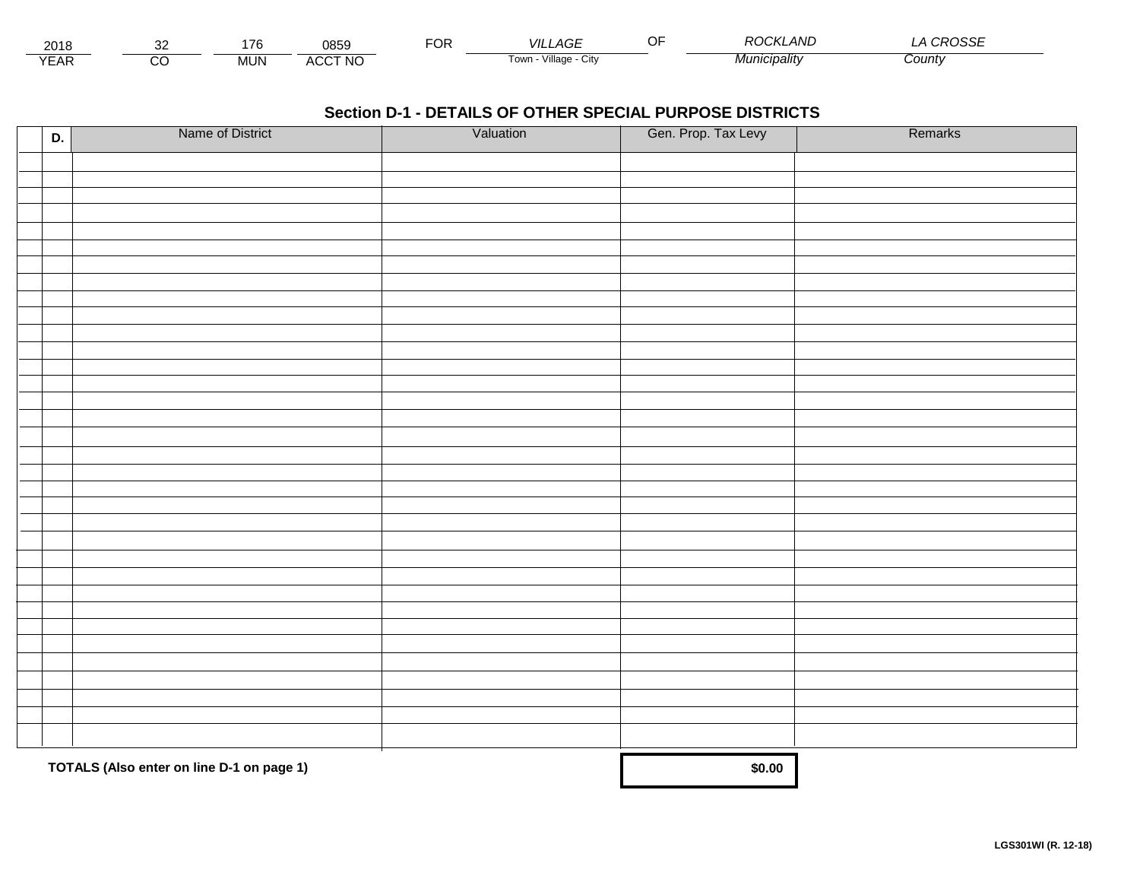| 2018            |         | 176<br>. . | 0859           | $\neg$ OR | _AGF<br><b>VILI</b>     | י∩ר<br>.<br>$\sim$<br><b>HIVL</b><br>11 .EV | .noccr<br>∟ טטי |
|-----------------|---------|------------|----------------|-----------|-------------------------|---------------------------------------------|-----------------|
| $\sqrt{2}$<br>⊢ | ~~<br>◡ | <b>MUN</b> | <b>ACCT NO</b> |           | Village<br>i own<br>URV | ucipality                                   | County          |

| D. | Name of District                          | Valuation | Gen. Prop. Tax Levy | Remarks |
|----|-------------------------------------------|-----------|---------------------|---------|
|    |                                           |           |                     |         |
|    |                                           |           |                     |         |
|    |                                           |           |                     |         |
|    |                                           |           |                     |         |
|    |                                           |           |                     |         |
|    |                                           |           |                     |         |
|    |                                           |           |                     |         |
|    |                                           |           |                     |         |
|    |                                           |           |                     |         |
|    |                                           |           |                     |         |
|    |                                           |           |                     |         |
|    |                                           |           |                     |         |
|    |                                           |           |                     |         |
|    |                                           |           |                     |         |
|    |                                           |           |                     |         |
|    |                                           |           |                     |         |
|    |                                           |           |                     |         |
|    |                                           |           |                     |         |
|    |                                           |           |                     |         |
|    |                                           |           |                     |         |
|    |                                           |           |                     |         |
|    |                                           |           |                     |         |
|    |                                           |           |                     |         |
|    |                                           |           |                     |         |
|    |                                           |           |                     |         |
|    |                                           |           |                     |         |
|    |                                           |           |                     |         |
|    |                                           |           |                     |         |
|    |                                           |           |                     |         |
|    |                                           |           |                     |         |
|    |                                           |           |                     |         |
|    |                                           |           |                     |         |
|    |                                           |           |                     |         |
|    | TOTALS (Also enter on line D-1 on page 1) | \$0.00    |                     |         |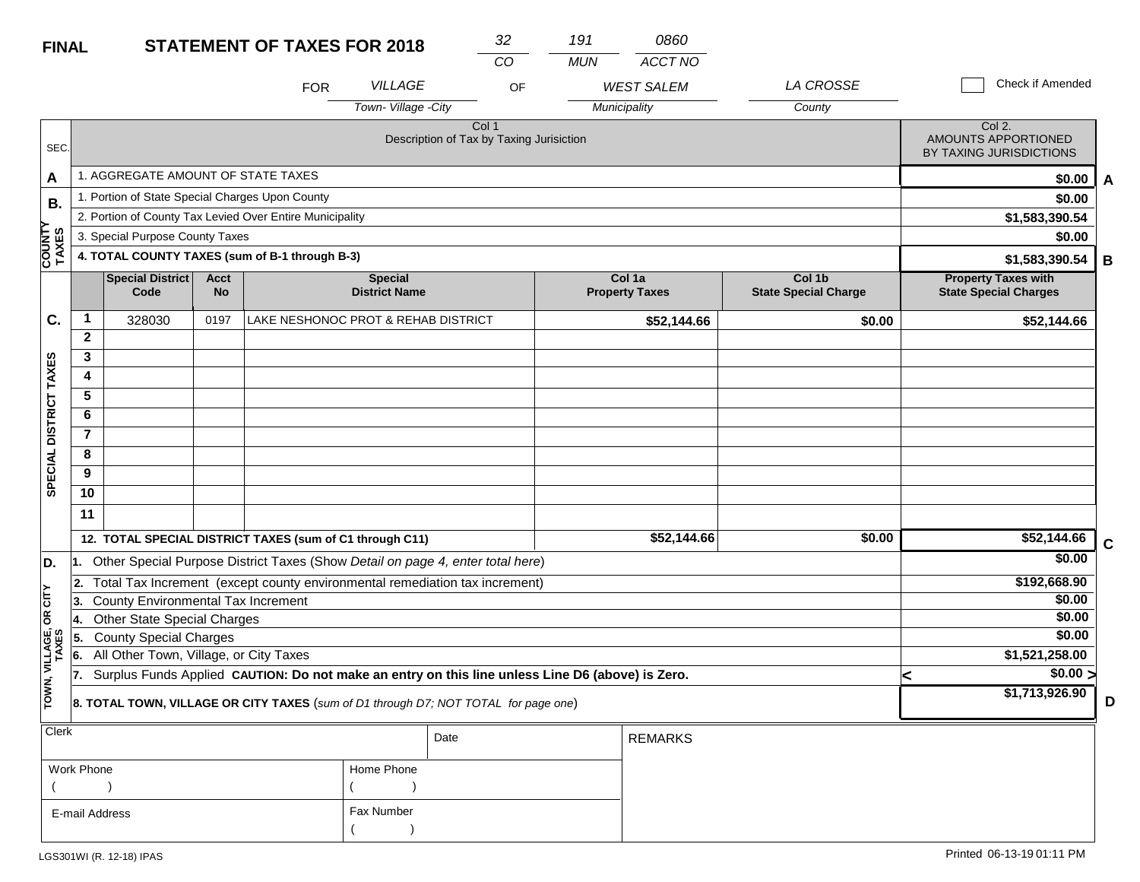| <b>FINAL</b>           |                        |                                                 |                          | <b>STATEMENT OF TAXES FOR 2018</b>                                                               |                                        | 32                                                           |    | 191        | 0860                            |                                       |   |                                                            |             |
|------------------------|------------------------|-------------------------------------------------|--------------------------|--------------------------------------------------------------------------------------------------|----------------------------------------|--------------------------------------------------------------|----|------------|---------------------------------|---------------------------------------|---|------------------------------------------------------------|-------------|
|                        |                        |                                                 |                          | <b>FOR</b>                                                                                       | <b>VILLAGE</b>                         | CO                                                           | OF | <b>MUN</b> | ACCT NO<br><b>WEST SALEM</b>    | LA CROSSE                             |   | Check if Amended                                           |             |
|                        |                        |                                                 |                          |                                                                                                  | Town-Village -City                     |                                                              |    |            | Municipality                    | County                                |   |                                                            |             |
| SEC.                   |                        |                                                 |                          |                                                                                                  |                                        | Col <sub>1</sub><br>Description of Tax by Taxing Jurisiction |    |            |                                 |                                       |   | Col 2.<br>AMOUNTS APPORTIONED<br>BY TAXING JURISDICTIONS   |             |
| A                      |                        | 1. AGGREGATE AMOUNT OF STATE TAXES              |                          |                                                                                                  |                                        |                                                              |    |            |                                 |                                       |   | \$0.00                                                     | A           |
| В.                     |                        | 1. Portion of State Special Charges Upon County |                          |                                                                                                  |                                        |                                                              |    |            |                                 |                                       |   | \$0.00                                                     |             |
|                        |                        |                                                 |                          | 2. Portion of County Tax Levied Over Entire Municipality                                         |                                        |                                                              |    |            |                                 |                                       |   | \$1,583,390.54                                             |             |
|                        |                        | 3. Special Purpose County Taxes                 |                          |                                                                                                  |                                        |                                                              |    |            |                                 |                                       |   | \$0.00                                                     |             |
| <b>COUNTY</b><br>TAXES |                        |                                                 |                          | 4. TOTAL COUNTY TAXES (sum of B-1 through B-3)                                                   |                                        |                                                              |    |            |                                 |                                       |   | \$1,583,390.54                                             | B           |
|                        |                        | <b>Special District</b><br>Code                 | <b>Acct</b><br><b>No</b> |                                                                                                  | <b>Special</b><br><b>District Name</b> |                                                              |    |            | Col 1a<br><b>Property Taxes</b> | Col 1b<br><b>State Special Charge</b> |   | <b>Property Taxes with</b><br><b>State Special Charges</b> |             |
| C.                     | 1                      | 328030                                          | 0197                     | LAKE NESHONOC PROT & REHAB DISTRICT                                                              |                                        |                                                              |    |            | \$52,144.66                     | \$0.00                                |   | \$52,144.66                                                |             |
|                        | $\mathbf{2}$           |                                                 |                          |                                                                                                  |                                        |                                                              |    |            |                                 |                                       |   |                                                            |             |
|                        | 3                      |                                                 |                          |                                                                                                  |                                        |                                                              |    |            |                                 |                                       |   |                                                            |             |
|                        | 4                      |                                                 |                          |                                                                                                  |                                        |                                                              |    |            |                                 |                                       |   |                                                            |             |
|                        | 5                      |                                                 |                          |                                                                                                  |                                        |                                                              |    |            |                                 |                                       |   |                                                            |             |
|                        | 6                      |                                                 |                          |                                                                                                  |                                        |                                                              |    |            |                                 |                                       |   |                                                            |             |
|                        | $\overline{7}$         |                                                 |                          |                                                                                                  |                                        |                                                              |    |            |                                 |                                       |   |                                                            |             |
|                        | 8<br>9                 |                                                 |                          |                                                                                                  |                                        |                                                              |    |            |                                 |                                       |   |                                                            |             |
| SPECIAL DISTRICT TAXES | 10                     |                                                 |                          |                                                                                                  |                                        |                                                              |    |            |                                 |                                       |   |                                                            |             |
|                        | 11                     |                                                 |                          |                                                                                                  |                                        |                                                              |    |            |                                 |                                       |   |                                                            |             |
|                        |                        |                                                 |                          | 12. TOTAL SPECIAL DISTRICT TAXES (sum of C1 through C11)                                         |                                        |                                                              |    |            | \$52,144.66                     | \$0.00                                |   | \$52,144.66                                                | $\mathbf C$ |
| D.                     | 1.                     |                                                 |                          | Other Special Purpose District Taxes (Show Detail on page 4, enter total here)                   |                                        |                                                              |    |            |                                 |                                       |   | \$0.00                                                     |             |
|                        | 2.                     |                                                 |                          | Total Tax Increment (except county environmental remediation tax increment)                      |                                        |                                                              |    |            |                                 |                                       |   | \$192,668.90                                               |             |
| OR CITY                | 3.                     | County Environmental Tax Increment              |                          |                                                                                                  |                                        |                                                              |    |            |                                 |                                       |   | \$0.00                                                     |             |
|                        | 14.                    | <b>Other State Special Charges</b>              |                          |                                                                                                  |                                        |                                                              |    |            |                                 |                                       |   | \$0.00                                                     |             |
| VILLAGE,<br>TAXES      | 5.                     | <b>County Special Charges</b>                   |                          |                                                                                                  |                                        |                                                              |    |            |                                 |                                       |   | \$0.00                                                     |             |
|                        | 6.                     | All Other Town, Village, or City Taxes          |                          |                                                                                                  |                                        |                                                              |    |            |                                 |                                       |   | \$1,521,258.00                                             |             |
|                        | 17.                    |                                                 |                          | Surplus Funds Applied CAUTION: Do not make an entry on this line unless Line D6 (above) is Zero. |                                        |                                                              |    |            |                                 |                                       | k | \$0.00 >                                                   |             |
| TOWN,                  |                        |                                                 |                          | 8. TOTAL TOWN, VILLAGE OR CITY TAXES (sum of D1 through D7; NOT TOTAL for page one)              |                                        |                                                              |    |            |                                 |                                       |   | \$1,713,926.90                                             | D           |
| Clerk                  | <b>REMARKS</b><br>Date |                                                 |                          |                                                                                                  |                                        |                                                              |    |            |                                 |                                       |   |                                                            |             |

| Work Phone     | Home Phone |
|----------------|------------|
|                |            |
| E-mail Address | Fax Number |
|                |            |

**D**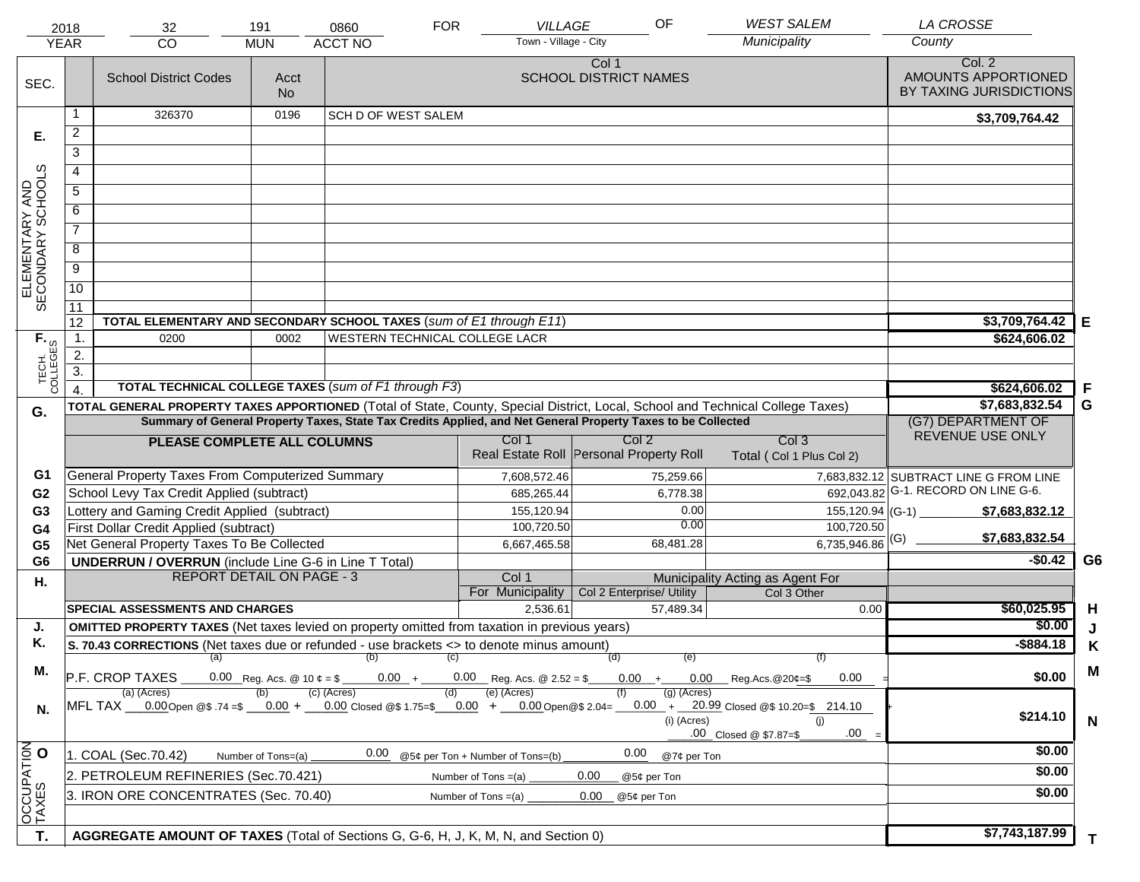|                                     | 2018<br><b>YEAR</b>                                                                   | 32<br><b>CO</b>                                                                                                                | 191<br><b>MUN</b>  | 0860<br><b>ACCT NO</b>         | <b>FOR</b> | <b>VILLAGE</b><br>Town - Village - City | OF                                                                                                           | <b>WEST SALEM</b><br>Municipality                                                                                                                                     | <b>LA CROSSE</b><br>County                               |                |
|-------------------------------------|---------------------------------------------------------------------------------------|--------------------------------------------------------------------------------------------------------------------------------|--------------------|--------------------------------|------------|-----------------------------------------|--------------------------------------------------------------------------------------------------------------|-----------------------------------------------------------------------------------------------------------------------------------------------------------------------|----------------------------------------------------------|----------------|
| SEC.                                |                                                                                       | <b>School District Codes</b>                                                                                                   | Acct<br><b>No</b>  |                                |            |                                         | Col 1<br><b>SCHOOL DISTRICT NAMES</b>                                                                        |                                                                                                                                                                       | Col. 2<br>AMOUNTS APPORTIONED<br>BY TAXING JURISDICTIONS |                |
|                                     | 1                                                                                     | 326370                                                                                                                         | 0196               | <b>SCH D OF WEST SALEM</b>     |            |                                         |                                                                                                              |                                                                                                                                                                       | \$3,709,764.42                                           |                |
| Е.                                  | $\overline{2}$                                                                        |                                                                                                                                |                    |                                |            |                                         |                                                                                                              |                                                                                                                                                                       |                                                          |                |
|                                     | 3                                                                                     |                                                                                                                                |                    |                                |            |                                         |                                                                                                              |                                                                                                                                                                       |                                                          |                |
|                                     | 4                                                                                     |                                                                                                                                |                    |                                |            |                                         |                                                                                                              |                                                                                                                                                                       |                                                          |                |
|                                     | 5                                                                                     |                                                                                                                                |                    |                                |            |                                         |                                                                                                              |                                                                                                                                                                       |                                                          |                |
|                                     | 6                                                                                     |                                                                                                                                |                    |                                |            |                                         |                                                                                                              |                                                                                                                                                                       |                                                          |                |
| ELEMENTARY AND<br>SECONDARY SCHOOLS | $\overline{7}$                                                                        |                                                                                                                                |                    |                                |            |                                         |                                                                                                              |                                                                                                                                                                       |                                                          |                |
|                                     | 8                                                                                     |                                                                                                                                |                    |                                |            |                                         |                                                                                                              |                                                                                                                                                                       |                                                          |                |
|                                     | $\overline{9}$                                                                        |                                                                                                                                |                    |                                |            |                                         |                                                                                                              |                                                                                                                                                                       |                                                          |                |
|                                     | $\overline{10}$                                                                       |                                                                                                                                |                    |                                |            |                                         |                                                                                                              |                                                                                                                                                                       |                                                          |                |
|                                     |                                                                                       |                                                                                                                                |                    |                                |            |                                         |                                                                                                              |                                                                                                                                                                       |                                                          |                |
|                                     | 11<br>12                                                                              | TOTAL ELEMENTARY AND SECONDARY SCHOOL TAXES (sum of E1 through E11)                                                            |                    |                                |            |                                         |                                                                                                              |                                                                                                                                                                       | \$3,709,764.42                                           | Е              |
|                                     | $\mathbf{1}$ .                                                                        | 0200                                                                                                                           | 0002               | WESTERN TECHNICAL COLLEGE LACR |            |                                         |                                                                                                              |                                                                                                                                                                       | \$624,606.02                                             |                |
|                                     | 2.                                                                                    |                                                                                                                                |                    |                                |            |                                         |                                                                                                              |                                                                                                                                                                       |                                                          |                |
| TECH. T<br>COLLEGES                 | $\overline{3}$ .                                                                      |                                                                                                                                |                    |                                |            |                                         |                                                                                                              |                                                                                                                                                                       |                                                          |                |
|                                     |                                                                                       | <b>TOTAL TECHNICAL COLLEGE TAXES (sum of F1 through F3)</b>                                                                    |                    |                                |            |                                         |                                                                                                              |                                                                                                                                                                       | \$624,606.02                                             | -F             |
| G.                                  |                                                                                       | TOTAL GENERAL PROPERTY TAXES APPORTIONED (Total of State, County, Special District, Local, School and Technical College Taxes) |                    |                                |            |                                         |                                                                                                              |                                                                                                                                                                       | \$7,683,832.54                                           | G              |
|                                     |                                                                                       |                                                                                                                                |                    |                                |            |                                         | Summary of General Property Taxes, State Tax Credits Applied, and Net General Property Taxes to be Collected |                                                                                                                                                                       | (G7) DEPARTMENT OF<br>REVENUE USE ONLY                   |                |
|                                     |                                                                                       | PLEASE COMPLETE ALL COLUMNS                                                                                                    |                    |                                |            | Col 1                                   | Col 2<br>Real Estate Roll Personal Property Roll                                                             | Col <sub>3</sub><br>Total (Col 1 Plus Col 2)                                                                                                                          |                                                          |                |
| G1                                  |                                                                                       | General Property Taxes From Computerized Summary                                                                               |                    |                                |            | 7,608,572.46                            | 75,259.66                                                                                                    |                                                                                                                                                                       | 7,683,832.12 SUBTRACT LINE G FROM LINE                   |                |
| G <sub>2</sub>                      |                                                                                       | School Levy Tax Credit Applied (subtract)                                                                                      |                    |                                |            | 685,265.44                              | 6,778.38                                                                                                     |                                                                                                                                                                       | 692,043.82 G-1. RECORD ON LINE G-6.                      |                |
| G <sub>3</sub>                      |                                                                                       | Lottery and Gaming Credit Applied (subtract)                                                                                   |                    |                                |            | 155,120.94                              | 0.00                                                                                                         | 155,120.94 (G-1)                                                                                                                                                      | \$7,683,832.12                                           |                |
| G4                                  |                                                                                       | First Dollar Credit Applied (subtract)                                                                                         |                    |                                |            | 100,720.50                              | 0.00                                                                                                         | 100,720.50                                                                                                                                                            | \$7,683,832.54                                           |                |
| G <sub>5</sub>                      |                                                                                       | Net General Property Taxes To Be Collected                                                                                     |                    |                                |            | 6,667,465.58                            | 68,481.28                                                                                                    | $6,735,946.86$ <sup>(G)</sup>                                                                                                                                         |                                                          |                |
| G <sub>6</sub>                      |                                                                                       | <b>UNDERRUN / OVERRUN</b> (include Line G-6 in Line T Total)                                                                   |                    |                                |            |                                         |                                                                                                              |                                                                                                                                                                       | $-$0.42$                                                 | G <sub>6</sub> |
| Η.                                  |                                                                                       | <b>REPORT DETAIL ON PAGE - 3</b>                                                                                               |                    |                                |            | Col 1<br>For Municipality               | Col 2 Enterprise/ Utility                                                                                    | Municipality Acting as Agent For<br>Col 3 Other                                                                                                                       |                                                          |                |
|                                     |                                                                                       | <b>SPECIAL ASSESSMENTS AND CHARGES</b>                                                                                         |                    |                                |            | 2,536.61                                | 57.489.34                                                                                                    | 0.00                                                                                                                                                                  | \$60,025.95                                              | H              |
| J.                                  |                                                                                       | <b>OMITTED PROPERTY TAXES</b> (Net taxes levied on property omitted from taxation in previous years)                           |                    |                                |            |                                         |                                                                                                              |                                                                                                                                                                       | \$0.00                                                   | J              |
| Κ.                                  |                                                                                       | S. 70.43 CORRECTIONS (Net taxes due or refunded - use brackets <> to denote minus amount)                                      |                    |                                |            |                                         |                                                                                                              |                                                                                                                                                                       | $-$ \$884.18                                             | Κ              |
|                                     |                                                                                       | $(a)$ (b)                                                                                                                      |                    |                                | (C)        |                                         | (d)<br>(e)                                                                                                   | (f)                                                                                                                                                                   |                                                          |                |
| М.                                  |                                                                                       | P.F. CROP TAXES                                                                                                                |                    |                                |            | $0.00 + 0.00$ Reg. Acs. @ 2.52 = \$     |                                                                                                              | $0.00 + 0.00$ Reg.Acs. @ 20¢=\$<br>0.00                                                                                                                               | \$0.00                                                   | M              |
| N.                                  |                                                                                       | (a) (Acres)                                                                                                                    |                    | (c) (Acres)                    | (d)        | (e) (Acres)                             | $(g)$ (Acres)<br>(i) (Acres)                                                                                 | MFL TAX 0.00 Open @\$ 74=\$ 0.00 + 0.00 Closed @\$ 1.75=\$ 0.00 + 0.00 Open @\$ 2.04= 0.00 + 20.99 Closed @\$ 10.20=\$ 214.10<br>(i)<br>.00<br>.00 Closed @ \$7.87=\$ | \$214.10                                                 | N              |
|                                     |                                                                                       | 1. COAL (Sec.70.42)                                                                                                            | Number of Tons=(a) | 0.00                           |            | @5¢ per Ton + Number of Tons=(b)        | 0.00<br>@7¢ per Ton                                                                                          |                                                                                                                                                                       | \$0.00                                                   |                |
| OCCUPATION                          | 2. PETROLEUM REFINERIES (Sec.70.421)<br>0.00<br>Number of Tons $=(a)$<br>@5¢ per Ton  |                                                                                                                                |                    |                                |            |                                         |                                                                                                              |                                                                                                                                                                       | \$0.00                                                   |                |
|                                     | 3. IRON ORE CONCENTRATES (Sec. 70.40)<br>Number of Tons $=(a)$<br>0.00<br>@5¢ per Ton |                                                                                                                                |                    |                                |            |                                         |                                                                                                              | \$0.00                                                                                                                                                                |                                                          |                |
|                                     |                                                                                       |                                                                                                                                |                    |                                |            |                                         |                                                                                                              |                                                                                                                                                                       |                                                          |                |
| T.                                  |                                                                                       | AGGREGATE AMOUNT OF TAXES (Total of Sections G, G-6, H, J, K, M, N, and Section 0)                                             |                    |                                |            |                                         |                                                                                                              |                                                                                                                                                                       | \$7,743,187.99                                           |                |
|                                     |                                                                                       |                                                                                                                                |                    |                                |            |                                         |                                                                                                              |                                                                                                                                                                       |                                                          | T.             |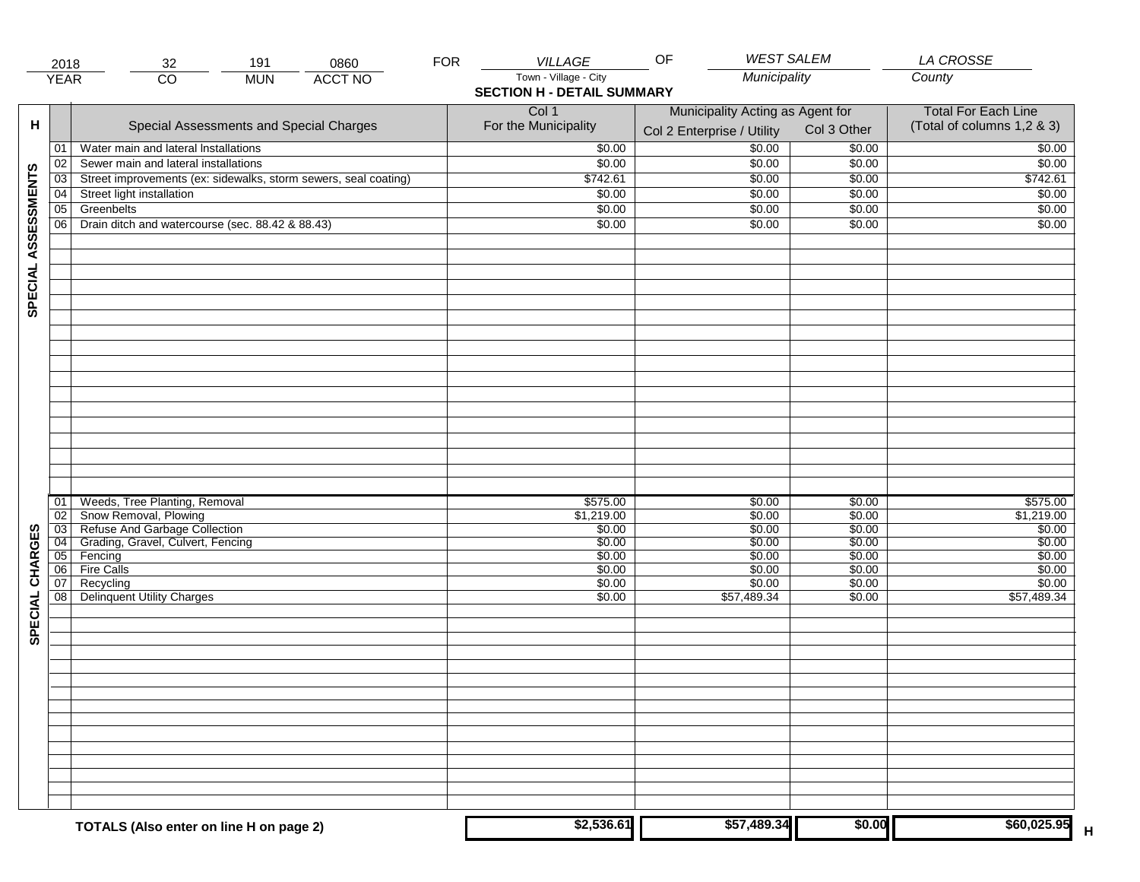|                     | 2018                               | 191<br>0860<br>32                                               | <b>FOR</b> | VILLAGE                           | <b>WEST SALEM</b><br>OF          |                            | <b>LA CROSSE</b>           |
|---------------------|------------------------------------|-----------------------------------------------------------------|------------|-----------------------------------|----------------------------------|----------------------------|----------------------------|
|                     | <b>YEAR</b>                        | <b>ACCT NO</b><br>$\overline{CO}$<br><b>MUN</b>                 |            | Town - Village - City             | Municipality                     |                            | County                     |
|                     |                                    |                                                                 |            | <b>SECTION H - DETAIL SUMMARY</b> |                                  |                            |                            |
|                     |                                    |                                                                 |            | Col 1                             | Municipality Acting as Agent for | <b>Total For Each Line</b> |                            |
| н                   |                                    | Special Assessments and Special Charges                         |            | For the Municipality              |                                  | Col 3 Other                | (Total of columns 1,2 & 3) |
|                     |                                    |                                                                 |            |                                   | Col 2 Enterprise / Utility       |                            |                            |
|                     | 01                                 | Water main and lateral Installations                            |            | \$0.00                            | \$0.00                           | \$0.00                     | \$0.00                     |
|                     | 02                                 | Sewer main and lateral installations                            |            | \$0.00                            | \$0.00                           | \$0.00                     | \$0.00                     |
| SPECIAL ASSESSMENTS | 03                                 | Street improvements (ex: sidewalks, storm sewers, seal coating) |            | \$742.61                          | \$0.00                           | \$0.00                     | \$742.61                   |
|                     | 04                                 | Street light installation                                       |            | \$0.00                            | \$0.00                           | \$0.00                     | \$0.00                     |
|                     | $\overline{05}$                    | Greenbelts                                                      |            | \$0.00                            | \$0.00                           | \$0.00                     | \$0.00                     |
|                     | 06                                 | Drain ditch and watercourse (sec. 88.42 & 88.43)                |            | \$0.00                            | \$0.00                           | \$0.00                     | \$0.00                     |
|                     |                                    |                                                                 |            |                                   |                                  |                            |                            |
|                     |                                    |                                                                 |            |                                   |                                  |                            |                            |
|                     |                                    |                                                                 |            |                                   |                                  |                            |                            |
|                     |                                    |                                                                 |            |                                   |                                  |                            |                            |
|                     |                                    |                                                                 |            |                                   |                                  |                            |                            |
|                     |                                    |                                                                 |            |                                   |                                  |                            |                            |
|                     |                                    |                                                                 |            |                                   |                                  |                            |                            |
|                     |                                    |                                                                 |            |                                   |                                  |                            |                            |
|                     |                                    |                                                                 |            |                                   |                                  |                            |                            |
|                     |                                    |                                                                 |            |                                   |                                  |                            |                            |
|                     |                                    |                                                                 |            |                                   |                                  |                            |                            |
|                     |                                    |                                                                 |            |                                   |                                  |                            |                            |
|                     |                                    |                                                                 |            |                                   |                                  |                            |                            |
|                     |                                    |                                                                 |            |                                   |                                  |                            |                            |
|                     |                                    |                                                                 |            |                                   |                                  |                            |                            |
|                     |                                    |                                                                 |            |                                   |                                  |                            |                            |
|                     |                                    |                                                                 |            |                                   |                                  |                            |                            |
|                     |                                    |                                                                 |            |                                   |                                  |                            |                            |
|                     | 01                                 | Weeds, Tree Planting, Removal                                   |            | \$575.00                          | \$0.00                           | \$0.00                     | \$575.00                   |
|                     | $\overline{02}$                    | Snow Removal, Plowing<br>Refuse And Garbage Collection          |            | \$1,219.00                        | \$0.00                           | \$0.00                     | \$1,219.00                 |
|                     | $\overline{03}$<br>$\overline{04}$ | Grading, Gravel, Culvert, Fencing                               |            | \$0.00<br>\$0.00                  | \$0.00<br>\$0.00                 | \$0.00<br>\$0.00           | \$0.00<br>\$0.00           |
|                     | 05                                 | Fencing                                                         |            | \$0.00                            | \$0.00                           | \$0.00                     | \$0.00                     |
|                     | 06                                 | <b>Fire Calls</b>                                               |            | \$0.00                            | \$0.00                           | \$0.00                     | \$0.00                     |
|                     | 07                                 | Recycling                                                       |            | \$0.00                            | \$0.00                           | \$0.00                     | \$0.00                     |
| SPECIAL CHARGES     | 08                                 | <b>Delinquent Utility Charges</b>                               |            | \$0.00                            | \$57,489.34                      | \$0.00                     | 557,489.34                 |
|                     |                                    |                                                                 |            |                                   |                                  |                            |                            |
|                     |                                    |                                                                 |            |                                   |                                  |                            |                            |
|                     |                                    |                                                                 |            |                                   |                                  |                            |                            |
|                     |                                    |                                                                 |            |                                   |                                  |                            |                            |
|                     |                                    |                                                                 |            |                                   |                                  |                            |                            |
|                     |                                    |                                                                 |            |                                   |                                  |                            |                            |
|                     |                                    |                                                                 |            |                                   |                                  |                            |                            |
|                     |                                    |                                                                 |            |                                   |                                  |                            |                            |
|                     |                                    |                                                                 |            |                                   |                                  |                            |                            |
|                     |                                    |                                                                 |            |                                   |                                  |                            |                            |
|                     |                                    |                                                                 |            |                                   |                                  |                            |                            |
|                     |                                    |                                                                 |            |                                   |                                  |                            |                            |
|                     |                                    |                                                                 |            |                                   |                                  |                            |                            |
|                     |                                    |                                                                 |            |                                   |                                  |                            |                            |
|                     |                                    |                                                                 |            | \$2,536.61                        | \$57,489.34                      | \$0.00                     | \$60,025.95                |
|                     |                                    | TOTALS (Also enter on line H on page 2)                         |            |                                   |                                  |                            | Н                          |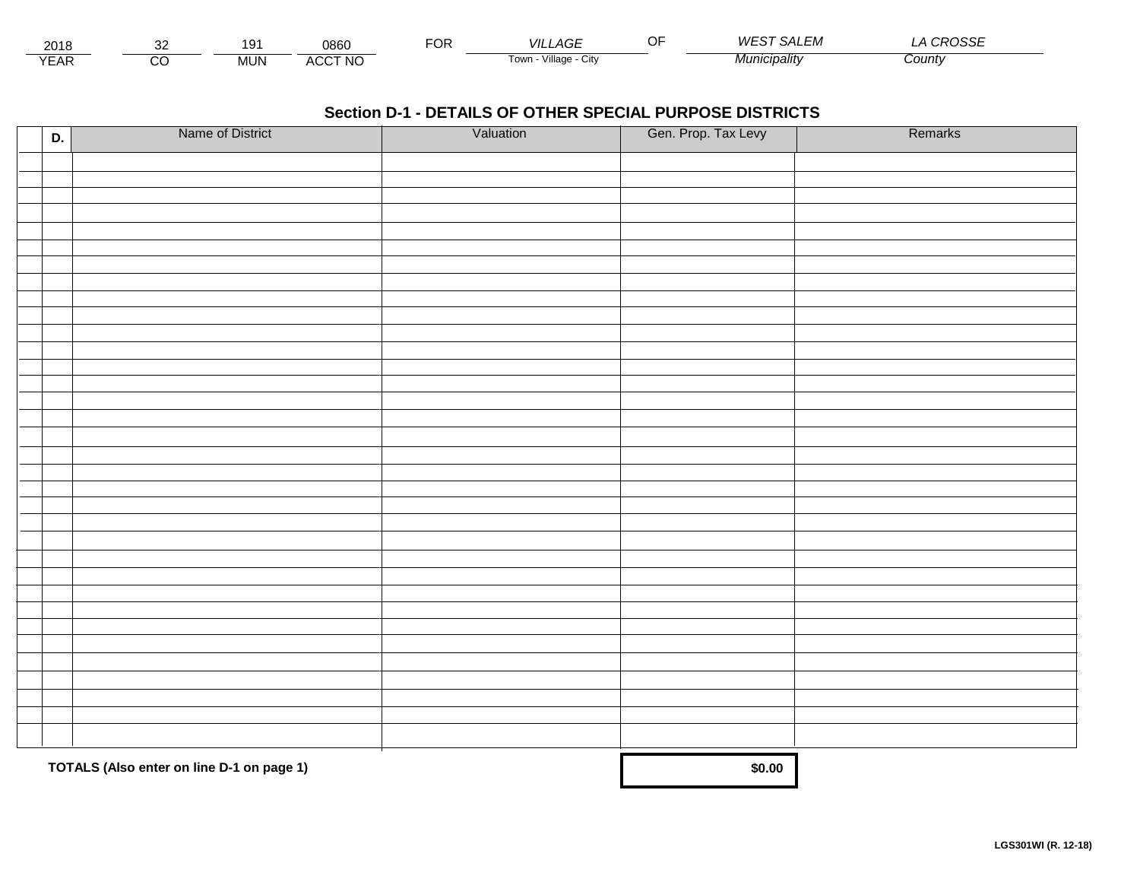| 2010<br>∠∪ ⊦c  | n,             | 10<br>$\ddot{\phantom{0}}$ | 0860                                     | $\sim$<br>◡ | VIL.<br>$\sim$<br>' AGL | .———————————————<br>WF<br><b>SALEIVI</b> | 0.00000<br>, پ<br>RUSSL |  |
|----------------|----------------|----------------------------|------------------------------------------|-------------|-------------------------|------------------------------------------|-------------------------|--|
| $V = A F$<br>ᇊ | ``<br>$\cdots$ | <b>MUN</b>                 | <b>\CCT NO</b><br>$\mathbf{u}$<br>$\sim$ |             | Village<br>Town<br>CITV | Municipality                             | County                  |  |

| D. | Name of District                          | Valuation | Gen. Prop. Tax Levy | Remarks |
|----|-------------------------------------------|-----------|---------------------|---------|
|    |                                           |           |                     |         |
|    |                                           |           |                     |         |
|    |                                           |           |                     |         |
|    |                                           |           |                     |         |
|    |                                           |           |                     |         |
|    |                                           |           |                     |         |
|    |                                           |           |                     |         |
|    |                                           |           |                     |         |
|    |                                           |           |                     |         |
|    |                                           |           |                     |         |
|    |                                           |           |                     |         |
|    |                                           |           |                     |         |
|    |                                           |           |                     |         |
|    |                                           |           |                     |         |
|    |                                           |           |                     |         |
|    |                                           |           |                     |         |
|    |                                           |           |                     |         |
|    |                                           |           |                     |         |
|    |                                           |           |                     |         |
|    |                                           |           |                     |         |
|    |                                           |           |                     |         |
|    |                                           |           |                     |         |
|    |                                           |           |                     |         |
|    |                                           |           |                     |         |
|    |                                           |           |                     |         |
|    |                                           |           |                     |         |
|    |                                           |           |                     |         |
|    |                                           |           |                     |         |
|    |                                           |           |                     |         |
|    |                                           |           |                     |         |
|    |                                           |           |                     |         |
|    |                                           |           |                     |         |
|    |                                           |           |                     |         |
|    | TOTALS (Also enter on line D-1 on page 1) |           | \$0.00              |         |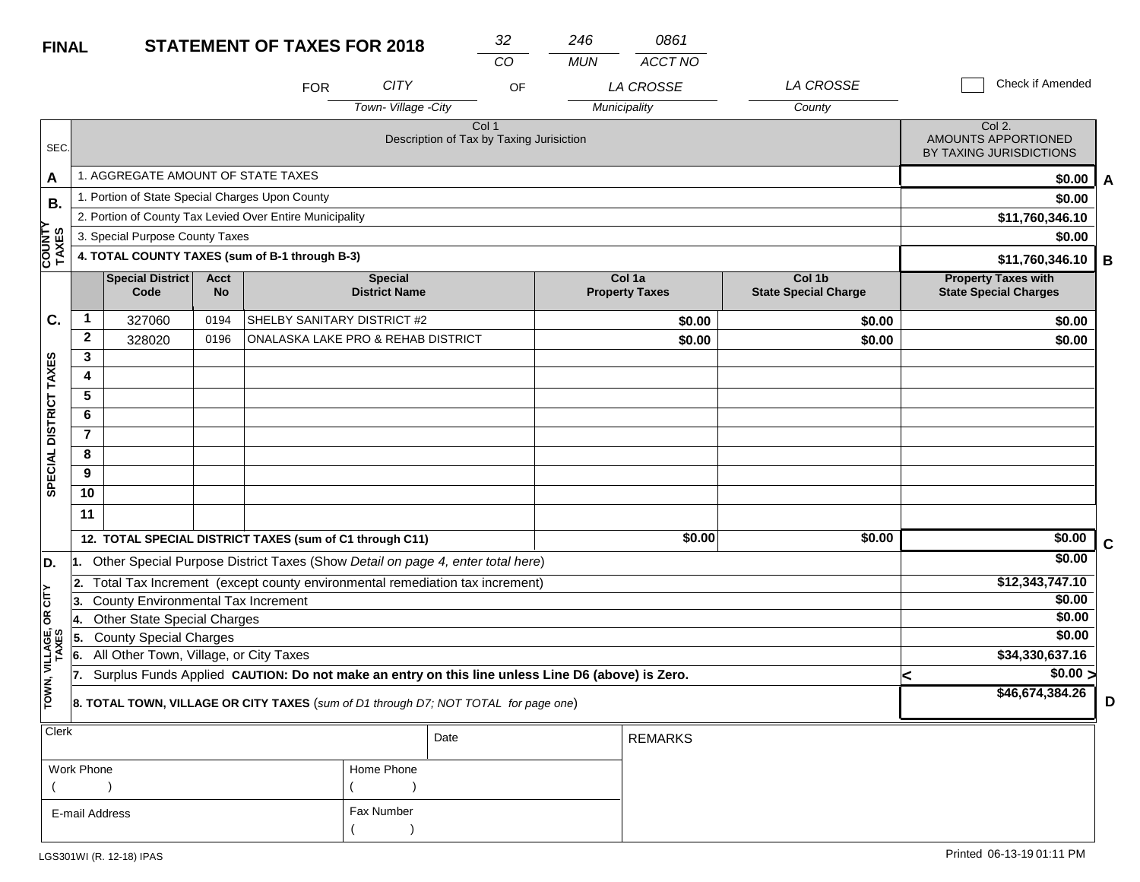| <b>FINAL</b>           |                |                                                 |                   | <b>STATEMENT OF TAXES FOR 2018</b>                                                               |                                        | 32                                                | 246        | 0861                            |                                       |                                                            |   |
|------------------------|----------------|-------------------------------------------------|-------------------|--------------------------------------------------------------------------------------------------|----------------------------------------|---------------------------------------------------|------------|---------------------------------|---------------------------------------|------------------------------------------------------------|---|
|                        |                |                                                 |                   |                                                                                                  |                                        | CO                                                | <b>MUN</b> | <b>ACCT NO</b>                  |                                       |                                                            |   |
|                        |                |                                                 |                   | <b>FOR</b>                                                                                       | <b>CITY</b>                            | OF                                                |            | LA CROSSE                       | LA CROSSE                             | Check if Amended                                           |   |
|                        |                |                                                 |                   |                                                                                                  | Town-Village -City                     |                                                   |            | Municipality                    | County                                |                                                            |   |
| SEC.                   |                |                                                 |                   |                                                                                                  |                                        | Col 1<br>Description of Tax by Taxing Jurisiction |            |                                 |                                       | Col 2.<br>AMOUNTS APPORTIONED<br>BY TAXING JURISDICTIONS   |   |
| Α                      |                | 1. AGGREGATE AMOUNT OF STATE TAXES              |                   |                                                                                                  |                                        |                                                   |            |                                 |                                       | \$0.00                                                     | A |
| В.                     |                | 1. Portion of State Special Charges Upon County |                   |                                                                                                  |                                        |                                                   |            |                                 |                                       | \$0.00                                                     |   |
|                        |                |                                                 |                   | 2. Portion of County Tax Levied Over Entire Municipality                                         |                                        |                                                   |            |                                 |                                       | \$11,760,346.10                                            |   |
|                        |                | 3. Special Purpose County Taxes                 |                   |                                                                                                  |                                        |                                                   |            |                                 |                                       | \$0.00                                                     |   |
| COUNIT<br>TAXES        |                |                                                 |                   | 4. TOTAL COUNTY TAXES (sum of B-1 through B-3)                                                   |                                        |                                                   |            |                                 |                                       | \$11,760,346.10                                            | В |
|                        |                | <b>Special District</b><br>Code                 | Acct<br><b>No</b> |                                                                                                  | <b>Special</b><br><b>District Name</b> |                                                   |            | Col 1a<br><b>Property Taxes</b> | Col 1b<br><b>State Special Charge</b> | <b>Property Taxes with</b><br><b>State Special Charges</b> |   |
| C.                     | 1              | 327060                                          | 0194              | SHELBY SANITARY DISTRICT #2                                                                      |                                        |                                                   |            | \$0.00                          | \$0.00                                | \$0.00                                                     |   |
|                        | $\mathbf{2}$   | 328020                                          | 0196              | ONALASKA LAKE PRO & REHAB DISTRICT                                                               |                                        |                                                   |            | \$0.00                          | \$0.00                                | \$0.00                                                     |   |
|                        | 3              |                                                 |                   |                                                                                                  |                                        |                                                   |            |                                 |                                       |                                                            |   |
|                        | 4              |                                                 |                   |                                                                                                  |                                        |                                                   |            |                                 |                                       |                                                            |   |
|                        | 5              |                                                 |                   |                                                                                                  |                                        |                                                   |            |                                 |                                       |                                                            |   |
|                        | 6              |                                                 |                   |                                                                                                  |                                        |                                                   |            |                                 |                                       |                                                            |   |
|                        | $\overline{7}$ |                                                 |                   |                                                                                                  |                                        |                                                   |            |                                 |                                       |                                                            |   |
|                        | 8              |                                                 |                   |                                                                                                  |                                        |                                                   |            |                                 |                                       |                                                            |   |
| SPECIAL DISTRICT TAXES | 9              |                                                 |                   |                                                                                                  |                                        |                                                   |            |                                 |                                       |                                                            |   |
|                        | 10             |                                                 |                   |                                                                                                  |                                        |                                                   |            |                                 |                                       |                                                            |   |
|                        | 11             |                                                 |                   |                                                                                                  |                                        |                                                   |            |                                 |                                       |                                                            |   |
|                        |                |                                                 |                   | 12. TOTAL SPECIAL DISTRICT TAXES (sum of C1 through C11)                                         |                                        |                                                   |            | \$0.00                          | \$0.00                                | \$0.00                                                     | C |
| D.                     |                |                                                 |                   | Other Special Purpose District Taxes (Show Detail on page 4, enter total here)                   |                                        |                                                   |            |                                 |                                       | \$0.00                                                     |   |
|                        | l 2.           |                                                 |                   | Total Tax Increment (except county environmental remediation tax increment)                      |                                        |                                                   |            |                                 |                                       | \$12,343,747.10                                            |   |
| 5                      | 3.             | <b>County Environmental Tax Increment</b>       |                   |                                                                                                  |                                        |                                                   |            |                                 |                                       | \$0.00                                                     |   |
| g                      | 4.             | <b>Other State Special Charges</b>              |                   |                                                                                                  |                                        |                                                   |            |                                 |                                       | \$0.00                                                     |   |
| LLAGE,<br>TAXES        | 55.            | <b>County Special Charges</b>                   |                   |                                                                                                  |                                        |                                                   |            |                                 |                                       | \$0.00                                                     |   |
|                        | 6.             | All Other Town, Village, or City Taxes          |                   |                                                                                                  |                                        |                                                   |            |                                 |                                       | \$34,330,637.16                                            |   |
|                        | 17.            |                                                 |                   | Surplus Funds Applied CAUTION: Do not make an entry on this line unless Line D6 (above) is Zero. |                                        |                                                   |            |                                 |                                       | \$0.00 ><br><                                              |   |
| TOWN,                  |                |                                                 |                   | 8. TOTAL TOWN, VILLAGE OR CITY TAXES (sum of D1 through D7; NOT TOTAL for page one)              |                                        |                                                   |            |                                 |                                       | \$46,674,384.26                                            | D |
| Clerk                  |                |                                                 |                   |                                                                                                  |                                        | Date                                              |            | <b>REMARKS</b>                  |                                       |                                                            |   |

| <b>VIGIN</b>   |            | Date | <b>REMARKS</b> |
|----------------|------------|------|----------------|
| Work Phone     | Home Phone |      |                |
|                |            |      |                |
| E-mail Address | Fax Number |      |                |
|                |            |      |                |

**EXIT**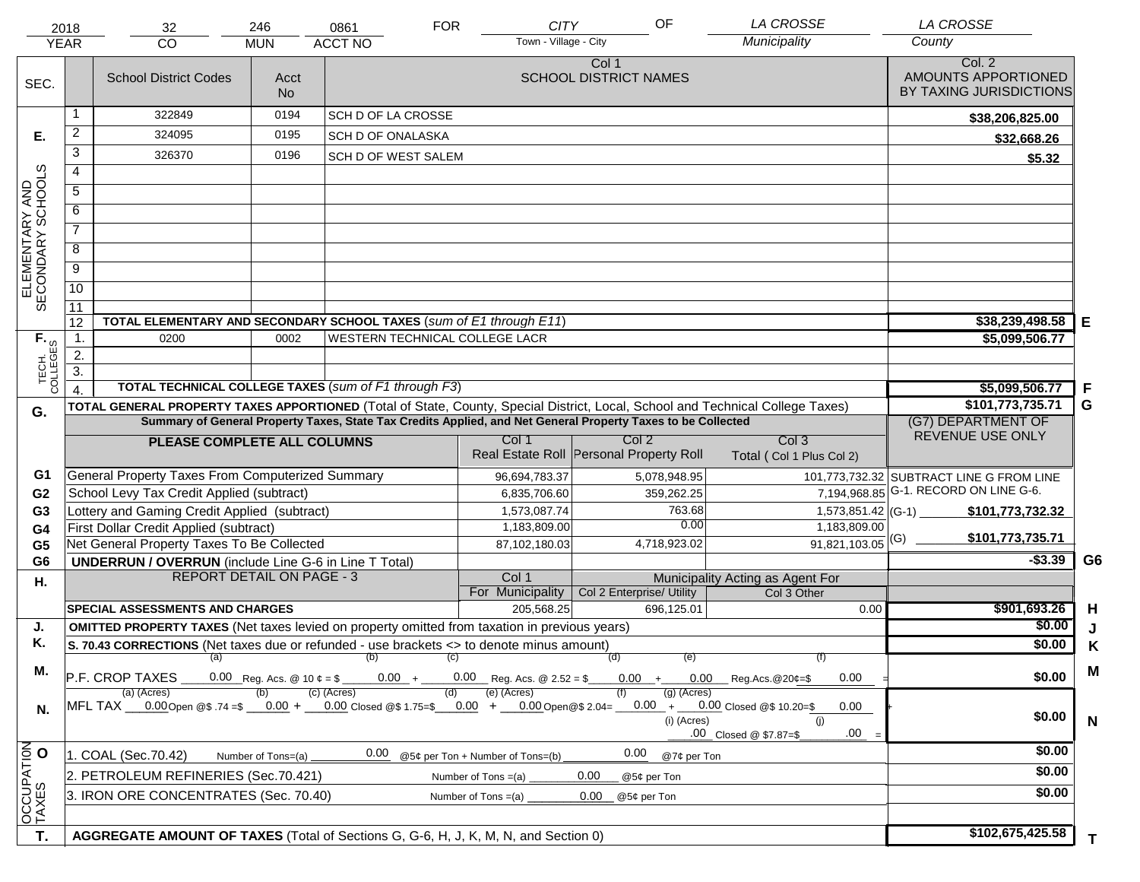|                                     | 2018                                                                                  | 32                                                                                                                             | 246                                      | 0861                                  | <b>FOR</b>        | <b>CITY</b>                      | OF                                                                                                           | <b>LA CROSSE</b>                                                         | <b>LA CROSSE</b>                                         |                |
|-------------------------------------|---------------------------------------------------------------------------------------|--------------------------------------------------------------------------------------------------------------------------------|------------------------------------------|---------------------------------------|-------------------|----------------------------------|--------------------------------------------------------------------------------------------------------------|--------------------------------------------------------------------------|----------------------------------------------------------|----------------|
|                                     | <b>YEAR</b>                                                                           | <b>CO</b>                                                                                                                      | <b>MUN</b>                               | <b>ACCT NO</b>                        |                   | Town - Village - City            |                                                                                                              | Municipality                                                             | County                                                   |                |
| SEC.                                |                                                                                       | <b>School District Codes</b>                                                                                                   | Acct<br><b>No</b>                        |                                       |                   |                                  | Col 1<br><b>SCHOOL DISTRICT NAMES</b>                                                                        |                                                                          | Col. 2<br>AMOUNTS APPORTIONED<br>BY TAXING JURISDICTIONS |                |
|                                     | 1                                                                                     | 322849                                                                                                                         | 0194                                     | SCH D OF LA CROSSE                    |                   |                                  |                                                                                                              |                                                                          | \$38,206,825.00                                          |                |
| Е.                                  | $\overline{2}$                                                                        | 324095                                                                                                                         | 0195                                     | SCH D OF ONALASKA                     |                   |                                  |                                                                                                              |                                                                          | \$32,668.26                                              |                |
|                                     | $\overline{3}$                                                                        | 326370                                                                                                                         | 0196                                     | SCH D OF WEST SALEM                   |                   |                                  |                                                                                                              |                                                                          | \$5.32                                                   |                |
|                                     | $\overline{4}$                                                                        |                                                                                                                                |                                          |                                       |                   |                                  |                                                                                                              |                                                                          |                                                          |                |
|                                     | $\overline{5}$                                                                        |                                                                                                                                |                                          |                                       |                   |                                  |                                                                                                              |                                                                          |                                                          |                |
| ELEMENTARY AND<br>SECONDARY SCHOOLS | 6                                                                                     |                                                                                                                                |                                          |                                       |                   |                                  |                                                                                                              |                                                                          |                                                          |                |
|                                     | $\overline{7}$                                                                        |                                                                                                                                |                                          |                                       |                   |                                  |                                                                                                              |                                                                          |                                                          |                |
|                                     | $\overline{8}$                                                                        |                                                                                                                                |                                          |                                       |                   |                                  |                                                                                                              |                                                                          |                                                          |                |
|                                     | $\overline{9}$                                                                        |                                                                                                                                |                                          |                                       |                   |                                  |                                                                                                              |                                                                          |                                                          |                |
|                                     | 10                                                                                    |                                                                                                                                |                                          |                                       |                   |                                  |                                                                                                              |                                                                          |                                                          |                |
|                                     | $\overline{11}$                                                                       |                                                                                                                                |                                          |                                       |                   |                                  |                                                                                                              |                                                                          |                                                          |                |
|                                     | 12                                                                                    | TOTAL ELEMENTARY AND SECONDARY SCHOOL TAXES (sum of E1 through E11)                                                            |                                          |                                       |                   |                                  |                                                                                                              |                                                                          | \$38,239,498.58                                          | Е              |
|                                     | $\overline{1}$ .                                                                      | 0200                                                                                                                           | 0002                                     | <b>WESTERN TECHNICAL COLLEGE LACR</b> |                   |                                  |                                                                                                              |                                                                          | \$5,099,506.77                                           |                |
|                                     | 2.                                                                                    |                                                                                                                                |                                          |                                       |                   |                                  |                                                                                                              |                                                                          |                                                          |                |
| TECH. T                             | $\overline{3}$ .                                                                      | TOTAL TECHNICAL COLLEGE TAXES (sum of F1 through F3)                                                                           |                                          |                                       |                   |                                  |                                                                                                              |                                                                          | \$5,099,506.77                                           | -F             |
|                                     | $\overline{4}$                                                                        | TOTAL GENERAL PROPERTY TAXES APPORTIONED (Total of State, County, Special District, Local, School and Technical College Taxes) |                                          | \$101,773,735.71                      | G                 |                                  |                                                                                                              |                                                                          |                                                          |                |
| G.                                  |                                                                                       |                                                                                                                                |                                          |                                       |                   |                                  | Summary of General Property Taxes, State Tax Credits Applied, and Net General Property Taxes to be Collected |                                                                          | (G7) DEPARTMENT OF                                       |                |
|                                     |                                                                                       | PLEASE COMPLETE ALL COLUMNS                                                                                                    |                                          |                                       |                   | Col 1                            | Col 2                                                                                                        | Col <sub>3</sub>                                                         | REVENUE USE ONLY                                         |                |
|                                     |                                                                                       |                                                                                                                                |                                          |                                       |                   |                                  | Real Estate Roll Personal Property Roll                                                                      | Total (Col 1 Plus Col 2)                                                 |                                                          |                |
| G1                                  |                                                                                       | General Property Taxes From Computerized Summary                                                                               |                                          |                                       |                   | 96,694,783.37                    | 5,078,948.95                                                                                                 |                                                                          | 101,773,732.32 SUBTRACT LINE G FROM LINE                 |                |
| G <sub>2</sub>                      |                                                                                       | School Levy Tax Credit Applied (subtract)                                                                                      |                                          |                                       |                   | 6,835,706.60                     | 359,262.25                                                                                                   |                                                                          | 7, 194, 968.85 G-1. RECORD ON LINE G-6.                  |                |
| G <sub>3</sub>                      |                                                                                       | Lottery and Gaming Credit Applied (subtract)                                                                                   |                                          |                                       |                   | 1,573,087.74                     | 763.68                                                                                                       | 1,573,851.42 (G-1) $-$                                                   | \$101,773,732.32                                         |                |
| G <sub>4</sub>                      |                                                                                       | First Dollar Credit Applied (subtract)                                                                                         |                                          |                                       |                   | 1,183,809.00                     | 0.00                                                                                                         | 1,183,809.00                                                             | \$101,773,735.71                                         |                |
| G <sub>5</sub>                      |                                                                                       | Net General Property Taxes To Be Collected                                                                                     |                                          |                                       |                   | 87,102,180.03                    | 4,718,923.02                                                                                                 | $91,821,103.05$ <sup>(G)</sup>                                           |                                                          |                |
| G <sub>6</sub>                      |                                                                                       | <b>UNDERRUN / OVERRUN</b> (include Line G-6 in Line T Total)<br><b>REPORT DETAIL ON PAGE - 3</b>                               |                                          |                                       |                   | Col 1                            |                                                                                                              |                                                                          | $-$3.39$                                                 | G <sub>6</sub> |
| Η.                                  |                                                                                       |                                                                                                                                |                                          |                                       |                   | For Municipality                 | Col 2 Enterprise/ Utility                                                                                    | Municipality Acting as Agent For<br>Col 3 Other                          |                                                          |                |
|                                     |                                                                                       | SPECIAL ASSESSMENTS AND CHARGES                                                                                                |                                          |                                       |                   | 205,568.25                       | 696,125.01                                                                                                   | 0.00                                                                     | \$901,693.26                                             | H              |
| J.                                  |                                                                                       | <b>OMITTED PROPERTY TAXES</b> (Net taxes levied on property omitted from taxation in previous years)                           |                                          |                                       |                   |                                  |                                                                                                              |                                                                          | \$0.00                                                   | J              |
| Κ.                                  |                                                                                       | S. 70.43 CORRECTIONS (Net taxes due or refunded - use brackets <> to denote minus amount)                                      |                                          |                                       |                   |                                  |                                                                                                              |                                                                          | \$0.00                                                   | Κ              |
| М.                                  |                                                                                       | (a)                                                                                                                            |                                          | (b)                                   | $\left( c\right)$ |                                  | (d)<br>(e)                                                                                                   | (f)                                                                      |                                                          | M              |
|                                     |                                                                                       | P.F. CROP TAXES                                                                                                                | 0.00 Reg. Acs. @ 10 $\phi = \frac{1}{2}$ | $0.00 +$                              |                   | $0.00$ Reg. Acs. @ 2.52 = \$     | $0.00 +$                                                                                                     | 0.00<br>$0.00$ Reg. Acs. @ 20¢=\$                                        | \$0.00                                                   |                |
| N.                                  |                                                                                       | (a) (Acres)<br>MFL TAX 0.00 Open @\$ .74 =\$ $0.00 + 0.00$ closed @\$ 1.75=\$ $0.00 + 0.00$ Open @\$ 2.04=                     |                                          | (c) (Acres)                           | (d)               | (e) (Acres)                      | $(g)$ (Acres)<br>$0.00 +$<br>(i) (Acres)                                                                     | 0.00 Closed @\$ 10.20=\$<br>0.00<br>(i)<br>.00<br>.00 Closed @ \$7.87=\$ | \$0.00                                                   | $\mathsf{N}$   |
|                                     |                                                                                       | 1. COAL (Sec.70.42)                                                                                                            | Number of Tons=(a)                       | 0.00                                  |                   | @5¢ per Ton + Number of Tons=(b) | 0.00<br>@7¢ per Ton                                                                                          |                                                                          | \$0.00                                                   |                |
| OCCUPATION<br>TAXES O               |                                                                                       | 2. PETROLEUM REFINERIES (Sec.70.421)                                                                                           |                                          |                                       |                   | Number of Tons $=(a)$            | 0.00<br>@5¢ per Ton                                                                                          |                                                                          | \$0.00                                                   |                |
|                                     | 3. IRON ORE CONCENTRATES (Sec. 70.40)<br>0.00<br>Number of Tons $=(a)$<br>@5¢ per Ton |                                                                                                                                |                                          |                                       |                   |                                  |                                                                                                              |                                                                          | \$0.00                                                   |                |
|                                     |                                                                                       |                                                                                                                                |                                          |                                       |                   |                                  |                                                                                                              |                                                                          |                                                          |                |
|                                     |                                                                                       |                                                                                                                                |                                          |                                       |                   |                                  |                                                                                                              |                                                                          | \$102,675,425.58                                         |                |
| T.                                  |                                                                                       | AGGREGATE AMOUNT OF TAXES (Total of Sections G, G-6, H, J, K, M, N, and Section 0)                                             |                                          |                                       |                   |                                  |                                                                                                              |                                                                          |                                                          | T.             |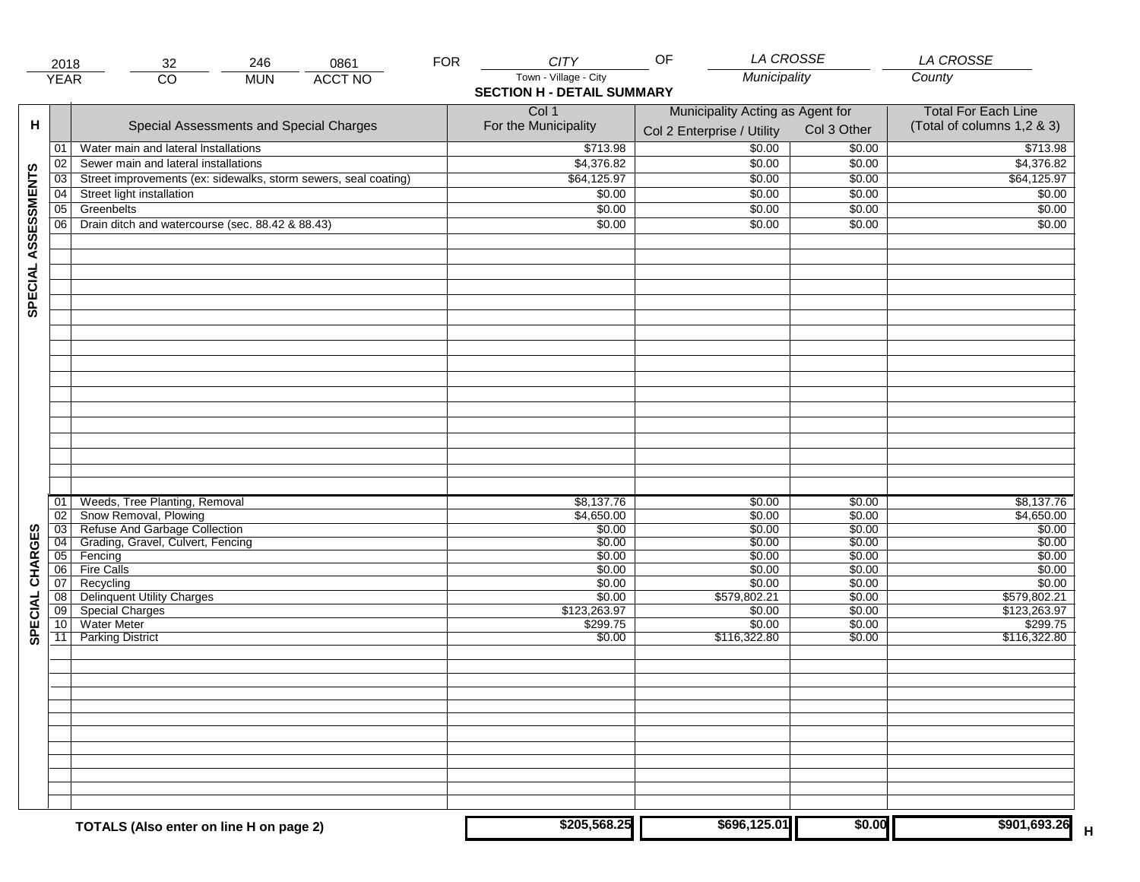|                     | 2018                  | 246<br>0861<br>32                                               | <b>FOR</b> | <b>CITY</b>                       | <b>LA CROSSE</b><br>OF           |                  | <b>LA CROSSE</b>           |
|---------------------|-----------------------|-----------------------------------------------------------------|------------|-----------------------------------|----------------------------------|------------------|----------------------------|
|                     | <b>YEAR</b>           | <b>ACCT NO</b><br>$\overline{CO}$<br><b>MUN</b>                 |            | Town - Village - City             | Municipality                     |                  | County                     |
|                     |                       |                                                                 |            | <b>SECTION H - DETAIL SUMMARY</b> |                                  |                  |                            |
|                     |                       |                                                                 |            | Col 1                             | Municipality Acting as Agent for |                  | <b>Total For Each Line</b> |
| н                   |                       | Special Assessments and Special Charges                         |            | For the Municipality              |                                  |                  | (Total of columns 1,2 & 3) |
|                     |                       |                                                                 |            |                                   | Col 2 Enterprise / Utility       | Col 3 Other      |                            |
|                     | 01                    | Water main and lateral Installations                            |            | \$713.98                          | \$0.00                           | \$0.00           | \$713.98                   |
|                     | 02                    | Sewer main and lateral installations                            |            | \$4,376.82                        | \$0.00                           | \$0.00           | \$4,376.82                 |
| SPECIAL ASSESSMENTS | 03                    | Street improvements (ex: sidewalks, storm sewers, seal coating) |            | \$64,125.97                       | \$0.00                           | \$0.00           | \$64,125.97                |
|                     | 04                    | Street light installation                                       |            | \$0.00                            | \$0.00                           | \$0.00           | \$0.00                     |
|                     | $\overline{05}$       | Greenbelts                                                      |            | \$0.00                            | \$0.00                           | \$0.00           | \$0.00                     |
|                     | 06                    | Drain ditch and watercourse (sec. 88.42 & 88.43)                |            | \$0.00                            | \$0.00                           | \$0.00           | \$0.00                     |
|                     |                       |                                                                 |            |                                   |                                  |                  |                            |
|                     |                       |                                                                 |            |                                   |                                  |                  |                            |
|                     |                       |                                                                 |            |                                   |                                  |                  |                            |
|                     |                       |                                                                 |            |                                   |                                  |                  |                            |
|                     |                       |                                                                 |            |                                   |                                  |                  |                            |
|                     |                       |                                                                 |            |                                   |                                  |                  |                            |
|                     |                       |                                                                 |            |                                   |                                  |                  |                            |
|                     |                       |                                                                 |            |                                   |                                  |                  |                            |
|                     |                       |                                                                 |            |                                   |                                  |                  |                            |
|                     |                       |                                                                 |            |                                   |                                  |                  |                            |
|                     |                       |                                                                 |            |                                   |                                  |                  |                            |
|                     |                       |                                                                 |            |                                   |                                  |                  |                            |
|                     |                       |                                                                 |            |                                   |                                  |                  |                            |
|                     |                       |                                                                 |            |                                   |                                  |                  |                            |
|                     |                       |                                                                 |            |                                   |                                  |                  |                            |
|                     |                       |                                                                 |            |                                   |                                  |                  |                            |
|                     |                       |                                                                 |            |                                   |                                  |                  |                            |
|                     |                       |                                                                 |            |                                   |                                  |                  |                            |
|                     |                       |                                                                 |            |                                   |                                  |                  |                            |
|                     | 01                    | Weeds, Tree Planting, Removal                                   |            | \$8,137.76                        | \$0.00                           | \$0.00           | \$8,137.76                 |
|                     | 02                    | Snow Removal, Plowing<br>Refuse And Garbage Collection          |            | \$4,650.00                        | \$0.00                           | \$0.00           | \$4,650.00                 |
| CHARGES             | 03<br>$\overline{04}$ | Grading, Gravel, Culvert, Fencing                               |            | \$0.00<br>\$0.00                  | \$0.00<br>\$0.00                 | \$0.00<br>\$0.00 | \$0.00<br>\$0.00           |
|                     | 05                    | Fencing                                                         |            | \$0.00                            | \$0.00                           | \$0.00           | \$0.00                     |
|                     | 06                    | <b>Fire Calls</b>                                               |            | \$0.00                            | \$0.00                           | \$0.00           | \$0.00                     |
|                     | 07                    | Recycling                                                       |            | \$0.00                            | \$0.00                           | \$0.00           | \$0.00                     |
|                     | 08                    | <b>Delinquent Utility Charges</b>                               |            | \$0.00                            | \$579,802.21                     | \$0.00           | \$579,802.21               |
| SPECIAL             | $\overline{09}$       | <b>Special Charges</b>                                          |            | \$123,263.97                      | \$0.00                           | \$0.00           | \$123,263.97               |
|                     | 10                    | Water Meter                                                     |            | \$299.75                          | \$0.00                           | \$0.00           | \$299.75                   |
|                     | $\overline{11}$       | <b>Parking District</b>                                         |            | \$0.00                            | \$116,322.80                     | \$0.00           | \$116,322.80               |
|                     |                       |                                                                 |            |                                   |                                  |                  |                            |
|                     |                       |                                                                 |            |                                   |                                  |                  |                            |
|                     |                       |                                                                 |            |                                   |                                  |                  |                            |
|                     |                       |                                                                 |            |                                   |                                  |                  |                            |
|                     |                       |                                                                 |            |                                   |                                  |                  |                            |
|                     |                       |                                                                 |            |                                   |                                  |                  |                            |
|                     |                       |                                                                 |            |                                   |                                  |                  |                            |
|                     |                       |                                                                 |            |                                   |                                  |                  |                            |
|                     |                       |                                                                 |            |                                   |                                  |                  |                            |
|                     |                       |                                                                 |            |                                   |                                  |                  |                            |
|                     |                       |                                                                 |            |                                   |                                  |                  |                            |
|                     |                       |                                                                 |            |                                   |                                  |                  |                            |
|                     |                       |                                                                 |            | \$205,568.25                      | \$696,125.01                     | \$0.00           | \$901,693.26               |
|                     |                       | TOTALS (Also enter on line H on page 2)                         |            |                                   |                                  |                  |                            |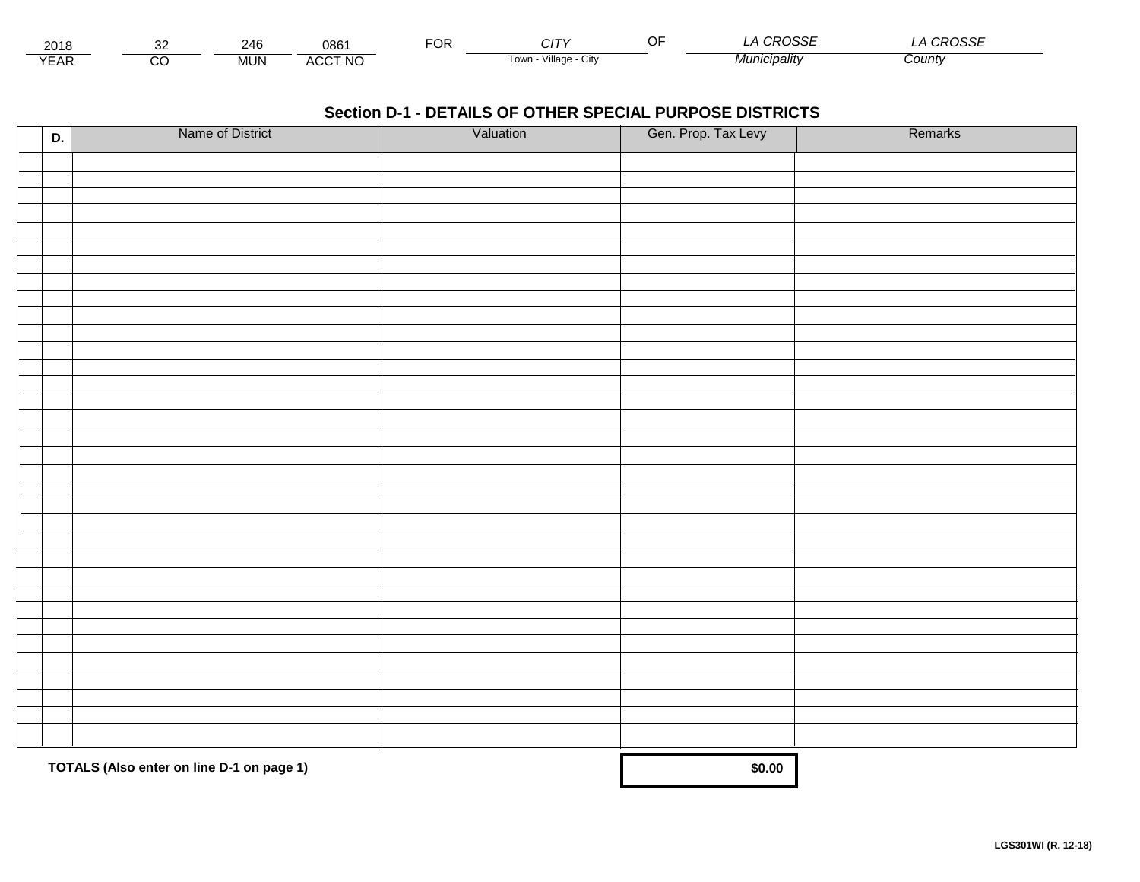| 2018                                  |         | 246 | 086                           | $\neg$ nn<br>UM | $\cap$<br>ັບ.           | ~- | $\mathbf{a} \mathbf{a} \mathbf{a} \mathbf{a} \mathbf{a} \mathbf{b}$<br>১১৷<br>`\ J\ | . <i>CDOCCT</i><br>¬∪லட |  |
|---------------------------------------|---------|-----|-------------------------------|-----------------|-------------------------|----|-------------------------------------------------------------------------------------|-------------------------|--|
| $V = \Lambda^r$<br>$ \Lambda$ .<br>⊢ี | ~~<br>U | MUN | <b>CCT NO</b><br>$A(\Lambda)$ |                 | Village<br>UIN<br>i own |    | 'nıcıpalitv                                                                         | County                  |  |

| D. | Name of District                          | Valuation | Gen. Prop. Tax Levy | Remarks |
|----|-------------------------------------------|-----------|---------------------|---------|
|    |                                           |           |                     |         |
|    |                                           |           |                     |         |
|    |                                           |           |                     |         |
|    |                                           |           |                     |         |
|    |                                           |           |                     |         |
|    |                                           |           |                     |         |
|    |                                           |           |                     |         |
|    |                                           |           |                     |         |
|    |                                           |           |                     |         |
|    |                                           |           |                     |         |
|    |                                           |           |                     |         |
|    |                                           |           |                     |         |
|    |                                           |           |                     |         |
|    |                                           |           |                     |         |
|    |                                           |           |                     |         |
|    |                                           |           |                     |         |
|    |                                           |           |                     |         |
|    |                                           |           |                     |         |
|    |                                           |           |                     |         |
|    |                                           |           |                     |         |
|    |                                           |           |                     |         |
|    |                                           |           |                     |         |
|    |                                           |           |                     |         |
|    |                                           |           |                     |         |
|    |                                           |           |                     |         |
|    |                                           |           |                     |         |
|    |                                           |           |                     |         |
|    |                                           |           |                     |         |
|    |                                           |           |                     |         |
|    |                                           |           |                     |         |
|    |                                           |           |                     |         |
|    | TOTALS (Also enter on line D-1 on page 1) |           | \$0.00              |         |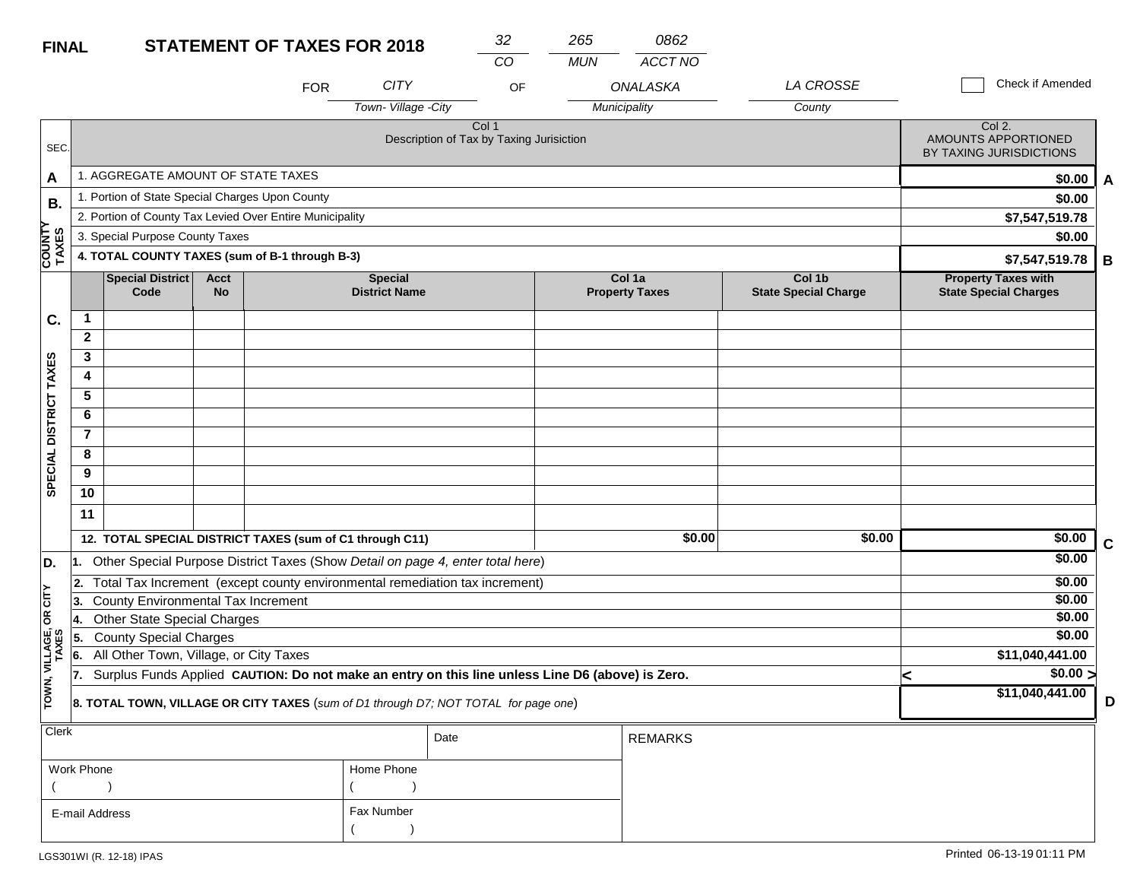| <b>FINAL</b>            |                | <b>STATEMENT OF TAXES FOR 2018</b>                       |                   |            |                                                                                                  |       | 265        | 0862                            |                                       |                                                            |   |
|-------------------------|----------------|----------------------------------------------------------|-------------------|------------|--------------------------------------------------------------------------------------------------|-------|------------|---------------------------------|---------------------------------------|------------------------------------------------------------|---|
|                         |                |                                                          |                   |            |                                                                                                  | CO.   | <b>MUN</b> | ACCT NO                         |                                       |                                                            |   |
|                         |                |                                                          |                   | <b>FOR</b> | <b>CITY</b>                                                                                      | OF    |            | <b>ONALASKA</b>                 | LA CROSSE                             | Check if Amended                                           |   |
|                         |                |                                                          |                   |            | Town-Village -City                                                                               |       |            | Municipality                    | County                                |                                                            |   |
| SEC.                    |                |                                                          |                   |            | Description of Tax by Taxing Jurisiction                                                         | Col 1 |            |                                 |                                       | Col 2.<br>AMOUNTS APPORTIONED<br>BY TAXING JURISDICTIONS   |   |
| Α                       |                | 1. AGGREGATE AMOUNT OF STATE TAXES                       |                   |            |                                                                                                  |       |            |                                 |                                       | \$0.00                                                     | A |
| <b>B.</b>               |                | 1. Portion of State Special Charges Upon County          |                   |            |                                                                                                  |       |            |                                 |                                       | \$0.00                                                     |   |
|                         |                | 2. Portion of County Tax Levied Over Entire Municipality |                   |            |                                                                                                  |       |            |                                 |                                       | \$7,547,519.78                                             |   |
|                         |                | 3. Special Purpose County Taxes                          |                   |            |                                                                                                  |       |            |                                 |                                       | \$0.00                                                     |   |
| <b>COUNTY</b><br>TAXES  |                | 4. TOTAL COUNTY TAXES (sum of B-1 through B-3)           |                   |            |                                                                                                  |       |            |                                 |                                       | \$7,547,519.78                                             | В |
|                         |                | <b>Special District</b><br>Code                          | <b>Acct</b><br>No |            | <b>Special</b><br><b>District Name</b>                                                           |       |            | Col 1a<br><b>Property Taxes</b> | Col 1b<br><b>State Special Charge</b> | <b>Property Taxes with</b><br><b>State Special Charges</b> |   |
| C.                      | 1              |                                                          |                   |            |                                                                                                  |       |            |                                 |                                       |                                                            |   |
|                         | $\mathbf{2}$   |                                                          |                   |            |                                                                                                  |       |            |                                 |                                       |                                                            |   |
|                         | 3              |                                                          |                   |            |                                                                                                  |       |            |                                 |                                       |                                                            |   |
|                         | 4              |                                                          |                   |            |                                                                                                  |       |            |                                 |                                       |                                                            |   |
|                         | 5              |                                                          |                   |            |                                                                                                  |       |            |                                 |                                       |                                                            |   |
| DISTRICT TAXES          | 6              |                                                          |                   |            |                                                                                                  |       |            |                                 |                                       |                                                            |   |
|                         | $\overline{7}$ |                                                          |                   |            |                                                                                                  |       |            |                                 |                                       |                                                            |   |
| <b>SPECIAL</b>          | 8              |                                                          |                   |            |                                                                                                  |       |            |                                 |                                       |                                                            |   |
|                         | 9              |                                                          |                   |            |                                                                                                  |       |            |                                 |                                       |                                                            |   |
|                         | 10             |                                                          |                   |            |                                                                                                  |       |            |                                 |                                       |                                                            |   |
|                         | 11             |                                                          |                   |            |                                                                                                  |       |            |                                 |                                       |                                                            |   |
|                         |                | 12. TOTAL SPECIAL DISTRICT TAXES (sum of C1 through C11) |                   |            |                                                                                                  |       |            | \$0.00                          | \$0.00                                | \$0.00                                                     | C |
| D.                      | l1.            |                                                          |                   |            | Other Special Purpose District Taxes (Show Detail on page 4, enter total here)                   |       |            |                                 |                                       | \$0.00                                                     |   |
|                         | 2.             |                                                          |                   |            | Total Tax Increment (except county environmental remediation tax increment)                      |       |            |                                 |                                       | \$0.00                                                     |   |
| OR CITY                 | 3.             | County Environmental Tax Increment                       |                   | \$0.00     |                                                                                                  |       |            |                                 |                                       |                                                            |   |
|                         | 14.            | Other State Special Charges                              |                   |            |                                                                                                  |       |            |                                 |                                       | \$0.00                                                     |   |
| TOWN, VILLAGE,<br>TAXES | 15.            | <b>County Special Charges</b>                            |                   |            |                                                                                                  |       |            |                                 |                                       | \$0.00                                                     |   |
|                         | 6.             | All Other Town, Village, or City Taxes                   |                   |            |                                                                                                  |       |            |                                 |                                       | \$11,040,441.00                                            |   |
|                         | 17.            |                                                          |                   |            | Surplus Funds Applied CAUTION: Do not make an entry on this line unless Line D6 (above) is Zero. |       |            |                                 |                                       | \$0.00 ><br><<br>\$11,040,441.00                           |   |
|                         |                |                                                          |                   |            | 8. TOTAL TOWN, VILLAGE OR CITY TAXES (sum of D1 through D7; NOT TOTAL for page one)              |       |            |                                 |                                       |                                                            | D |
| Clerk                   |                |                                                          |                   |            |                                                                                                  |       |            |                                 |                                       |                                                            |   |

| $ $ Clerk      |            | Date | <b>REMARKS</b> |
|----------------|------------|------|----------------|
| Work Phone     | Home Phone |      |                |
|                |            |      |                |
| E-mail Address | Fax Number |      |                |
|                |            |      |                |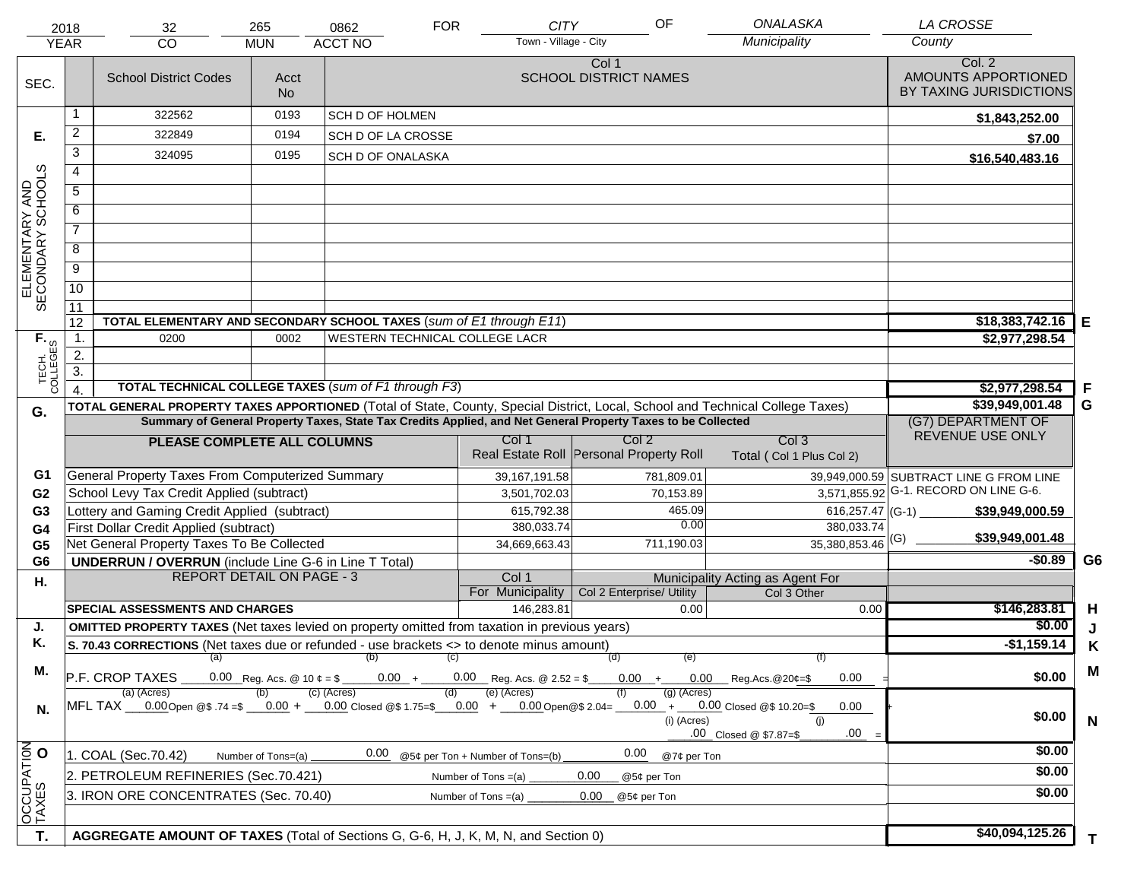|                                     | 2018                                          | 32                                                                                                                             | 265                                                                                              | 0862                      | <b>FOR</b>        | <b>CITY</b>                                 | OF                                      | ONALASKA                          | <b>LA CROSSE</b>                                         |                |
|-------------------------------------|-----------------------------------------------|--------------------------------------------------------------------------------------------------------------------------------|--------------------------------------------------------------------------------------------------|---------------------------|-------------------|---------------------------------------------|-----------------------------------------|-----------------------------------|----------------------------------------------------------|----------------|
|                                     | <b>YEAR</b>                                   | CO                                                                                                                             | <b>MUN</b>                                                                                       | <b>ACCT NO</b>            |                   | Town - Village - City                       |                                         | Municipality                      | County                                                   |                |
| SEC.                                |                                               | <b>School District Codes</b>                                                                                                   | Acct<br><b>No</b>                                                                                |                           |                   |                                             | Col 1<br><b>SCHOOL DISTRICT NAMES</b>   |                                   | Col. 2<br>AMOUNTS APPORTIONED<br>BY TAXING JURISDICTIONS |                |
|                                     | 1                                             | 322562                                                                                                                         | 0193                                                                                             | SCH D OF HOLMEN           |                   |                                             |                                         |                                   | \$1,843,252.00                                           |                |
| Е.                                  | $\overline{2}$                                | 322849                                                                                                                         | 0194                                                                                             | <b>SCH D OF LA CROSSE</b> |                   |                                             |                                         |                                   | \$7.00                                                   |                |
|                                     | $\overline{3}$                                | 324095                                                                                                                         | 0195                                                                                             | SCH D OF ONALASKA         |                   |                                             |                                         |                                   | \$16,540,483.16                                          |                |
|                                     | $\overline{4}$                                |                                                                                                                                |                                                                                                  |                           |                   |                                             |                                         |                                   |                                                          |                |
| ELEMENTARY AND<br>SECONDARY SCHOOLS | $\overline{5}$                                |                                                                                                                                |                                                                                                  |                           |                   |                                             |                                         |                                   |                                                          |                |
|                                     | 6                                             |                                                                                                                                |                                                                                                  |                           |                   |                                             |                                         |                                   |                                                          |                |
|                                     | $\overline{7}$                                |                                                                                                                                |                                                                                                  |                           |                   |                                             |                                         |                                   |                                                          |                |
|                                     | $\overline{8}$                                |                                                                                                                                |                                                                                                  |                           |                   |                                             |                                         |                                   |                                                          |                |
|                                     | $\overline{9}$                                |                                                                                                                                |                                                                                                  |                           |                   |                                             |                                         |                                   |                                                          |                |
|                                     | 10                                            |                                                                                                                                |                                                                                                  |                           |                   |                                             |                                         |                                   |                                                          |                |
|                                     | $\overline{11}$                               |                                                                                                                                |                                                                                                  |                           |                   |                                             |                                         |                                   |                                                          |                |
|                                     | 12                                            | TOTAL ELEMENTARY AND SECONDARY SCHOOL TAXES (sum of E1 through E11)                                                            |                                                                                                  |                           |                   |                                             |                                         |                                   | \$18,383,742.16                                          | E              |
|                                     | $\overline{1}$ .                              | 0200                                                                                                                           | 0002                                                                                             |                           |                   | <b>WESTERN TECHNICAL COLLEGE LACR</b>       |                                         |                                   | \$2,977,298.54                                           |                |
|                                     | 2.<br>$\overline{3}$ .                        |                                                                                                                                |                                                                                                  |                           |                   |                                             |                                         |                                   |                                                          |                |
| TECH. T                             | $\overline{4}$                                | TOTAL TECHNICAL COLLEGE TAXES (sum of F1 through F3)                                                                           |                                                                                                  |                           |                   |                                             |                                         |                                   | \$2,977,298.54                                           | -F             |
|                                     |                                               | TOTAL GENERAL PROPERTY TAXES APPORTIONED (Total of State, County, Special District, Local, School and Technical College Taxes) |                                                                                                  |                           |                   |                                             |                                         |                                   | \$39,949,001.48                                          | G              |
| G.                                  |                                               | Summary of General Property Taxes, State Tax Credits Applied, and Net General Property Taxes to be Collected                   | (G7) DEPARTMENT OF                                                                               |                           |                   |                                             |                                         |                                   |                                                          |                |
|                                     | Col 2<br>Col 1<br>PLEASE COMPLETE ALL COLUMNS |                                                                                                                                |                                                                                                  |                           |                   |                                             |                                         | Col <sub>3</sub>                  | REVENUE USE ONLY                                         |                |
|                                     |                                               |                                                                                                                                |                                                                                                  |                           |                   |                                             | Real Estate Roll Personal Property Roll | Total (Col 1 Plus Col 2)          |                                                          |                |
| G1                                  |                                               | General Property Taxes From Computerized Summary                                                                               |                                                                                                  |                           |                   | 39, 167, 191.58                             | 781,809.01                              |                                   | 39,949,000.59 SUBTRACT LINE G FROM LINE                  |                |
| G <sub>2</sub>                      |                                               | School Levy Tax Credit Applied (subtract)                                                                                      |                                                                                                  |                           |                   | 3,501,702.03                                | 70,153.89                               |                                   | 3,571,855.92 G-1. RECORD ON LINE G-6.                    |                |
| G <sub>3</sub>                      |                                               | Lottery and Gaming Credit Applied (subtract)                                                                                   |                                                                                                  |                           |                   | 615,792.38                                  | 465.09                                  | 616,257.47 (G-1)                  | \$39,949,000.59                                          |                |
| G <sub>4</sub>                      |                                               | First Dollar Credit Applied (subtract)                                                                                         |                                                                                                  |                           |                   | 380,033.74                                  | 0.00                                    | 380,033.74                        | \$39,949,001.48                                          |                |
| G <sub>5</sub>                      |                                               | Net General Property Taxes To Be Collected                                                                                     |                                                                                                  |                           |                   | 34,669,663.43                               | 711,190.03                              | $35,380,853.46$ <sup>(G)</sup>    | $-$0.89$                                                 | G <sub>6</sub> |
| G <sub>6</sub>                      |                                               | <b>UNDERRUN / OVERRUN</b> (include Line G-6 in Line T Total)<br><b>REPORT DETAIL ON PAGE - 3</b>                               |                                                                                                  |                           |                   | Col 1                                       |                                         | Municipality Acting as Agent For  |                                                          |                |
| Η.                                  |                                               |                                                                                                                                |                                                                                                  |                           |                   | For Municipality                            | Col 2 Enterprise/ Utility               | Col 3 Other                       |                                                          |                |
|                                     |                                               | <b>SPECIAL ASSESSMENTS AND CHARGES</b>                                                                                         |                                                                                                  |                           |                   | 146,283.81                                  | 0.00                                    | 0.00                              | \$146,283.81                                             | H              |
| J.                                  |                                               | <b>OMITTED PROPERTY TAXES</b> (Net taxes levied on property omitted from taxation in previous years)                           |                                                                                                  |                           |                   |                                             |                                         |                                   | \$0.00                                                   | J              |
| Κ.                                  |                                               | S. 70.43 CORRECTIONS (Net taxes due or refunded - use brackets <> to denote minus amount)                                      |                                                                                                  |                           |                   |                                             |                                         |                                   | $-$1,159.14$                                             | Κ              |
| М.                                  |                                               | (a)                                                                                                                            |                                                                                                  | (b)                       | $\left( c\right)$ |                                             | (d)<br>(e)                              | (f)                               |                                                          | M              |
|                                     |                                               | P.F. CROP TAXES                                                                                                                | 0.00 Reg. Acs. @ 10 $\phi = \frac{1}{2}$                                                         | $0.00 +$<br>(c) (Acres)   | (d)               | $0.00$ Reg. Acs. @ 2.52 = \$<br>(e) (Acres) | $0.00 +$<br>$(g)$ (Acres)               | 0.00<br>$0.00$ Reg. Acs. @ 20¢=\$ | \$0.00                                                   |                |
| N.                                  |                                               | (a) (Acres)<br>MFL TAX 0.00 Open @\$ .74 =\$ $0.00 + 0.00$ closed @\$ 1.75=\$ $0.00 + 0.00$ Open @\$ 2.04=                     | $0.00 + 0.00$ Closed @\$ 10.20=\$<br>0.00<br>(i) (Acres)<br>(i)<br>.00<br>.00 Closed @ \$7.87=\$ | \$0.00                    | $\mathsf{N}$      |                                             |                                         |                                   |                                                          |                |
| OCCUPATION<br>TAXES O               |                                               | 1. COAL (Sec.70.42)                                                                                                            | Number of Tons=(a)                                                                               | 0.00                      |                   | @5¢ per Ton + Number of Tons=(b)            | 0.00<br>@7¢ per Ton                     |                                   | \$0.00                                                   |                |
|                                     |                                               | 2. PETROLEUM REFINERIES (Sec.70.421)                                                                                           |                                                                                                  |                           |                   | Number of Tons $=(a)$                       | 0.00<br>@5¢ per Ton                     |                                   | \$0.00                                                   |                |
|                                     |                                               | 3. IRON ORE CONCENTRATES (Sec. 70.40)                                                                                          |                                                                                                  |                           |                   | Number of Tons $=(a)$                       | 0.00<br>@5¢ per Ton                     |                                   | \$0.00                                                   |                |
|                                     |                                               |                                                                                                                                |                                                                                                  |                           |                   |                                             |                                         |                                   |                                                          |                |
|                                     |                                               |                                                                                                                                |                                                                                                  |                           |                   |                                             |                                         |                                   | \$40,094,125.26                                          |                |
| T.                                  |                                               | AGGREGATE AMOUNT OF TAXES (Total of Sections G, G-6, H, J, K, M, N, and Section 0)                                             |                                                                                                  |                           |                   |                                             |                                         |                                   |                                                          | T.             |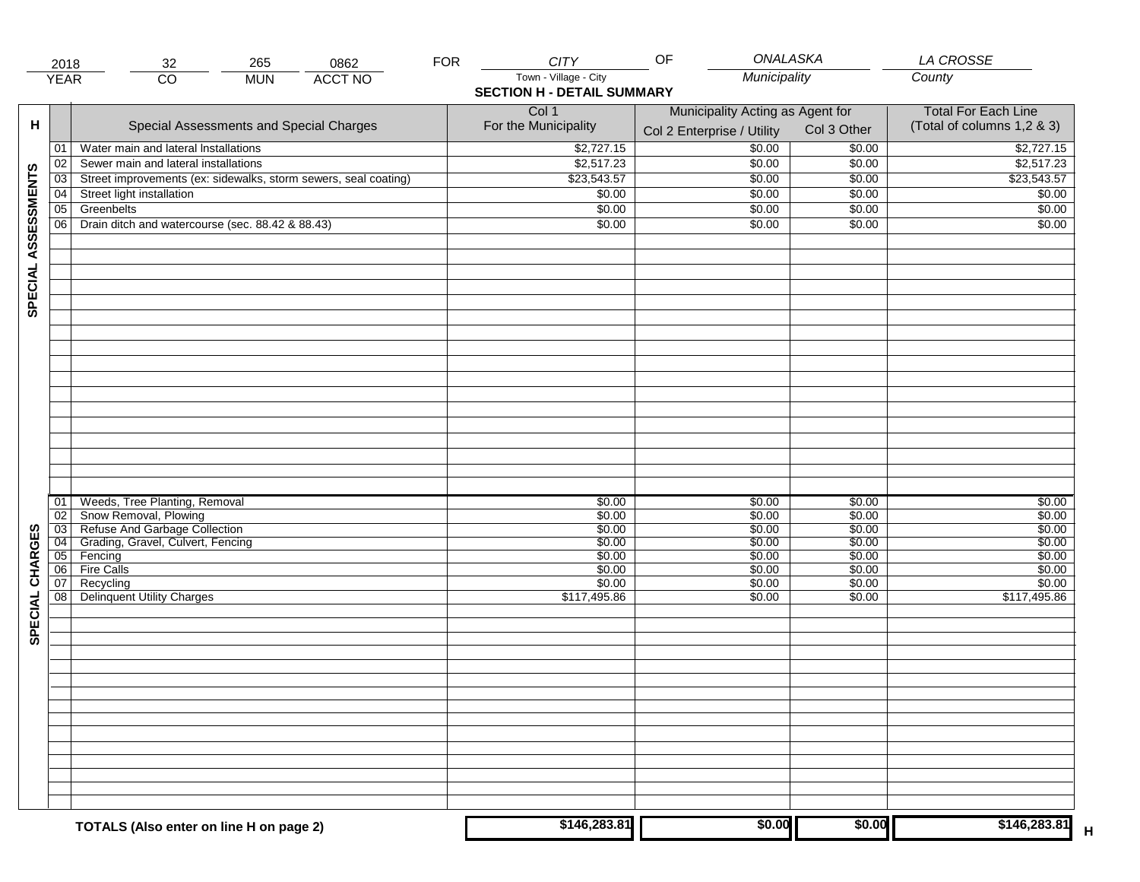|                     | 2018            | 265<br>0862<br>32                                               | <b>FOR</b> | <b>CITY</b>                       | ONALASKA<br>OF                   |             | LA CROSSE                  |
|---------------------|-----------------|-----------------------------------------------------------------|------------|-----------------------------------|----------------------------------|-------------|----------------------------|
|                     | <b>YEAR</b>     | <b>ACCT NO</b><br>$\overline{CO}$<br><b>MUN</b>                 |            | Town - Village - City             | Municipality                     |             | County                     |
|                     |                 |                                                                 |            | <b>SECTION H - DETAIL SUMMARY</b> |                                  |             |                            |
|                     |                 |                                                                 |            | Col 1                             | Municipality Acting as Agent for |             | <b>Total For Each Line</b> |
| н                   |                 | Special Assessments and Special Charges                         |            | For the Municipality              |                                  | Col 3 Other | (Total of columns 1,2 & 3) |
|                     |                 |                                                                 |            |                                   | Col 2 Enterprise / Utility       |             |                            |
|                     | 01              | Water main and lateral Installations                            |            | \$2,727.15                        | 50.00                            | \$0.00      | \$2,727.15                 |
|                     | 02              | Sewer main and lateral installations                            |            | \$2,517.23                        | \$0.00                           | \$0.00      | \$2,517.23                 |
| SPECIAL ASSESSMENTS | $\overline{03}$ | Street improvements (ex: sidewalks, storm sewers, seal coating) |            | \$23,543.57                       | \$0.00                           | \$0.00      | \$23,543.57                |
|                     | 04              | Street light installation                                       |            | \$0.00                            | \$0.00                           | \$0.00      | \$0.00                     |
|                     | $\overline{05}$ | Greenbelts                                                      |            | \$0.00                            | \$0.00                           | \$0.00      | \$0.00                     |
|                     | 06              | Drain ditch and watercourse (sec. 88.42 & 88.43)                |            | \$0.00                            | \$0.00                           | \$0.00      | \$0.00                     |
|                     |                 |                                                                 |            |                                   |                                  |             |                            |
|                     |                 |                                                                 |            |                                   |                                  |             |                            |
|                     |                 |                                                                 |            |                                   |                                  |             |                            |
|                     |                 |                                                                 |            |                                   |                                  |             |                            |
|                     |                 |                                                                 |            |                                   |                                  |             |                            |
|                     |                 |                                                                 |            |                                   |                                  |             |                            |
|                     |                 |                                                                 |            |                                   |                                  |             |                            |
|                     |                 |                                                                 |            |                                   |                                  |             |                            |
|                     |                 |                                                                 |            |                                   |                                  |             |                            |
|                     |                 |                                                                 |            |                                   |                                  |             |                            |
|                     |                 |                                                                 |            |                                   |                                  |             |                            |
|                     |                 |                                                                 |            |                                   |                                  |             |                            |
|                     |                 |                                                                 |            |                                   |                                  |             |                            |
|                     |                 |                                                                 |            |                                   |                                  |             |                            |
|                     |                 |                                                                 |            |                                   |                                  |             |                            |
|                     |                 |                                                                 |            |                                   |                                  |             |                            |
|                     |                 |                                                                 |            |                                   |                                  |             |                            |
|                     |                 |                                                                 |            |                                   |                                  |             |                            |
|                     | 01              | Weeds, Tree Planting, Removal                                   |            | \$0.00                            | \$0.00                           | \$0.00      | \$0.00                     |
|                     | 02              | Snow Removal, Plowing                                           |            | \$0.00                            | \$0.00                           | \$0.00      | \$0.00                     |
|                     | 03              | Refuse And Garbage Collection                                   |            | \$0.00                            | \$0.00                           | \$0.00      | \$0.00                     |
| SPECIAL CHARGES     | $\overline{04}$ | Grading, Gravel, Culvert, Fencing                               |            | \$0.00                            | \$0.00                           | \$0.00      | \$0.00                     |
|                     | 05              | Fencing                                                         |            | \$0.00                            | \$0.00                           | \$0.00      | \$0.00                     |
|                     | 06              | <b>Fire Calls</b>                                               |            | \$0.00                            | \$0.00                           | \$0.00      | \$0.00                     |
|                     | 07              | Recycling                                                       |            | \$0.00                            | \$0.00                           | \$0.00      | \$0.00                     |
|                     | 08              | Delinquent Utility Charges                                      |            | \$117,495.86                      | \$0.00                           | \$0.00      | \$117,495.86               |
|                     |                 |                                                                 |            |                                   |                                  |             |                            |
|                     |                 |                                                                 |            |                                   |                                  |             |                            |
|                     |                 |                                                                 |            |                                   |                                  |             |                            |
|                     |                 |                                                                 |            |                                   |                                  |             |                            |
|                     |                 |                                                                 |            |                                   |                                  |             |                            |
|                     |                 |                                                                 |            |                                   |                                  |             |                            |
|                     |                 |                                                                 |            |                                   |                                  |             |                            |
|                     |                 |                                                                 |            |                                   |                                  |             |                            |
|                     |                 |                                                                 |            |                                   |                                  |             |                            |
|                     |                 |                                                                 |            |                                   |                                  |             |                            |
|                     |                 |                                                                 |            |                                   |                                  |             |                            |
|                     |                 |                                                                 |            |                                   |                                  |             |                            |
|                     |                 |                                                                 |            |                                   |                                  |             |                            |
|                     |                 |                                                                 |            |                                   |                                  |             |                            |
|                     |                 |                                                                 |            |                                   |                                  |             |                            |
|                     |                 | TOTALS (Also enter on line H on page 2)                         |            | \$146,283.81                      | \$0.00                           | \$0.00      | \$146,283.81<br>Н          |
|                     |                 |                                                                 |            |                                   |                                  |             |                            |